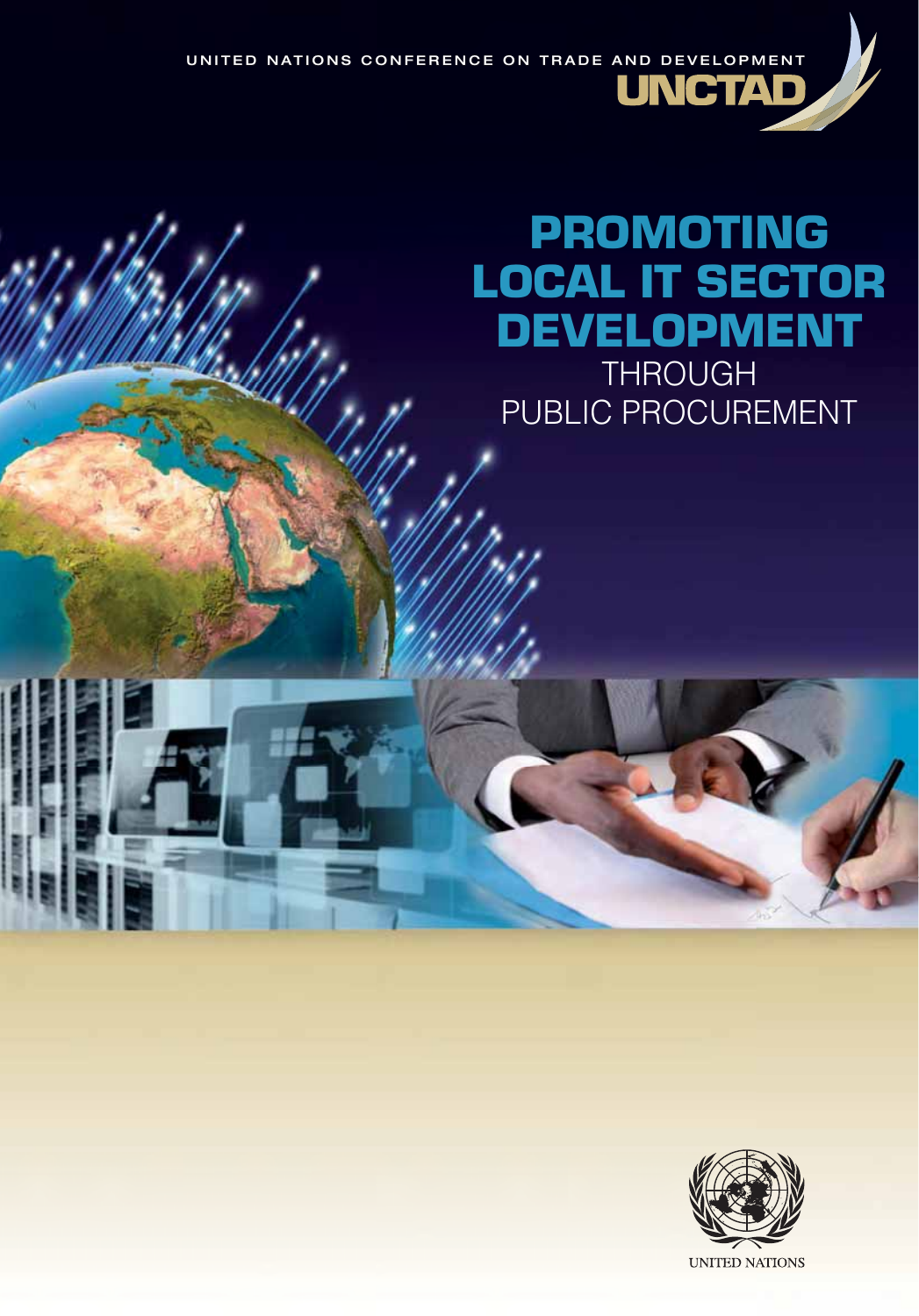UNITED NATIONS CONFERENCE ON TRADE AND DEVELOPMENT **JNCTAD** 

# PROMOTING LOCAL IT SECTOR DEVELOPMENT **THROUGH**

I.

PUBLIC PROCUREMENT

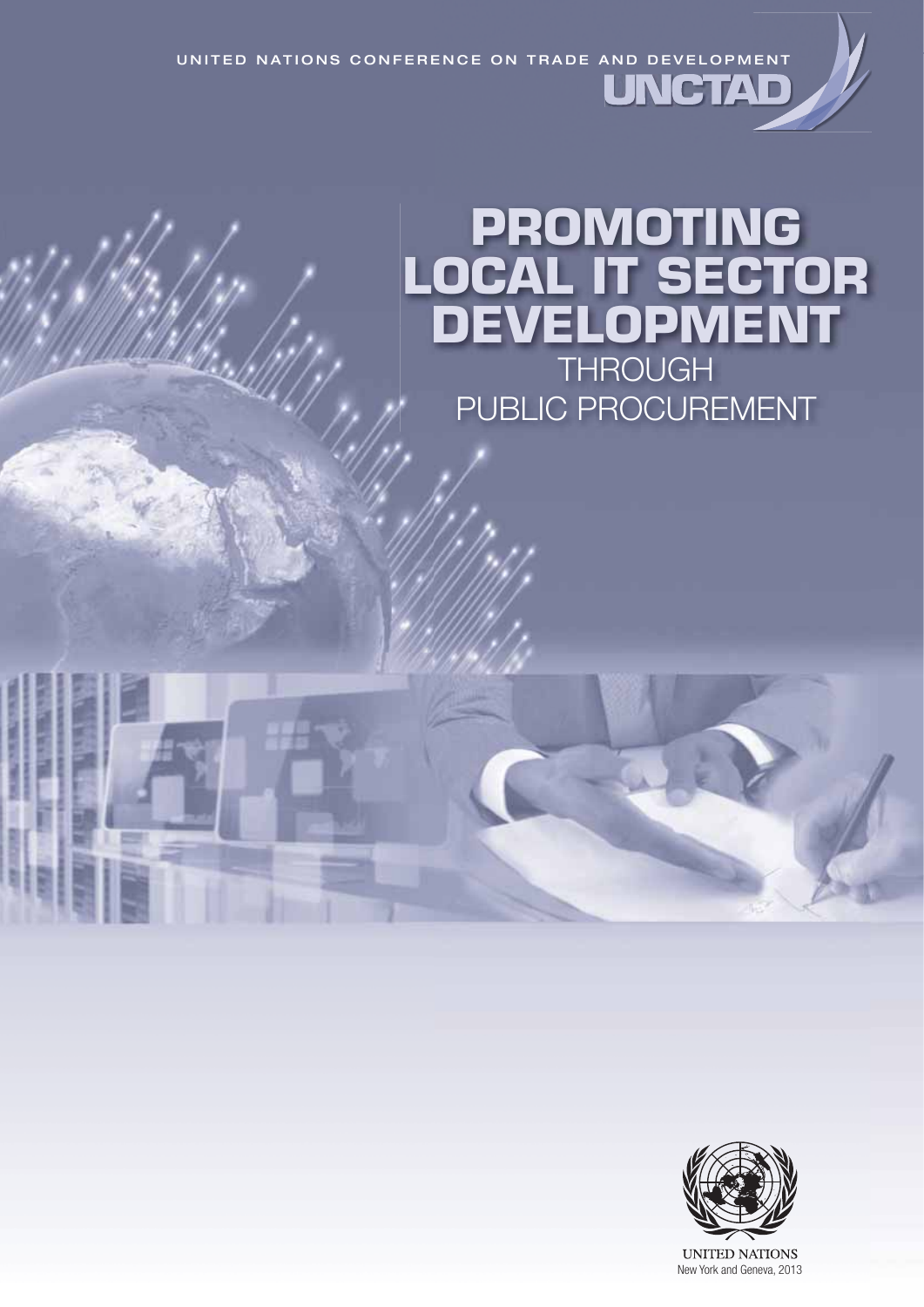UNITED NATIONS CONFERENCE ON TRADE AND DEVELOPMENT UNGTA

# **PROMOTING LOCAL IT SECTOR DEVELOPMENT** THROUGH PUBLIC PROCUREMENT



**UNITED NATIONS** New York and Geneva, 2013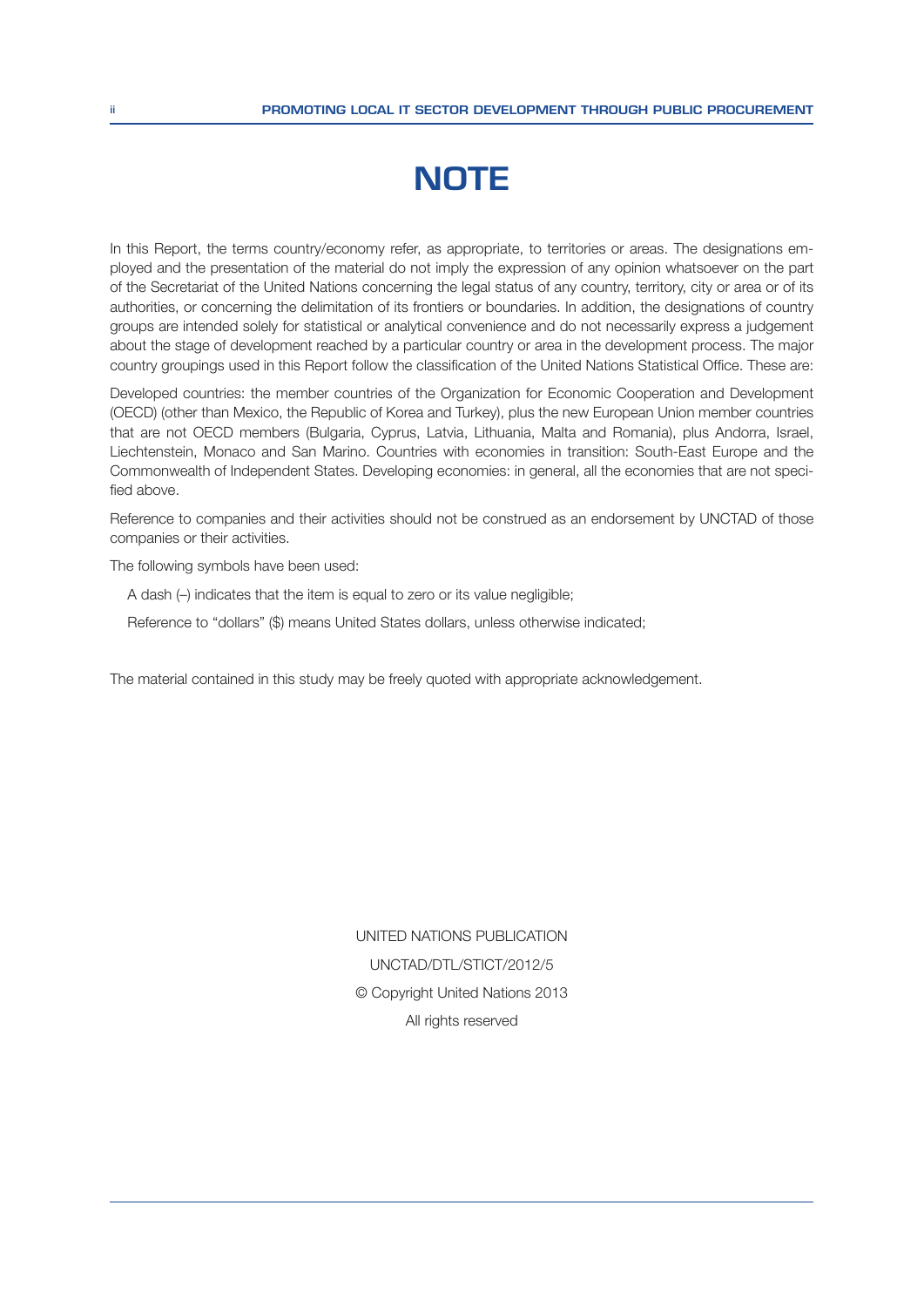# **NOTE**

In this Report, the terms country/economy refer, as appropriate, to territories or areas. The designations employed and the presentation of the material do not imply the expression of any opinion whatsoever on the part of the Secretariat of the United Nations concerning the legal status of any country, territory, city or area or of its authorities, or concerning the delimitation of its frontiers or boundaries. In addition, the designations of country groups are intended solely for statistical or analytical convenience and do not necessarily express a judgement about the stage of development reached by a particular country or area in the development process. The major country groupings used in this Report follow the classification of the United Nations Statistical Office. These are:

Developed countries: the member countries of the Organization for Economic Cooperation and Development (OECD) (other than Mexico, the Republic of Korea and Turkey), plus the new European Union member countries that are not OECD members (Bulgaria, Cyprus, Latvia, Lithuania, Malta and Romania), plus Andorra, Israel, Liechtenstein, Monaco and San Marino. Countries with economies in transition: South-East Europe and the Commonwealth of Independent States. Developing economies: in general, all the economies that are not specified above.

Reference to companies and their activities should not be construed as an endorsement by UNCTAD of those companies or their activities.

The following symbols have been used:

A dash  $(-)$  indicates that the item is equal to zero or its value negligible;

Reference to "dollars" (\$) means United States dollars, unless otherwise indicated;

The material contained in this study may be freely quoted with appropriate acknowledgement.

UNITED NATIONS PUBLICATION UNCTAD/DTL/STICT/2012/5 © Copyright United Nations 2013 All rights reserved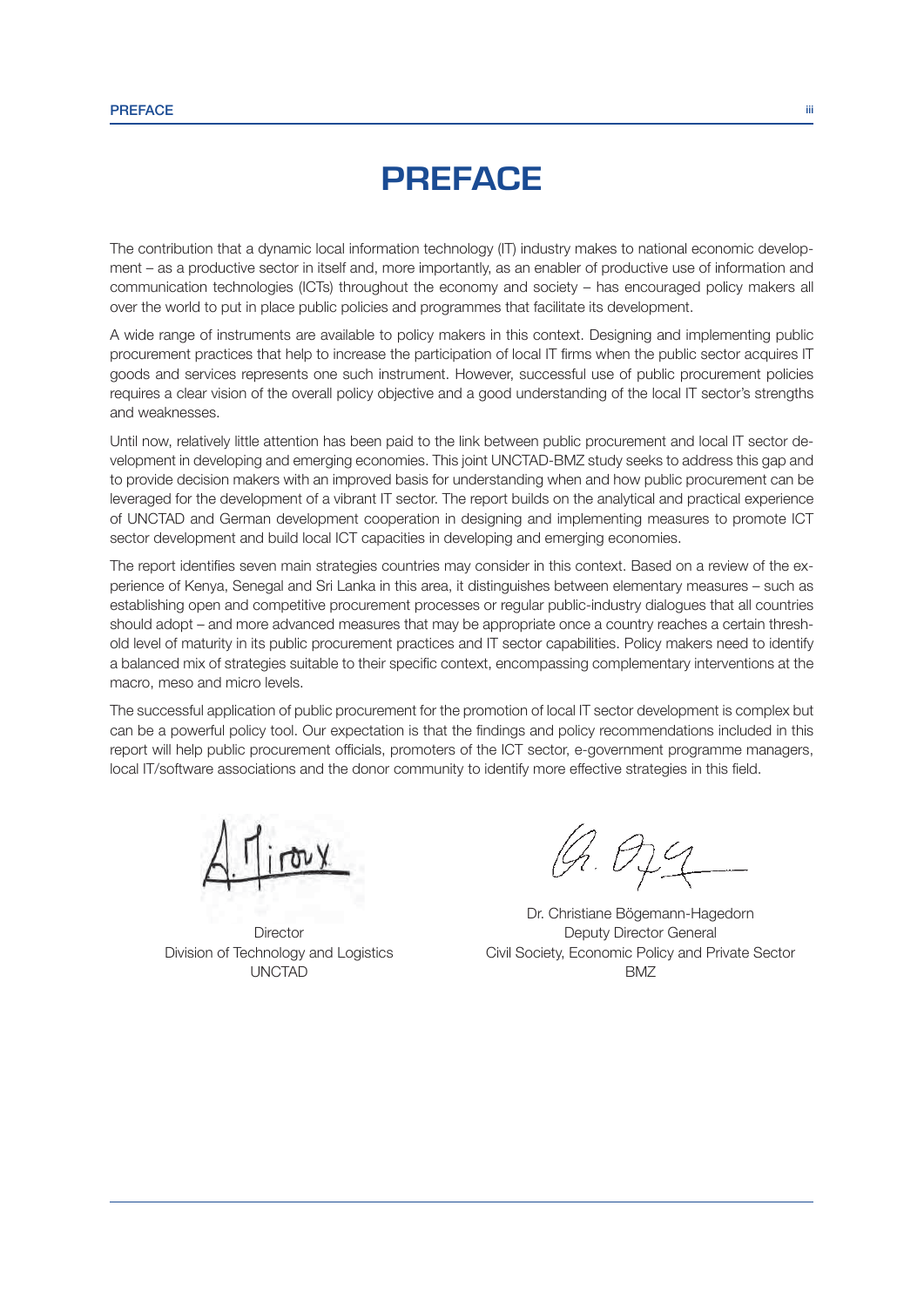### **PREFACE**

The contribution that a dynamic local information technology (IT) industry makes to national economic development – as a productive sector in itself and, more importantly, as an enabler of productive use of information and communication technologies (ICTs) throughout the economy and society – has encouraged policy makers all over the world to put in place public policies and programmes that facilitate its development.

A wide range of instruments are available to policy makers in this context. Designing and implementing public procurement practices that help to increase the participation of local IT firms when the public sector acquires IT goods and services represents one such instrument. However, successful use of public procurement policies requires a clear vision of the overall policy objective and a good understanding of the local IT sector's strengths and weaknesses.

Until now, relatively little attention has been paid to the link between public procurement and local IT sector development in developing and emerging economies. This joint UNCTAD-BMZ study seeks to address this gap and to provide decision makers with an improved basis for understanding when and how public procurement can be leveraged for the development of a vibrant IT sector. The report builds on the analytical and practical experience of UNCTAD and German development cooperation in designing and implementing measures to promote ICT sector development and build local ICT capacities in developing and emerging economies.

The report identifies seven main strategies countries may consider in this context. Based on a review of the experience of Kenya, Senegal and Sri Lanka in this area, it distinguishes between elementary measures – such as establishing open and competitive procurement processes or regular public-industry dialogues that all countries should adopt – and more advanced measures that may be appropriate once a country reaches a certain threshold level of maturity in its public procurement practices and IT sector capabilities. Policy makers need to identify a balanced mix of strategies suitable to their specific context, encompassing complementary interventions at the macro, meso and micro levels.

The successful application of public procurement for the promotion of local IT sector development is complex but can be a powerful policy tool. Our expectation is that the findings and policy recommendations included in this report will help public procurement officials, promoters of the ICT sector, e-government programme managers, local IT/software associations and the donor community to identify more effective strategies in this field.

UNCTAD BMZ

9.029

Dr. Christiane Bögemann-Hagedorn **Director** Director **Deputy Deputy Director General** Division of Technology and Logistics Civil Society, Economic Policy and Private Sector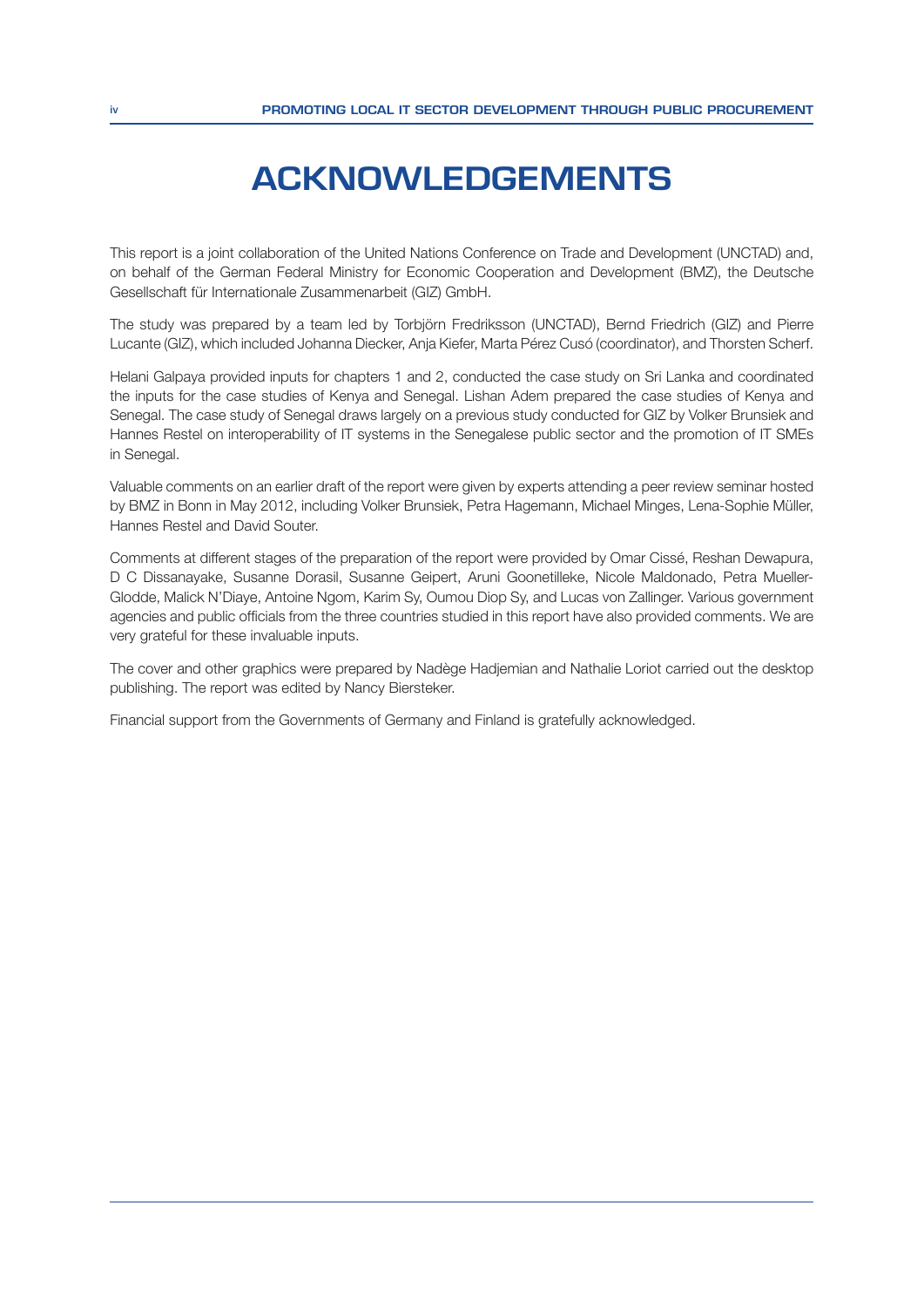## **ACKNOWLEDGEMENTS**

This report is a joint collaboration of the United Nations Conference on Trade and Development (UNCTAD) and, on behalf of the German Federal Ministry for Economic Cooperation and Development (BMZ), the Deutsche Gesellschaft für Internationale Zusammenarbeit (GIZ) GmbH.

The study was prepared by a team led by Torbjörn Fredriksson (UNCTAD), Bernd Friedrich (GIZ) and Pierre Lucante (GIZ), which included Johanna Diecker, Anja Kiefer, Marta Pérez Cusó (coordinator), and Thorsten Scherf.

Helani Galpaya provided inputs for chapters 1 and 2, conducted the case study on Sri Lanka and coordinated the inputs for the case studies of Kenya and Senegal. Lishan Adem prepared the case studies of Kenya and Senegal. The case study of Senegal draws largely on a previous study conducted for GIZ by Volker Brunsiek and Hannes Restel on interoperability of IT systems in the Senegalese public sector and the promotion of IT SMEs in Senegal.

Valuable comments on an earlier draft of the report were given by experts attending a peer review seminar hosted by BMZ in Bonn in May 2012, including Volker Brunsiek, Petra Hagemann, Michael Minges, Lena-Sophie Müller, Hannes Restel and David Souter.

Comments at different stages of the preparation of the report were provided by Omar Cissé, Reshan Dewapura, D C Dissanayake, Susanne Dorasil, Susanne Geipert, Aruni Goonetilleke, Nicole Maldonado, Petra Mueller-Glodde, Malick N'Diaye, Antoine Ngom, Karim Sy, Oumou Diop Sy, and Lucas von Zallinger. Various government agencies and public officials from the three countries studied in this report have also provided comments. We are very grateful for these invaluable inputs.

The cover and other graphics were prepared by Nadège Hadjemian and Nathalie Loriot carried out the desktop publishing. The report was edited by Nancy Biersteker.

Financial support from the Governments of Germany and Finland is gratefully acknowledged.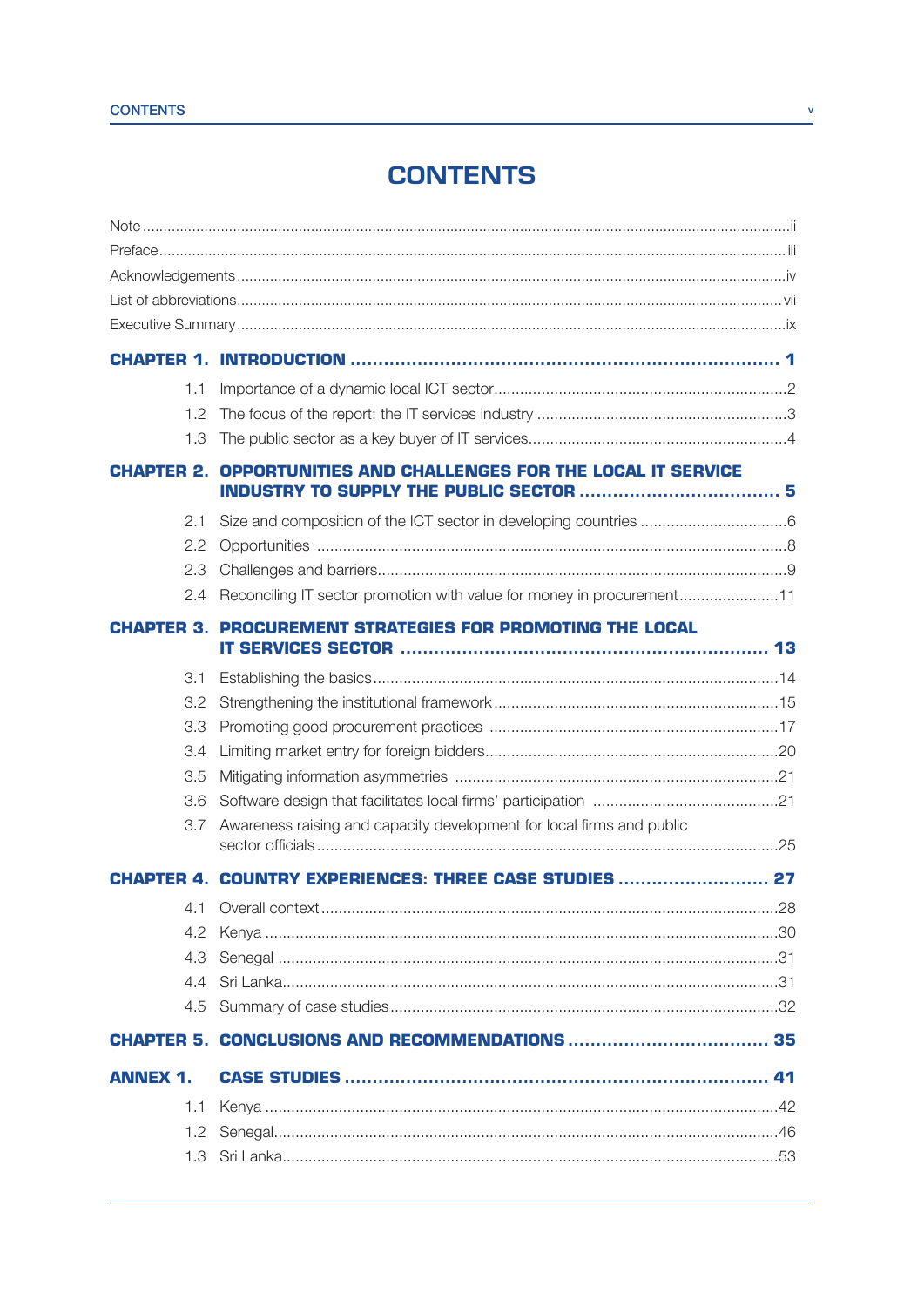### **CONTENTS**

| 1.1             |                                                                         |  |  |
|-----------------|-------------------------------------------------------------------------|--|--|
| 1.2             |                                                                         |  |  |
| 1.3             |                                                                         |  |  |
|                 | <b>CHAPTER 2. OPPORTUNITIES AND CHALLENGES FOR THE LOCAL IT SERVICE</b> |  |  |
| 2.1             |                                                                         |  |  |
| 2.2             |                                                                         |  |  |
| 2.3             |                                                                         |  |  |
| 2.4             | Reconciling IT sector promotion with value for money in procurement11   |  |  |
|                 | HAPTER 3. PROCUREMENT STRATEGIES FOR PROMOTING THE LOCAL                |  |  |
| 3.1             |                                                                         |  |  |
| 3.2             |                                                                         |  |  |
| 3.3             |                                                                         |  |  |
| 3.4             |                                                                         |  |  |
| 3.5             |                                                                         |  |  |
| 3.6             |                                                                         |  |  |
| 3.7             | Awareness raising and capacity development for local firms and public   |  |  |
|                 | ER 4. COUNTRY EXPERIENCES: THREE CASE STUDIES  27                       |  |  |
|                 |                                                                         |  |  |
| 4.2             |                                                                         |  |  |
| 4.3             |                                                                         |  |  |
|                 |                                                                         |  |  |
|                 |                                                                         |  |  |
|                 |                                                                         |  |  |
| <b>ANNEX 1.</b> |                                                                         |  |  |
| 1.1             |                                                                         |  |  |
| 1.2             |                                                                         |  |  |
|                 |                                                                         |  |  |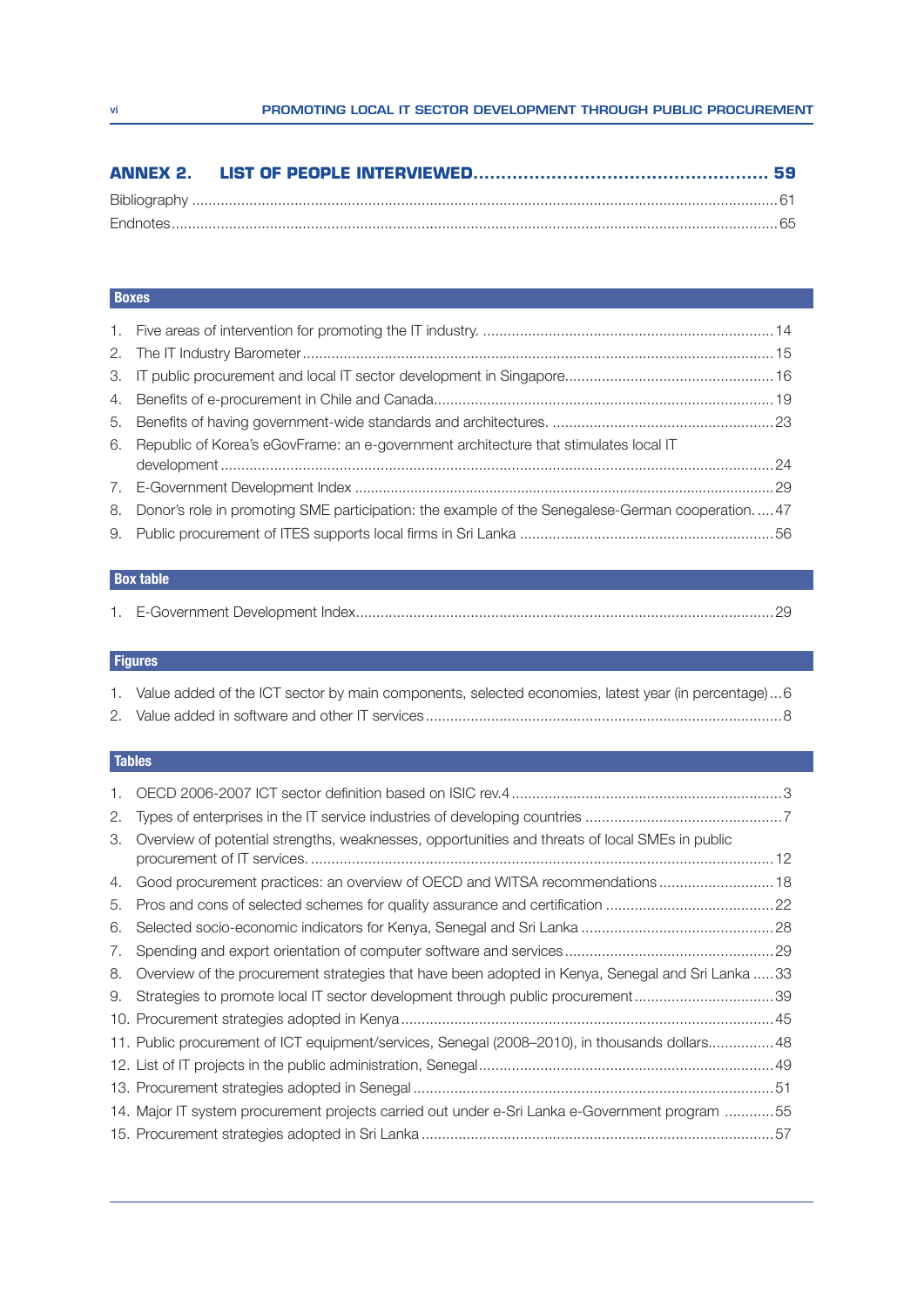#### Boxes

| 6. Republic of Korea's eGovFrame: an e-government architecture that stimulates local IT            |  |
|----------------------------------------------------------------------------------------------------|--|
|                                                                                                    |  |
|                                                                                                    |  |
| 8. Donor's role in promoting SME participation: the example of the Senegalese-German cooperation47 |  |
|                                                                                                    |  |

### Box table

#### **Figures**

| 1. Value added of the ICT sector by main components, selected economies, latest year (in percentage)6 |  |
|-------------------------------------------------------------------------------------------------------|--|
|                                                                                                       |  |

#### **Tables**

| 2. |                                                                                                  |
|----|--------------------------------------------------------------------------------------------------|
| З. | Overview of potential strengths, weaknesses, opportunities and threats of local SMEs in public   |
| 4. | Good procurement practices: an overview of OECD and WITSA recommendations 18                     |
| 5. |                                                                                                  |
| 6. |                                                                                                  |
| 7. |                                                                                                  |
| 8. | Overview of the procurement strategies that have been adopted in Kenya, Senegal and Sri Lanka 33 |
|    | 9. Strategies to promote local IT sector development through public procurement39                |
|    |                                                                                                  |
|    | 11. Public procurement of ICT equipment/services, Senegal (2008-2010), in thousands dollars48    |
|    |                                                                                                  |
|    |                                                                                                  |
|    | 14. Major IT system procurement projects carried out under e-Sri Lanka e-Government program 55   |
|    |                                                                                                  |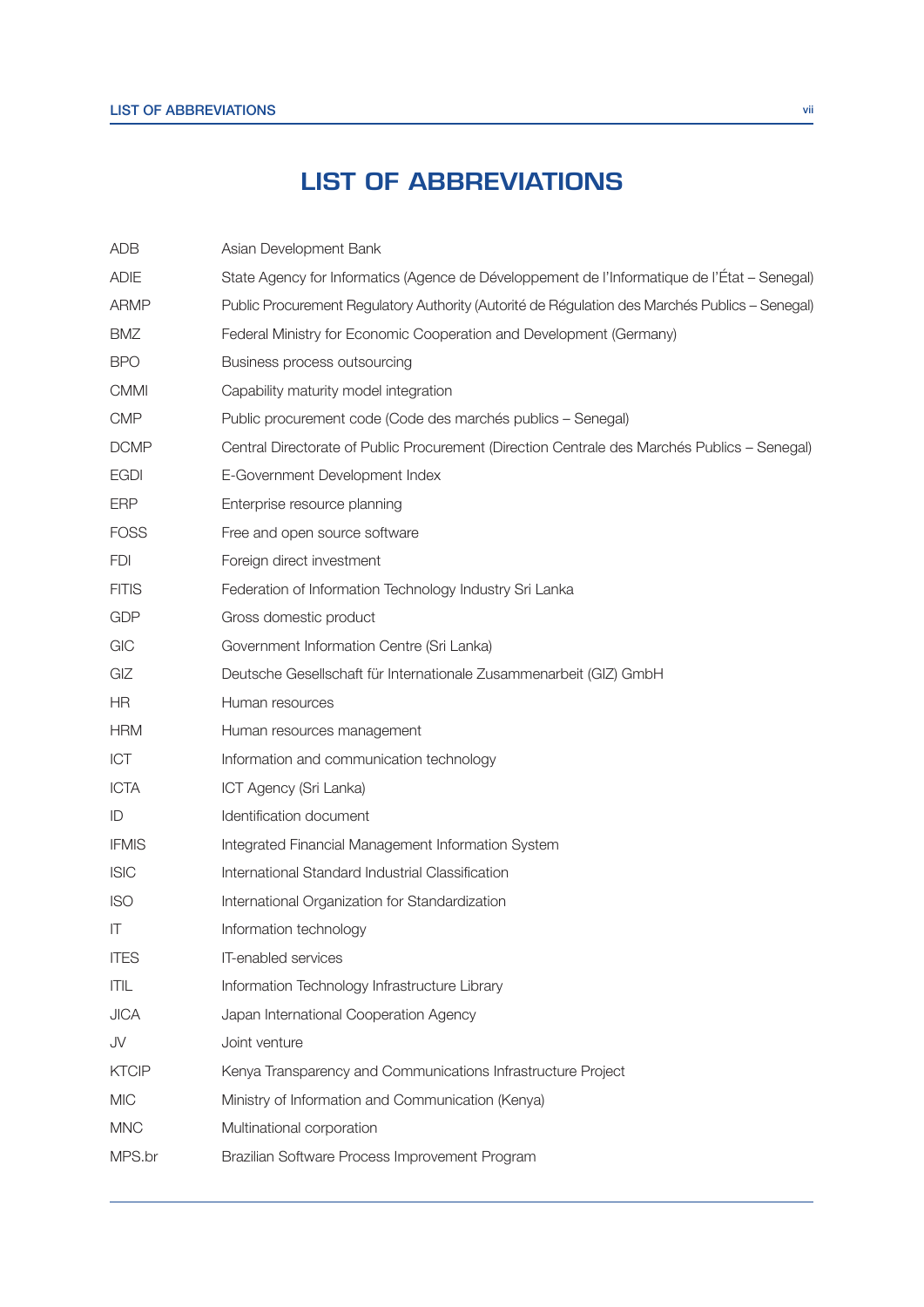### **LIST OF ABBREVIATIONS**

| <b>ADB</b>   | Asian Development Bank                                                                         |  |
|--------------|------------------------------------------------------------------------------------------------|--|
| <b>ADIE</b>  | State Agency for Informatics (Agence de Développement de l'Informatique de l'État - Senegal)   |  |
| <b>ARMP</b>  | Public Procurement Regulatory Authority (Autorité de Régulation des Marchés Publics - Senegal) |  |
| <b>BMZ</b>   | Federal Ministry for Economic Cooperation and Development (Germany)                            |  |
| <b>BPO</b>   | Business process outsourcing                                                                   |  |
| <b>CMMI</b>  | Capability maturity model integration                                                          |  |
| <b>CMP</b>   | Public procurement code (Code des marchés publics - Senegal)                                   |  |
| <b>DCMP</b>  | Central Directorate of Public Procurement (Direction Centrale des Marchés Publics - Senegal)   |  |
| <b>EGDI</b>  | E-Government Development Index                                                                 |  |
| <b>ERP</b>   | Enterprise resource planning                                                                   |  |
| <b>FOSS</b>  | Free and open source software                                                                  |  |
| <b>FDI</b>   | Foreign direct investment                                                                      |  |
| <b>FITIS</b> | Federation of Information Technology Industry Sri Lanka                                        |  |
| <b>GDP</b>   | Gross domestic product                                                                         |  |
| GIC          | Government Information Centre (Sri Lanka)                                                      |  |
| GIZ          | Deutsche Gesellschaft für Internationale Zusammenarbeit (GIZ) GmbH                             |  |
| <b>HR</b>    | Human resources                                                                                |  |
| <b>HRM</b>   | Human resources management                                                                     |  |
| ICT          | Information and communication technology                                                       |  |
| <b>ICTA</b>  | ICT Agency (Sri Lanka)                                                                         |  |
| ID           | Identification document                                                                        |  |
| <b>IFMIS</b> | Integrated Financial Management Information System                                             |  |
| <b>ISIC</b>  | International Standard Industrial Classification                                               |  |
| <b>ISO</b>   | International Organization for Standardization                                                 |  |
| IT           | Information technology                                                                         |  |
| <b>ITES</b>  | IT-enabled services                                                                            |  |
| ITIL         | Information Technology Infrastructure Library                                                  |  |
| <b>JICA</b>  | Japan International Cooperation Agency                                                         |  |
| JV           | Joint venture                                                                                  |  |
| <b>KTCIP</b> | Kenya Transparency and Communications Infrastructure Project                                   |  |
| <b>MIC</b>   | Ministry of Information and Communication (Kenya)                                              |  |
| <b>MNC</b>   | Multinational corporation                                                                      |  |
| MPS.br       | Brazilian Software Process Improvement Program                                                 |  |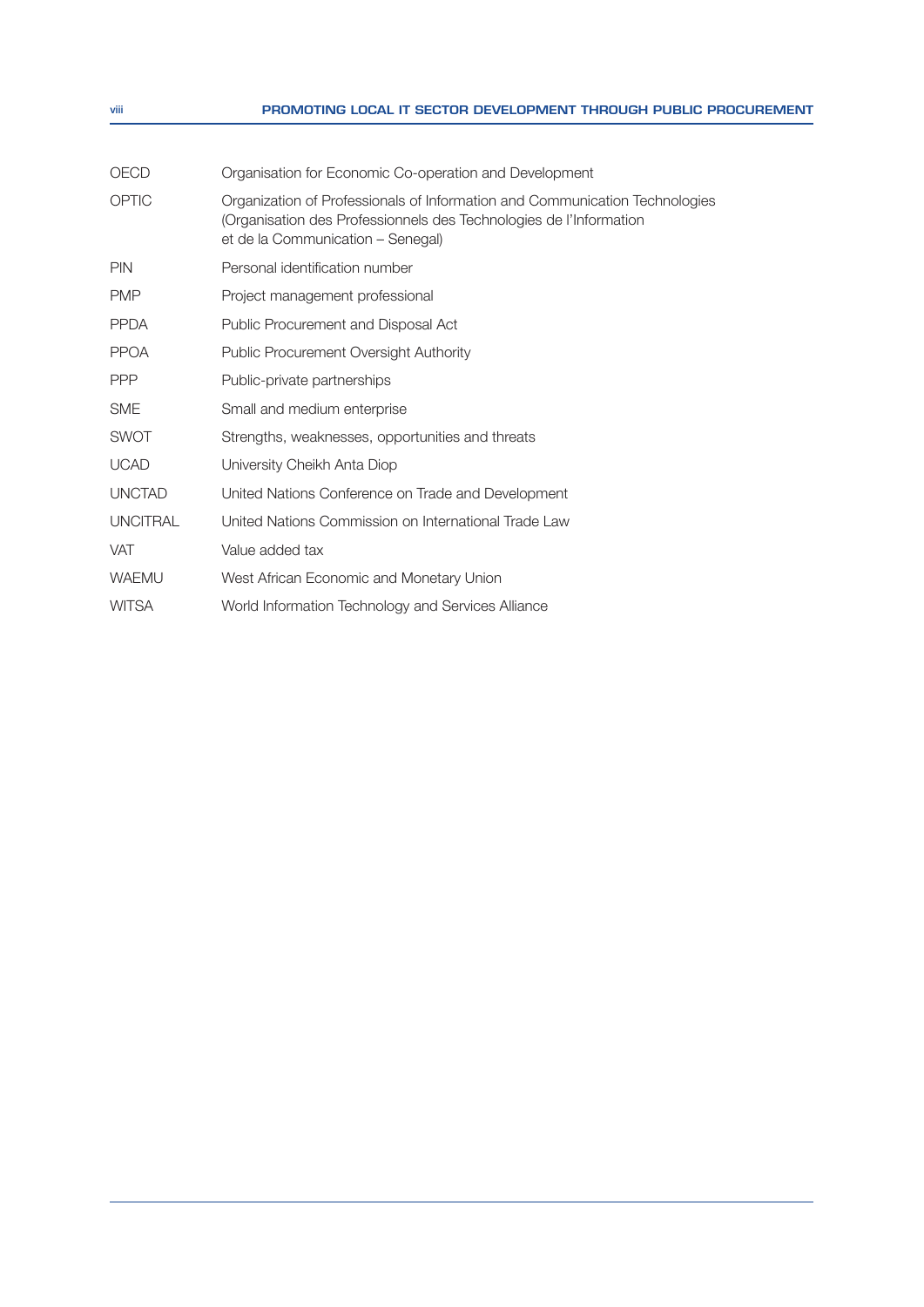#### viii **PROMOTING LOCAL IT SECTOR DEVELOPMENT THROUGH PUBLIC PROCUREMENT**

| OECD            | Organisation for Economic Co-operation and Development                                                                                                                                 |  |
|-----------------|----------------------------------------------------------------------------------------------------------------------------------------------------------------------------------------|--|
| OPTIC           | Organization of Professionals of Information and Communication Technologies<br>(Organisation des Professionnels des Technologies de l'Information<br>et de la Communication – Senegal) |  |
| <b>PIN</b>      | Personal identification number                                                                                                                                                         |  |
| <b>PMP</b>      | Project management professional                                                                                                                                                        |  |
| <b>PPDA</b>     | Public Procurement and Disposal Act                                                                                                                                                    |  |
| <b>PPOA</b>     | <b>Public Procurement Oversight Authority</b>                                                                                                                                          |  |
| <b>PPP</b>      | Public-private partnerships                                                                                                                                                            |  |
| <b>SME</b>      | Small and medium enterprise                                                                                                                                                            |  |
| <b>SWOT</b>     | Strengths, weaknesses, opportunities and threats                                                                                                                                       |  |
| <b>UCAD</b>     | University Cheikh Anta Diop                                                                                                                                                            |  |
| <b>UNCTAD</b>   | United Nations Conference on Trade and Development                                                                                                                                     |  |
| <b>UNCITRAL</b> | United Nations Commission on International Trade Law                                                                                                                                   |  |
| <b>VAT</b>      | Value added tax                                                                                                                                                                        |  |
| <b>WAEMU</b>    | West African Economic and Monetary Union                                                                                                                                               |  |
| <b>WITSA</b>    | World Information Technology and Services Alliance                                                                                                                                     |  |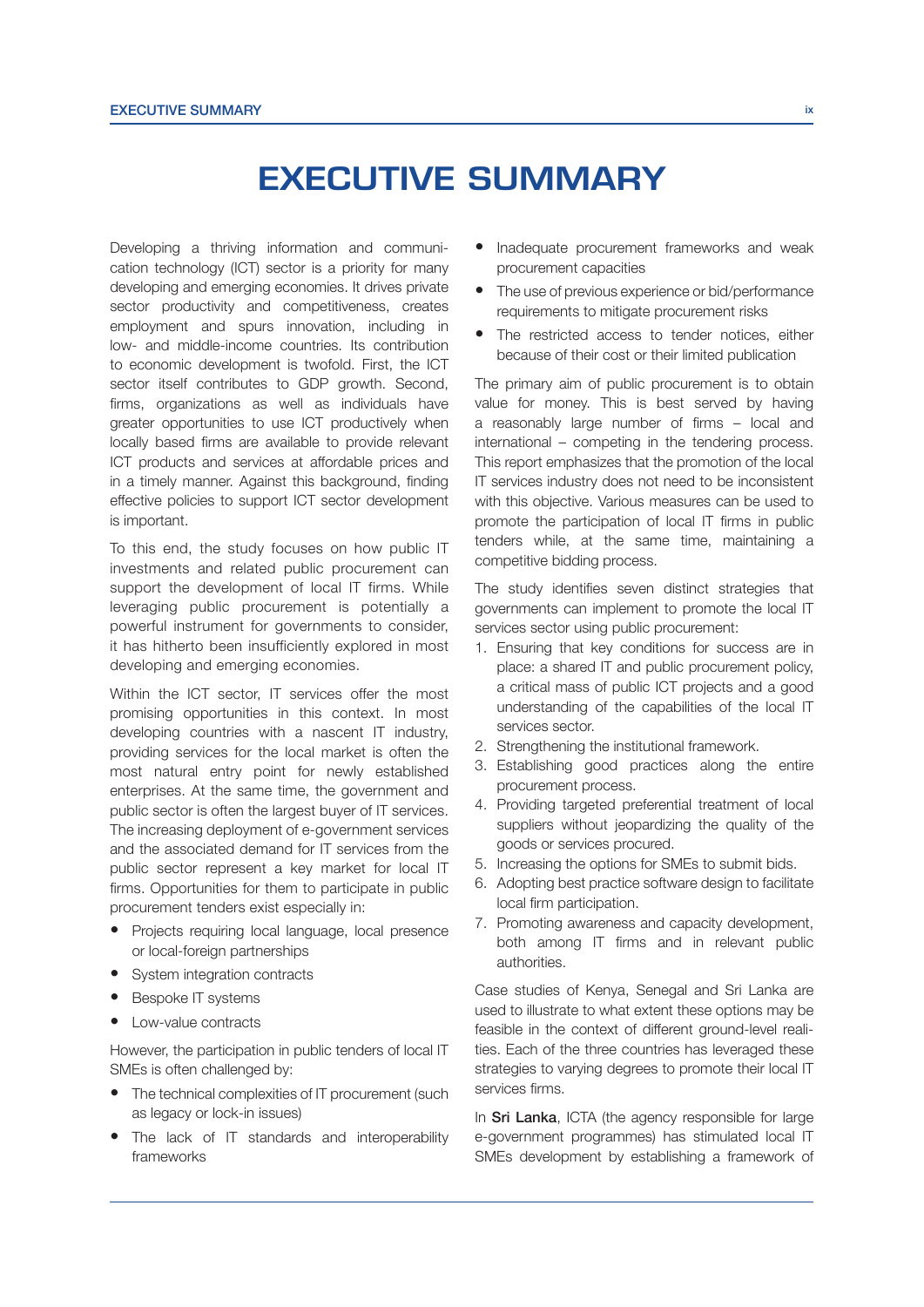### **EXECUTIVE SUMMARY**

Developing a thriving information and communication technology (ICT) sector is a priority for many developing and emerging economies. It drives private sector productivity and competitiveness, creates employment and spurs innovation, including in low- and middle-income countries. Its contribution to economic development is twofold. First, the ICT sector itself contributes to GDP growth. Second, firms, organizations as well as individuals have greater opportunities to use ICT productively when locally based firms are available to provide relevant ICT products and services at affordable prices and in a timely manner. Against this background, finding effective policies to support ICT sector development is important.

To this end, the study focuses on how public IT investments and related public procurement can support the development of local IT firms. While leveraging public procurement is potentially a powerful instrument for governments to consider, it has hitherto been insufficiently explored in most developing and emerging economies.

Within the ICT sector, IT services offer the most promising opportunities in this context. In most developing countries with a nascent IT industry, providing services for the local market is often the most natural entry point for newly established enterprises. At the same time, the government and public sector is often the largest buyer of IT services. The increasing deployment of e-government services and the associated demand for IT services from the public sector represent a key market for local IT firms. Opportunities for them to participate in public procurement tenders exist especially in:

- Projects requiring local language, local presence or local-foreign partnerships
- System integration contracts
- Bespoke IT systems
- Low-value contracts

However, the participation in public tenders of local IT SMEs is often challenged by:

- The technical complexities of IT procurement (such as legacy or lock-in issues)
- The lack of IT standards and interoperability frameworks
- Inadequate procurement frameworks and weak procurement capacities
- The use of previous experience or bid/performance requirements to mitigate procurement risks
- The restricted access to tender notices, either because of their cost or their limited publication

The primary aim of public procurement is to obtain value for money. This is best served by having a reasonably large number of firms  $-$  local and international – competing in the tendering process. This report emphasizes that the promotion of the local IT services industry does not need to be inconsistent with this objective. Various measures can be used to promote the participation of local IT firms in public tenders while, at the same time, maintaining a competitive bidding process.

The study identifies seven distinct strategies that governments can implement to promote the local IT services sector using public procurement:

- 1. Ensuring that key conditions for success are in place: a shared IT and public procurement policy, a critical mass of public ICT projects and a good understanding of the capabilities of the local IT services sector.
- 2. Strengthening the institutional framework.
- 3. Establishing good practices along the entire procurement process.
- 4. Providing targeted preferential treatment of local suppliers without jeopardizing the quality of the goods or services procured.
- 5. Increasing the options for SMEs to submit bids.
- 6. Adopting best practice software design to facilitate local firm participation.
- 7. Promoting awareness and capacity development, both among IT firms and in relevant public authorities.

Case studies of Kenya, Senegal and Sri Lanka are used to illustrate to what extent these options may be feasible in the context of different ground-level realities. Each of the three countries has leveraged these strategies to varying degrees to promote their local IT services firms.

In Sri Lanka, ICTA (the agency responsible for large e-government programmes) has stimulated local IT SMEs development by establishing a framework of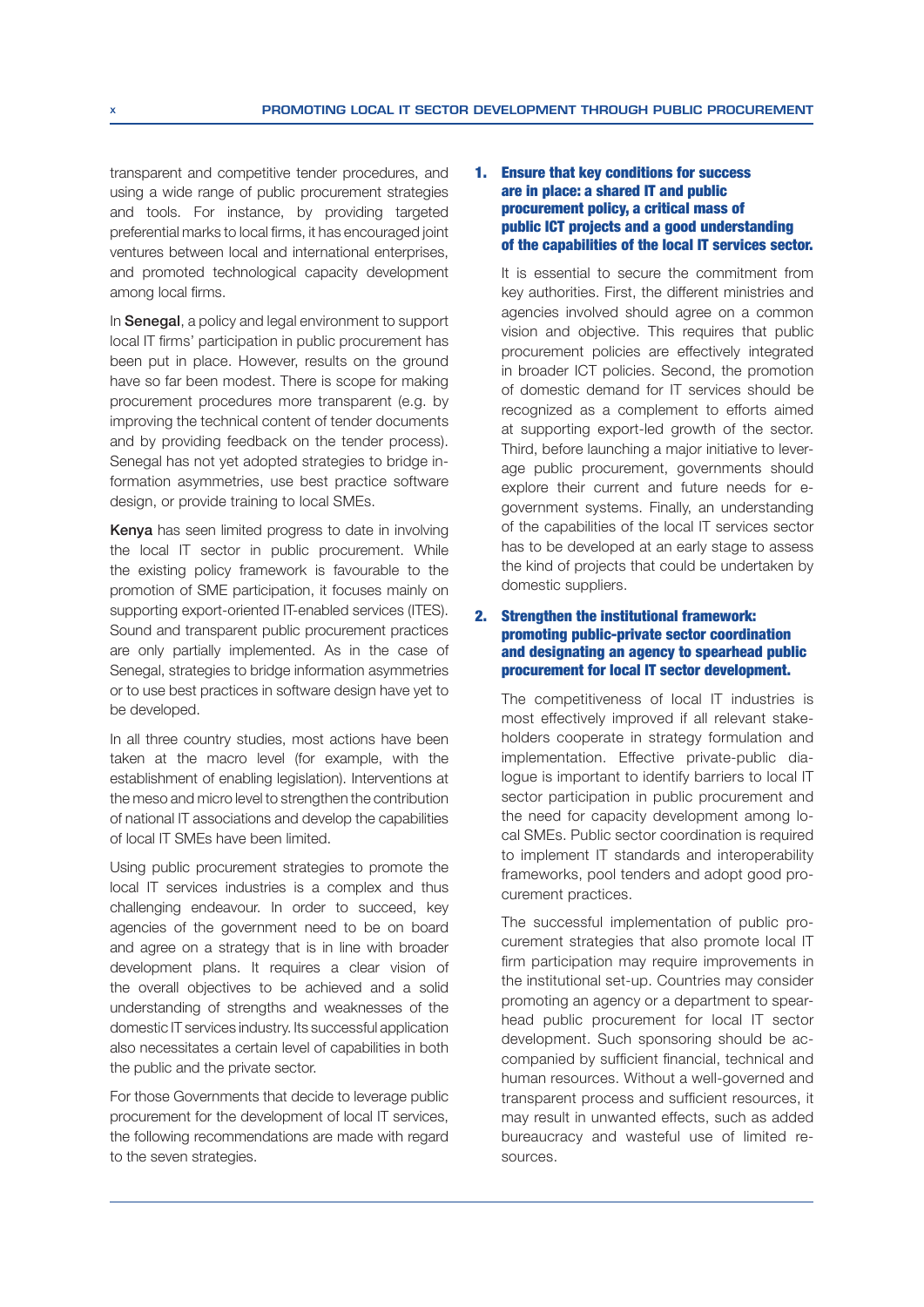transparent and competitive tender procedures, and using a wide range of public procurement strategies and tools. For instance, by providing targeted preferential marks to local firms, it has encouraged joint ventures between local and international enterprises, and promoted technological capacity development among local firms.

In Senegal, a policy and legal environment to support local IT firms' participation in public procurement has been put in place. However, results on the ground have so far been modest. There is scope for making procurement procedures more transparent (e.g. by improving the technical content of tender documents and by providing feedback on the tender process). Senegal has not yet adopted strategies to bridge information asymmetries, use best practice software design, or provide training to local SMEs.

Kenya has seen limited progress to date in involving the local IT sector in public procurement. While the existing policy framework is favourable to the promotion of SME participation, it focuses mainly on supporting export-oriented IT-enabled services (ITES). Sound and transparent public procurement practices are only partially implemented. As in the case of Senegal, strategies to bridge information asymmetries or to use best practices in software design have yet to be developed.

In all three country studies, most actions have been taken at the macro level (for example, with the establishment of enabling legislation). Interventions at the meso and micro level to strengthen the contribution of national IT associations and develop the capabilities of local IT SMEs have been limited.

Using public procurement strategies to promote the local IT services industries is a complex and thus challenging endeavour. In order to succeed, key agencies of the government need to be on board and agree on a strategy that is in line with broader development plans. It requires a clear vision of the overall objectives to be achieved and a solid understanding of strengths and weaknesses of the domestic IT services industry. Its successful application also necessitates a certain level of capabilities in both the public and the private sector.

For those Governments that decide to leverage public procurement for the development of local IT services, the following recommendations are made with regard to the seven strategies.

#### 1. Ensure that key conditions for success are in place: a shared IT and public procurement policy, a critical mass of public ICT projects and a good understanding of the capabilities of the local IT services sector.

It is essential to secure the commitment from key authorities. First, the different ministries and agencies involved should agree on a common vision and objective. This requires that public procurement policies are effectively integrated in broader ICT policies. Second, the promotion of domestic demand for IT services should be recognized as a complement to efforts aimed at supporting export-led growth of the sector. Third, before launching a major initiative to leverage public procurement, governments should explore their current and future needs for egovernment systems. Finally, an understanding of the capabilities of the local IT services sector has to be developed at an early stage to assess the kind of projects that could be undertaken by domestic suppliers.

#### 2. Strengthen the institutional framework: promoting public-private sector coordination and designating an agency to spearhead public procurement for local IT sector development.

The competitiveness of local IT industries is most effectively improved if all relevant stakeholders cooperate in strategy formulation and implementation. Effective private-public dialogue is important to identify barriers to local IT sector participation in public procurement and the need for capacity development among local SMEs. Public sector coordination is required to implement IT standards and interoperability frameworks, pool tenders and adopt good procurement practices.

The successful implementation of public procurement strategies that also promote local IT firm participation may require improvements in the institutional set-up. Countries may consider promoting an agency or a department to spearhead public procurement for local IT sector development. Such sponsoring should be accompanied by sufficient financial, technical and human resources. Without a well-governed and transparent process and sufficient resources, it may result in unwanted effects, such as added bureaucracy and wasteful use of limited resources.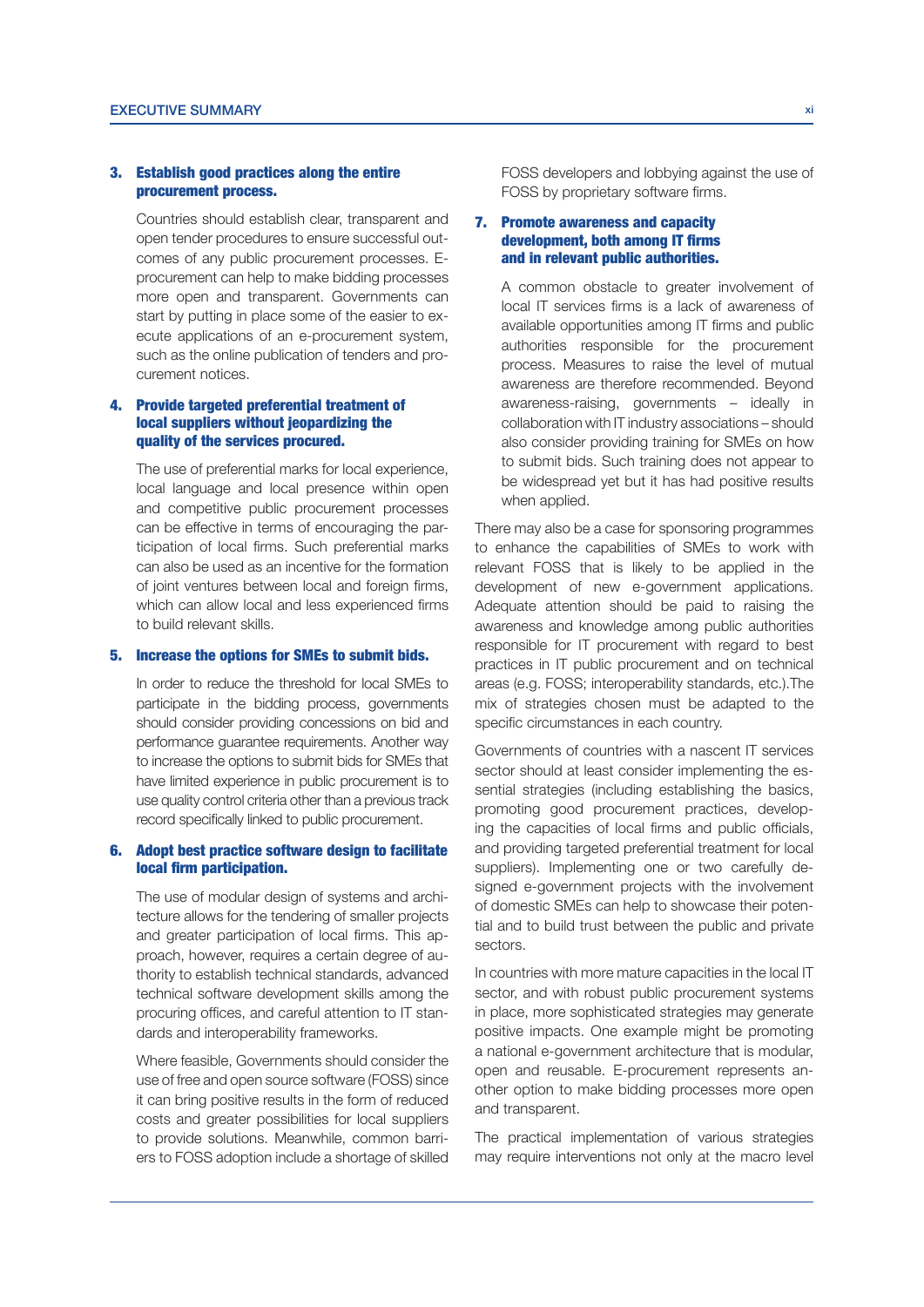#### 3. Establish good practices along the entire procurement process.

Countries should establish clear, transparent and open tender procedures to ensure successful outcomes of any public procurement processes. Eprocurement can help to make bidding processes more open and transparent. Governments can start by putting in place some of the easier to execute applications of an e-procurement system, such as the online publication of tenders and procurement notices.

#### 4. Provide targeted preferential treatment of local suppliers without jeopardizing the quality of the services procured.

The use of preferential marks for local experience, local language and local presence within open and competitive public procurement processes can be effective in terms of encouraging the participation of local firms. Such preferential marks can also be used as an incentive for the formation of joint ventures between local and foreign firms, which can allow local and less experienced firms to build relevant skills.

#### 5. Increase the options for SMEs to submit bids.

In order to reduce the threshold for local SMEs to participate in the bidding process, governments should consider providing concessions on bid and performance guarantee requirements. Another way to increase the options to submit bids for SMEs that have limited experience in public procurement is to use quality control criteria other than a previous track record specifically linked to public procurement.

#### 6. Adopt best practice software design to facilitate local firm participation.

The use of modular design of systems and architecture allows for the tendering of smaller projects and greater participation of local firms. This approach, however, requires a certain degree of authority to establish technical standards, advanced technical software development skills among the procuring offices, and careful attention to IT standards and interoperability frameworks.

Where feasible, Governments should consider the use of free and open source software (FOSS) since it can bring positive results in the form of reduced costs and greater possibilities for local suppliers to provide solutions. Meanwhile, common barriers to FOSS adoption include a shortage of skilled FOSS developers and lobbying against the use of FOSS by proprietary software firms.

#### 7. Promote awareness and capacity development, both among IT firms and in relevant public authorities.

A common obstacle to greater involvement of local IT services firms is a lack of awareness of available opportunities among IT firms and public authorities responsible for the procurement process. Measures to raise the level of mutual awareness are therefore recommended. Beyond awareness-raising, governments – ideally in collaboration with IT industry associations – should also consider providing training for SMEs on how to submit bids. Such training does not appear to be widespread yet but it has had positive results when applied.

There may also be a case for sponsoring programmes to enhance the capabilities of SMEs to work with relevant FOSS that is likely to be applied in the development of new e-government applications. Adequate attention should be paid to raising the awareness and knowledge among public authorities responsible for IT procurement with regard to best practices in IT public procurement and on technical areas (e.g. FOSS; interoperability standards, etc.). The mix of strategies chosen must be adapted to the specific circumstances in each country.

Governments of countries with a nascent IT services sector should at least consider implementing the essential strategies (including establishing the basics, promoting good procurement practices, developing the capacities of local firms and public officials, and providing targeted preferential treatment for local suppliers). Implementing one or two carefully designed e-government projects with the involvement of domestic SMEs can help to showcase their potential and to build trust between the public and private sectors.

In countries with more mature capacities in the local IT sector, and with robust public procurement systems in place, more sophisticated strategies may generate positive impacts. One example might be promoting a national e-government architecture that is modular, open and reusable. E-procurement represents another option to make bidding processes more open and transparent.

The practical implementation of various strategies may require interventions not only at the macro level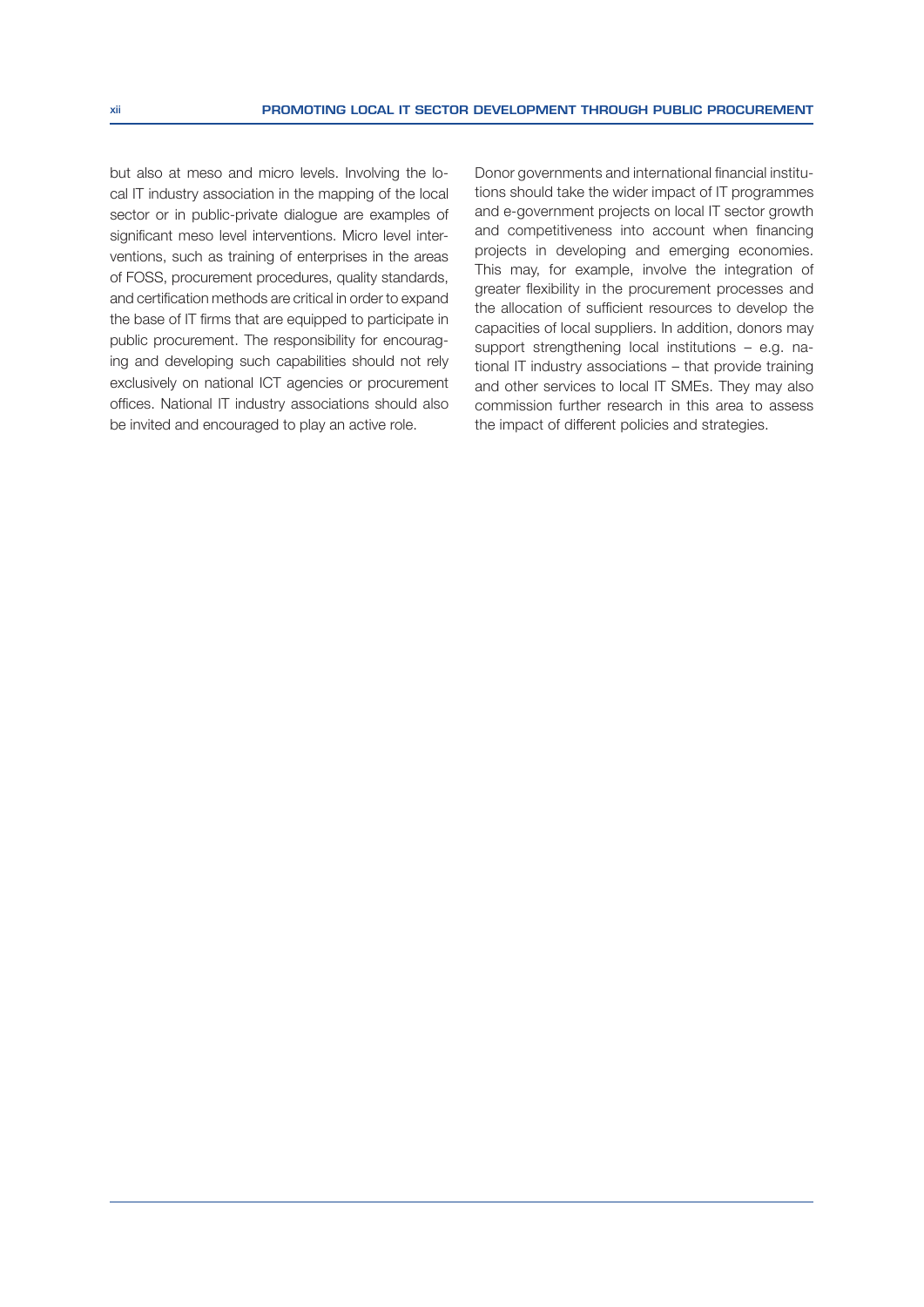but also at meso and micro levels. Involving the local IT industry association in the mapping of the local sector or in public-private dialogue are examples of significant meso level interventions. Micro level interventions, such as training of enterprises in the areas of FOSS, procurement procedures, quality standards, and certification methods are critical in order to expand the base of IT firms that are equipped to participate in public procurement. The responsibility for encouraging and developing such capabilities should not rely exclusively on national ICT agencies or procurement offices. National IT industry associations should also be invited and encouraged to play an active role.

Donor governments and international financial institutions should take the wider impact of IT programmes and e-government projects on local IT sector growth and competitiveness into account when financing projects in developing and emerging economies. This may, for example, involve the integration of greater flexibility in the procurement processes and the allocation of sufficient resources to develop the capacities of local suppliers. In addition, donors may support strengthening local institutions – e.g. national IT industry associations – that provide training and other services to local IT SMEs. They may also commission further research in this area to assess the impact of different policies and strategies.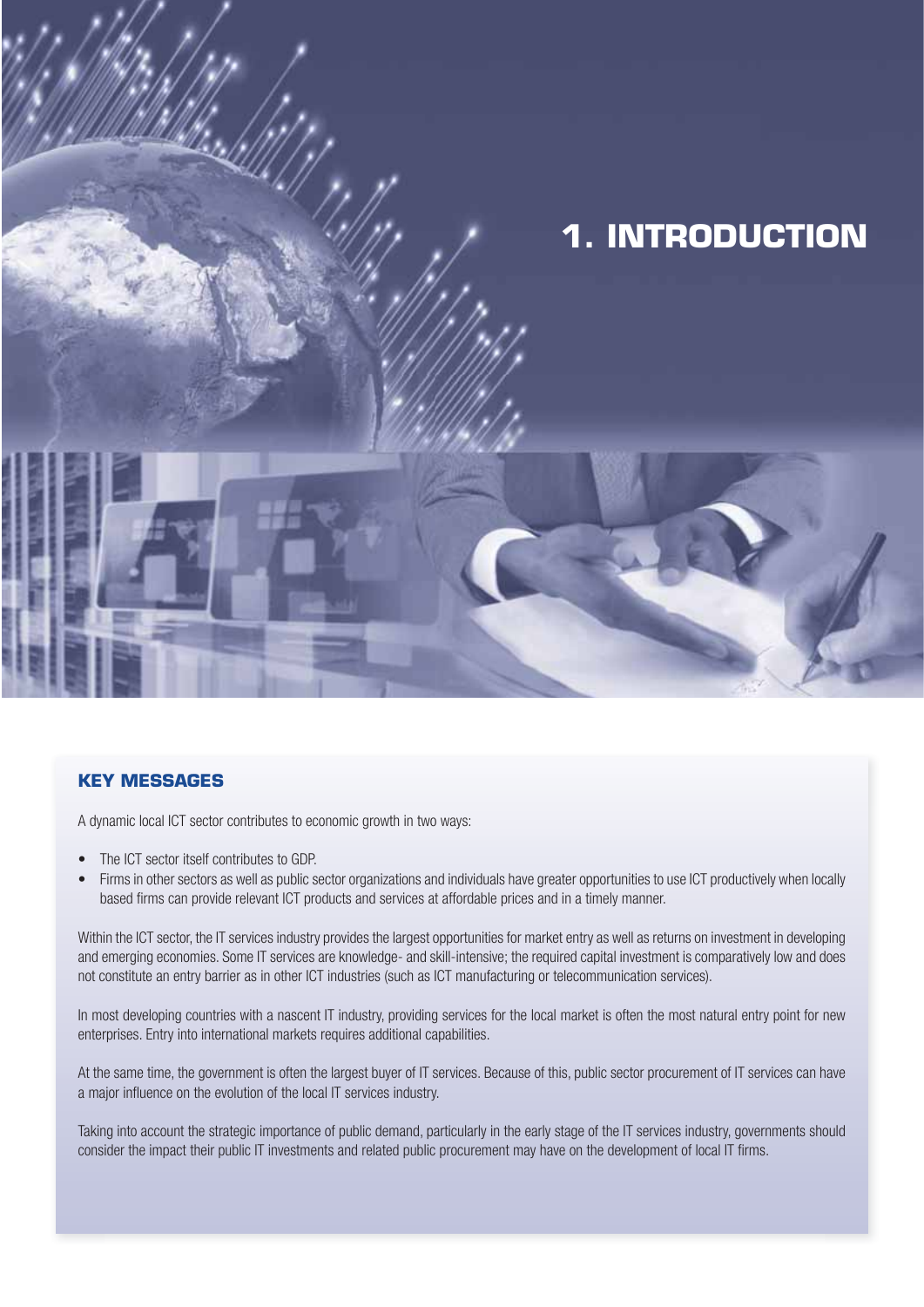

#### **KEY MESSAGES**

A dynamic local ICT sector contributes to economic growth in two ways:

- The ICT sector itself contributes to GDP.
- Firms in other sectors as well as public sector organizations and individuals have greater opportunities to use ICT productively when locally based firms can provide relevant ICT products and services at affordable prices and in a timely manner.

Within the ICT sector, the IT services industry provides the largest opportunities for market entry as well as returns on investment in developing and emerging economies. Some IT services are knowledge- and skill-intensive; the required capital investment is comparatively low and does not constitute an entry barrier as in other ICT industries (such as ICT manufacturing or telecommunication services).

In most developing countries with a nascent IT industry, providing services for the local market is often the most natural entry point for new enterprises. Entry into international markets requires additional capabilities.

At the same time, the government is often the largest buyer of IT services. Because of this, public sector procurement of IT services can have a major influence on the evolution of the local IT services industry.

Taking into account the strategic importance of public demand, particularly in the early stage of the IT services industry, governments should consider the impact their public IT investments and related public procurement may have on the development of local IT firms.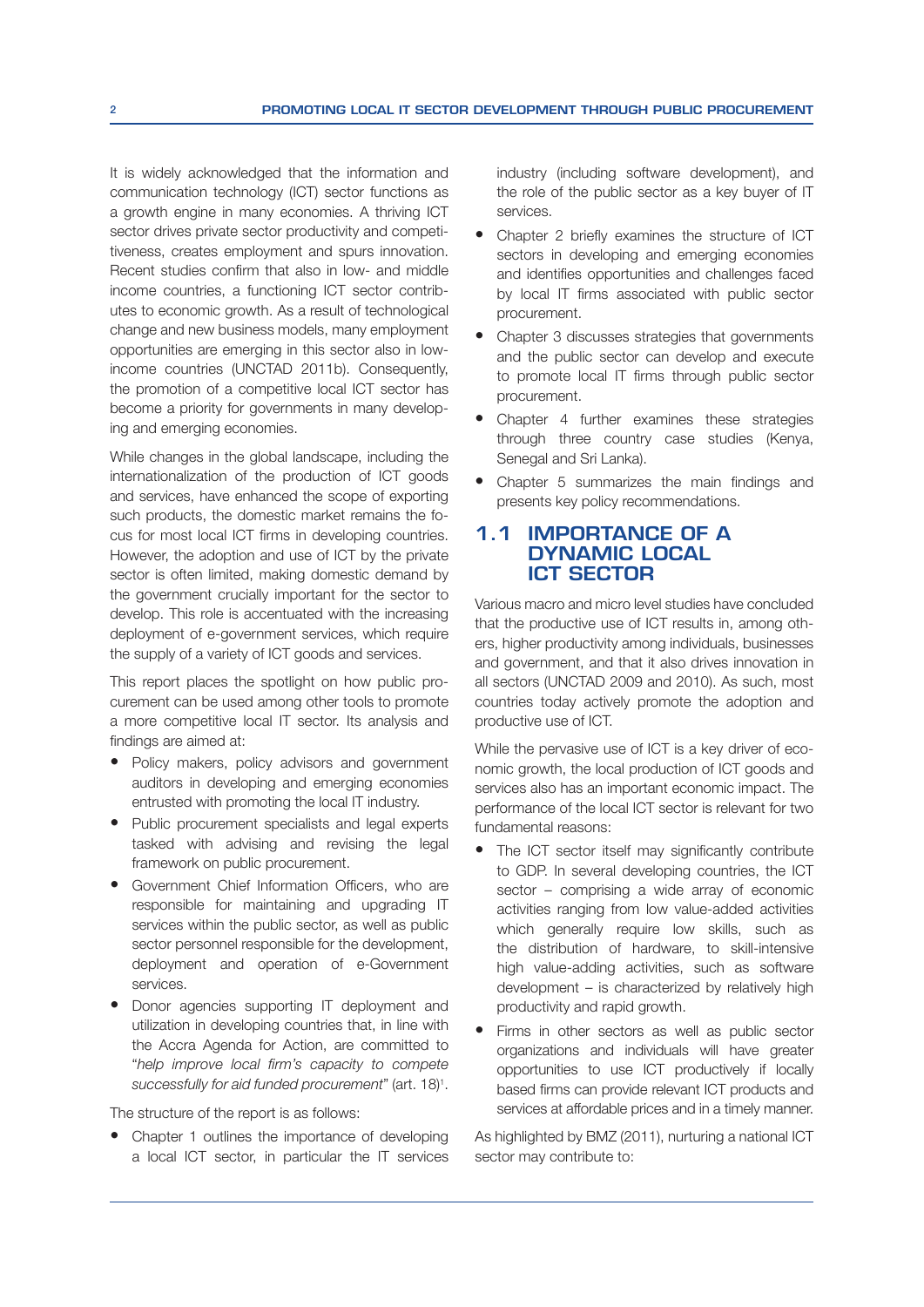It is widely acknowledged that the information and communication technology (ICT) sector functions as a growth engine in many economies. A thriving ICT sector drives private sector productivity and competitiveness, creates employment and spurs innovation. Recent studies confirm that also in low- and middle income countries, a functioning ICT sector contributes to economic growth. As a result of technological change and new business models, many employment opportunities are emerging in this sector also in lowincome countries (UNCTAD 2011b). Consequently, the promotion of a competitive local ICT sector has become a priority for governments in many developing and emerging economies.

While changes in the global landscape, including the internationalization of the production of ICT goods and services, have enhanced the scope of exporting such products, the domestic market remains the focus for most local ICT firms in developing countries. However, the adoption and use of ICT by the private sector is often limited, making domestic demand by the government crucially important for the sector to develop. This role is accentuated with the increasing deployment of e-government services, which require the supply of a variety of ICT goods and services.

This report places the spotlight on how public procurement can be used among other tools to promote a more competitive local IT sector. Its analysis and findings are aimed at:

- Policy makers, policy advisors and government auditors in developing and emerging economies entrusted with promoting the local IT industry.
- Public procurement specialists and legal experts tasked with advising and revising the legal framework on public procurement.
- Government Chief Information Officers, who are responsible for maintaining and upgrading IT services within the public sector, as well as public sector personnel responsible for the development, deployment and operation of e-Government services.
- Donor agencies supporting IT deployment and utilization in developing countries that, in line with the Accra Agenda for Action, are committed to "help improve local firm's capacity to compete successfully for aid funded procurement" (art. 18)<sup>1</sup>.

The structure of the report is as follows:

• Chapter 1 outlines the importance of developing a local ICT sector, in particular the IT services industry (including software development), and the role of the public sector as a key buyer of IT services.

- Chapter 2 briefly examines the structure of ICT sectors in developing and emerging economies and identifies opportunities and challenges faced by local IT firms associated with public sector procurement.
- Chapter 3 discusses strategies that governments and the public sector can develop and execute to promote local IT firms through public sector procurement.
- Chapter 4 further examines these strategies through three country case studies (Kenya, Senegal and Sri Lanka).
- Chapter 5 summarizes the main findings and presents key policy recommendations.

#### **1.1 IMPORTANCE OF A DYNAMIC LOCAL ICT SECTOR**

Various macro and micro level studies have concluded that the productive use of ICT results in, among others, higher productivity among individuals, businesses and government, and that it also drives innovation in all sectors (UNCTAD 2009 and 2010). As such, most countries today actively promote the adoption and productive use of ICT.

While the pervasive use of ICT is a key driver of economic growth, the local production of ICT goods and services also has an important economic impact. The performance of the local ICT sector is relevant for two fundamental reasons:

- The ICT sector itself may significantly contribute to GDP. In several developing countries, the ICT sector – comprising a wide array of economic activities ranging from low value-added activities which generally require low skills, such as the distribution of hardware, to skill-intensive high value-adding activities, such as software development  $-$  is characterized by relatively high productivity and rapid growth.
- Firms in other sectors as well as public sector organizations and individuals will have greater opportunities to use ICT productively if locally based firms can provide relevant ICT products and services at affordable prices and in a timely manner.

As highlighted by BMZ (2011), nurturing a national ICT sector may contribute to: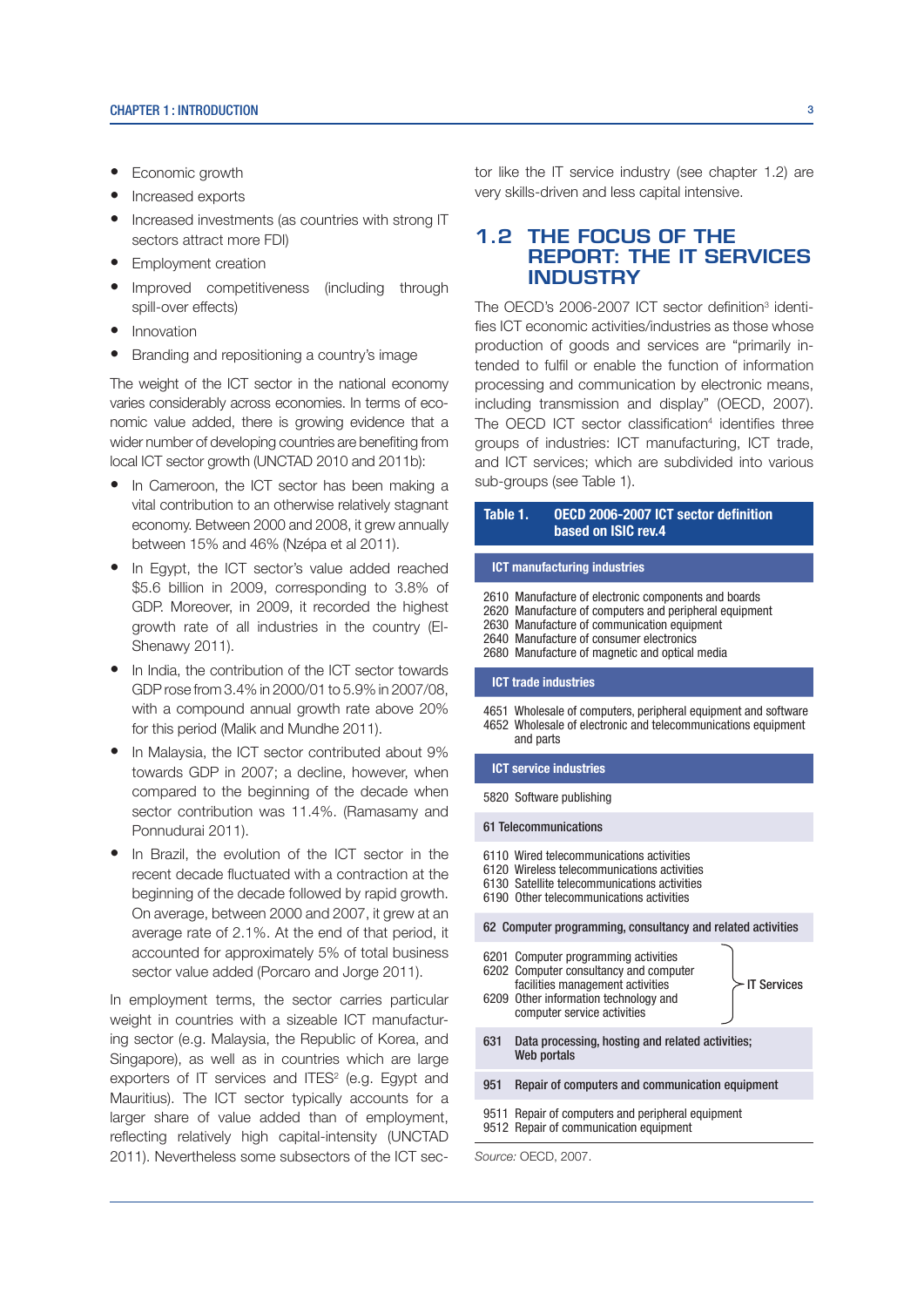- Economic growth
- Increased exports
- Increased investments (as countries with strong IT sectors attract more FDI)
- Employment creation
- Improved competitiveness (including through spill-over effects)
- **Innovation**
- Branding and repositioning a country's image

The weight of the ICT sector in the national economy varies considerably across economies. In terms of economic value added, there is growing evidence that a wider number of developing countries are benefiting from local ICT sector growth (UNCTAD 2010 and 2011b):

- In Cameroon, the ICT sector has been making a vital contribution to an otherwise relatively stagnant economy. Between 2000 and 2008, it grew annually between 15% and 46% (Nzépa et al 2011).
- In Egypt, the ICT sector's value added reached  $$5.6$  billion in 2009. corresponding to 3.8% of GDP. Moreover, in 2009, it recorded the highest growth rate of all industries in the country (El-Shenawy 2011).
- In India, the contribution of the ICT sector towards GDP rose from 3.4% in 2000/01 to 5.9% in 2007/08, with a compound annual growth rate above 20% for this period (Malik and Mundhe 2011).
- In Malaysia, the ICT sector contributed about 9% towards GDP in 2007; a decline, however, when compared to the beginning of the decade when sector contribution was 11.4%. (Ramasamy and Ponnudurai 2011).
- In Brazil, the evolution of the ICT sector in the recent decade fluctuated with a contraction at the beginning of the decade followed by rapid growth. On average, between 2000 and 2007, it grew at an average rate of 2.1%. At the end of that period, it accounted for approximately 5% of total business sector value added (Porcaro and Jorge 2011).

In employment terms, the sector carries particular weight in countries with a sizeable ICT manufacturing sector (e.g. Malaysia, the Republic of Korea, and Singapore), as well as in countries which are large exporters of IT services and ITES $2$  (e.g. Egypt and Mauritius). The ICT sector typically accounts for a larger share of value added than of employment, reflecting relatively high capital-intensity (UNCTAD 2011). Nevertheless some subsectors of the ICT sector like the IT service industry (see chapter 1.2) are very skills-driven and less capital intensive.

#### **1.2 THE FOCUS OF THE REPORT: THE IT SERVICES INDUSTRY**

The OECD's 2006-2007 ICT sector definition $3$  identifies ICT economic activities/industries as those whose production of goods and services are "primarily intended to fulfil or enable the function of information processing and communication by electronic means, including transmission and display" (OECD, 2007). The OECD ICT sector classification<sup>4</sup> identifies three groups of industries: ICT manufacturing, ICT trade, and ICT services; which are subdivided into various sub-groups (see Table 1).

#### Table 1. OECD 2006-2007 ICT sector definition based on ISIC rev.4

#### ICT manufacturing industries

- 2610 Manufacture of electronic components and boards
- 2620 Manufacture of computers and peripheral equipment
- 2630 Manufacture of communication equipment
- 2640 Manufacture of consumer electronics
- 2680 Manufacture of magnetic and optical media

#### ICT trade industries

4651 Wholesale of computers, peripheral equipment and software 4652 Wholesale of electronic and telecommunications equipment and parts

#### ICT service industries

#### 5820 Software publishing

#### 61 Telecommunications

- 6110 Wired telecommunications activities
- 6120 Wireless telecommunications activities
- 6130 Satellite telecommunications activities
- 6190 Other telecommunications activities

#### 62 Computer programming, consultancy and related activities

|                                                                                             | 6201 Computer programming activities<br>6202 Computer consultancy and computer<br>facilities management activities<br>6209 Other information technology and<br>computer service activities | <b>IT Services</b> |
|---------------------------------------------------------------------------------------------|--------------------------------------------------------------------------------------------------------------------------------------------------------------------------------------------|--------------------|
| 631                                                                                         | Data processing, hosting and related activities;<br>Web portals                                                                                                                            |                    |
| 951                                                                                         | Repair of computers and communication equipment                                                                                                                                            |                    |
| 9511 Repair of computers and peripheral equipment<br>9512 Repair of communication equipment |                                                                                                                                                                                            |                    |
|                                                                                             |                                                                                                                                                                                            |                    |

Source: OECD, 2007.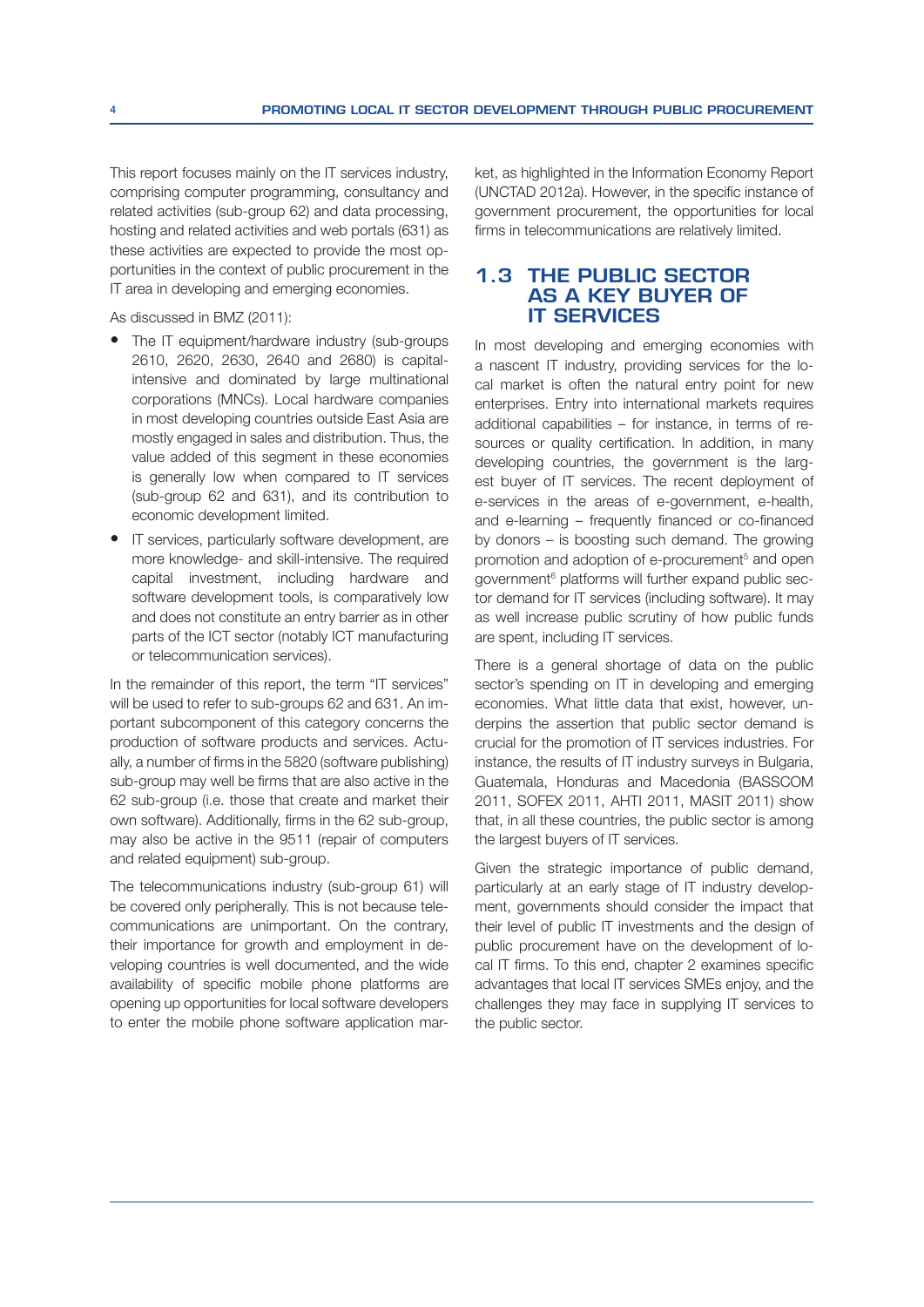This report focuses mainly on the IT services industry, comprising computer programming, consultancy and related activities (sub-group 62) and data processing, hosting and related activities and web portals (631) as these activities are expected to provide the most opportunities in the context of public procurement in the IT area in developing and emerging economies.

As discussed in BMZ (2011):

- The IT equipment/hardware industry (sub-groups) 2610, 2620, 2630, 2640 and 2680) is capitalintensive and dominated by large multinational corporations (MNCs). Local hardware companies in most developing countries outside East Asia are mostly engaged in sales and distribution. Thus, the value added of this segment in these economies is generally low when compared to IT services (sub-group 62 and 631), and its contribution to economic development limited.
- IT services, particularly software development, are more knowledge- and skill-intensive. The required capital investment, including hardware and software development tools, is comparatively low and does not constitute an entry barrier as in other parts of the ICT sector (notably ICT manufacturing or telecommunication services).

In the remainder of this report, the term "IT services" will be used to refer to sub-groups 62 and 631. An important subcomponent of this category concerns the production of software products and services. Actually, a number of firms in the 5820 (software publishing) sub-group may well be firms that are also active in the 62 sub-group (i.e. those that create and market their own software). Additionally, firms in the 62 sub-group, may also be active in the 9511 (repair of computers and related equipment) sub-group.

The telecommunications industry (sub-group 61) will be covered only peripherally. This is not because telecommunications are unimportant. On the contrary, their importance for growth and employment in developing countries is well documented, and the wide availability of specific mobile phone platforms are opening up opportunities for local software developers to enter the mobile phone software application market, as highlighted in the Information Economy Report (UNCTAD 2012a). However, in the specific instance of government procurement, the opportunities for local firms in telecommunications are relatively limited.

#### **1.3 THE PUBLIC SECTOR AS A KEY BUYER OF IT SERVICES**

In most developing and emerging economies with a nascent IT industry, providing services for the local market is often the natural entry point for new enterprises. Entry into international markets requires additional capabilities – for instance, in terms of resources or quality certification. In addition, in many developing countries, the government is the largest buyer of IT services. The recent deployment of e-services in the areas of e-government, e-health, and e-learning  $-$  frequently financed or co-financed by donors – is boosting such demand. The growing promotion and adoption of e-procurement<sup>5</sup> and open government<sup>6</sup> platforms will further expand public sector demand for IT services (including software). It may as well increase public scrutiny of how public funds are spent, including IT services.

There is a general shortage of data on the public sector's spending on IT in developing and emerging economies. What little data that exist, however, underpins the assertion that public sector demand is crucial for the promotion of IT services industries. For instance, the results of IT industry surveys in Bulgaria, Guatemala, Honduras and Macedonia (BASSCOM 2011, SOFEX 2011, AHTI 2011, MASIT 2011) show that, in all these countries, the public sector is among the largest buyers of IT services.

Given the strategic importance of public demand, particularly at an early stage of IT industry development, governments should consider the impact that their level of public IT investments and the design of public procurement have on the development of local IT firms. To this end, chapter 2 examines specific advantages that local IT services SMEs enjoy, and the challenges they may face in supplying IT services to the public sector.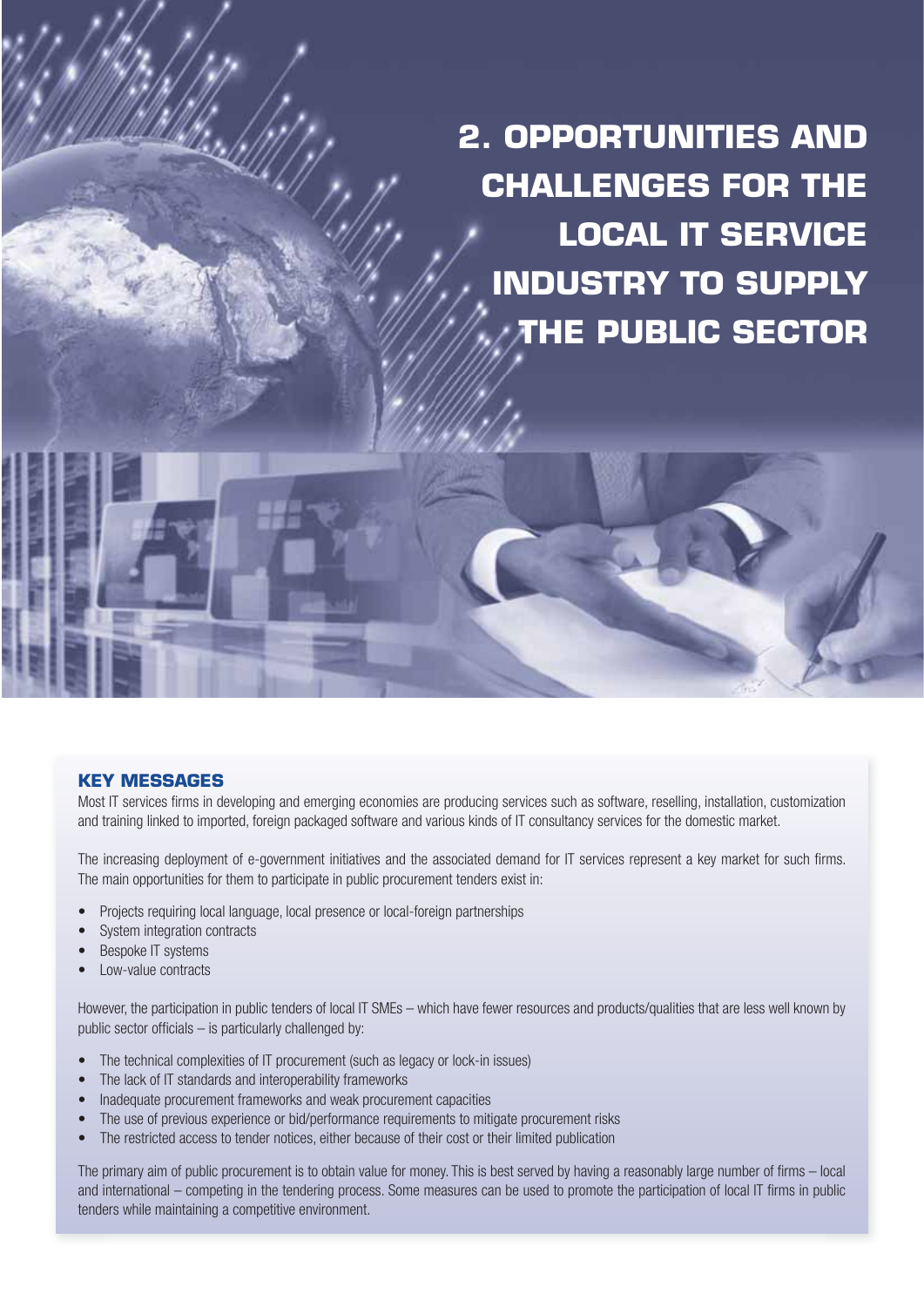**2. OPPORTUNITIES AND CHALLENGES FOR THE LOCAL IT SERVICE INDUSTRY TO SUPPLY THE PUBLIC SECTOR**

#### **KEY MESSAGES**

Most IT services firms in developing and emerging economies are producing services such as software, reselling, installation, customization and training linked to imported, foreign packaged software and various kinds of IT consultancy services for the domestic market.

The increasing deployment of e-government initiatives and the associated demand for IT services represent a key market for such firms. The main opportunities for them to participate in public procurement tenders exist in:

- Projects requiring local language, local presence or local-foreign partnerships
- System integration contracts
- Bespoke IT systems
- Low-value contracts

However, the participation in public tenders of local IT SMEs – which have fewer resources and products/qualities that are less well known by public sector officials  $-$  is particularly challenged by:

- The technical complexities of IT procurement (such as legacy or lock-in issues)
- The lack of IT standards and interoperability frameworks
- Inadequate procurement frameworks and weak procurement capacities
- The use of previous experience or bid/performance requirements to mitigate procurement risks
- The restricted access to tender notices, either because of their cost or their limited publication

The primary aim of public procurement is to obtain value for money. This is best served by having a reasonably large number of firms – local and international – competing in the tendering process. Some measures can be used to promote the participation of local IT firms in public tenders while maintaining a competitive environment.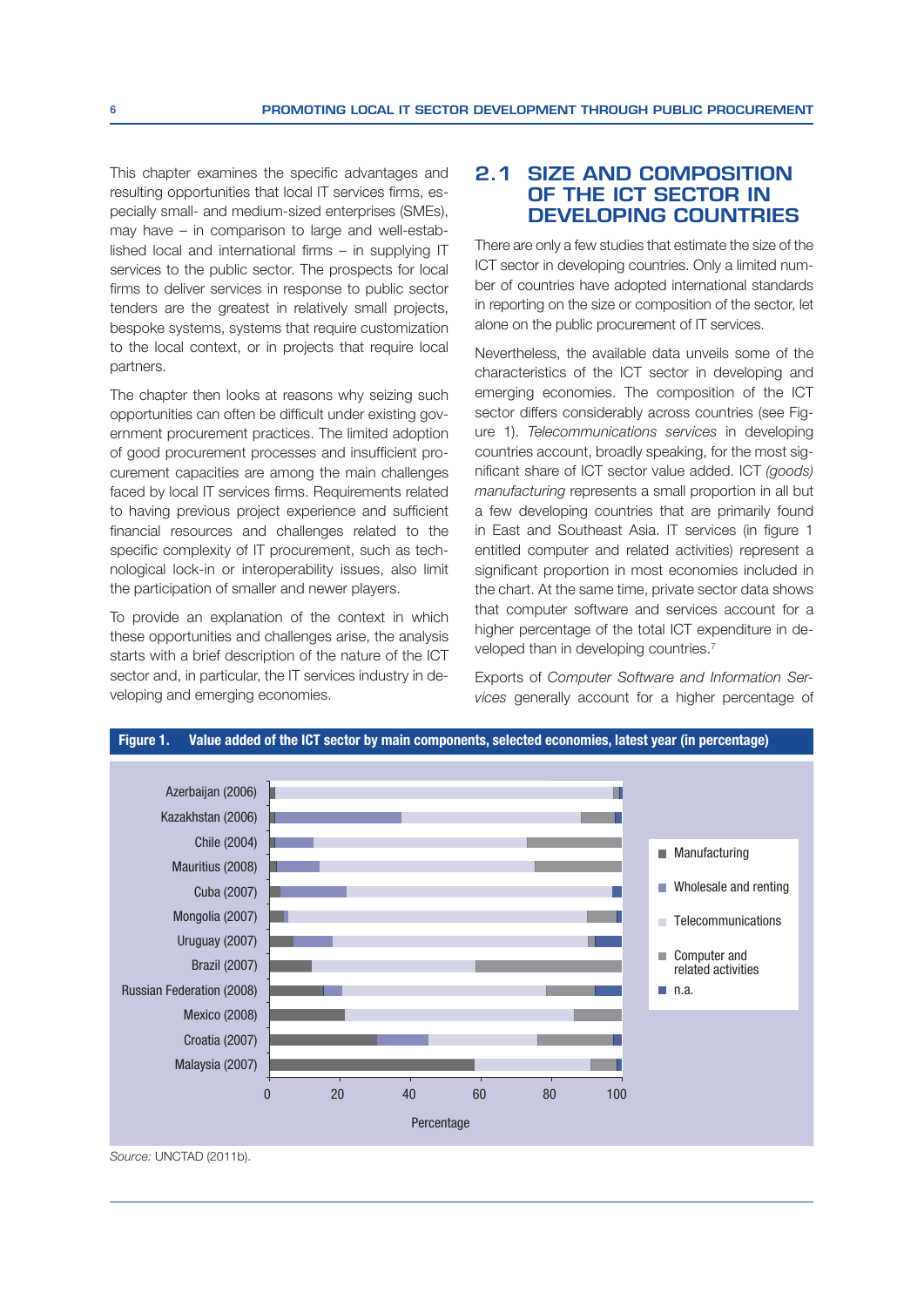This chapter examines the specific advantages and resulting opportunities that local IT services firms, especially small- and medium-sized enterprises (SMEs), may have – in comparison to large and well-estab- $I$ ished local and international firms – in supplying IT services to the public sector. The prospects for local firms to deliver services in response to public sector tenders are the greatest in relatively small projects, bespoke systems, systems that require customization to the local context, or in projects that require local partners.

The chapter then looks at reasons why seizing such opportunities can often be difficult under existing government procurement practices. The limited adoption of good procurement processes and insufficient procurement capacities are among the main challenges faced by local IT services firms. Requirements related to having previous project experience and sufficient financial resources and challenges related to the specific complexity of IT procurement, such as technological lock-in or interoperability issues, also limit the participation of smaller and newer players.

To provide an explanation of the context in which these opportunities and challenges arise, the analysis starts with a brief description of the nature of the ICT sector and, in particular, the IT services industry in developing and emerging economies.

#### **2.1 SIZE AND COMPOSITION OF THE ICT SECTOR IN DEVELOPING COUNTRIES**

There are only a few studies that estimate the size of the ICT sector in developing countries. Only a limited number of countries have adopted international standards in reporting on the size or composition of the sector, let alone on the public procurement of IT services.

Nevertheless, the available data unveils some of the characteristics of the ICT sector in developing and emerging economies. The composition of the ICT sector differs considerably across countries (see Figure 1). Telecommunications services in developing countries account, broadly speaking, for the most significant share of ICT sector value added. ICT (goods) manufacturing represents a small proportion in all but a few developing countries that are primarily found in East and Southeast Asia. IT services (in figure 1 entitled computer and related activities) represent a significant proportion in most economies included in the chart. At the same time, private sector data shows that computer software and services account for a higher percentage of the total ICT expenditure in developed than in developing countries.<sup>7</sup>

Exports of Computer Software and Information Services generally account for a higher percentage of



Source: UNCTAD (2011b).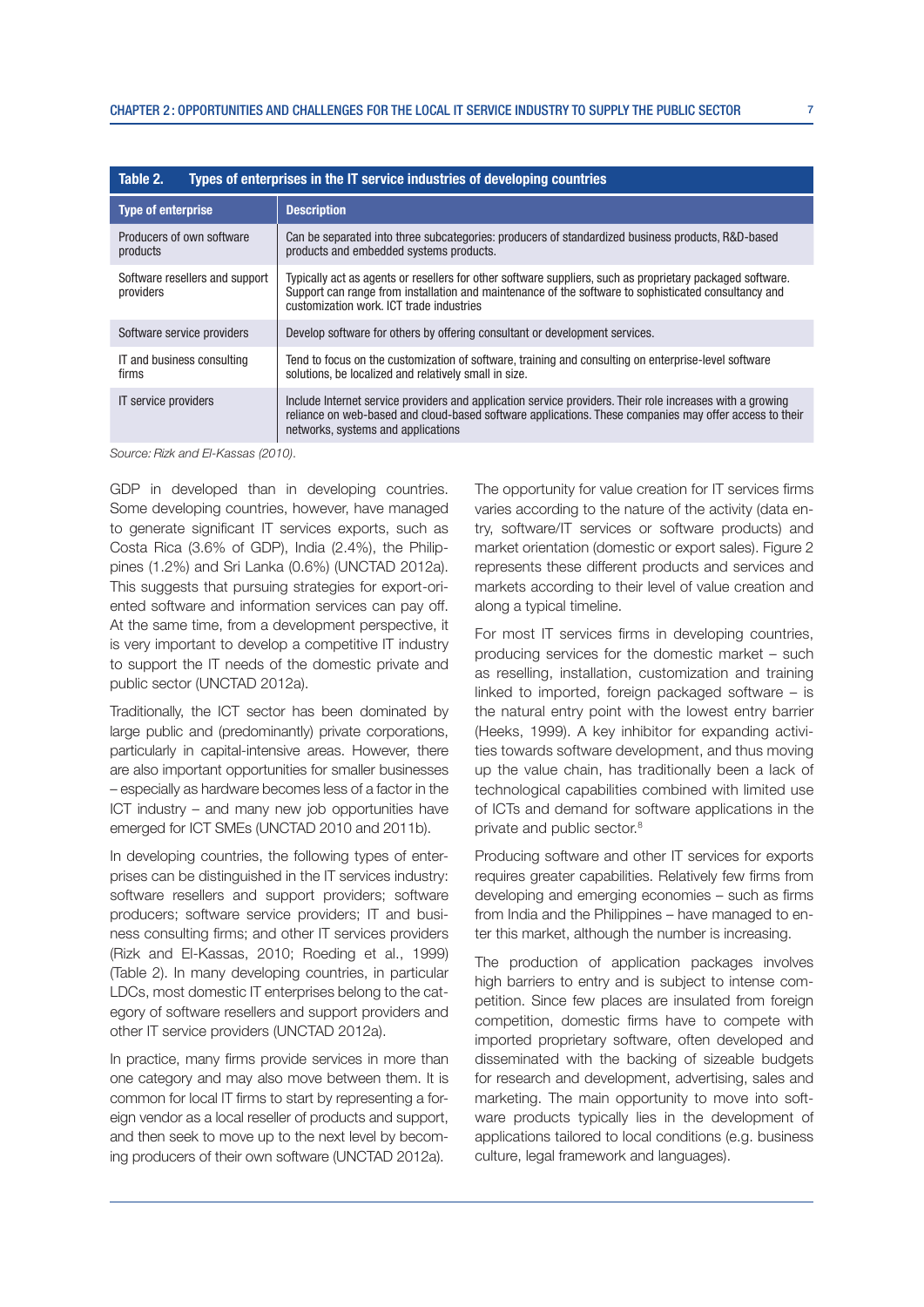| Table 2.<br>Types of enterprises in the IT service industries of developing countries |                                                                                                                                                                                                                                                               |  |
|---------------------------------------------------------------------------------------|---------------------------------------------------------------------------------------------------------------------------------------------------------------------------------------------------------------------------------------------------------------|--|
| <b>Type of enterprise</b>                                                             | <b>Description</b>                                                                                                                                                                                                                                            |  |
| Producers of own software<br>products                                                 | Can be separated into three subcategories: producers of standardized business products, R&D-based<br>products and embedded systems products.                                                                                                                  |  |
| Software resellers and support<br>providers                                           | Typically act as agents or resellers for other software suppliers, such as proprietary packaged software.<br>Support can range from installation and maintenance of the software to sophisticated consultancy and<br>customization work. ICT trade industries |  |
| Software service providers                                                            | Develop software for others by offering consultant or development services.                                                                                                                                                                                   |  |
| IT and business consulting<br>firms                                                   | Tend to focus on the customization of software, training and consulting on enterprise-level software<br>solutions, be localized and relatively small in size.                                                                                                 |  |
| IT service providers                                                                  | Include Internet service providers and application service providers. Their role increases with a growing<br>reliance on web-based and cloud-based software applications. These companies may offer access to their<br>networks, systems and applications     |  |

Source: Rizk and El-Kassas (2010).

GDP in developed than in developing countries. Some developing countries, however, have managed to generate significant IT services exports, such as Costa Rica (3.6% of GDP), India (2.4%), the Philippines (1.2%) and Sri Lanka (0.6%) (UNCTAD 2012a). This suggests that pursuing strategies for export-oriented software and information services can pay off. At the same time, from a development perspective, it is very important to develop a competitive IT industry to support the IT needs of the domestic private and public sector (UNCTAD 2012a).

Traditionally, the ICT sector has been dominated by large public and (predominantly) private corporations, particularly in capital-intensive areas. However, there are also important opportunities for smaller businesses – especially as hardware becomes less of a factor in the ICT industry – and many new job opportunities have emerged for ICT SMEs (UNCTAD 2010 and 2011b).

In developing countries, the following types of enterprises can be distinguished in the IT services industry: software resellers and support providers; software producers: software service providers: IT and business consulting firms; and other IT services providers (Rizk and El-Kassas, 2010; Roeding et al., 1999) (Table 2). In many developing countries, in particular LDCs, most domestic IT enterprises belong to the category of software resellers and support providers and other IT service providers (UNCTAD 2012a).

In practice, many firms provide services in more than one category and may also move between them. It is common for local IT firms to start by representing a foreign vendor as a local reseller of products and support, and then seek to move up to the next level by becoming producers of their own software (UNCTAD 2012a).

The opportunity for value creation for IT services firms varies according to the nature of the activity (data entry, software/IT services or software products) and market orientation (domestic or export sales). Figure 2 represents these different products and services and markets according to their level of value creation and along a typical timeline.

For most IT services firms in developing countries, producing services for the domestic market – such as reselling, installation, customization and training linked to imported, foreign packaged software – is the natural entry point with the lowest entry barrier (Heeks, 1999). A key inhibitor for expanding activities towards software development, and thus moving up the value chain, has traditionally been a lack of technological capabilities combined with limited use of ICTs and demand for software applications in the private and public sector.8

Producing software and other IT services for exports requires greater capabilities. Relatively few firms from developing and emerging economies  $-$  such as firms from India and the Philippines – have managed to enter this market, although the number is increasing.

The production of application packages involves high barriers to entry and is subject to intense competition. Since few places are insulated from foreign competition, domestic firms have to compete with imported proprietary software, often developed and disseminated with the backing of sizeable budgets for research and development, advertising, sales and marketing. The main opportunity to move into software products typically lies in the development of applications tailored to local conditions (e.g. business culture, legal framework and languages).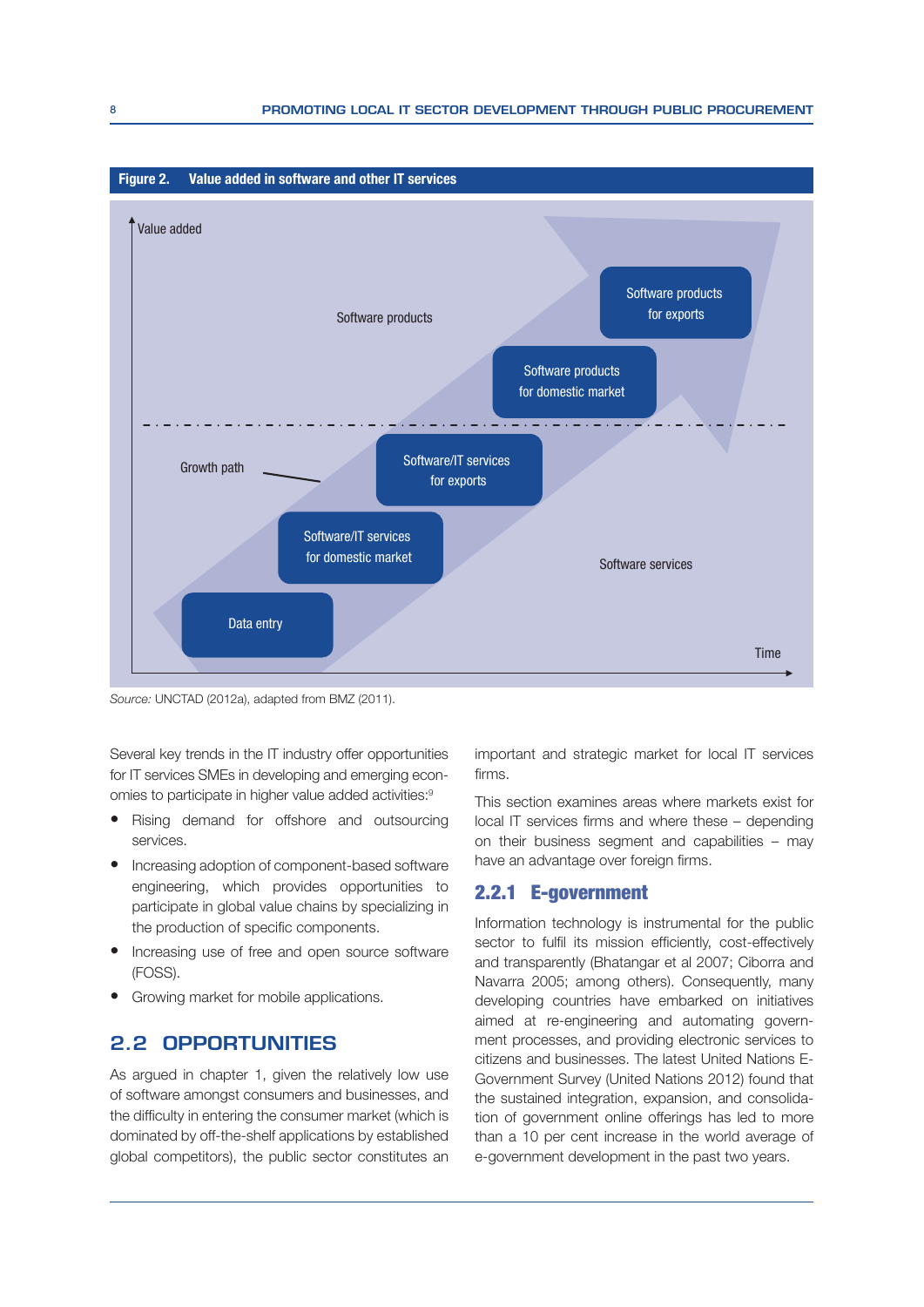

Source: UNCTAD (2012a), adapted from BMZ (2011).

Several key trends in the IT industry offer opportunities for IT services SMEs in developing and emerging economies to participate in higher value added activities:<sup>9</sup>

- Rising demand for offshore and outsourcing services.
- Increasing adoption of component-based software engineering, which provides opportunities to participate in global value chains by specializing in the production of specific components.
- Increasing use of free and open source software (FOSS).
- Growing market for mobile applications.

#### **2.2 OPPORTUNITIES**

As argued in chapter 1, given the relatively low use of software amongst consumers and businesses, and the difficulty in entering the consumer market (which is dominated by off-the-shelf applications by established global competitors), the public sector constitutes an important and strategic market for local IT services firms.

This section examines areas where markets exist for  $local IT$  services firms and where these  $-$  depending on their business segment and capabilities – may have an advantage over foreign firms.

#### 2.2.1 E-government

Information technology is instrumental for the public sector to fulfil its mission efficiently, cost-effectively and transparently (Bhatangar et al 2007; Ciborra and Navarra 2005; among others). Consequently, many developing countries have embarked on initiatives aimed at re-engineering and automating government processes, and providing electronic services to citizens and businesses. The latest United Nations E-Government Survey (United Nations 2012) found that the sustained integration, expansion, and consolidation of government online offerings has led to more than a 10 per cent increase in the world average of e-government development in the past two years.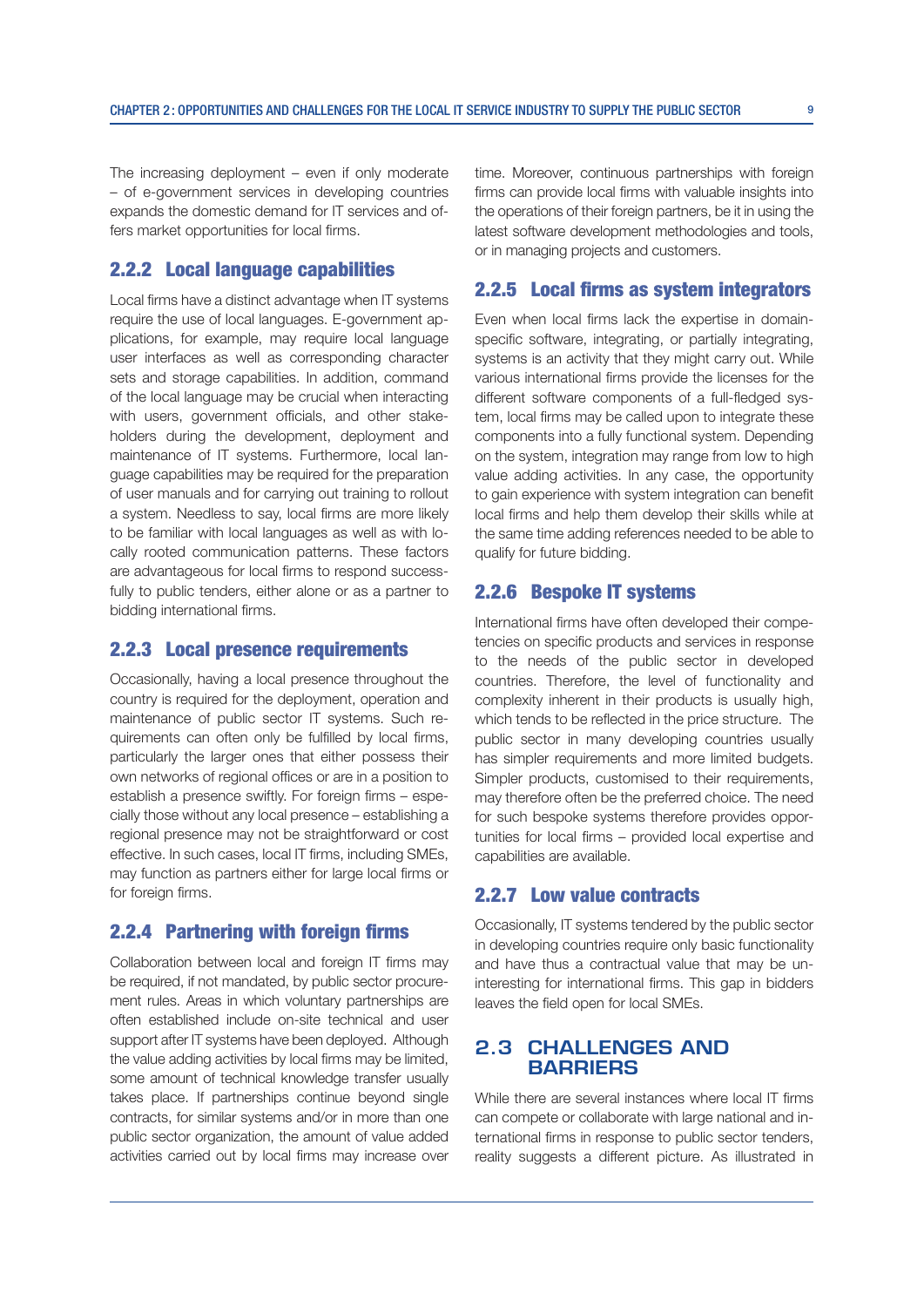The increasing deployment – even if only moderate – of e-government services in developing countries expands the domestic demand for IT services and offers market opportunities for local firms.

#### 2.2.2 Local language capabilities

Local firms have a distinct advantage when IT systems require the use of local languages. E-government applications, for example, may require local language user interfaces as well as corresponding character sets and storage capabilities. In addition, command of the local language may be crucial when interacting with users, government officials, and other stakeholders during the development, deployment and maintenance of IT systems. Furthermore, local language capabilities may be required for the preparation of user manuals and for carrying out training to rollout a system. Needless to say, local firms are more likely to be familiar with local languages as well as with locally rooted communication patterns. These factors are advantageous for local firms to respond successfully to public tenders, either alone or as a partner to bidding international firms.

#### 2.2.3 Local presence requirements

Occasionally, having a local presence throughout the country is required for the deployment, operation and maintenance of public sector IT systems. Such requirements can often only be fulfilled by local firms, particularly the larger ones that either possess their own networks of regional offices or are in a position to establish a presence swiftly. For foreign firms - especially those without any local presence – establishing a regional presence may not be straightforward or cost effective, In such cases, local IT firms, including SMEs. may function as partners either for large local firms or for foreign firms.

#### 2.2.4 Partnering with foreign firms

Collaboration between local and foreign IT firms may be required, if not mandated, by public sector procurement rules. Areas in which voluntary partnerships are often established include on-site technical and user support after IT systems have been deployed. Although the value adding activities by local firms may be limited. some amount of technical knowledge transfer usually takes place. If partnerships continue beyond single contracts, for similar systems and/or in more than one public sector organization, the amount of value added activities carried out by local firms may increase over time. Moreover, continuous partnerships with foreign firms can provide local firms with valuable insights into the operations of their foreign partners, be it in using the latest software development methodologies and tools, or in managing projects and customers.

#### 2.2.5 Local firms as system integrators

Even when local firms lack the expertise in domainspecific software, integrating, or partially integrating, systems is an activity that they might carry out. While various international firms provide the licenses for the different software components of a full-fledged system, local firms may be called upon to integrate these components into a fully functional system. Depending on the system, integration may range from low to high value adding activities. In any case, the opportunity to gain experience with system integration can benefit local firms and help them develop their skills while at the same time adding references needed to be able to qualify for future bidding.

#### 2.2.6 Bespoke IT systems

International firms have often developed their competencies on specific products and services in response to the needs of the public sector in developed countries. Therefore, the level of functionality and complexity inherent in their products is usually high, which tends to be reflected in the price structure. The public sector in many developing countries usually has simpler requirements and more limited budgets. Simpler products, customised to their requirements, may therefore often be the preferred choice. The need for such bespoke systems therefore provides opportunities for local firms - provided local expertise and capabilities are available.

#### 2.2.7 Low value contracts

Occasionally, IT systems tendered by the public sector in developing countries require only basic functionality and have thus a contractual value that may be uninteresting for international firms. This gap in bidders leaves the field open for local SMEs.

#### **2.3 CHALLENGES AND BARRIERS**

While there are several instances where local IT firms can compete or collaborate with large national and international firms in response to public sector tenders, reality suggests a different picture. As illustrated in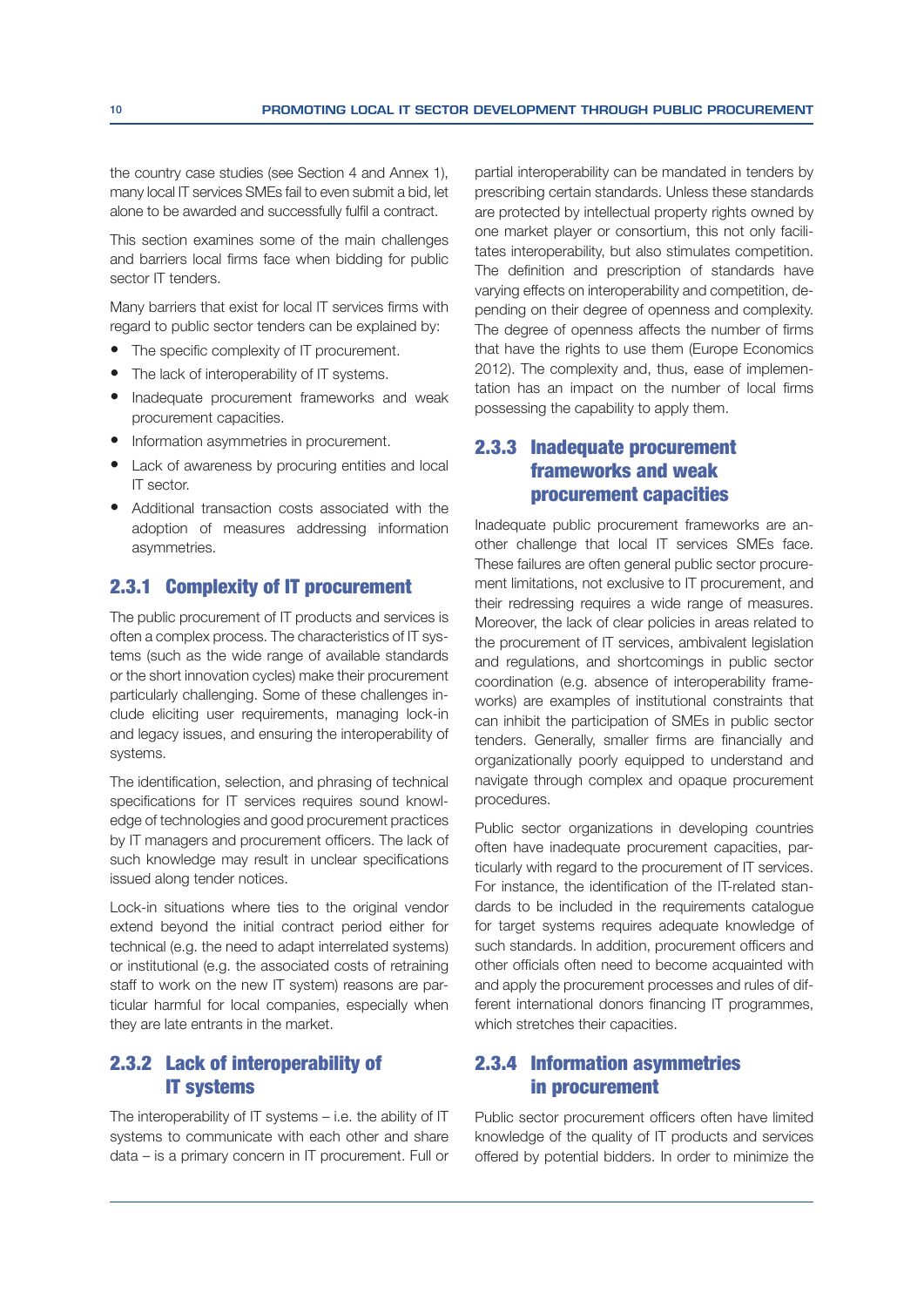the country case studies (see Section 4 and Annex 1), many local IT services SMEs fail to even submit a bid, let alone to be awarded and successfully fulfil a contract.

This section examines some of the main challenges and barriers local firms face when bidding for public sector IT tenders.

Many barriers that exist for local IT services firms with regard to public sector tenders can be explained by:

- $\bullet$  The specific complexity of IT procurement.
- The lack of interoperability of IT systems.
- Inadequate procurement frameworks and weak procurement capacities.
- Information asymmetries in procurement.
- Lack of awareness by procuring entities and local IT sector.
- Additional transaction costs associated with the adoption of measures addressing information asymmetries.

#### 2.3.1 Complexity of IT procurement

The public procurement of IT products and services is often a complex process. The characteristics of IT systems (such as the wide range of available standards or the short innovation cycles) make their procurement particularly challenging. Some of these challenges include eliciting user requirements, managing lock-in and legacy issues, and ensuring the interoperability of systems.

The identification, selection, and phrasing of technical specifications for IT services requires sound knowledge of technologies and good procurement practices by IT managers and procurement officers. The lack of such knowledge may result in unclear specifications issued along tender notices.

Lock-in situations where ties to the original vendor extend beyond the initial contract period either for technical (e.g. the need to adapt interrelated systems) or institutional (e.g. the associated costs of retraining staff to work on the new IT system) reasons are particular harmful for local companies, especially when they are late entrants in the market.

#### 2.3.2 Lack of interoperability of IT systems

The interoperability of IT systems – i.e. the ability of IT systems to communicate with each other and share data – is a primary concern in IT procurement. Full or

partial interoperability can be mandated in tenders by prescribing certain standards. Unless these standards are protected by intellectual property rights owned by one market player or consortium, this not only facilitates interoperability, but also stimulates competition. The definition and prescription of standards have varying effects on interoperability and competition, depending on their degree of openness and complexity. The degree of openness affects the number of firms that have the rights to use them (Europe Economics 2012). The complexity and, thus, ease of implementation has an impact on the number of local firms possessing the capability to apply them.

### 2.3.3 Inadequate procurement frameworks and weak procurement capacities

Inadequate public procurement frameworks are another challenge that local IT services SMEs face. These failures are often general public sector procurement limitations, not exclusive to IT procurement, and their redressing requires a wide range of measures. Moreover, the lack of clear policies in areas related to the procurement of IT services, ambivalent legislation and regulations, and shortcomings in public sector coordination (e.g. absence of interoperability frameworks) are examples of institutional constraints that can inhibit the participation of SMEs in public sector tenders. Generally, smaller firms are financially and organizationally poorly equipped to understand and navigate through complex and opaque procurement procedures.

Public sector organizations in developing countries often have inadequate procurement capacities, particularly with regard to the procurement of IT services. For instance, the identification of the IT-related standards to be included in the requirements catalogue for target systems requires adequate knowledge of such standards. In addition, procurement officers and other officials often need to become acquainted with and apply the procurement processes and rules of different international donors financing IT programmes, which stretches their capacities.

#### 2.3.4 Information asymmetries in procurement

Public sector procurement officers often have limited knowledge of the quality of IT products and services offered by potential bidders. In order to minimize the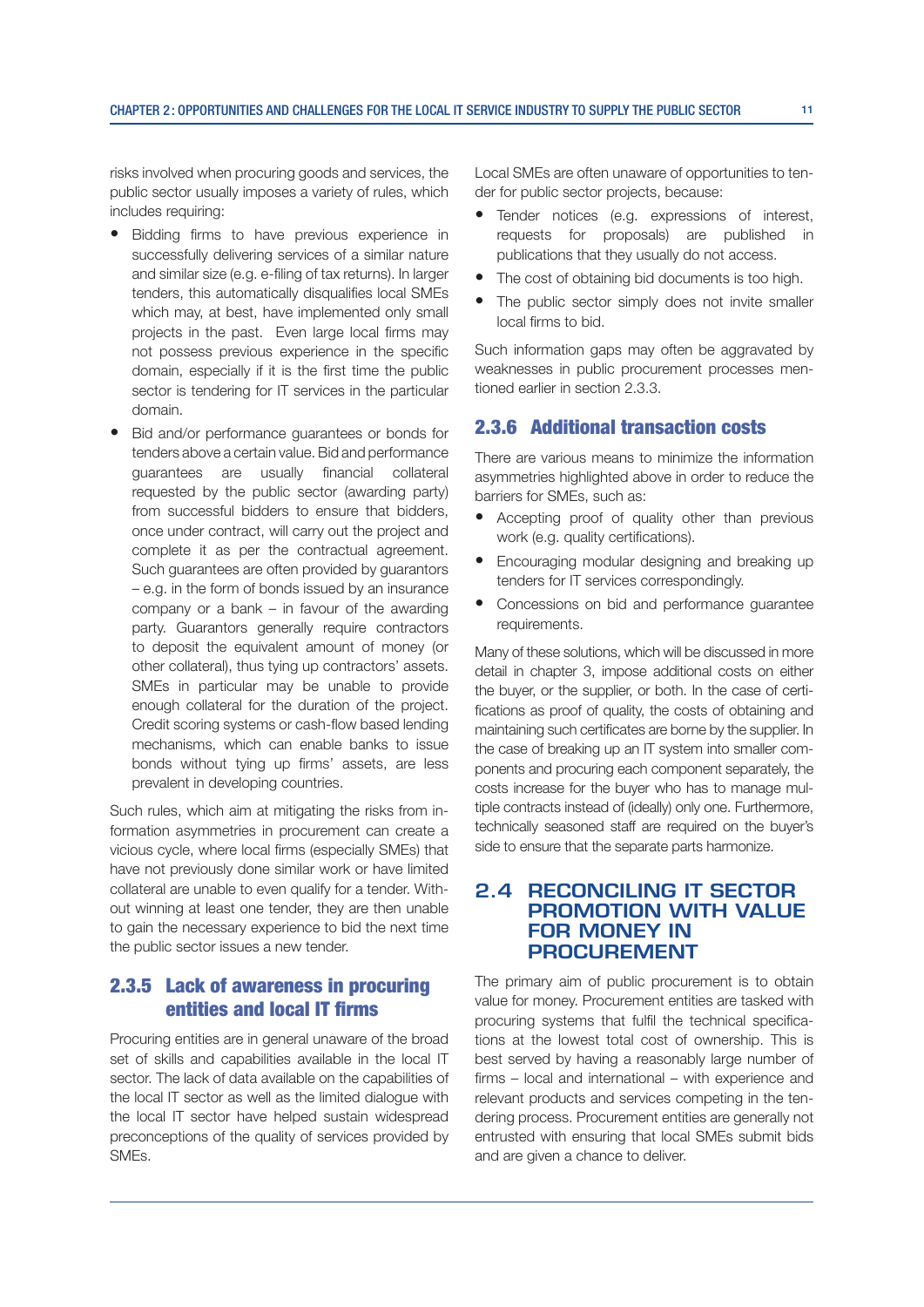risks involved when procuring goods and services, the public sector usually imposes a variety of rules, which includes requiring:

- Bidding firms to have previous experience in successfully delivering services of a similar nature and similar size (e.g. e-filing of tax returns). In larger tenders, this automatically disqualifies local SMEs which may, at best, have implemented only small projects in the past. Even large local firms may not possess previous experience in the specific domain, especially if it is the first time the public sector is tendering for IT services in the particular domain.
- Bid and/or performance guarantees or bonds for tenders above a certain value. Bid and performance guarantees are usually financial collateral requested by the public sector (awarding party) from successful bidders to ensure that bidders, once under contract, will carry out the project and complete it as per the contractual agreement. Such guarantees are often provided by guarantors – e.g. in the form of bonds issued by an insurance company or a bank – in favour of the awarding party. Guarantors generally require contractors to deposit the equivalent amount of money (or other collateral), thus tying up contractors' assets. SMEs in particular may be unable to provide enough collateral for the duration of the project. Credit scoring systems or cash-flow based lending mechanisms, which can enable banks to issue bonds without tying up firms' assets, are less prevalent in developing countries.

Such rules, which aim at mitigating the risks from information asymmetries in procurement can create a vicious cycle, where local firms (especially SMEs) that have not previously done similar work or have limited collateral are unable to even qualify for a tender. Without winning at least one tender, they are then unable to gain the necessary experience to bid the next time the public sector issues a new tender.

#### 2.3.5 Lack of awareness in procuring entities and local IT firms

Procuring entities are in general unaware of the broad set of skills and capabilities available in the local IT sector. The lack of data available on the capabilities of the local IT sector as well as the limited dialogue with the local IT sector have helped sustain widespread preconceptions of the quality of services provided by SMEs.

Local SMEs are often unaware of opportunities to tender for public sector projects, because:

- Tender notices (e.g. expressions of interest, requests for proposals) are published in publications that they usually do not access.
- The cost of obtaining bid documents is too high.
- The public sector simply does not invite smaller local firms to bid.

Such information gaps may often be aggravated by weaknesses in public procurement processes mentioned earlier in section 2.3.3.

#### 2.3.6 Additional transaction costs

There are various means to minimize the information asymmetries highlighted above in order to reduce the barriers for SMEs, such as:

- Accepting proof of quality other than previous work (e.g. quality certifications).
- Encouraging modular designing and breaking up tenders for IT services correspondingly.
- Concessions on bid and performance guarantee requirements.

Many of these solutions, which will be discussed in more detail in chapter 3, impose additional costs on either the buyer, or the supplier, or both. In the case of certifications as proof of quality, the costs of obtaining and maintaining such certificates are borne by the supplier. In the case of breaking up an IT system into smaller components and procuring each component separately, the costs increase for the buyer who has to manage multiple contracts instead of (ideally) only one. Furthermore, technically seasoned staff are required on the buyer's side to ensure that the separate parts harmonize.

#### **2.4 RECONCILING IT SECTOR PROMOTION WITH VALUE FOR MONEY IN PROCUREMENT**

The primary aim of public procurement is to obtain value for money. Procurement entities are tasked with procuring systems that fulfil the technical specifications at the lowest total cost of ownership. This is best served by having a reasonably large number of  $firms - local$  and international  $-$  with experience and relevant products and services competing in the tendering process. Procurement entities are generally not entrusted with ensuring that local SMEs submit bids and are given a chance to deliver.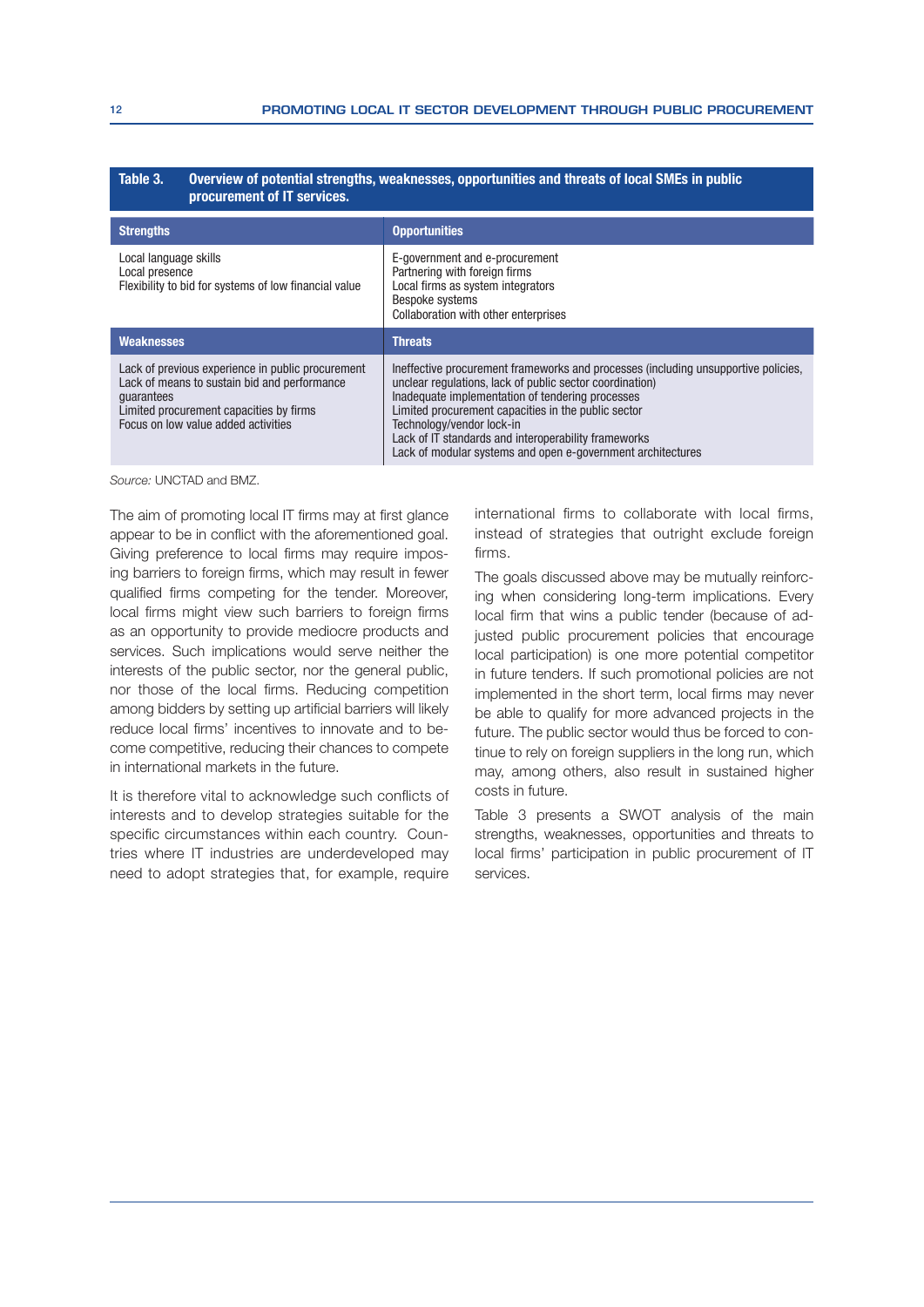#### Table 3. Overview of potential strengths, weaknesses, opportunities and threats of local SMEs in public procurement of IT services.

| <b>Strengths</b>                                                                                                                                                                                  | <b>Opportunities</b>                                                                                                                                                                                                                                                                                                                                                                                          |
|---------------------------------------------------------------------------------------------------------------------------------------------------------------------------------------------------|---------------------------------------------------------------------------------------------------------------------------------------------------------------------------------------------------------------------------------------------------------------------------------------------------------------------------------------------------------------------------------------------------------------|
| Local language skills<br>Local presence<br>Flexibility to bid for systems of low financial value                                                                                                  | E-government and e-procurement<br>Partnering with foreign firms<br>Local firms as system integrators<br>Bespoke systems<br>Collaboration with other enterprises                                                                                                                                                                                                                                               |
| Weaknesses                                                                                                                                                                                        | <b>Threats</b>                                                                                                                                                                                                                                                                                                                                                                                                |
| Lack of previous experience in public procurement<br>Lack of means to sustain bid and performance<br>quarantees<br>Limited procurement capacities by firms<br>Focus on low value added activities | Ineffective procurement frameworks and processes (including unsupportive policies,<br>unclear regulations, lack of public sector coordination)<br>Inadequate implementation of tendering processes<br>Limited procurement capacities in the public sector<br>Technology/vendor lock-in<br>Lack of IT standards and interoperability frameworks<br>Lack of modular systems and open e-government architectures |

Source: UNCTAD and BMZ.

The aim of promoting local IT firms may at first glance appear to be in conflict with the aforementioned goal. Giving preference to local firms may require imposing barriers to foreign firms, which may result in fewer qualified firms competing for the tender. Moreover, local firms might view such barriers to foreign firms as an opportunity to provide mediocre products and services. Such implications would serve neither the interests of the public sector, nor the general public, nor those of the local firms. Reducing competition among bidders by setting up artificial barriers will likely reduce local firms' incentives to innovate and to become competitive, reducing their chances to compete in international markets in the future.

It is therefore vital to acknowledge such conflicts of interests and to develop strategies suitable for the specific circumstances within each country. Countries where IT industries are underdeveloped may need to adopt strategies that, for example, require international firms to collaborate with local firms, instead of strategies that outright exclude foreign firms.

The goals discussed above may be mutually reinforcing when considering long-term implications. Every local firm that wins a public tender (because of adjusted public procurement policies that encourage local participation) is one more potential competitor in future tenders. If such promotional policies are not implemented in the short term, local firms may never be able to qualify for more advanced projects in the future. The public sector would thus be forced to continue to rely on foreign suppliers in the long run, which may, among others, also result in sustained higher costs in future.

Table 3 presents a SWOT analysis of the main strengths, weaknesses, opportunities and threats to local firms' participation in public procurement of IT services.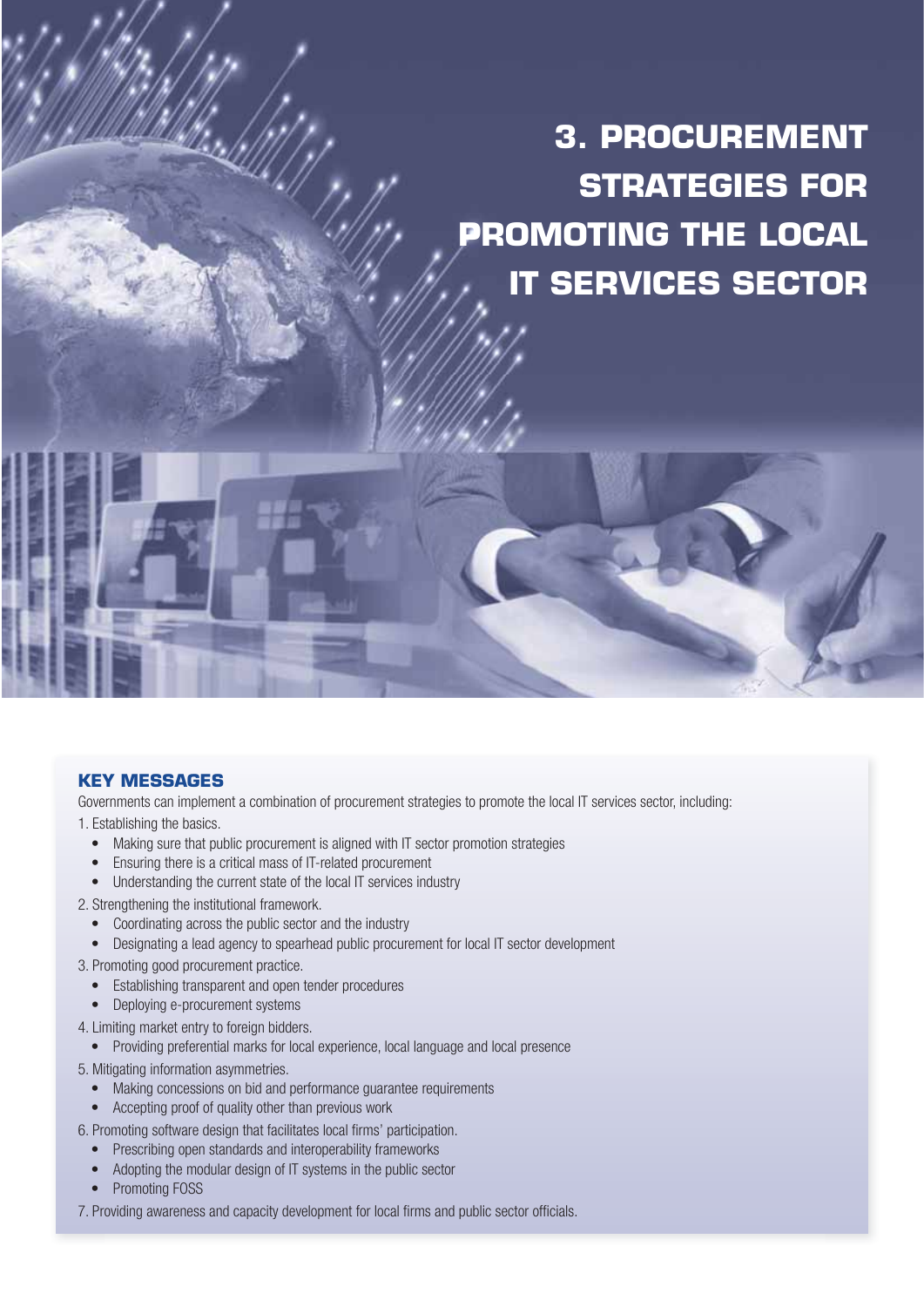# **3. PROCUREMENT STRATEGIES FOR PROMOTING THE LOCAL IT SERVICES SECTOR**

#### **KEY MESSAGES**

Governments can implement a combination of procurement strategies to promote the local IT services sector, including:

1. Establishing the basics.

- Making sure that public procurement is aligned with IT sector promotion strategies
- Ensuring there is a critical mass of IT-related procurement
- Understanding the current state of the local IT services industry
- 2. Strengthening the institutional framework.
	- Coordinating across the public sector and the industry
	- Designating a lead agency to spearhead public procurement for local IT sector development
- 3. Promoting good procurement practice.
	- Establishing transparent and open tender procedures
	- Deploying e-procurement systems
- 4. Limiting market entry to foreign bidders.
	- Providing preferential marks for local experience, local language and local presence
- 5. Mitigating information asymmetries.
	- Making concessions on bid and performance guarantee requirements
	- Accepting proof of quality other than previous work
- 6. Promoting software design that facilitates local firms' participation.
	- Prescribing open standards and interoperability frameworks
	- Adopting the modular design of IT systems in the public sector
	- Promoting FOSS
- 7. Providing awareness and capacity development for local firms and public sector officials.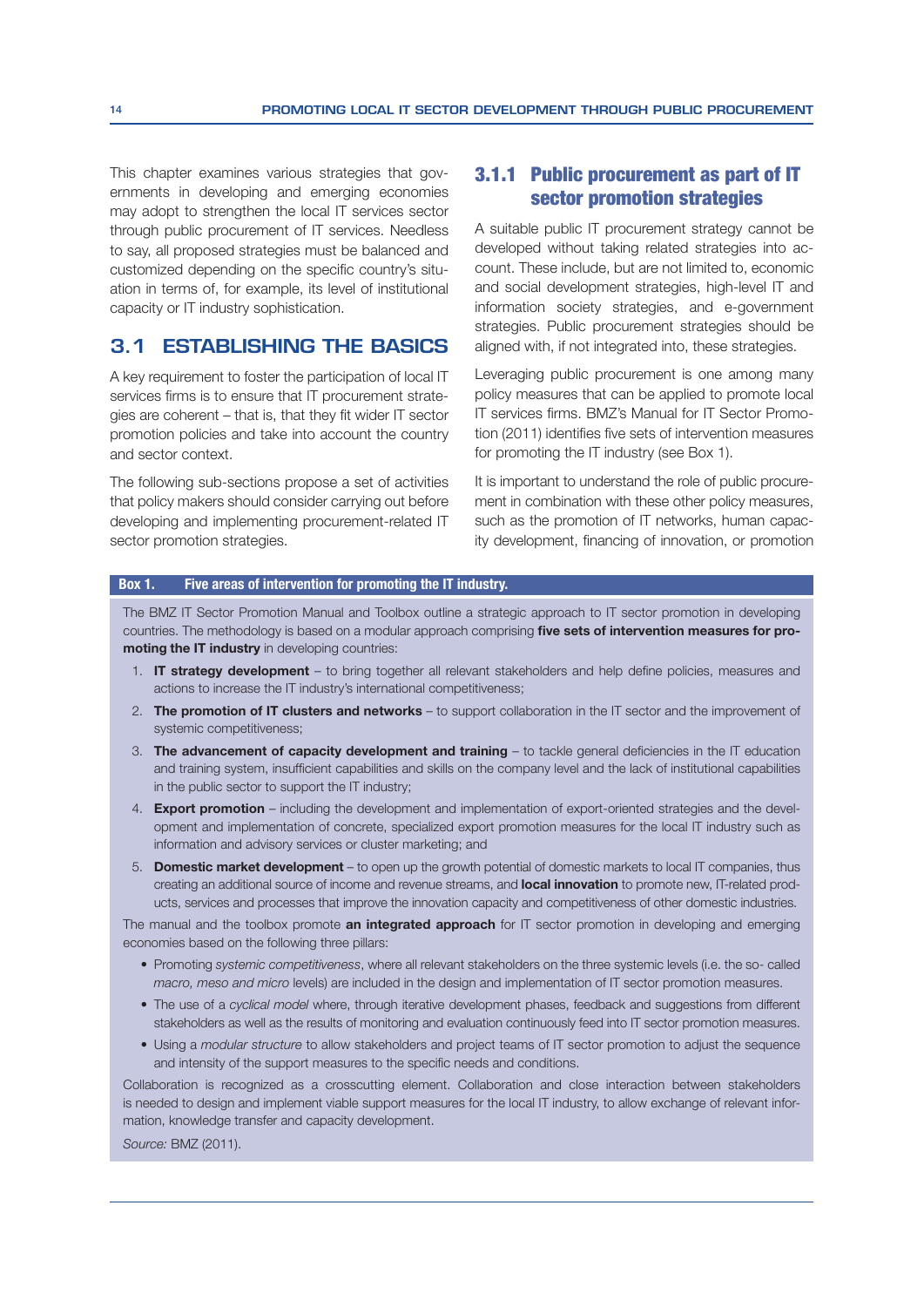This chapter examines various strategies that governments in developing and emerging economies may adopt to strengthen the local IT services sector through public procurement of IT services. Needless to say, all proposed strategies must be balanced and customized depending on the specific country's situation in terms of, for example, its level of institutional capacity or IT industry sophistication.

#### **3.1 ESTABLISHING THE BASICS**

A key requirement to foster the participation of local IT services firms is to ensure that IT procurement strategies are coherent  $-$  that is, that they fit wider IT sector promotion policies and take into account the country and sector context.

The following sub-sections propose a set of activities that policy makers should consider carrying out before developing and implementing procurement-related IT sector promotion strategies.

#### 3.1.1 Public procurement as part of IT sector promotion strategies

A suitable public IT procurement strategy cannot be developed without taking related strategies into account. These include, but are not limited to, economic and social development strategies, high-level IT and information society strategies, and e-government strategies. Public procurement strategies should be aligned with, if not integrated into, these strategies.

Leveraging public procurement is one among many policy measures that can be applied to promote local IT services firms. BMZ's Manual for IT Sector Promotion (2011) identifies five sets of intervention measures for promoting the IT industry (see Box 1).

It is important to understand the role of public procurement in combination with these other policy measures, such as the promotion of IT networks, human capacity development, financing of innovation, or promotion

#### Box 1. Five areas of intervention for promoting the IT industry.

The BMZ IT Sector Promotion Manual and Toolbox outline a strategic approach to IT sector promotion in developing countries. The methodology is based on a modular approach comprising five sets of intervention measures for promoting the IT industry in developing countries:

- 1. IT strategy development to bring together all relevant stakeholders and help define policies, measures and actions to increase the IT industry's international competitiveness;
- 2. The promotion of IT clusters and networks to support collaboration in the IT sector and the improvement of systemic competitiveness;
- 3. The advancement of capacity development and training  $-$  to tackle general deficiencies in the IT education and training system, insufficient capabilities and skills on the company level and the lack of institutional capabilities in the public sector to support the IT industry;
- 4. **Export promotion** including the development and implementation of export-oriented strategies and the development and implementation of concrete, specialized export promotion measures for the local IT industry such as information and advisory services or cluster marketing; and
- 5. Domestic market development to open up the growth potential of domestic markets to local IT companies, thus creating an additional source of income and revenue streams, and local innovation to promote new, IT-related products, services and processes that improve the innovation capacity and competitiveness of other domestic industries.

The manual and the toolbox promote an integrated approach for IT sector promotion in developing and emerging economies based on the following three pillars:

- Promoting systemic competitiveness, where all relevant stakeholders on the three systemic levels (i.e. the so- called macro, meso and micro levels) are included in the design and implementation of IT sector promotion measures.
- The use of a cyclical model where, through iterative development phases, feedback and suggestions from different stakeholders as well as the results of monitoring and evaluation continuously feed into IT sector promotion measures.
- Using a modular structure to allow stakeholders and project teams of IT sector promotion to adjust the sequence and intensity of the support measures to the specific needs and conditions.

Collaboration is recognized as a crosscutting element. Collaboration and close interaction between stakeholders is needed to design and implement viable support measures for the local IT industry, to allow exchange of relevant information, knowledge transfer and capacity development.

Source: BMZ (2011).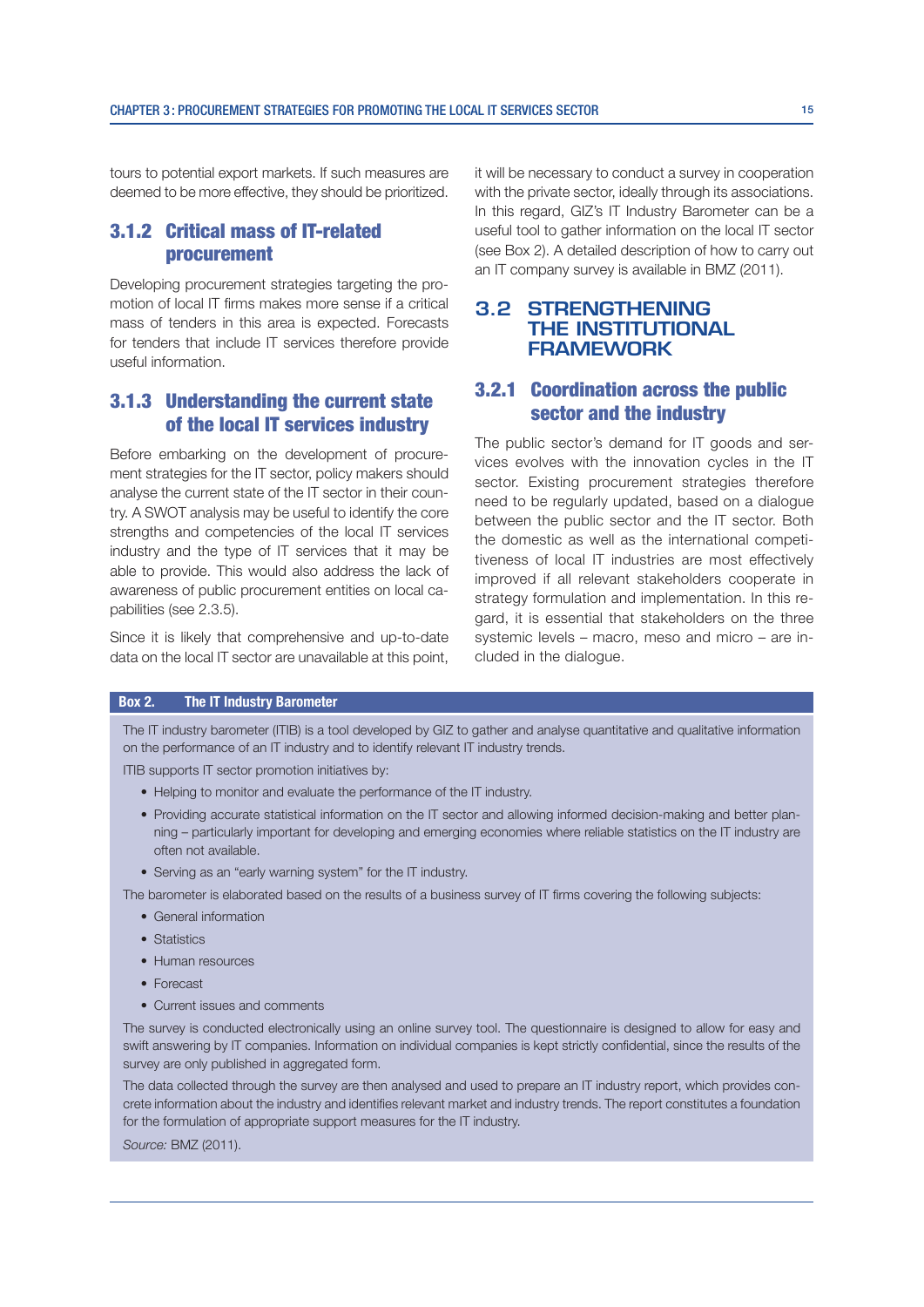tours to potential export markets. If such measures are deemed to be more effective, they should be prioritized.

#### 3.1.2 Critical mass of IT-related procurement

Developing procurement strategies targeting the promotion of local IT firms makes more sense if a critical mass of tenders in this area is expected. Forecasts for tenders that include IT services therefore provide useful information.

#### 3.1.3 Understanding the current state of the local IT services industry

Before embarking on the development of procurement strategies for the IT sector, policy makers should analyse the current state of the IT sector in their country. A SWOT analysis may be useful to identify the core strengths and competencies of the local IT services industry and the type of IT services that it may be able to provide. This would also address the lack of awareness of public procurement entities on local capabilities (see 2.3.5).

Since it is likely that comprehensive and up-to-date data on the local IT sector are unavailable at this point, it will be necessary to conduct a survey in cooperation with the private sector, ideally through its associations. In this regard, GIZ's IT Industry Barometer can be a useful tool to gather information on the local IT sector (see Box 2). A detailed description of how to carry out an IT company survey is available in BMZ (2011).

#### **3.2 STRENGTHENING THE INSTITUTIONAL FRAMEWORK**

#### 3.2.1 Coordination across the public sector and the industry

The public sector's demand for IT goods and services evolves with the innovation cycles in the IT sector. Existing procurement strategies therefore need to be regularly updated, based on a dialogue between the public sector and the IT sector. Both the domestic as well as the international competitiveness of local IT industries are most effectively improved if all relevant stakeholders cooperate in strategy formulation and implementation. In this regard, it is essential that stakeholders on the three systemic levels – macro, meso and micro – are included in the dialogue.

#### Box 2. The IT Industry Barometer

The IT industry barometer (ITIB) is a tool developed by GIZ to gather and analyse quantitative and qualitative information on the performance of an IT industry and to identify relevant IT industry trends.

ITIB supports IT sector promotion initiatives by:

- Helping to monitor and evaluate the performance of the IT industry.
- Providing accurate statistical information on the IT sector and allowing informed decision-making and better planning – particularly important for developing and emerging economies where reliable statistics on the IT industry are often not available.
- Serving as an "early warning system" for the IT industry.
- The barometer is elaborated based on the results of a business survey of IT firms covering the following subjects:
	- General information
	- Statistics
	- Human resources
	- Forecast
	- Current issues and comments

The survey is conducted electronically using an online survey tool. The questionnaire is designed to allow for easy and swift answering by IT companies. Information on individual companies is kept strictly confidential, since the results of the survey are only published in aggregated form.

The data collected through the survey are then analysed and used to prepare an IT industry report, which provides concrete information about the industry and identifies relevant market and industry trends. The report constitutes a foundation for the formulation of appropriate support measures for the IT industry.

Source: BMZ (2011).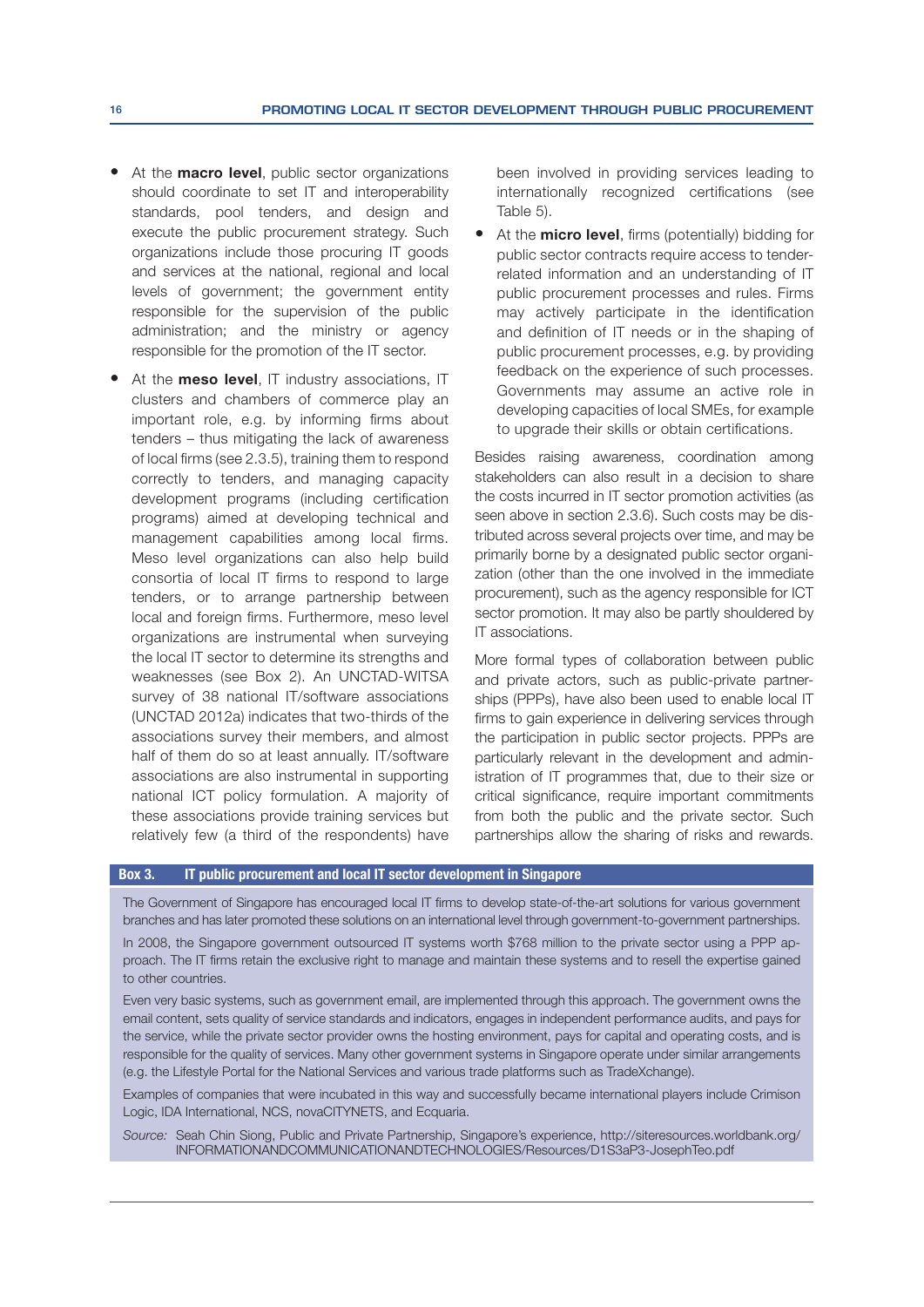- At the **macro level**, public sector organizations should coordinate to set IT and interoperability standards, pool tenders, and design and execute the public procurement strategy. Such organizations include those procuring IT goods and services at the national, regional and local levels of government; the government entity responsible for the supervision of the public administration; and the ministry or agency responsible for the promotion of the IT sector.
- At the meso level, IT industry associations, IT clusters and chambers of commerce play an important role, e.g. by informing firms about tenders – thus mitigating the lack of awareness of local firms (see 2.3.5), training them to respond correctly to tenders, and managing capacity development programs (including certification programs) aimed at developing technical and management capabilities among local firms. Meso level organizations can also help build consortia of local IT firms to respond to large tenders, or to arrange partnership between local and foreign firms. Furthermore, meso level organizations are instrumental when surveying the local IT sector to determine its strengths and weaknesses (see Box 2). An UNCTAD-WITSA survey of 38 national IT/software associations (UNCTAD 2012a) indicates that two-thirds of the associations survey their members, and almost half of them do so at least annually. IT/software associations are also instrumental in supporting national ICT policy formulation. A majority of these associations provide training services but relatively few (a third of the respondents) have

been involved in providing services leading to internationally recognized certifications (see Table 5).

At the **micro level**, firms (potentially) bidding for public sector contracts require access to tenderrelated information and an understanding of IT public procurement processes and rules. Firms may actively participate in the identification and definition of IT needs or in the shaping of public procurement processes, e.g. by providing feedback on the experience of such processes. Governments may assume an active role in developing capacities of local SMEs, for example to upgrade their skills or obtain certifications.

Besides raising awareness, coordination among stakeholders can also result in a decision to share the costs incurred in IT sector promotion activities (as seen above in section 2.3.6). Such costs may be distributed across several projects over time, and may be primarily borne by a designated public sector organi zation (other than the one involved in the immediate procurement), such as the agency responsible for ICT sector promotion. It may also be partly shouldered by IT associations.

More formal types of collaboration between public and private actors, such as public-private partnerships (PPPs), have also been used to enable local IT firms to gain experience in delivering services through the participation in public sector projects. PPPs are particularly relevant in the development and administration of IT programmes that, due to their size or critical significance, require important commitments from both the public and the private sector. Such partnerships allow the sharing of risks and rewards.

#### Box 3. IT public procurement and local IT sector development in Singapore

The Government of Singapore has encouraged local IT firms to develop state-of-the-art solutions for various government branches and has later promoted these solutions on an international level through government-to-government partnerships.

In 2008, the Singapore government outsourced IT systems worth \$768 million to the private sector using a PPP approach. The IT firms retain the exclusive right to manage and maintain these systems and to resell the expertise gained to other countries.

Even very basic systems, such as government email, are implemented through this approach. The government owns the email content, sets quality of service standards and indicators, engages in independent performance audits, and pays for the service, while the private sector provider owns the hosting environment, pays for capital and operating costs, and is responsible for the quality of services. Many other government systems in Singapore operate under similar arrangements (e.g. the Lifestyle Portal for the National Services and various trade platforms such as TradeXchange).

Examples of companies that were incubated in this way and successfully became international players include Crimison Logic, IDA International, NCS, novaCITYNETS, and Ecquaria.

Source: Seah Chin Siong, Public and Private Partnership, Singapore's experience, http://siteresources.worldbank.org/ INFORMATIONANDCOMMUNICATIONANDTECHNOLOGIES/Resources/D1S3aP3-JosephTeo.pdf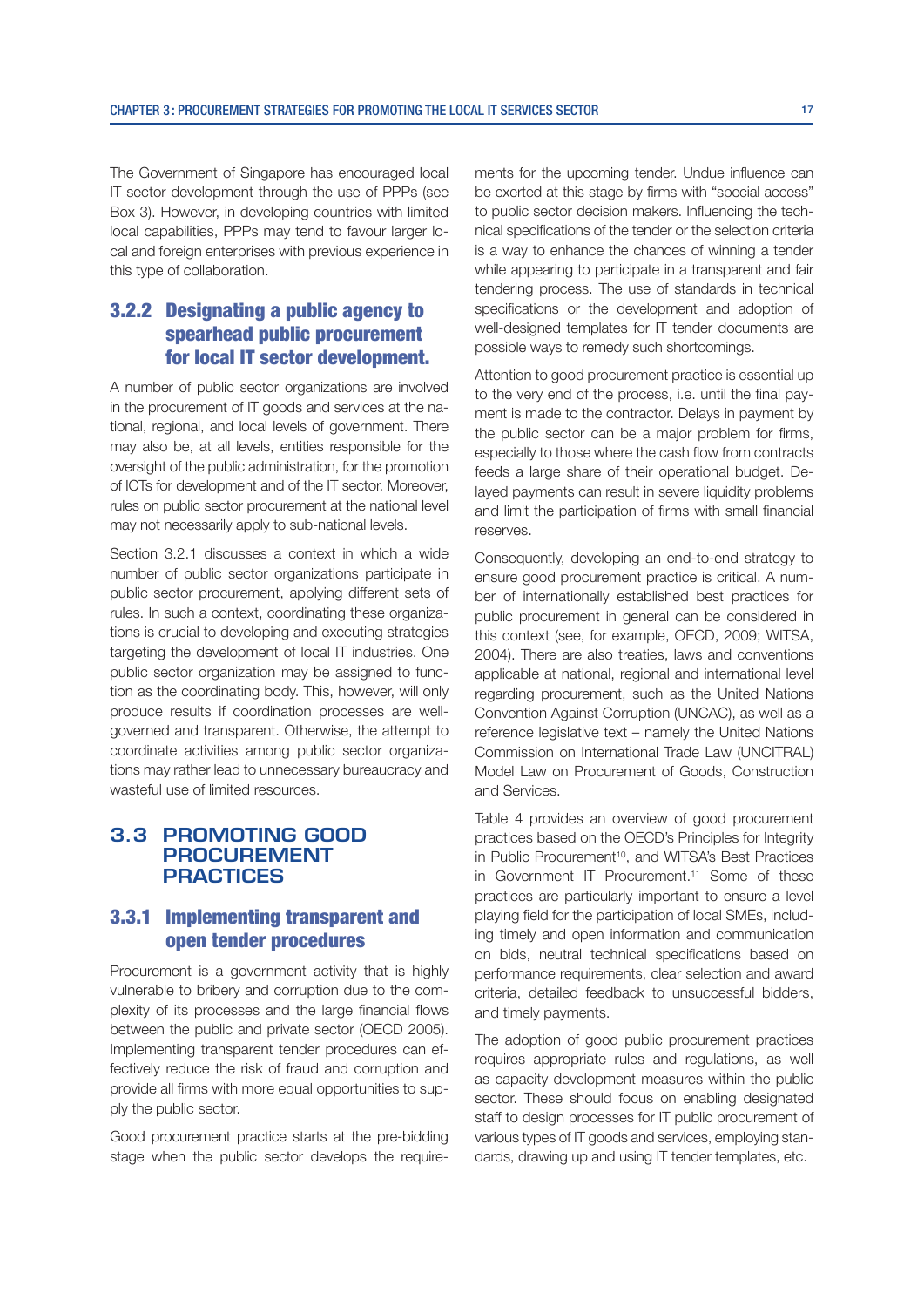The Government of Singapore has encouraged local IT sector development through the use of PPPs (see Box 3). However, in developing countries with limited local capabilities, PPPs may tend to favour larger local and foreign enterprises with previous experience in this type of collaboration.

#### 3.2.2 Designating a public agency to spearhead public procurement for local IT sector development.

A number of public sector organizations are involved in the procurement of IT goods and services at the national, regional, and local levels of government. There may also be, at all levels, entities responsible for the oversight of the public administration, for the promotion of ICTs for development and of the IT sector. Moreover, rules on public sector procurement at the national level may not necessarily apply to sub-national levels.

Section 3.2.1 discusses a context in which a wide number of public sector organizations participate in public sector procurement, applying different sets of rules. In such a context, coordinating these organizations is crucial to developing and executing strategies targeting the development of local IT industries. One public sector organization may be assigned to function as the coordinating body. This, however, will only produce results if coordination processes are wellgoverned and transparent. Otherwise, the attempt to coordinate activities among public sector organizations may rather lead to unnecessary bureaucracy and wasteful use of limited resources.

#### **3.3 PROMOTING GOOD PROCUREMENT PRACTICES**

#### 3.3.1 Implementing transparent and open tender procedures

Procurement is a government activity that is highly vulnerable to bribery and corruption due to the complexity of its processes and the large financial flows between the public and private sector (OECD 2005). Implementing transparent tender procedures can effectively reduce the risk of fraud and corruption and provide all firms with more equal opportunities to supply the public sector.

Good procurement practice starts at the pre-bidding stage when the public sector develops the requirements for the upcoming tender. Undue influence can be exerted at this stage by firms with "special access" to public sector decision makers. Influencing the technical specifications of the tender or the selection criteria is a way to enhance the chances of winning a tender while appearing to participate in a transparent and fair tendering process. The use of standards in technical specifications or the development and adoption of well-designed templates for IT tender documents are possible ways to remedy such shortcomings.

Attention to good procurement practice is essential up to the very end of the process, i.e. until the final payment is made to the contractor. Delays in payment by the public sector can be a major problem for firms, especially to those where the cash flow from contracts feeds a large share of their operational budget. Delayed payments can result in severe liquidity problems and limit the participation of firms with small financial reserves.

Consequently, developing an end-to-end strategy to ensure good procurement practice is critical. A number of internationally established best practices for public procurement in general can be considered in this context (see, for example, OECD, 2009; WITSA, 2004). There are also treaties, laws and conventions applicable at national, regional and international level regarding procurement, such as the United Nations Convention Against Corruption (UNCAC), as well as a reference legislative text – namely the United Nations Commission on International Trade Law (UNCITRAL) Model Law on Procurement of Goods, Construction and Services.

Table 4 provides an overview of good procurement practices based on the OECD's Principles for Integrity in Public Procurement<sup>10</sup>, and WITSA's Best Practices in Government IT Procurement.<sup>11</sup> Some of these practices are particularly important to ensure a level playing field for the participation of local SMEs, including timely and open information and communication on bids, neutral technical specifications based on performance requirements, clear selection and award criteria, detailed feedback to unsuccessful bidders, and timely payments.

The adoption of good public procurement practices requires appropriate rules and regulations, as well as capacity development measures within the public sector. These should focus on enabling designated staff to design processes for IT public procurement of various types of IT goods and services, employing standards, drawing up and using IT tender templates, etc.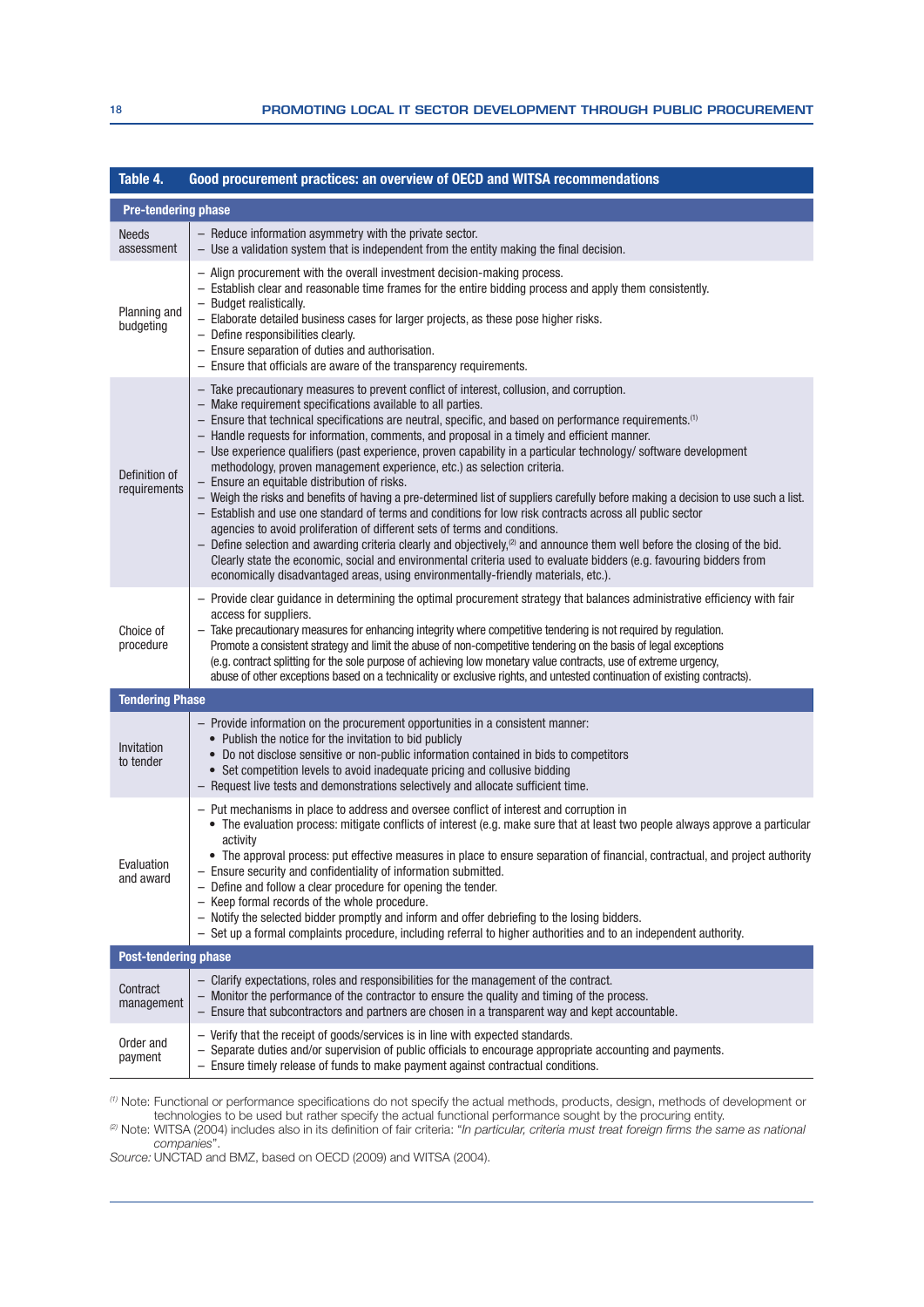| Table 4.                      | Good procurement practices: an overview of OECD and WITSA recommendations                                                                                                                                                                                                                                                                                                                                                                                                                                                                                                                                                                                                                                                                                                                                                                                                                                                                                                                                                                                                                                                                                                                                                                                                                                                                                                                                                                                                                                                                                                                                                                                                                                                                                                                                                                                                                                                                                         |  |  |  |
|-------------------------------|-------------------------------------------------------------------------------------------------------------------------------------------------------------------------------------------------------------------------------------------------------------------------------------------------------------------------------------------------------------------------------------------------------------------------------------------------------------------------------------------------------------------------------------------------------------------------------------------------------------------------------------------------------------------------------------------------------------------------------------------------------------------------------------------------------------------------------------------------------------------------------------------------------------------------------------------------------------------------------------------------------------------------------------------------------------------------------------------------------------------------------------------------------------------------------------------------------------------------------------------------------------------------------------------------------------------------------------------------------------------------------------------------------------------------------------------------------------------------------------------------------------------------------------------------------------------------------------------------------------------------------------------------------------------------------------------------------------------------------------------------------------------------------------------------------------------------------------------------------------------------------------------------------------------------------------------------------------------|--|--|--|
| <b>Pre-tendering phase</b>    |                                                                                                                                                                                                                                                                                                                                                                                                                                                                                                                                                                                                                                                                                                                                                                                                                                                                                                                                                                                                                                                                                                                                                                                                                                                                                                                                                                                                                                                                                                                                                                                                                                                                                                                                                                                                                                                                                                                                                                   |  |  |  |
| <b>Needs</b><br>assessment    | - Reduce information asymmetry with the private sector.<br>$-$ Use a validation system that is independent from the entity making the final decision.                                                                                                                                                                                                                                                                                                                                                                                                                                                                                                                                                                                                                                                                                                                                                                                                                                                                                                                                                                                                                                                                                                                                                                                                                                                                                                                                                                                                                                                                                                                                                                                                                                                                                                                                                                                                             |  |  |  |
| Planning and<br>budgeting     | - Align procurement with the overall investment decision-making process.<br>- Establish clear and reasonable time frames for the entire bidding process and apply them consistently.<br>- Budget realistically.<br>- Elaborate detailed business cases for larger projects, as these pose higher risks.<br>- Define responsibilities clearly.<br>- Ensure separation of duties and authorisation.<br>- Ensure that officials are aware of the transparency requirements.                                                                                                                                                                                                                                                                                                                                                                                                                                                                                                                                                                                                                                                                                                                                                                                                                                                                                                                                                                                                                                                                                                                                                                                                                                                                                                                                                                                                                                                                                          |  |  |  |
| Definition of<br>requirements | - Take precautionary measures to prevent conflict of interest, collusion, and corruption.<br>- Make requirement specifications available to all parties.<br>- Ensure that technical specifications are neutral, specific, and based on performance requirements. <sup>(1)</sup><br>- Handle requests for information, comments, and proposal in a timely and efficient manner.<br>- Use experience qualifiers (past experience, proven capability in a particular technology/software development<br>methodology, proven management experience, etc.) as selection criteria.<br>- Ensure an equitable distribution of risks.<br>- Weigh the risks and benefits of having a pre-determined list of suppliers carefully before making a decision to use such a list.<br>- Establish and use one standard of terms and conditions for low risk contracts across all public sector<br>agencies to avoid proliferation of different sets of terms and conditions.<br>- Define selection and awarding criteria clearly and objectively, <sup>(2)</sup> and announce them well before the closing of the bid.<br>Clearly state the economic, social and environmental criteria used to evaluate bidders (e.g. favouring bidders from<br>economically disadvantaged areas, using environmentally-friendly materials, etc.).<br>- Provide clear guidance in determining the optimal procurement strategy that balances administrative efficiency with fair<br>access for suppliers.<br>- Take precautionary measures for enhancing integrity where competitive tendering is not required by regulation.<br>Promote a consistent strategy and limit the abuse of non-competitive tendering on the basis of legal exceptions<br>(e.g. contract splitting for the sole purpose of achieving low monetary value contracts, use of extreme urgency,<br>abuse of other exceptions based on a technicality or exclusive rights, and untested continuation of existing contracts). |  |  |  |
| Choice of<br>procedure        |                                                                                                                                                                                                                                                                                                                                                                                                                                                                                                                                                                                                                                                                                                                                                                                                                                                                                                                                                                                                                                                                                                                                                                                                                                                                                                                                                                                                                                                                                                                                                                                                                                                                                                                                                                                                                                                                                                                                                                   |  |  |  |
| <b>Tendering Phase</b>        |                                                                                                                                                                                                                                                                                                                                                                                                                                                                                                                                                                                                                                                                                                                                                                                                                                                                                                                                                                                                                                                                                                                                                                                                                                                                                                                                                                                                                                                                                                                                                                                                                                                                                                                                                                                                                                                                                                                                                                   |  |  |  |
| Invitation<br>to tender       | - Provide information on the procurement opportunities in a consistent manner:<br>• Publish the notice for the invitation to bid publicly<br>• Do not disclose sensitive or non-public information contained in bids to competitors<br>• Set competition levels to avoid inadequate pricing and collusive bidding<br>- Request live tests and demonstrations selectively and allocate sufficient time.                                                                                                                                                                                                                                                                                                                                                                                                                                                                                                                                                                                                                                                                                                                                                                                                                                                                                                                                                                                                                                                                                                                                                                                                                                                                                                                                                                                                                                                                                                                                                            |  |  |  |
| Evaluation<br>and award       | - Put mechanisms in place to address and oversee conflict of interest and corruption in<br>• The evaluation process: mitigate conflicts of interest (e.g. make sure that at least two people always approve a particular<br>activity<br>• The approval process: put effective measures in place to ensure separation of financial, contractual, and project authority<br>- Ensure security and confidentiality of information submitted.<br>- Define and follow a clear procedure for opening the tender.<br>- Keep formal records of the whole procedure.<br>- Notify the selected bidder promptly and inform and offer debriefing to the losing bidders.<br>- Set up a formal complaints procedure, including referral to higher authorities and to an independent authority.                                                                                                                                                                                                                                                                                                                                                                                                                                                                                                                                                                                                                                                                                                                                                                                                                                                                                                                                                                                                                                                                                                                                                                                   |  |  |  |
|                               | <b>Post-tendering phase</b>                                                                                                                                                                                                                                                                                                                                                                                                                                                                                                                                                                                                                                                                                                                                                                                                                                                                                                                                                                                                                                                                                                                                                                                                                                                                                                                                                                                                                                                                                                                                                                                                                                                                                                                                                                                                                                                                                                                                       |  |  |  |
| Contract<br>management        | - Clarify expectations, roles and responsibilities for the management of the contract.<br>- Monitor the performance of the contractor to ensure the quality and timing of the process.<br>- Ensure that subcontractors and partners are chosen in a transparent way and kept accountable.                                                                                                                                                                                                                                                                                                                                                                                                                                                                                                                                                                                                                                                                                                                                                                                                                                                                                                                                                                                                                                                                                                                                                                                                                                                                                                                                                                                                                                                                                                                                                                                                                                                                         |  |  |  |
| Order and<br>payment          | - Verify that the receipt of goods/services is in line with expected standards.<br>Separate duties and/or supervision of public officials to encourage appropriate accounting and payments.<br>$\overline{\phantom{0}}$<br>- Ensure timely release of funds to make payment against contractual conditions.                                                                                                                                                                                                                                                                                                                                                                                                                                                                                                                                                                                                                                                                                                                                                                                                                                                                                                                                                                                                                                                                                                                                                                                                                                                                                                                                                                                                                                                                                                                                                                                                                                                       |  |  |  |

 $^{(l)}$  Note: Functional or performance specifications do not specify the actual methods, products, design, methods of development or technologies to be used but rather specify the actual functional performance sought by the procuring entity.

@ Note: WITSA (2004) includes also in its definition of fair criteria: "*In particular, criteria must treat foreign firms the same as national* companies".

Source: UNCTAD and BMZ, based on OECD (2009) and WITSA (2004).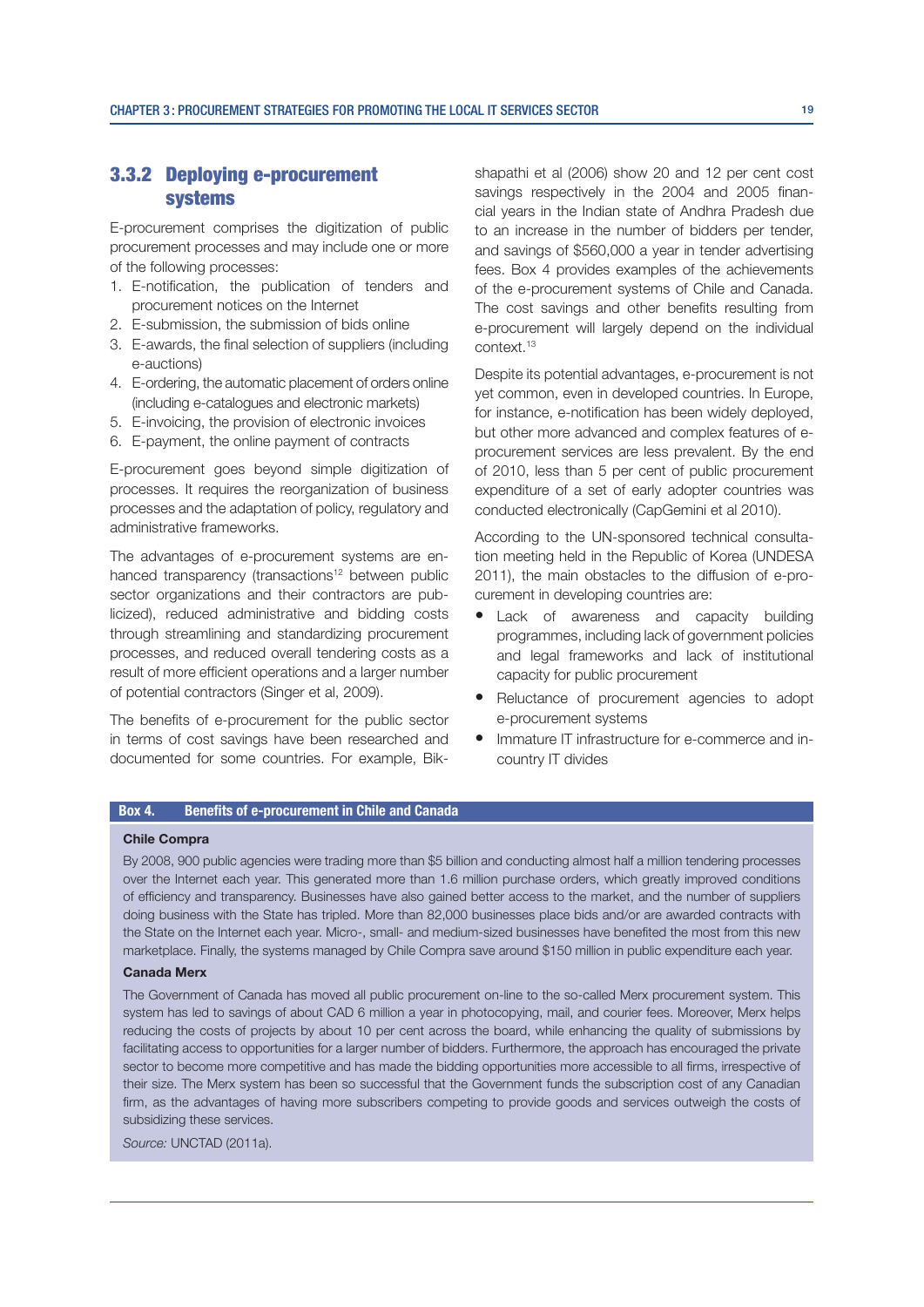#### 3.3.2 Deploying e-procurement systems

E-procurement comprises the digitization of public procurement processes and may include one or more of the following processes:

- 1. E-notification, the publication of tenders and procurement notices on the Internet
- 2. E-submission, the submission of bids online
- 3. E-awards, the final selection of suppliers (including e-auctions)
- 4. E-ordering, the automatic placement of orders online (including e-catalogues and electronic markets)
- 5. E-invoicing, the provision of electronic invoices
- 6. E-payment, the online payment of contracts

E-procurement goes beyond simple digitization of processes. It requires the reorganization of business processes and the adaptation of policy, regulatory and administrative frameworks.

The advantages of e-procurement systems are enhanced transparency (transactions<sup>12</sup> between public sector organizations and their contractors are publicized), reduced administrative and bidding costs through streamlining and standardizing procurement processes, and reduced overall tendering costs as a result of more efficient operations and a larger number of potential contractors (Singer et al, 2009).

The benefits of e-procurement for the public sector in terms of cost savings have been researched and documented for some countries. For example, Bikshapathi et al (2006) show 20 and 12 per cent cost savings respectively in the 2004 and 2005 financial years in the Indian state of Andhra Pradesh due to an increase in the number of bidders per tender, and savings of \$560,000 a year in tender advertising fees. Box 4 provides examples of the achievements of the e-procurement systems of Chile and Canada. The cost savings and other benefits resulting from e-procurement will largely depend on the individual context.13

Despite its potential advantages, e-procurement is not yet common, even in developed countries. In Europe, for instance, e-notification has been widely deployed, but other more advanced and complex features of eprocurement services are less prevalent. By the end of 2010, less than 5 per cent of public procurement expenditure of a set of early adopter countries was conducted electronically (CapGemini et al 2010).

According to the UN-sponsored technical consultation meeting held in the Republic of Korea (UNDESA 2011), the main obstacles to the diffusion of e-procurement in developing countries are:

- Lack of awareness and capacity building programmes, including lack of government policies and legal frameworks and lack of institutional capacity for public procurement
- Reluctance of procurement agencies to adopt e-procurement systems
- Immature IT infrastructure for e-commerce and incountry IT divides

#### Box 4. Benefits of e-procurement in Chile and Canada

#### Chile Compra

By 2008, 900 public agencies were trading more than \$5 billion and conducting almost half a million tendering processes over the Internet each year. This generated more than 1.6 million purchase orders, which greatly improved conditions of efficiency and transparency. Businesses have also gained better access to the market, and the number of suppliers doing business with the State has tripled. More than 82,000 businesses place bids and/or are awarded contracts with the State on the Internet each year. Micro-, small- and medium-sized businesses have benefited the most from this new marketplace. Finally, the systems managed by Chile Compra save around \$150 million in public expenditure each year.

#### Canada Merx

The Government of Canada has moved all public procurement on-line to the so-called Merx procurement system. This system has led to savings of about CAD 6 million a year in photocopying, mail, and courier fees. Moreover, Merx helps reducing the costs of projects by about 10 per cent across the board, while enhancing the quality of submissions by facilitating access to opportunities for a larger number of bidders. Furthermore, the approach has encouraged the private sector to become more competitive and has made the bidding opportunities more accessible to all firms, irrespective of their size. The Merx system has been so successful that the Government funds the subscription cost of any Canadian firm, as the advantages of having more subscribers competing to provide goods and services outweigh the costs of subsidizing these services.

Source: UNCTAD (2011a).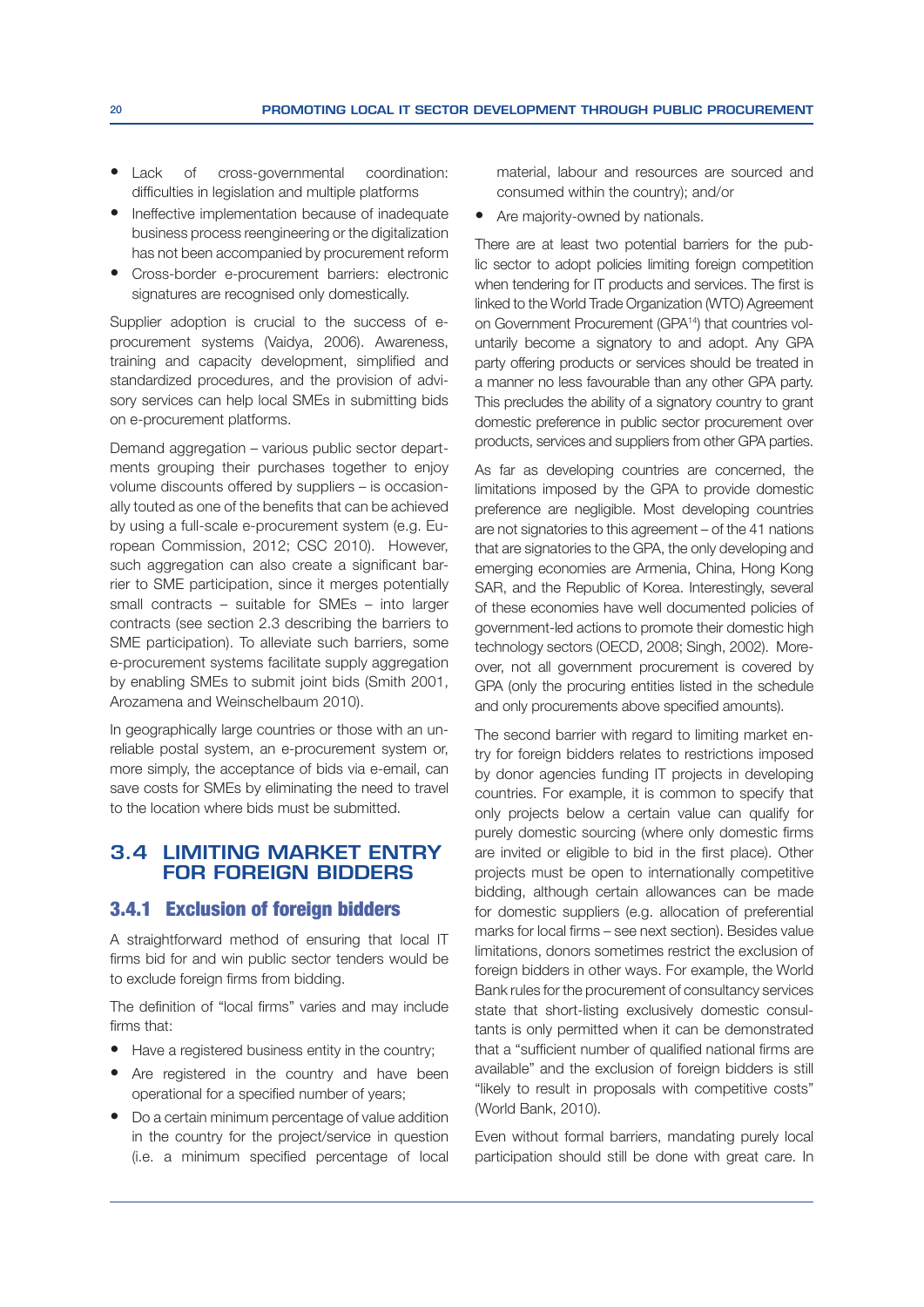- Lack of cross-governmental coordination: difficulties in legislation and multiple platforms
- Ineffective implementation because of inadequate business process reengineering or the digitalization has not been accompanied by procurement reform
- Cross-border e-procurement barriers: electronic signatures are recognised only domestically.

Supplier adoption is crucial to the success of eprocurement systems (Vaidya, 2006). Awareness, training and capacity development, simplified and standardized procedures, and the provision of advisory services can help local SMEs in submitting bids on e-procurement platforms.

Demand aggregation – various public sector departments grouping their purchases together to enjoy volume discounts offered by suppliers – is occasionally touted as one of the benefits that can be achieved by using a full-scale e-procurement system (e.g. European Commission, 2012; CSC 2010). However, such aggregation can also create a significant barrier to SME participation, since it merges potentially small contracts – suitable for SMEs – into larger contracts (see section 2.3 describing the barriers to SME participation). To alleviate such barriers, some e-procurement systems facilitate supply aggregation by enabling SMEs to submit joint bids (Smith 2001, Arozamena and Weinschelbaum 2010).

In geographically large countries or those with an unreliable postal system, an e-procurement system or, more simply, the acceptance of bids via e-email, can save costs for SMEs by eliminating the need to travel to the location where bids must be submitted.

#### **3.4 LIMITING MARKET ENTRY FOR FOREIGN BIDDERS**

#### 3.4.1 Exclusion of foreign bidders

A straightforward method of ensuring that local IT firms bid for and win public sector tenders would be to exclude foreign firms from bidding.

The definition of "local firms" varies and may include firms that:

- $\bullet$  Have a registered business entity in the country;
- Are registered in the country and have been operational for a specified number of years;
- Do a certain minimum percentage of value addition in the country for the project/service in question (i.e. a minimum specified percentage of local

material, labour and resources are sourced and consumed within the country); and/or

• Are majority-owned by nationals.

There are at least two potential barriers for the public sector to adopt policies limiting foreign competition when tendering for IT products and services. The first is linked to the World Trade Organization (WTO) Agreement on Government Procurement (GPA<sup>14</sup>) that countries voluntarily become a signatory to and adopt. Any GPA party offering products or services should be treated in a manner no less favourable than any other GPA party. This precludes the ability of a signatory country to grant domestic preference in public sector procurement over products, services and suppliers from other GPA parties.

As far as developing countries are concerned, the limitations imposed by the GPA to provide domestic preference are negligible. Most developing countries are not signatories to this agreement – of the 41 nations that are signatories to the GPA, the only developing and emerging economies are Armenia, China, Hong Kong SAR, and the Republic of Korea. Interestingly, several of these economies have well documented policies of government-led actions to promote their domestic high technology sectors (OECD, 2008; Singh, 2002). Moreover, not all government procurement is covered by GPA (only the procuring entities listed in the schedule and only procurements above specified amounts).

The second barrier with regard to limiting market entry for foreign bidders relates to restrictions imposed by donor agencies funding IT projects in developing countries. For example, it is common to specify that only projects below a certain value can qualify for purely domestic sourcing (where only domestic firms are invited or eligible to bid in the first place). Other projects must be open to internationally competitive bidding, although certain allowances can be made for domestic suppliers (e.g. allocation of preferential marks for local firms - see next section). Besides value limitations, donors sometimes restrict the exclusion of foreign bidders in other ways. For example, the World Bank rules for the procurement of consultancy services state that short-listing exclusively domestic consultants is only permitted when it can be demonstrated that a "sufficient number of qualified national firms are available" and the exclusion of foreign bidders is still "likely to result in proposals with competitive costs" (World Bank, 2010).

Even without formal barriers, mandating purely local participation should still be done with great care. In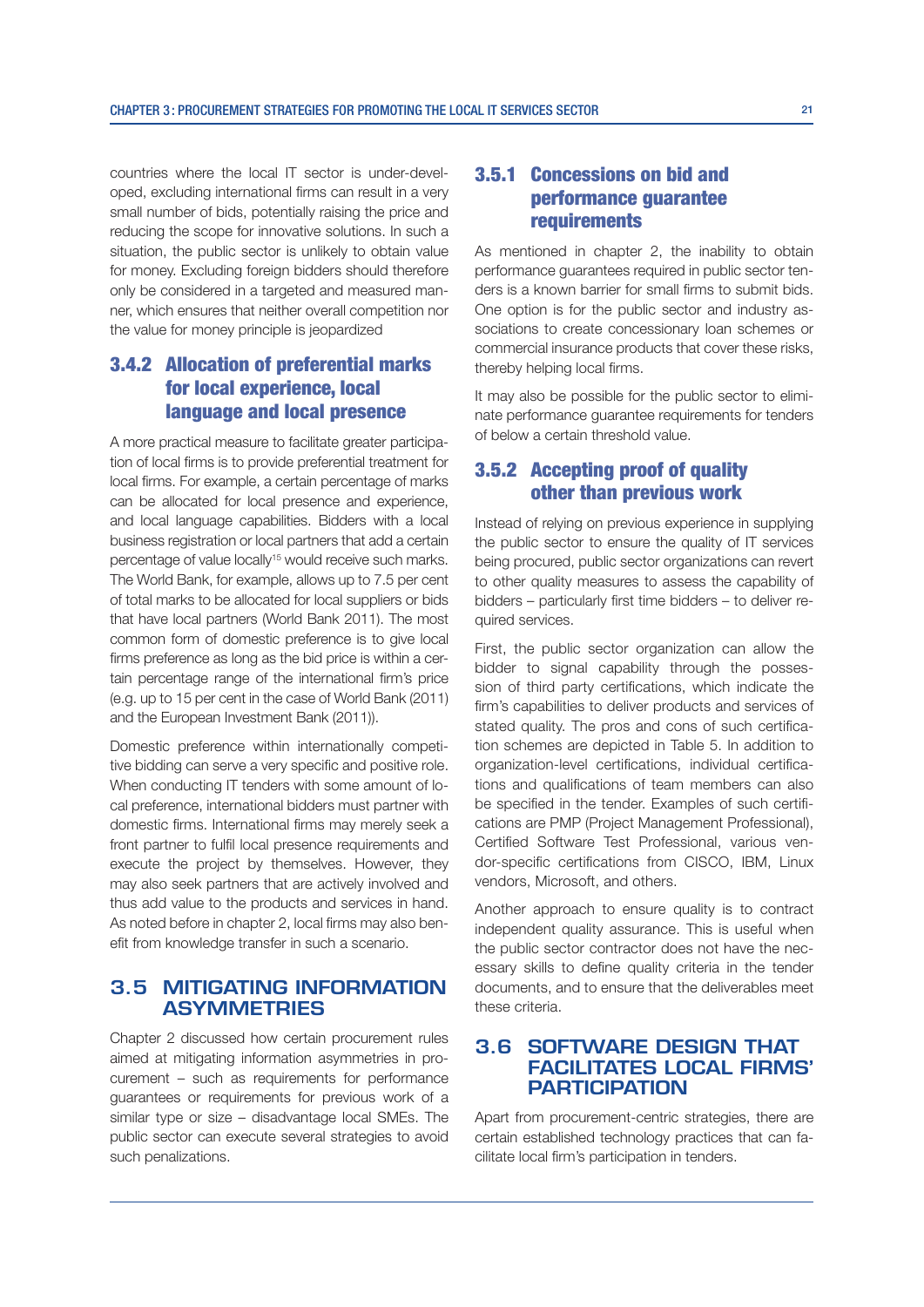countries where the local IT sector is under-developed, excluding international firms can result in a very small number of bids, potentially raising the price and reducing the scope for innovative solutions. In such a situation, the public sector is unlikely to obtain value for money. Excluding foreign bidders should therefore only be considered in a targeted and measured manner, which ensures that neither overall competition nor the value for money principle is jeopardized

### 3.4.2 Allocation of preferential marks for local experience, local language and local presence

A more practical measure to facilitate greater participation of local firms is to provide preferential treatment for local firms. For example, a certain percentage of marks can be allocated for local presence and experience, and local language capabilities. Bidders with a local business registration or local partners that add a certain percentage of value locally<sup>15</sup> would receive such marks. The World Bank, for example, allows up to 7.5 per cent of total marks to be allocated for local suppliers or bids that have local partners (World Bank 2011). The most common form of domestic preference is to give local firms preference as long as the bid price is within a certain percentage range of the international firm's price (e.g. up to 15 per cent in the case of World Bank  $(2011)$ ) and the European Investment Bank (2011)).

Domestic preference within internationally competitive bidding can serve a very specific and positive role. When conducting IT tenders with some amount of local preference, international bidders must partner with domestic firms. International firms may merely seek a front partner to fulfil local presence requirements and execute the project by themselves. However, they may also seek partners that are actively involved and thus add value to the products and services in hand. As noted before in chapter 2, local firms may also benefit from knowledge transfer in such a scenario.

#### **3.5 MITIGATING INFORMATION ASYMMETRIES**

Chapter 2 discussed how certain procurement rules aimed at mitigating information asymmetries in procurement – such as requirements for performance guarantees or requirements for previous work of a similar type or size  $-$  disadvantage local SMEs. The public sector can execute several strategies to avoid such penalizations.

#### 3.5.1 Concessions on bid and performance guarantee requirements

As mentioned in chapter 2, the inability to obtain performance guarantees required in public sector tenders is a known barrier for small firms to submit bids. One option is for the public sector and industry associations to create concessionary loan schemes or commercial insurance products that cover these risks, thereby helping local firms.

It may also be possible for the public sector to eliminate performance guarantee requirements for tenders of below a certain threshold value.

#### 3.5.2 Accepting proof of quality other than previous work

Instead of relying on previous experience in supplying the public sector to ensure the quality of IT services being procured, public sector organizations can revert to other quality measures to assess the capability of bidders - particularly first time bidders - to deliver required services.

First, the public sector organization can allow the bidder to signal capability through the possession of third party certifications, which indicate the firm's capabilities to deliver products and services of stated quality. The pros and cons of such certification schemes are depicted in Table 5. In addition to organization-level certifications, individual certifications and qualifications of team members can also be specified in the tender. Examples of such certifications are PMP (Project Management Professional), Certified Software Test Professional, various vendor-specific certifications from CISCO, IBM, Linux vendors, Microsoft, and others.

Another approach to ensure quality is to contract independent quality assurance. This is useful when the public sector contractor does not have the necessary skills to define quality criteria in the tender documents, and to ensure that the deliverables meet these criteria.

#### **3.6 SOFTWARE DESIGN THAT FACILITATES LOCAL FIRMS' PARTICIPATION**

Apart from procurement-centric strategies, there are certain established technology practices that can facilitate local firm's participation in tenders.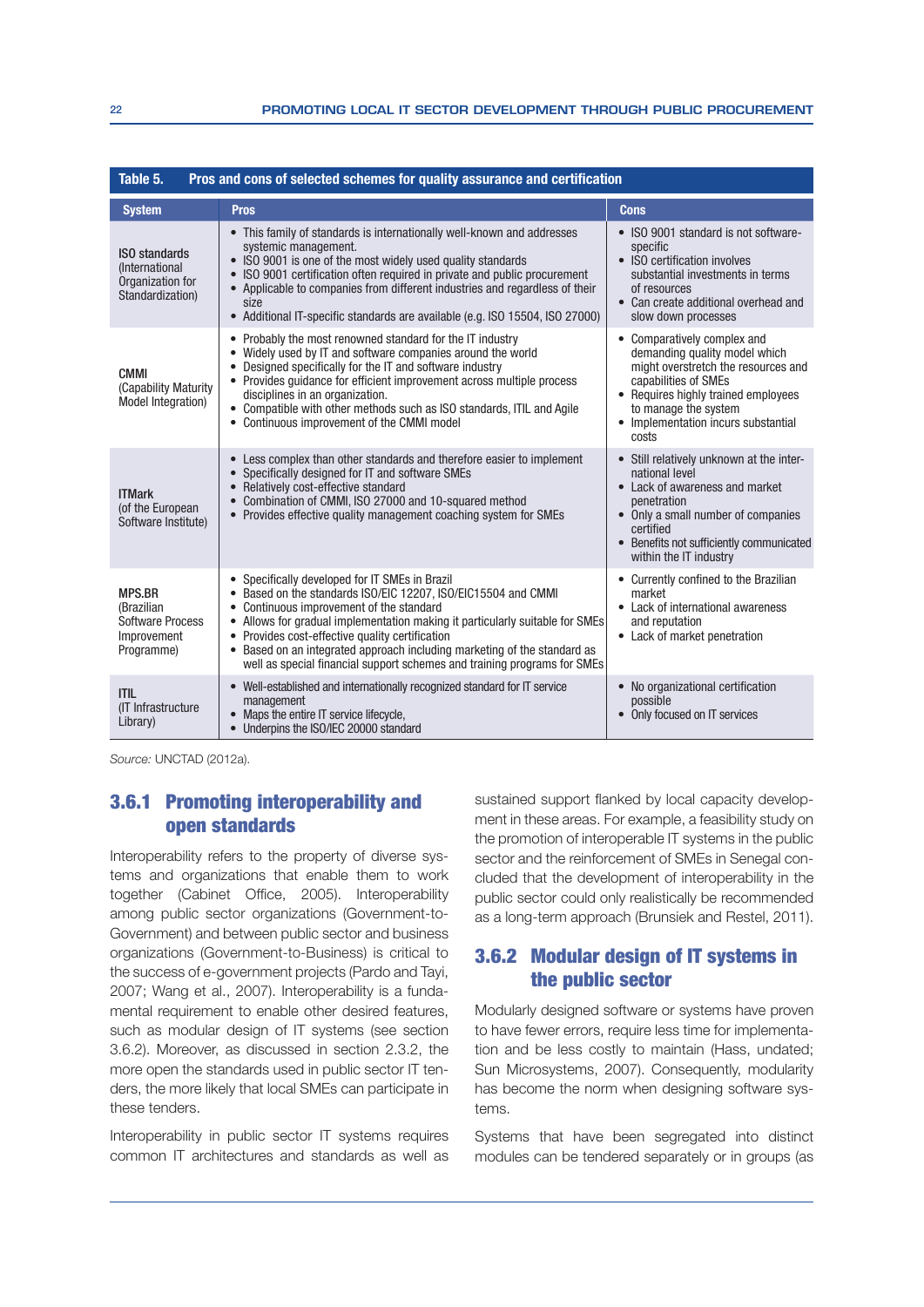| Pros and cons of selected schemes for quality assurance and certification<br>Table 5.  |                                                                                                                                                                                                                                                                                                                                                                                                                                                        |                                                                                                                                                                                                                                            |
|----------------------------------------------------------------------------------------|--------------------------------------------------------------------------------------------------------------------------------------------------------------------------------------------------------------------------------------------------------------------------------------------------------------------------------------------------------------------------------------------------------------------------------------------------------|--------------------------------------------------------------------------------------------------------------------------------------------------------------------------------------------------------------------------------------------|
| <b>System</b>                                                                          | <b>Pros</b>                                                                                                                                                                                                                                                                                                                                                                                                                                            | <b>Cons</b>                                                                                                                                                                                                                                |
| <b>ISO</b> standards<br><i>(International)</i><br>Organization for<br>Standardization) | • This family of standards is internationally well-known and addresses<br>systemic management.<br>• ISO 9001 is one of the most widely used quality standards<br>ISO 9001 certification often required in private and public procurement<br>Applicable to companies from different industries and regardless of their<br>size<br>• Additional IT-specific standards are available (e.g. ISO 15504, ISO 27000)                                          | • ISO 9001 standard is not software-<br>specific<br>• ISO certification involves<br>substantial investments in terms<br>of resources<br>• Can create additional overhead and<br>slow down processes                                        |
| <b>CMMI</b><br>(Capability Maturity<br>Model Integration)                              | • Probably the most renowned standard for the IT industry<br>• Widely used by IT and software companies around the world<br>Designed specifically for the IT and software industry<br>• Provides guidance for efficient improvement across multiple process<br>disciplines in an organization.<br>• Compatible with other methods such as ISO standards, ITIL and Agile<br>• Continuous improvement of the CMMI model                                  | • Comparatively complex and<br>demanding quality model which<br>might overstretch the resources and<br>capabilities of SMEs<br>• Requires highly trained employees<br>to manage the system<br>• Implementation incurs substantial<br>costs |
| <b>ITMark</b><br>(of the European<br>Software Institute)                               | • Less complex than other standards and therefore easier to implement<br>• Specifically designed for IT and software SMEs<br>• Relatively cost-effective standard<br>• Combination of CMMI, ISO 27000 and 10-squared method<br>• Provides effective quality management coaching system for SMEs                                                                                                                                                        | • Still relatively unknown at the inter-<br>national level<br>• Lack of awareness and market<br>penetration<br>• Only a small number of companies<br>certified<br>• Benefits not sufficiently communicated<br>within the IT industry       |
| <b>MPS.BR</b><br>(Brazilian<br><b>Software Process</b><br>Improvement<br>Programme)    | • Specifically developed for IT SMEs in Brazil<br>• Based on the standards ISO/EIC 12207, ISO/EIC15504 and CMMI<br>• Continuous improvement of the standard<br>• Allows for gradual implementation making it particularly suitable for SMEs<br>• Provides cost-effective quality certification<br>• Based on an integrated approach including marketing of the standard as<br>well as special financial support schemes and training programs for SMEs | • Currently confined to the Brazilian<br>market<br>• Lack of international awareness<br>and reputation<br>• Lack of market penetration                                                                                                     |
| <b>ITIL</b><br>(IT Infrastructure<br>Library)                                          | • Well-established and internationally recognized standard for IT service<br>management<br>• Maps the entire IT service lifecycle,<br>• Underpins the ISO/IEC 20000 standard                                                                                                                                                                                                                                                                           | • No organizational certification<br>possible<br>• Only focused on IT services                                                                                                                                                             |

Source: UNCTAD (2012a).

#### 3.6.1 Promoting interoperability and open standards

Interoperability refers to the property of diverse systems and organizations that enable them to work together (Cabinet Office, 2005). Interoperability among public sector organizations (Government-to-Government) and between public sector and business organizations (Government-to-Business) is critical to the success of e-government projects (Pardo and Tayi, 2007; Wang et al., 2007). Interoperability is a fundamental requirement to enable other desired features, such as modular design of IT systems (see section 3.6.2). Moreover, as discussed in section 2.3.2, the more open the standards used in public sector IT tenders, the more likely that local SMEs can participate in these tenders.

Interoperability in public sector IT systems requires common IT architectures and standards as well as

sustained support flanked by local capacity development in these areas. For example, a feasibility study on the promotion of interoperable IT systems in the public sector and the reinforcement of SMEs in Senegal concluded that the development of interoperability in the public sector could only realistically be recommended as a long-term approach (Brunsiek and Restel, 2011).

#### 3.6.2 Modular design of IT systems in the public sector

Modularly designed software or systems have proven to have fewer errors, require less time for implementation and be less costly to maintain (Hass, undated: Sun Microsystems, 2007). Consequently, modularity has become the norm when designing software systems.

Systems that have been segregated into distinct modules can be tendered separately or in groups (as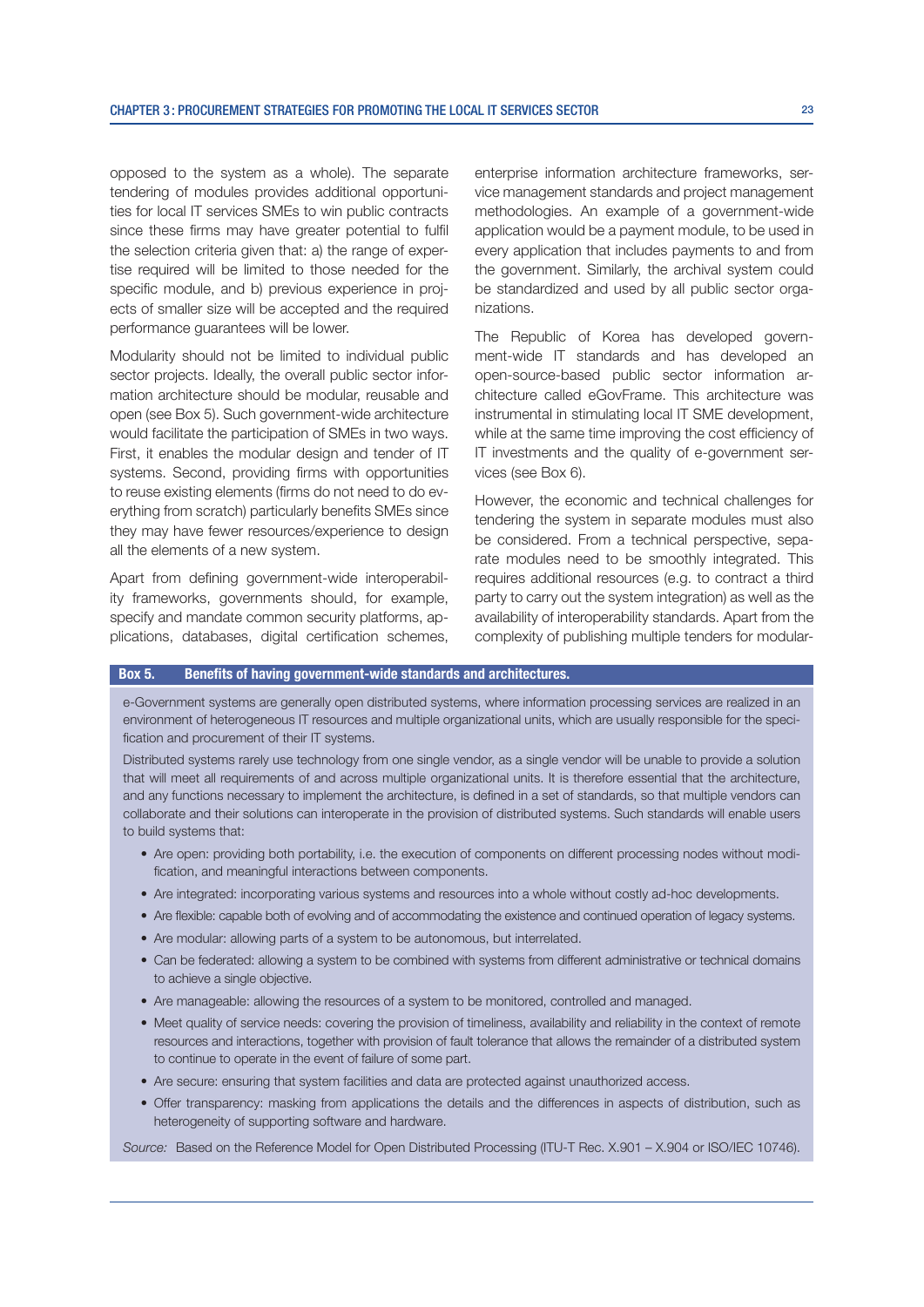opposed to the system as a whole). The separate tendering of modules provides additional opportunities for local IT services SMEs to win public contracts since these firms may have greater potential to fulfil the selection criteria given that: a) the range of expertise required will be limited to those needed for the specific module, and b) previous experience in projects of smaller size will be accepted and the required performance guarantees will be lower.

Modularity should not be limited to individual public sector projects. Ideally, the overall public sector information architecture should be modular, reusable and open (see Box 5). Such government-wide architecture would facilitate the participation of SMEs in two ways. First, it enables the modular design and tender of IT systems. Second, providing firms with opportunities to reuse existing elements (firms do not need to do everything from scratch) particularly benefits SMEs since they may have fewer resources/experience to design all the elements of a new system.

Apart from defining government-wide interoperability frameworks, governments should, for example, specify and mandate common security platforms, applications, databases, digital certification schemes, enterprise information architecture frameworks, service management standards and project management methodologies. An example of a government-wide application would be a payment module, to be used in every application that includes payments to and from the government. Similarly, the archival system could be standardized and used by all public sector organizations

The Republic of Korea has developed government-wide IT standards and has developed an open-source-based public sector information architecture called eGovFrame. This architecture was instrumental in stimulating local IT SME development, while at the same time improving the cost efficiency of IT investments and the quality of e-government services (see Box 6).

However, the economic and technical challenges for tendering the system in separate modules must also be considered. From a technical perspective, separate modules need to be smoothly integrated. This requires additional resources (e.g. to contract a third party to carry out the system integration) as well as the availability of interoperability standards. Apart from the complexity of publishing multiple tenders for modular-

#### Box 5. Benefits of having government-wide standards and architectures.

e-Government systems are generally open distributed systems, where information processing services are realized in an environment of heterogeneous IT resources and multiple organizational units, which are usually responsible for the specification and procurement of their IT systems.

Distributed systems rarely use technology from one single vendor, as a single vendor will be unable to provide a solution that will meet all requirements of and across multiple organizational units. It is therefore essential that the architecture, and any functions necessary to implement the architecture, is defined in a set of standards, so that multiple vendors can collaborate and their solutions can interoperate in the provision of distributed systems. Such standards will enable users to build systems that:

- Are open: providing both portability, i.e. the execution of components on different processing nodes without modification, and meaningful interactions between components.
- Are integrated: incorporating various systems and resources into a whole without costly ad-hoc developments.
- Are flexible: capable both of evolving and of accommodating the existence and continued operation of legacy systems.
- Are modular: allowing parts of a system to be autonomous, but interrelated.
- Can be federated: allowing a system to be combined with systems from different administrative or technical domains to achieve a single objective.
- Are manageable: allowing the resources of a system to be monitored, controlled and managed.
- Meet quality of service needs: covering the provision of timeliness, availability and reliability in the context of remote resources and interactions, together with provision of fault tolerance that allows the remainder of a distributed system to continue to operate in the event of failure of some part.
- Are secure: ensuring that system facilities and data are protected against unauthorized access.
- Offer transparency: masking from applications the details and the differences in aspects of distribution, such as heterogeneity of supporting software and hardware.

Source: Based on the Reference Model for Open Distributed Processing (ITU-T Rec. X.901 – X.904 or ISO/IEC 10746).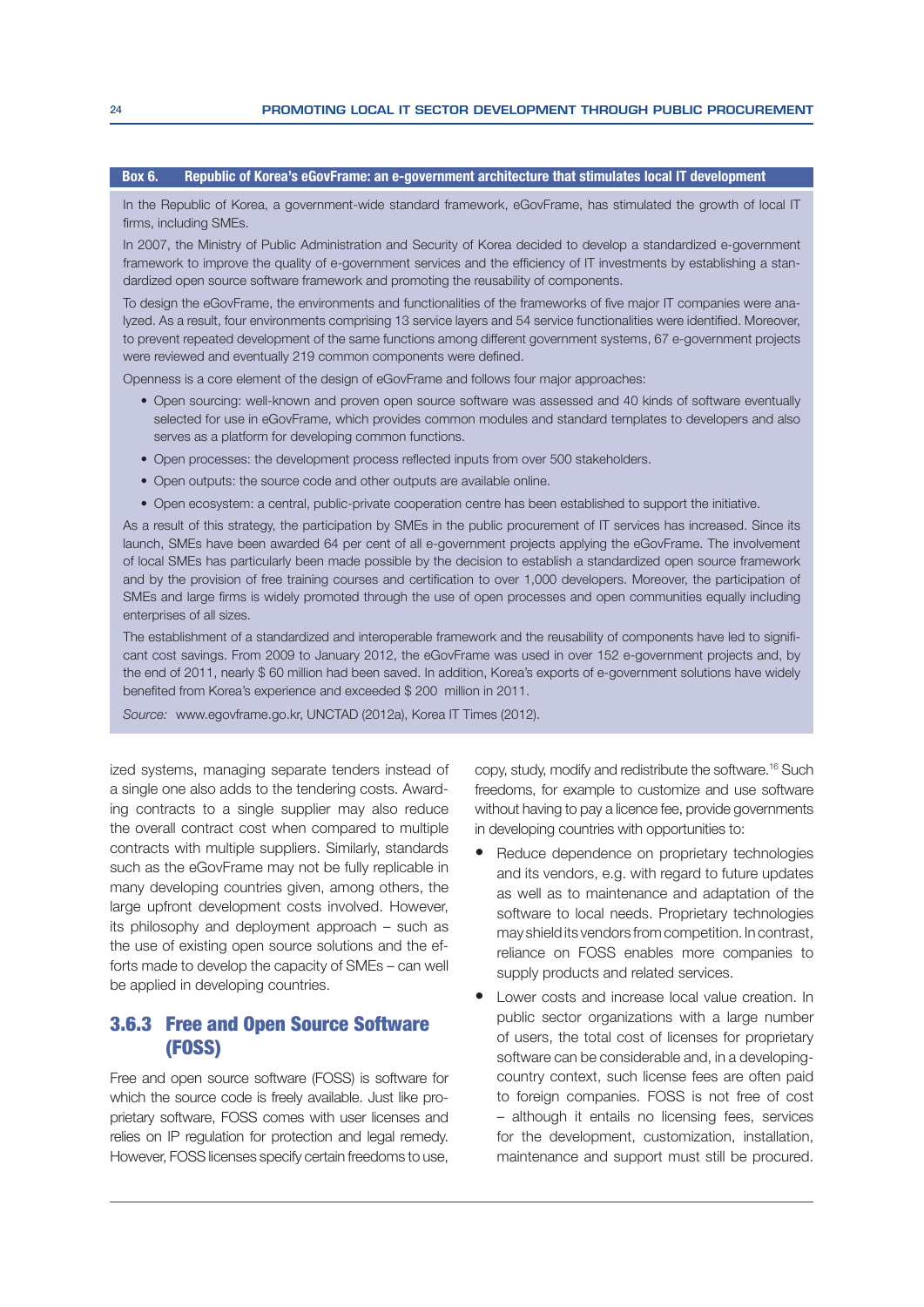#### Box 6. Republic of Korea's eGovFrame: an e-government architecture that stimulates local IT development

In the Republic of Korea, a government-wide standard framework, eGovFrame, has stimulated the growth of local IT firms, including SMEs.

In 2007, the Ministry of Public Administration and Security of Korea decided to develop a standardized e-government framework to improve the quality of e-government services and the efficiency of IT investments by establishing a standardized open source software framework and promoting the reusability of components.

To design the eGovFrame, the environments and functionalities of the frameworks of five major IT companies were analyzed. As a result, four environments comprising 13 service layers and 54 service functionalities were identified. Moreover, to prevent repeated development of the same functions among different government systems, 67 e-government projects were reviewed and eventually 219 common components were defined.

Openness is a core element of the design of eGovFrame and follows four major approaches:

- Open sourcing: well-known and proven open source software was assessed and 40 kinds of software eventually selected for use in eGovFrame, which provides common modules and standard templates to developers and also serves as a platform for developing common functions.
- Open processes; the development process reflected inputs from over 500 stakeholders.
- Open outputs: the source code and other outputs are available online.
- Open ecosystem: a central, public-private cooperation centre has been established to support the initiative.

As a result of this strategy, the participation by SMEs in the public procurement of IT services has increased. Since its launch, SMEs have been awarded 64 per cent of all e-government projects applying the eGovFrame. The involvement of local SMEs has particularly been made possible by the decision to establish a standardized open source framework and by the provision of free training courses and certification to over 1,000 developers. Moreover, the participation of SMEs and large firms is widely promoted through the use of open processes and open communities equally including enterprises of all sizes.

The establishment of a standardized and interoperable framework and the reusability of components have led to significant cost savings. From 2009 to January 2012, the eGovFrame was used in over 152 e-government projects and, by the end of 2011, nearly \$60 million had been saved. In addition, Korea's exports of e-government solutions have widely benefited from Korea's experience and exceeded \$200 million in 2011.

Source: www.egovframe.go.kr, UNCTAD (2012a), Korea IT Times (2012).

ized systems, managing separate tenders instead of a single one also adds to the tendering costs. Awarding contracts to a single supplier may also reduce the overall contract cost when compared to multiple contracts with multiple suppliers. Similarly, standards such as the eGovFrame may not be fully replicable in many developing countries given, among others, the large upfront development costs involved. However, its philosophy and deployment approach – such as the use of existing open source solutions and the efforts made to develop the capacity of SMEs – can well be applied in developing countries.

# 3.6.3 Free and Open Source Software (FOSS)

Free and open source software (FOSS) is software for which the source code is freely available. Just like proprietary software, FOSS comes with user licenses and relies on IP regulation for protection and legal remedy. However, FOSS licenses specify certain freedoms to use,

copy, study, modify and redistribute the software.16 Such freedoms, for example to customize and use software without having to pay a licence fee, provide governments in developing countries with opportunities to:

- Reduce dependence on proprietary technologies and its vendors, e.g. with regard to future updates as well as to maintenance and adaptation of the software to local needs. Proprietary technologies may shield its vendors from competition. In contrast, reliance on FOSS enables more companies to supply products and related services.
- Lower costs and increase local value creation. In public sector organizations with a large number of users, the total cost of licenses for proprietary software can be considerable and, in a developingcountry context, such license fees are often paid to foreign companies. FOSS is not free of cost – although it entails no licensing fees, services for the development, customization, installation, maintenance and support must still be procured.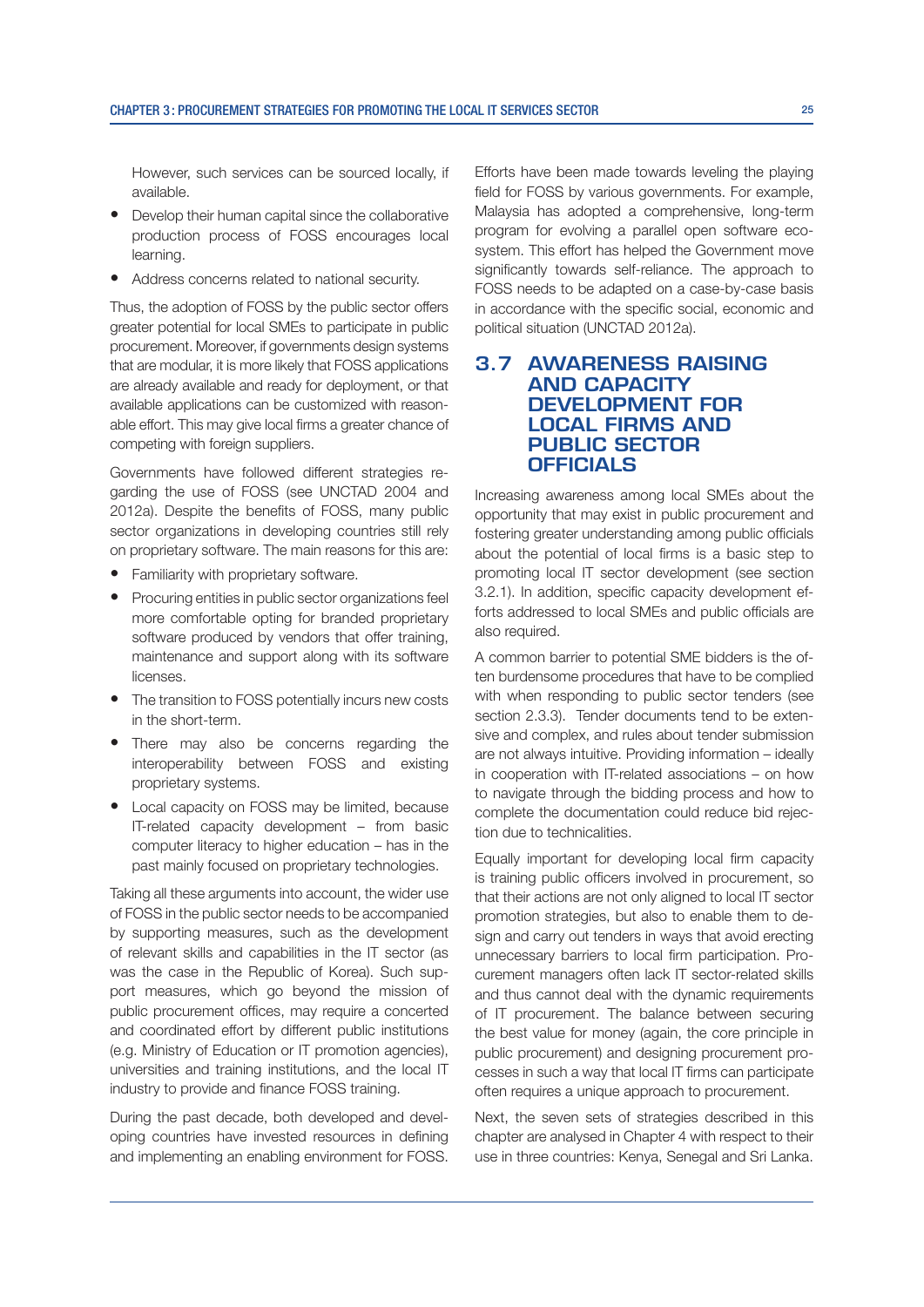However, such services can be sourced locally, if available.

- Develop their human capital since the collaborative production process of FOSS encourages local learning.
- Address concerns related to national security.

Thus, the adoption of FOSS by the public sector offers greater potential for local SMEs to participate in public procurement. Moreover, if governments design systems that are modular, it is more likely that FOSS applications are already available and ready for deployment, or that available applications can be customized with reasonable effort. This may give local firms a greater chance of competing with foreign suppliers.

Governments have followed different strategies regarding the use of FOSS (see UNCTAD 2004 and 2012a). Despite the benefits of FOSS, many public sector organizations in developing countries still rely on proprietary software. The main reasons for this are:

- Familiarity with proprietary software.
- Procuring entities in public sector organizations feel more comfortable opting for branded proprietary software produced by vendors that offer training, maintenance and support along with its software licenses.
- The transition to FOSS potentially incurs new costs in the short-term.
- There may also be concerns regarding the interoperability between FOSS and existing proprietary systems.
- Local capacity on FOSS may be limited, because IT-related capacity development – from basic computer literacy to higher education – has in the past mainly focused on proprietary technologies.

Taking all these arguments into account, the wider use of FOSS in the public sector needs to be accompanied by supporting measures, such as the development of relevant skills and capabilities in the IT sector (as was the case in the Republic of Korea). Such support measures, which go beyond the mission of public procurement offices, may require a concerted and coordinated effort by different public institutions (e.g. Ministry of Education or IT promotion agencies), universities and training institutions, and the local IT industry to provide and finance FOSS training.

During the past decade, both developed and developing countries have invested resources in defining and implementing an enabling environment for FOSS. Efforts have been made towards leveling the playing field for FOSS by various governments. For example, Malaysia has adopted a comprehensive, long-term program for evolving a parallel open software ecosystem. This effort has helped the Government move significantly towards self-reliance. The approach to FOSS needs to be adapted on a case-by-case basis in accordance with the specific social, economic and political situation (UNCTAD 2012a).

# **3.7 AWARENESS RAISING AND CAPACITY DEVELOPMENT FOR LOCAL FIRMS AND PUBLIC SECTOR OFFICIALS**

Increasing awareness among local SMEs about the opportunity that may exist in public procurement and fostering greater understanding among public officials about the potential of local firms is a basic step to promoting local IT sector development (see section 3.2.1). In addition, specific capacity development efforts addressed to local SMEs and public officials are also required.

A common barrier to potential SME bidders is the often burdensome procedures that have to be complied with when responding to public sector tenders (see section 2.3.3). Tender documents tend to be extensive and complex, and rules about tender submission are not always intuitive. Providing information – ideally in cooperation with IT-related associations – on how to navigate through the bidding process and how to complete the documentation could reduce bid rejection due to technicalities.

Equally important for developing local firm capacity is training public officers involved in procurement, so that their actions are not only aligned to local IT sector promotion strategies, but also to enable them to design and carry out tenders in ways that avoid erecting unnecessary barriers to local firm participation. Procurement managers often lack IT sector-related skills and thus cannot deal with the dynamic requirements of IT procurement. The balance between securing the best value for money (again, the core principle in public procurement) and designing procurement processes in such a way that local IT firms can participate often requires a unique approach to procurement.

Next, the seven sets of strategies described in this chapter are analysed in Chapter 4 with respect to their use in three countries: Kenya, Senegal and Sri Lanka.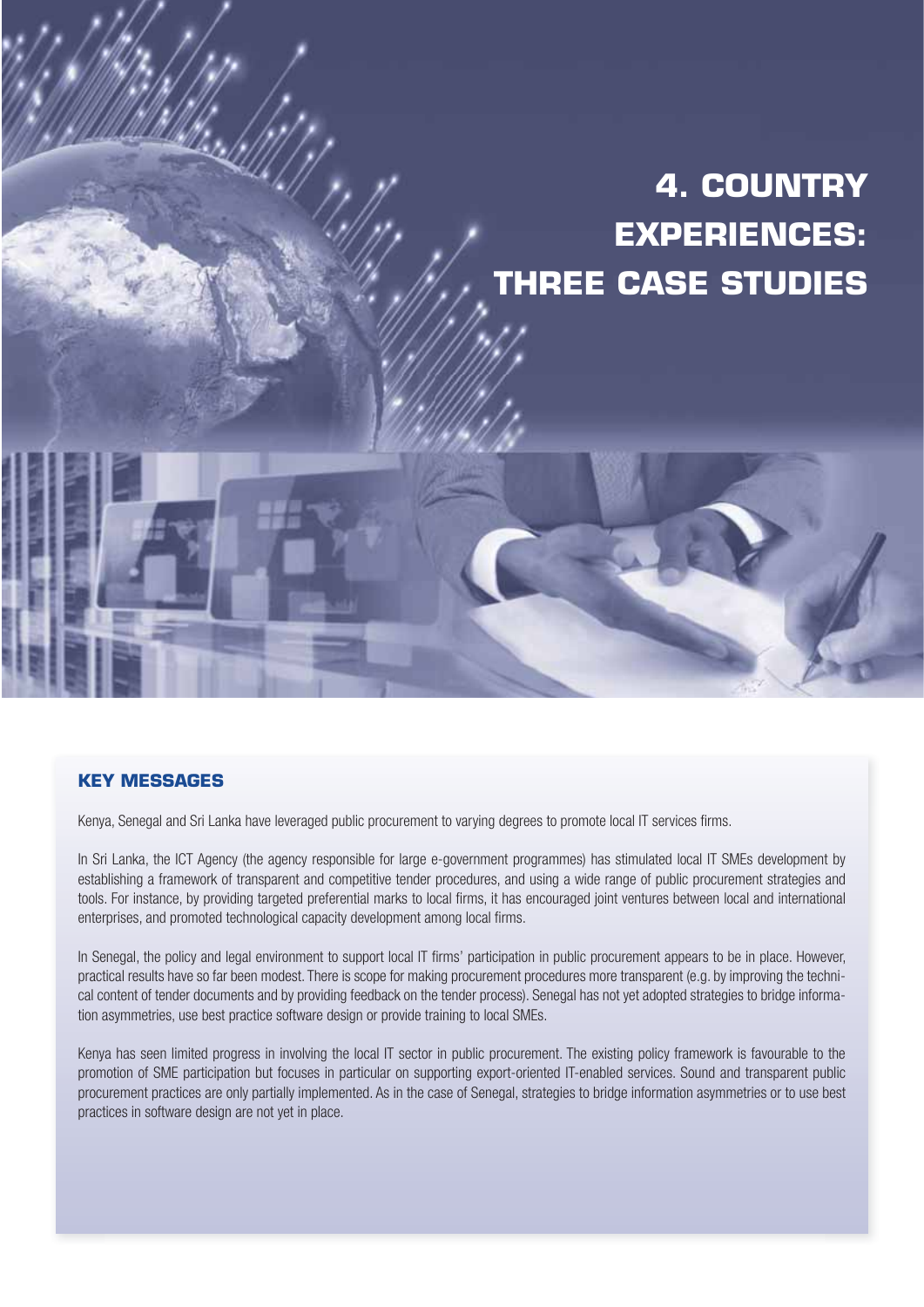# **4. COUNTRY EXPERIENCES: THREE CASE STUDIES**

## **KEY MESSAGES**

Kenya, Senegal and Sri Lanka have leveraged public procurement to varying degrees to promote local IT services firms.

In Sri Lanka, the ICT Agency (the agency responsible for large e-government programmes) has stimulated local IT SMEs development by establishing a framework of transparent and competitive tender procedures, and using a wide range of public procurement strategies and tools. For instance, by providing targeted preferential marks to local firms, it has encouraged joint ventures between local and international enterprises, and promoted technological capacity development among local firms.

In Senegal, the policy and legal environment to support local IT firms' participation in public procurement appears to be in place. However, practical results have so far been modest. There is scope for making procurement procedures more transparent (e.g. by improving the technical content of tender documents and by providing feedback on the tender process). Senegal has not yet adopted strategies to bridge information asymmetries, use best practice software design or provide training to local SMEs.

Kenya has seen limited progress in involving the local IT sector in public procurement. The existing policy framework is favourable to the promotion of SME participation but focuses in particular on supporting export-oriented IT-enabled services. Sound and transparent public procurement practices are only partially implemented. As in the case of Senegal, strategies to bridge information asymmetries or to use best practices in software design are not yet in place.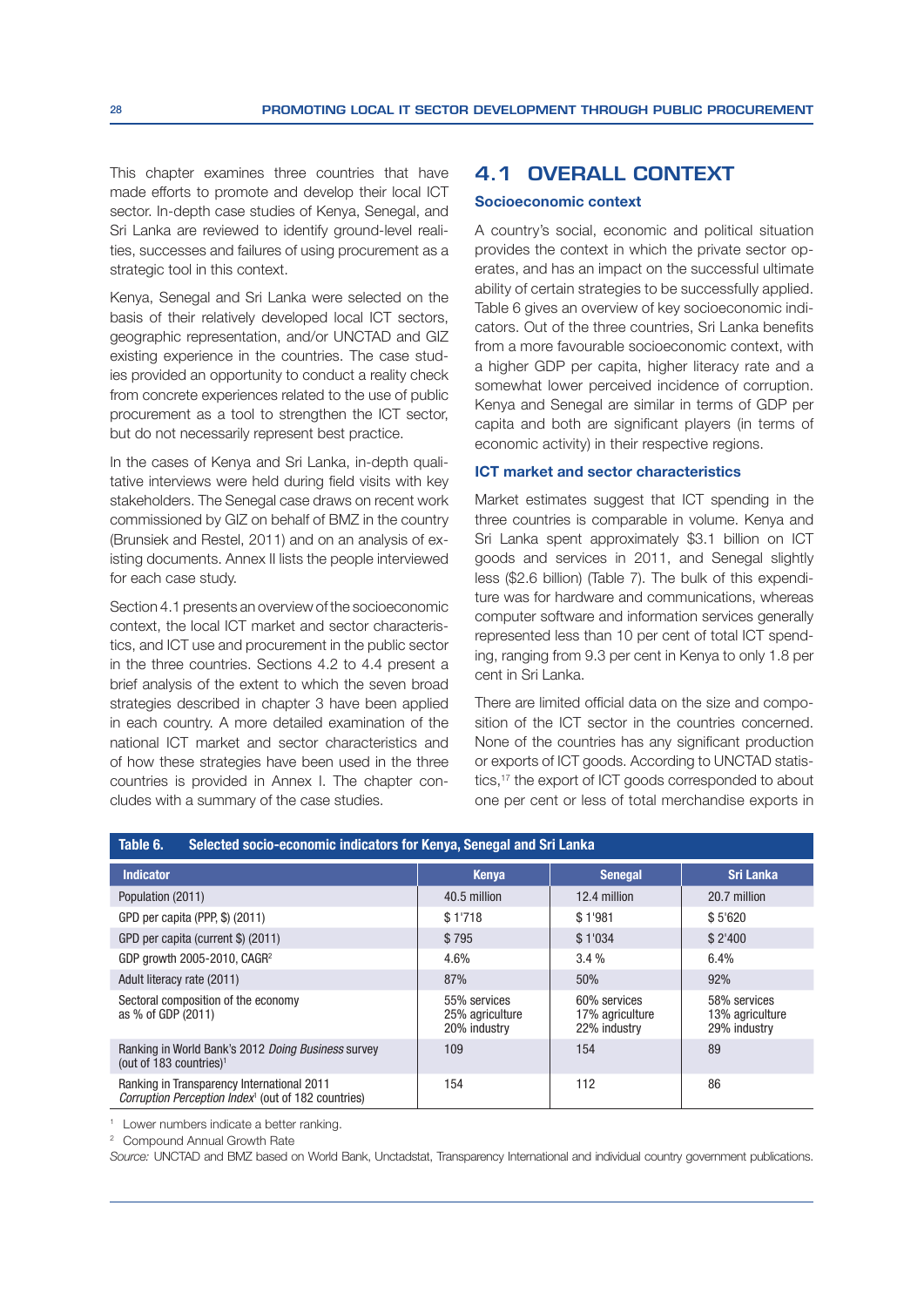This chapter examines three countries that have made efforts to promote and develop their local ICT sector. In-depth case studies of Kenya, Senegal, and Sri Lanka are reviewed to identify ground-level realities, successes and failures of using procurement as a strategic tool in this context.

Kenya, Senegal and Sri Lanka were selected on the basis of their relatively developed local ICT sectors, geographic representation, and/or UNCTAD and GIZ existing experience in the countries. The case studies provided an opportunity to conduct a reality check from concrete experiences related to the use of public procurement as a tool to strengthen the ICT sector, but do not necessarily represent best practice.

In the cases of Kenya and Sri Lanka, in-depth qualitative interviews were held during field visits with key stakeholders. The Senegal case draws on recent work commissioned by GIZ on behalf of BMZ in the country (Brunsiek and Restel, 2011) and on an analysis of existing documents. Annex II lists the people interviewed for each case study.

Section 4.1 presents an overview of the socioeconomic context, the local ICT market and sector characteristics, and ICT use and procurement in the public sector in the three countries. Sections 4.2 to 4.4 present a brief analysis of the extent to which the seven broad strategies described in chapter 3 have been applied in each country. A more detailed examination of the national ICT market and sector characteristics and of how these strategies have been used in the three countries is provided in Annex I. The chapter concludes with a summary of the case studies.

## **4.1 OVERALL CONTEXT**

#### Socioeconomic context

A country's social, economic and political situation provides the context in which the private sector operates, and has an impact on the successful ultimate ability of certain strategies to be successfully applied. Table 6 gives an overview of key socioeconomic indicators. Out of the three countries, Sri Lanka benefits from a more favourable socioeconomic context, with a higher GDP per capita, higher literacy rate and a somewhat lower perceived incidence of corruption. Kenya and Senegal are similar in terms of GDP per capita and both are significant players (in terms of economic activity) in their respective regions.

#### ICT market and sector characteristics

Market estimates suggest that ICT spending in the three countries is comparable in volume. Kenya and Sri Lanka spent approximately \$3.1 billion on ICT goods and services in 2011, and Senegal slightly less (\$2.6 billion) (Table 7). The bulk of this expenditure was for hardware and communications, whereas computer software and information services generally represented less than 10 per cent of total ICT spending, ranging from 9.3 per cent in Kenya to only 1.8 per cent in Sri Lanka.

There are limited official data on the size and composition of the ICT sector in the countries concerned. None of the countries has any significant production or exports of ICT goods. According to UNCTAD statistics,<sup>17</sup> the export of ICT goods corresponded to about one per cent or less of total merchandise exports in

| Selected socio-economic indicators for Kenya, Senegal and Sri Lanka<br>Table 6.                               |                                                 |                                                 |                                                 |  |  |  |  |  |
|---------------------------------------------------------------------------------------------------------------|-------------------------------------------------|-------------------------------------------------|-------------------------------------------------|--|--|--|--|--|
| <b>Indicator</b>                                                                                              | <b>Kenya</b>                                    | <b>Senegal</b>                                  | <b>Sri Lanka</b>                                |  |  |  |  |  |
| Population (2011)                                                                                             | 40.5 million                                    | 12.4 million                                    | 20.7 million                                    |  |  |  |  |  |
| GPD per capita (PPP, \$) (2011)                                                                               | \$1'718                                         | \$1'981                                         | \$5'620                                         |  |  |  |  |  |
| GPD per capita (current \$) (2011)                                                                            | \$795                                           | \$1'034                                         | \$2'400                                         |  |  |  |  |  |
| GDP growth 2005-2010, CAGR <sup>2</sup>                                                                       | 4.6%                                            | 3.4%                                            | 6.4%                                            |  |  |  |  |  |
| Adult literacy rate (2011)                                                                                    | 87%                                             | 50%                                             | 92%                                             |  |  |  |  |  |
| Sectoral composition of the economy<br>as % of GDP (2011)                                                     | 55% services<br>25% agriculture<br>20% industry | 60% services<br>17% agriculture<br>22% industry | 58% services<br>13% agriculture<br>29% industry |  |  |  |  |  |
| Ranking in World Bank's 2012 Doing Business survey<br>(out of 183 countries) <sup>1</sup>                     | 109                                             | 154                                             | 89                                              |  |  |  |  |  |
| Ranking in Transparency International 2011<br>Corruption Perception Index <sup>1</sup> (out of 182 countries) | 154                                             | 112                                             | 86                                              |  |  |  |  |  |

<sup>1</sup> Lower numbers indicate a better ranking.

2 Compound Annual Growth Rate

Source: UNCTAD and BMZ based on World Bank, Unctadstat, Transparency International and individual country government publications.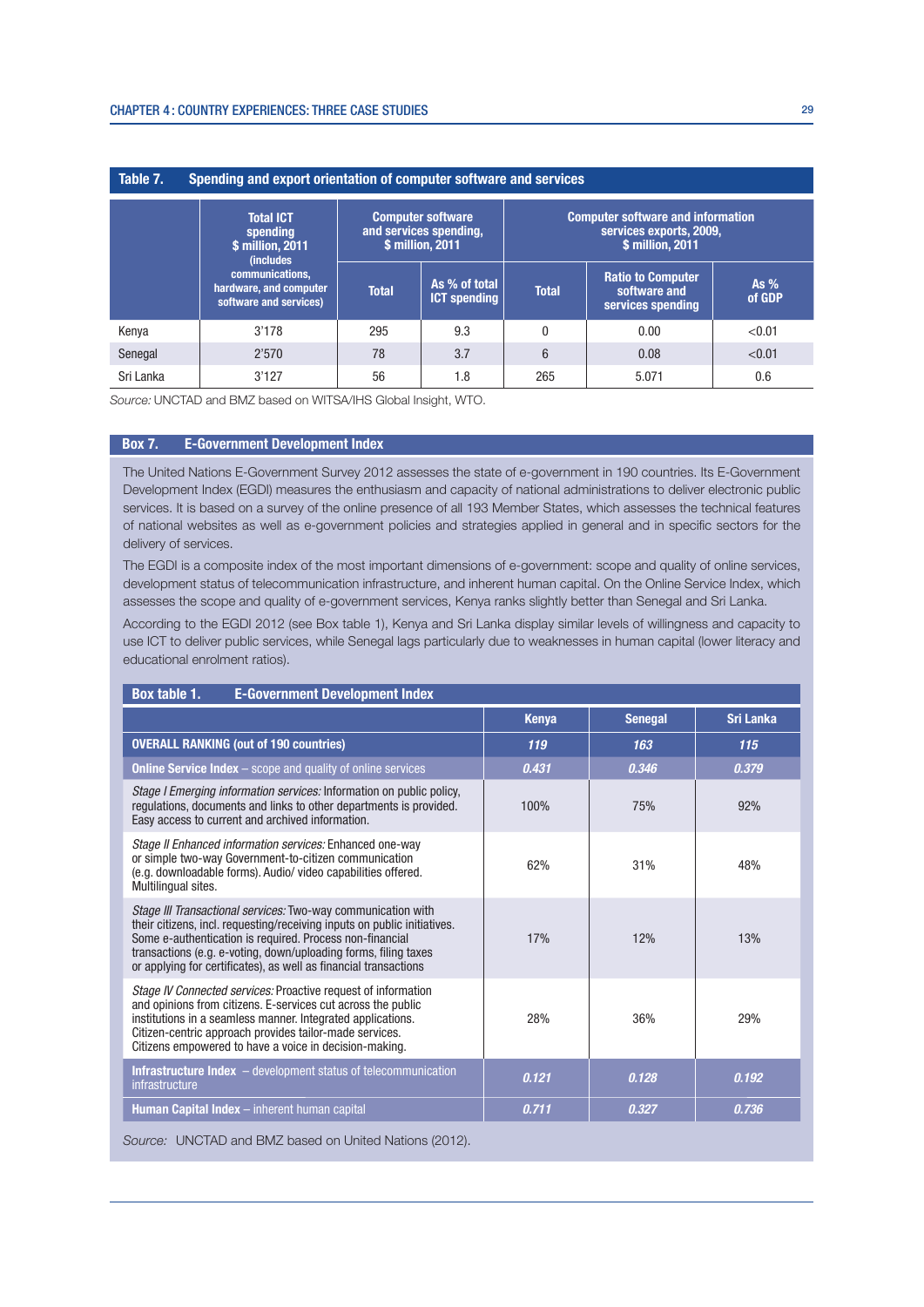| Spending and export orientation of computer software and services<br>Table 7. |                                                                       |                                                                        |                                      |                                                                                         |                                                               |                  |
|-------------------------------------------------------------------------------|-----------------------------------------------------------------------|------------------------------------------------------------------------|--------------------------------------|-----------------------------------------------------------------------------------------|---------------------------------------------------------------|------------------|
|                                                                               | <b>Total ICT</b><br>spending<br>\$ million, 2011<br><i>(includes)</i> | <b>Computer software</b><br>and services spending,<br>\$ million, 2011 |                                      | <b>Computer software and information</b><br>services exports, 2009,<br>\$ million, 2011 |                                                               |                  |
|                                                                               | communications.<br>hardware, and computer<br>software and services)   | <b>Total</b>                                                           | As % of total<br><b>ICT spending</b> | <b>Total</b>                                                                            | <b>Ratio to Computer</b><br>software and<br>services spending | As $%$<br>of GDP |
| Kenya                                                                         | 3'178                                                                 | 295                                                                    | 9.3                                  | $\theta$                                                                                | 0.00                                                          | < 0.01           |
| Senegal                                                                       | 2'570                                                                 | 78                                                                     | 3.7                                  | $6\phantom{1}$                                                                          | 0.08                                                          | < 0.01           |
| Sri Lanka                                                                     | 3'127                                                                 | 56                                                                     | 1.8                                  | 265                                                                                     | 5.071                                                         | 0.6              |

Source: UNCTAD and BMZ based on WITSA/IHS Global Insight, WTO.

#### Box 7. E-Government Development Index

The United Nations E-Government Survey 2012 assesses the state of e-government in 190 countries. Its E-Government Development Index (EGDI) measures the enthusiasm and capacity of national administrations to deliver electronic public services. It is based on a survey of the online presence of all 193 Member States, which assesses the technical features of national websites as well as e-government policies and strategies applied in general and in specific sectors for the delivery of services.

The EGDI is a composite index of the most important dimensions of e-government: scope and quality of online services, development status of telecommunication infrastructure, and inherent human capital. On the Online Service Index, which assesses the scope and quality of e-government services, Kenya ranks slightly better than Senegal and Sri Lanka.

According to the EGDI 2012 (see Box table 1), Kenya and Sri Lanka display similar levels of willingness and capacity to use ICT to deliver public services, while Senegal lags particularly due to weaknesses in human capital (lower literacy and educational enrolment ratios).

| Box table 1.<br><b>E-Government Development Index</b>                                                                                                                                                                                                                                                                                       |              |                |                  |  |  |
|---------------------------------------------------------------------------------------------------------------------------------------------------------------------------------------------------------------------------------------------------------------------------------------------------------------------------------------------|--------------|----------------|------------------|--|--|
|                                                                                                                                                                                                                                                                                                                                             | <b>Kenya</b> | <b>Senegal</b> | <b>Sri Lanka</b> |  |  |
| <b>OVERALL RANKING (out of 190 countries)</b>                                                                                                                                                                                                                                                                                               | 119          | 163            | 115              |  |  |
| <b>Online Service Index</b> - scope and quality of online services                                                                                                                                                                                                                                                                          | 0.431        | 0.346          | 0.379            |  |  |
| Stage I Emerging information services: Information on public policy,<br>regulations, documents and links to other departments is provided.<br>Easy access to current and archived information.                                                                                                                                              | 100%         | 75%            | 92%              |  |  |
| Stage II Enhanced information services: Enhanced one-way<br>or simple two-way Government-to-citizen communication<br>(e.g. downloadable forms). Audio/ video capabilities offered.<br>Multilingual sites.                                                                                                                                   | 62%          | 31%            | 48%              |  |  |
| Stage III Transactional services: Two-way communication with<br>their citizens, incl. requesting/receiving inputs on public initiatives.<br>Some e-authentication is required. Process non-financial<br>transactions (e.g. e-voting, down/uploading forms, filing taxes<br>or applying for certificates), as well as financial transactions | 17%          | 12%            | 13%              |  |  |
| Stage IV Connected services: Proactive request of information<br>and opinions from citizens. E-services cut across the public<br>institutions in a seamless manner. Integrated applications.<br>Citizen-centric approach provides tailor-made services.<br>Citizens empowered to have a voice in decision-making.                           | 28%          | 36%            | 29%              |  |  |
| <b>Infrastructure Index</b> $-$ development status of telecommunication<br>infrastructure                                                                                                                                                                                                                                                   | 0.121        | 0.128          | 0.192            |  |  |
| Human Capital Index - inherent human capital                                                                                                                                                                                                                                                                                                | 0.711        | 0.327          | 0.736            |  |  |

Source: UNCTAD and BMZ based on United Nations (2012).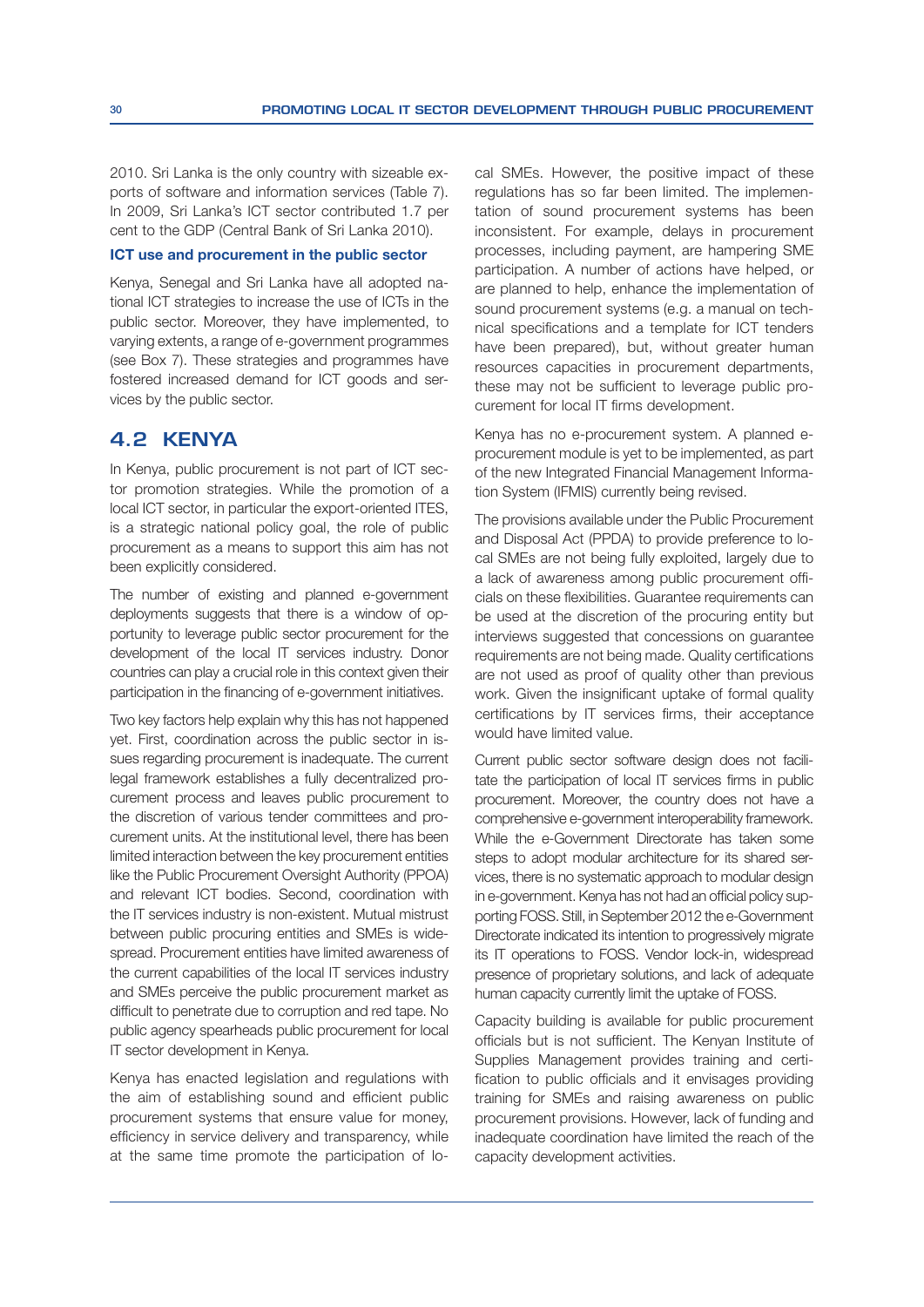2010. Sri Lanka is the only country with sizeable exports of software and information services (Table 7). In 2009, Sri Lanka's ICT sector contributed 1.7 per cent to the GDP (Central Bank of Sri Lanka 2010).

## ICT use and procurement in the public sector

Kenya, Senegal and Sri Lanka have all adopted national ICT strategies to increase the use of ICTs in the public sector. Moreover, they have implemented, to varying extents, a range of e-government programmes (see Box 7). These strategies and programmes have fostered increased demand for ICT goods and services by the public sector.

# **4.2 KENYA**

In Kenya, public procurement is not part of ICT sector promotion strategies. While the promotion of a local ICT sector, in particular the export-oriented ITES, is a strategic national policy goal, the role of public procurement as a means to support this aim has not been explicitly considered.

The number of existing and planned e-government deployments suggests that there is a window of opportunity to leverage public sector procurement for the development of the local IT services industry. Donor countries can play a crucial role in this context given their participation in the financing of e-government initiatives.

Two key factors help explain why this has not happened yet. First, coordination across the public sector in issues regarding procurement is inadequate. The current legal framework establishes a fully decentralized procurement process and leaves public procurement to the discretion of various tender committees and procurement units. At the institutional level, there has been limited interaction between the key procurement entities like the Public Procurement Oversight Authority (PPOA) and relevant ICT bodies. Second, coordination with the IT services industry is non-existent. Mutual mistrust between public procuring entities and SMEs is widespread. Procurement entities have limited awareness of the current capabilities of the local IT services industry and SMEs perceive the public procurement market as difficult to penetrate due to corruption and red tape. No public agency spearheads public procurement for local IT sector development in Kenya.

Kenya has enacted legislation and regulations with the aim of establishing sound and efficient public procurement systems that ensure value for money, efficiency in service delivery and transparency, while at the same time promote the participation of local SMEs. However, the positive impact of these regulations has so far been limited. The implementation of sound procurement systems has been inconsistent. For example, delays in procurement processes, including payment, are hampering SME participation. A number of actions have helped, or are planned to help, enhance the implementation of sound procurement systems (e.g. a manual on technical specifications and a template for ICT tenders have been prepared), but, without greater human resources capacities in procurement departments, these may not be sufficient to leverage public procurement for local IT firms development.

Kenya has no e-procurement system. A planned eprocurement module is yet to be implemented, as part of the new Integrated Financial Management Information System (IFMIS) currently being revised.

The provisions available under the Public Procurement and Disposal Act (PPDA) to provide preference to local SMEs are not being fully exploited, largely due to a lack of awareness among public procurement officials on these flexibilities. Guarantee requirements can be used at the discretion of the procuring entity but interviews suggested that concessions on guarantee requirements are not being made. Quality certifications are not used as proof of quality other than previous work. Given the insignificant uptake of formal quality certifications by IT services firms, their acceptance would have limited value.

Current public sector software design does not facilitate the participation of local IT services firms in public procurement. Moreover, the country does not have a comprehensive e-government interoperability framework. While the e-Government Directorate has taken some steps to adopt modular architecture for its shared services, there is no systematic approach to modular design in e-government. Kenya has not had an official policy supporting FOSS. Still, in September 2012 the e-Government Directorate indicated its intention to progressively migrate its IT operations to FOSS. Vendor lock-in, widespread presence of proprietary solutions, and lack of adequate human capacity currently limit the uptake of FOSS.

Capacity building is available for public procurement officials but is not sufficient. The Kenyan Institute of Supplies Management provides training and certification to public officials and it envisages providing training for SMEs and raising awareness on public procurement provisions. However, lack of funding and inadequate coordination have limited the reach of the capacity development activities.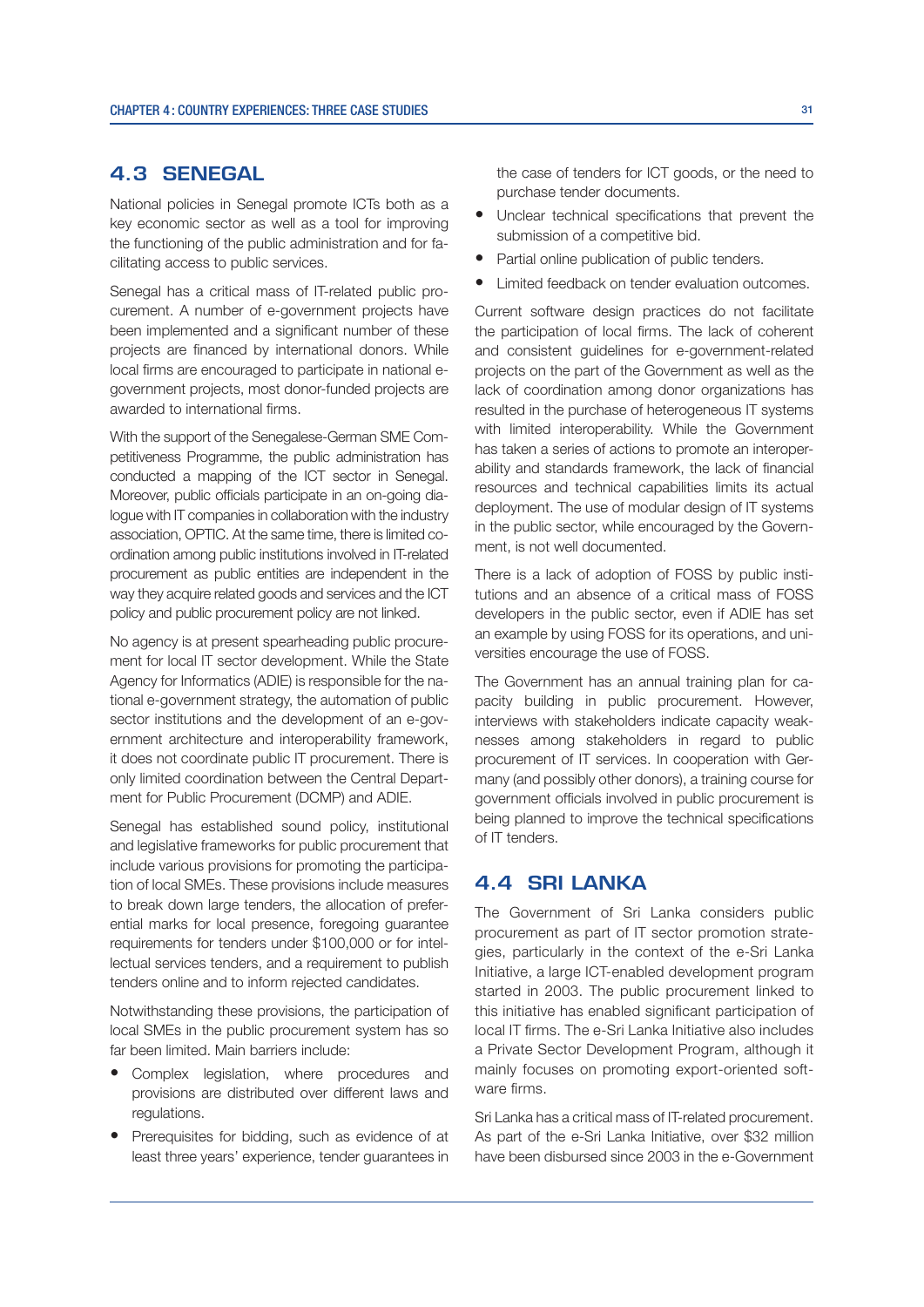# **4.3 SENEGAL**

National policies in Senegal promote ICTs both as a key economic sector as well as a tool for improving the functioning of the public administration and for facilitating access to public services.

Senegal has a critical mass of IT-related public procurement. A number of e-government projects have been implemented and a significant number of these projects are financed by international donors. While local firms are encouraged to participate in national egovernment projects, most donor-funded projects are awarded to international firms.

With the support of the Senegalese-German SME Competitiveness Programme, the public administration has conducted a mapping of the ICT sector in Senegal. Moreover, public officials participate in an on-going dialogue with IT companies in collaboration with the industry association, OPTIC. At the same time, there is limited coordination among public institutions involved in IT-related procurement as public entities are independent in the way they acquire related goods and services and the ICT policy and public procurement policy are not linked.

No agency is at present spearheading public procurement for local IT sector development. While the State Agency for Informatics (ADIE) is responsible for the national e-government strategy, the automation of public sector institutions and the development of an e-government architecture and interoperability framework, it does not coordinate public IT procurement. There is only limited coordination between the Central Department for Public Procurement (DCMP) and ADIE.

Senegal has established sound policy, institutional and legislative frameworks for public procurement that include various provisions for promoting the participation of local SMEs. These provisions include measures to break down large tenders, the allocation of preferential marks for local presence, foregoing guarantee requirements for tenders under \$100,000 or for intellectual services tenders, and a requirement to publish tenders online and to inform rejected candidates.

Notwithstanding these provisions, the participation of local SMEs in the public procurement system has so far been limited. Main barriers include:

- Complex legislation, where procedures and provisions are distributed over different laws and regulations.
- Prerequisites for bidding, such as evidence of at least three years' experience, tender guarantees in

the case of tenders for ICT goods, or the need to purchase tender documents.

- Unclear technical specifications that prevent the submission of a competitive bid.
- Partial online publication of public tenders.
- Limited feedback on tender evaluation outcomes.

Current software design practices do not facilitate the participation of local firms. The lack of coherent and consistent guidelines for e-government-related projects on the part of the Government as well as the lack of coordination among donor organizations has resulted in the purchase of heterogeneous IT systems with limited interoperability. While the Government has taken a series of actions to promote an interoperability and standards framework, the lack of financial resources and technical capabilities limits its actual deployment. The use of modular design of IT systems in the public sector, while encouraged by the Government, is not well documented.

There is a lack of adoption of FOSS by public institutions and an absence of a critical mass of FOSS developers in the public sector, even if ADIE has set an example by using FOSS for its operations, and universities encourage the use of FOSS.

The Government has an annual training plan for capacity building in public procurement. However, interviews with stakeholders indicate capacity weaknesses among stakeholders in regard to public procurement of IT services. In cooperation with Germany (and possibly other donors), a training course for government officials involved in public procurement is being planned to improve the technical specifications of IT tenders.

# **4.4 SRI LANKA**

The Government of Sri Lanka considers public procurement as part of IT sector promotion strategies, particularly in the context of the e-Sri Lanka Initiative, a large ICT-enabled development program started in 2003. The public procurement linked to this initiative has enabled significant participation of local IT firms. The e-Sri Lanka Initiative also includes a Private Sector Development Program, although it mainly focuses on promoting export-oriented software firms.

Sri Lanka has a critical mass of IT-related procurement. As part of the e-Sri Lanka Initiative, over \$32 million have been disbursed since 2003 in the e-Government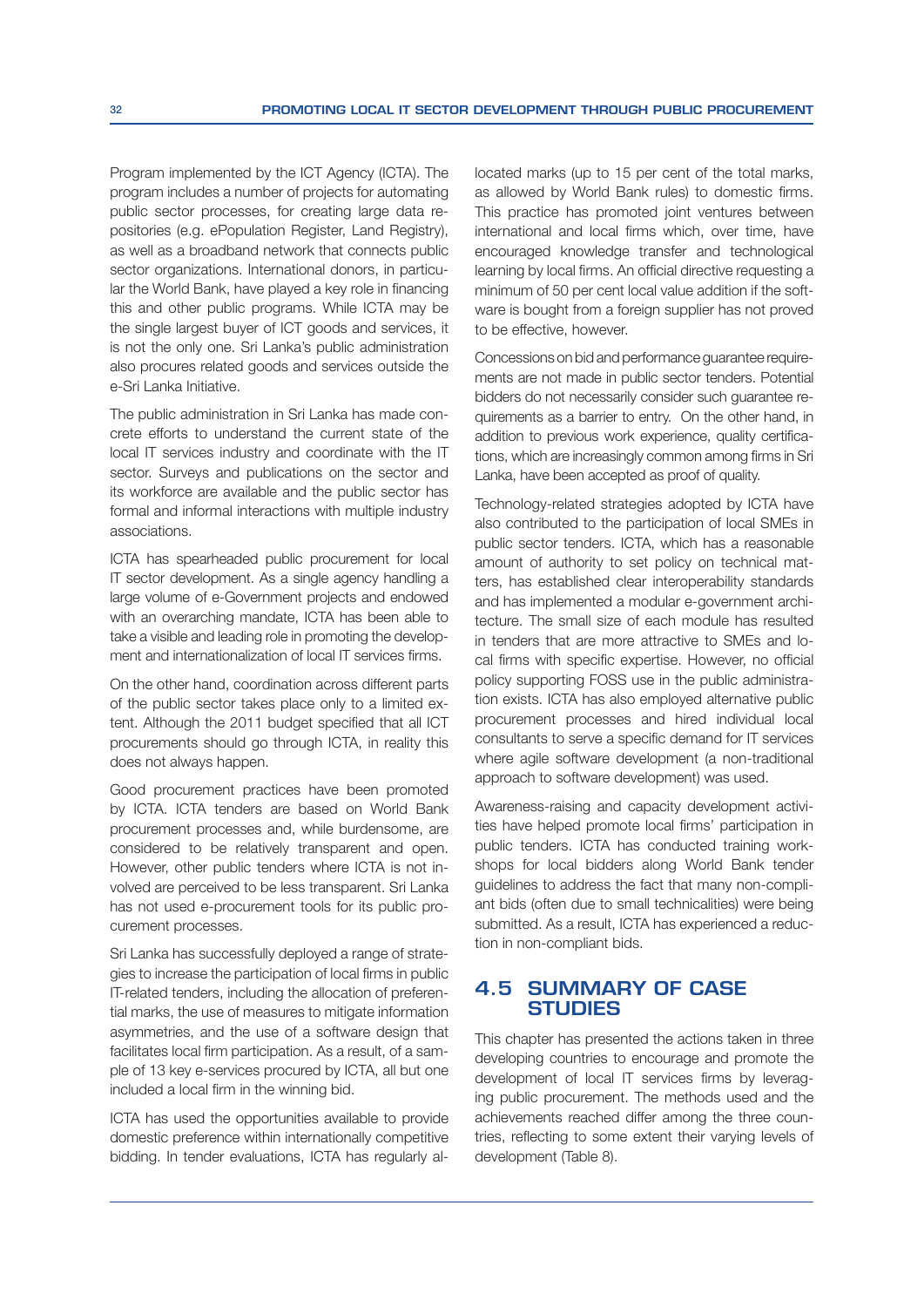Program implemented by the ICT Agency (ICTA). The program includes a number of projects for automating public sector processes, for creating large data repositories (e.g. ePopulation Register, Land Registry), as well as a broadband network that connects public sector organizations. International donors, in particular the World Bank, have played a key role in financing this and other public programs. While ICTA may be the single largest buyer of ICT goods and services, it is not the only one. Sri Lanka's public administration also procures related goods and services outside the e-Sri Lanka Initiative.

The public administration in Sri Lanka has made concrete efforts to understand the current state of the local IT services industry and coordinate with the IT sector. Surveys and publications on the sector and its workforce are available and the public sector has formal and informal interactions with multiple industry associations.

ICTA has spearheaded public procurement for local IT sector development. As a single agency handling a large volume of e-Government projects and endowed with an overarching mandate, ICTA has been able to take a visible and leading role in promoting the development and internationalization of local IT services firms.

On the other hand, coordination across different parts of the public sector takes place only to a limited extent. Although the 2011 budget specified that all ICT procurements should go through ICTA, in reality this does not always happen.

Good procurement practices have been promoted by ICTA. ICTA tenders are based on World Bank procurement processes and, while burdensome, are considered to be relatively transparent and open. However, other public tenders where ICTA is not involved are perceived to be less transparent. Sri Lanka has not used e-procurement tools for its public procurement processes.

Sri Lanka has successfully deployed a range of strategies to increase the participation of local firms in public IT-related tenders, including the allocation of preferential marks, the use of measures to mitigate information asymmetries, and the use of a software design that facilitates local firm participation. As a result, of a sample of 13 key e-services procured by ICTA, all but one included a local firm in the winning bid.

ICTA has used the opportunities available to provide domestic preference within internationally competitive bidding. In tender evaluations, ICTA has regularly allocated marks (up to 15 per cent of the total marks, as allowed by World Bank rules) to domestic firms. This practice has promoted joint ventures between international and local firms which, over time, have encouraged knowledge transfer and technological learning by local firms. An official directive requesting a minimum of 50 per cent local value addition if the software is bought from a foreign supplier has not proved to be effective, however.

Concessions on bid and performance guarantee requirements are not made in public sector tenders. Potential bidders do not necessarily consider such guarantee requirements as a barrier to entry. On the other hand, in addition to previous work experience, quality certifications, which are increasingly common among firms in Sri Lanka, have been accepted as proof of quality.

Technology-related strategies adopted by ICTA have also contributed to the participation of local SMEs in public sector tenders. ICTA, which has a reasonable amount of authority to set policy on technical matters, has established clear interoperability standards and has implemented a modular e-government architecture. The small size of each module has resulted in tenders that are more attractive to SMEs and local firms with specific expertise. However, no official policy supporting FOSS use in the public administration exists. ICTA has also employed alternative public procurement processes and hired individual local consultants to serve a specific demand for IT services where agile software development (a non-traditional approach to software development) was used.

Awareness-raising and capacity development activities have helped promote local firms' participation in public tenders. ICTA has conducted training workshops for local bidders along World Bank tender guidelines to address the fact that many non-compliant bids (often due to small technicalities) were being submitted. As a result, ICTA has experienced a reduction in non-compliant bids.

# **4.5 SUMMARY OF CASE STUDIES**

This chapter has presented the actions taken in three developing countries to encourage and promote the development of local IT services firms by leveraging public procurement. The methods used and the achievements reached differ among the three countries, reflecting to some extent their varving levels of development (Table 8).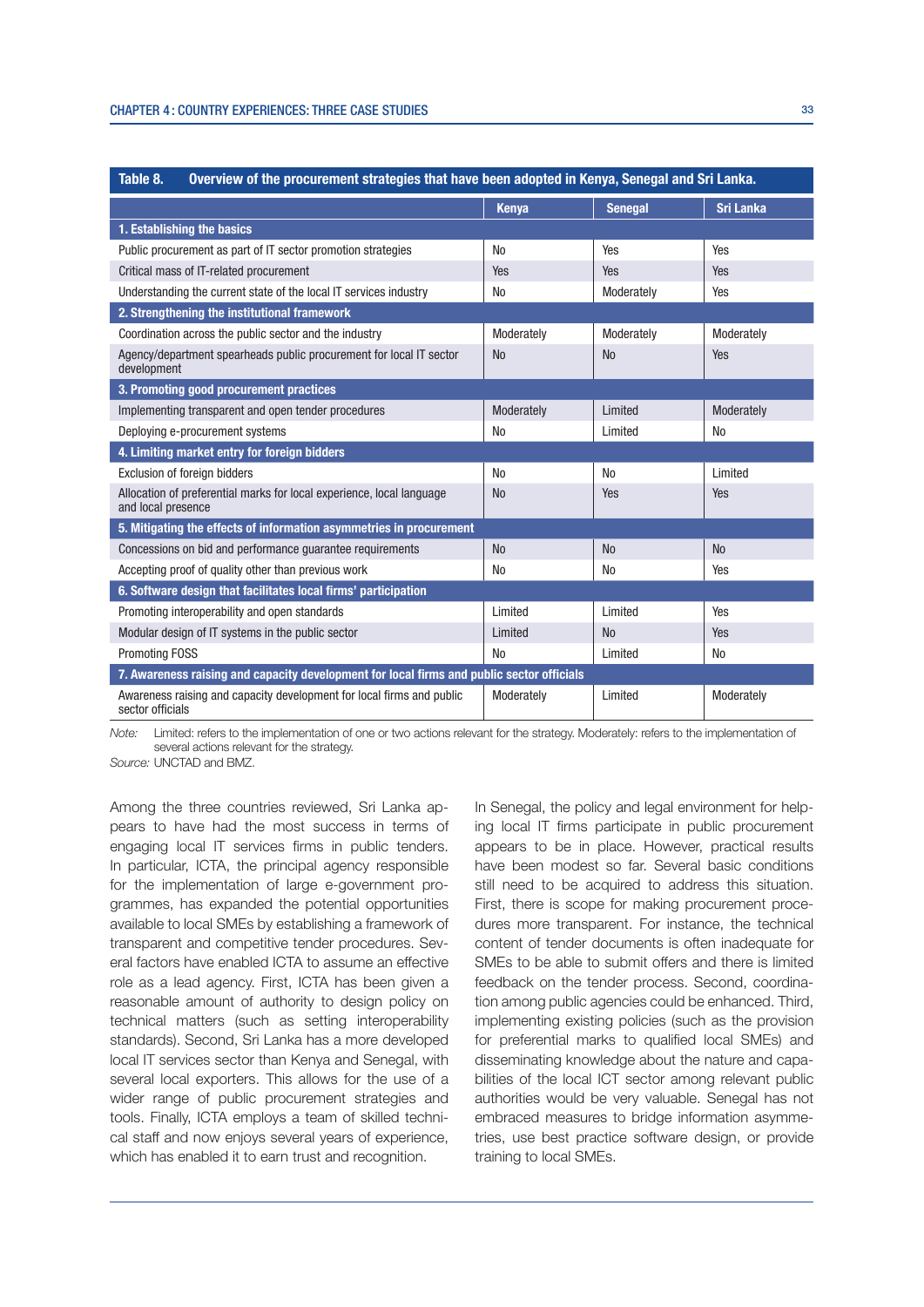| Table 8.<br>Overview of the procurement strategies that have been adopted in Kenya, Senegal and Sri Lanka. |                |                |                  |  |  |
|------------------------------------------------------------------------------------------------------------|----------------|----------------|------------------|--|--|
|                                                                                                            | <b>Kenya</b>   | <b>Senegal</b> | <b>Sri Lanka</b> |  |  |
| 1. Establishing the basics                                                                                 |                |                |                  |  |  |
| Public procurement as part of IT sector promotion strategies                                               | <b>No</b>      | Yes            | Yes              |  |  |
| Critical mass of IT-related procurement                                                                    | Yes            | Yes            | Yes              |  |  |
| Understanding the current state of the local IT services industry                                          | No             | Moderately     | Yes              |  |  |
| 2. Strengthening the institutional framework                                                               |                |                |                  |  |  |
| Coordination across the public sector and the industry                                                     | Moderately     | Moderately     | Moderately       |  |  |
| Agency/department spearheads public procurement for local IT sector<br>development                         | N <sub>0</sub> | N <sub>0</sub> | Yes              |  |  |
| 3. Promoting good procurement practices                                                                    |                |                |                  |  |  |
| Implementing transparent and open tender procedures                                                        | Moderately     | Limited        | Moderately       |  |  |
| Deploying e-procurement systems                                                                            | No             | Limited        | N <sub>0</sub>   |  |  |
| 4. Limiting market entry for foreign bidders                                                               |                |                |                  |  |  |
| Exclusion of foreign bidders                                                                               | <b>No</b>      | <b>No</b>      | Limited          |  |  |
| Allocation of preferential marks for local experience, local language<br>and local presence                | <b>No</b>      | Yes            | Yes              |  |  |
| 5. Mitigating the effects of information asymmetries in procurement                                        |                |                |                  |  |  |
| Concessions on bid and performance quarantee requirements                                                  | <b>No</b>      | No             | <b>No</b>        |  |  |
| Accepting proof of quality other than previous work                                                        | N <sub>0</sub> | N <sub>0</sub> | Yes              |  |  |
| 6. Software design that facilitates local firms' participation                                             |                |                |                  |  |  |
| Promoting interoperability and open standards                                                              | Limited        | Limited        | Yes              |  |  |
| Modular design of IT systems in the public sector                                                          | Limited        | N <sub>0</sub> | Yes              |  |  |
| <b>Promoting FOSS</b>                                                                                      | N <sub>0</sub> | Limited        | N <sub>0</sub>   |  |  |
| 7. Awareness raising and capacity development for local firms and public sector officials                  |                |                |                  |  |  |
| Awareness raising and capacity development for local firms and public<br>sector officials                  | Moderately     | Limited        | Moderately       |  |  |

Note: Limited: refers to the implementation of one or two actions relevant for the strategy. Moderately: refers to the implementation of several actions relevant for the strategy.

Source: UNCTAD and BMZ.

Among the three countries reviewed, Sri Lanka appears to have had the most success in terms of engaging local IT services firms in public tenders. In particular, ICTA, the principal agency responsible for the implementation of large e-government programmes, has expanded the potential opportunities available to local SMEs by establishing a framework of transparent and competitive tender procedures. Several factors have enabled ICTA to assume an effective role as a lead agency. First, ICTA has been given a reasonable amount of authority to design policy on technical matters (such as setting interoperability standards). Second, Sri Lanka has a more developed local IT services sector than Kenya and Senegal, with several local exporters. This allows for the use of a wider range of public procurement strategies and tools. Finally, ICTA employs a team of skilled technical staff and now enjoys several years of experience, which has enabled it to earn trust and recognition.

In Senegal, the policy and legal environment for helping local IT firms participate in public procurement appears to be in place. However, practical results have been modest so far. Several basic conditions still need to be acquired to address this situation. First, there is scope for making procurement procedures more transparent. For instance, the technical content of tender documents is often inadequate for SMEs to be able to submit offers and there is limited feedback on the tender process. Second, coordination among public agencies could be enhanced. Third, implementing existing policies (such as the provision for preferential marks to qualified local SMEs) and disseminating knowledge about the nature and capabilities of the local ICT sector among relevant public authorities would be very valuable. Senegal has not embraced measures to bridge information asymmetries, use best practice software design, or provide training to local SMEs.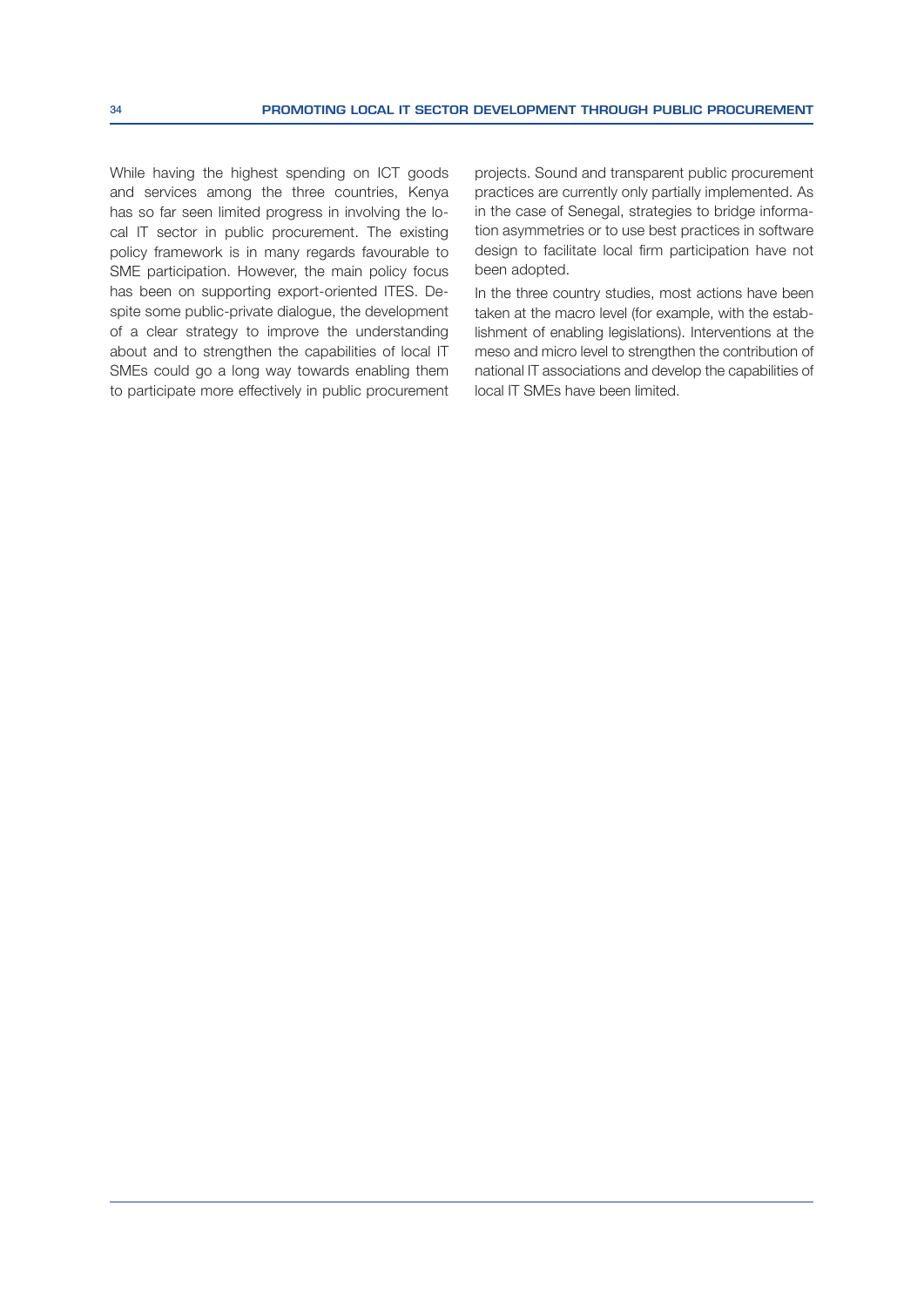While having the highest spending on ICT goods and services among the three countries, Kenya has so far seen limited progress in involving the local IT sector in public procurement. The existing policy framework is in many regards favourable to SME participation. However, the main policy focus has been on supporting export-oriented ITES. Despite some public-private dialogue, the development of a clear strategy to improve the understanding about and to strengthen the capabilities of local IT SMEs could go a long way towards enabling them to participate more effectively in public procurement projects. Sound and transparent public procurement practices are currently only partially implemented. As in the case of Senegal, strategies to bridge information asymmetries or to use best practices in software design to facilitate local firm participation have not been adopted.

In the three country studies, most actions have been taken at the macro level (for example, with the establishment of enabling legislations). Interventions at the meso and micro level to strengthen the contribution of national IT associations and develop the capabilities of local IT SMEs have been limited.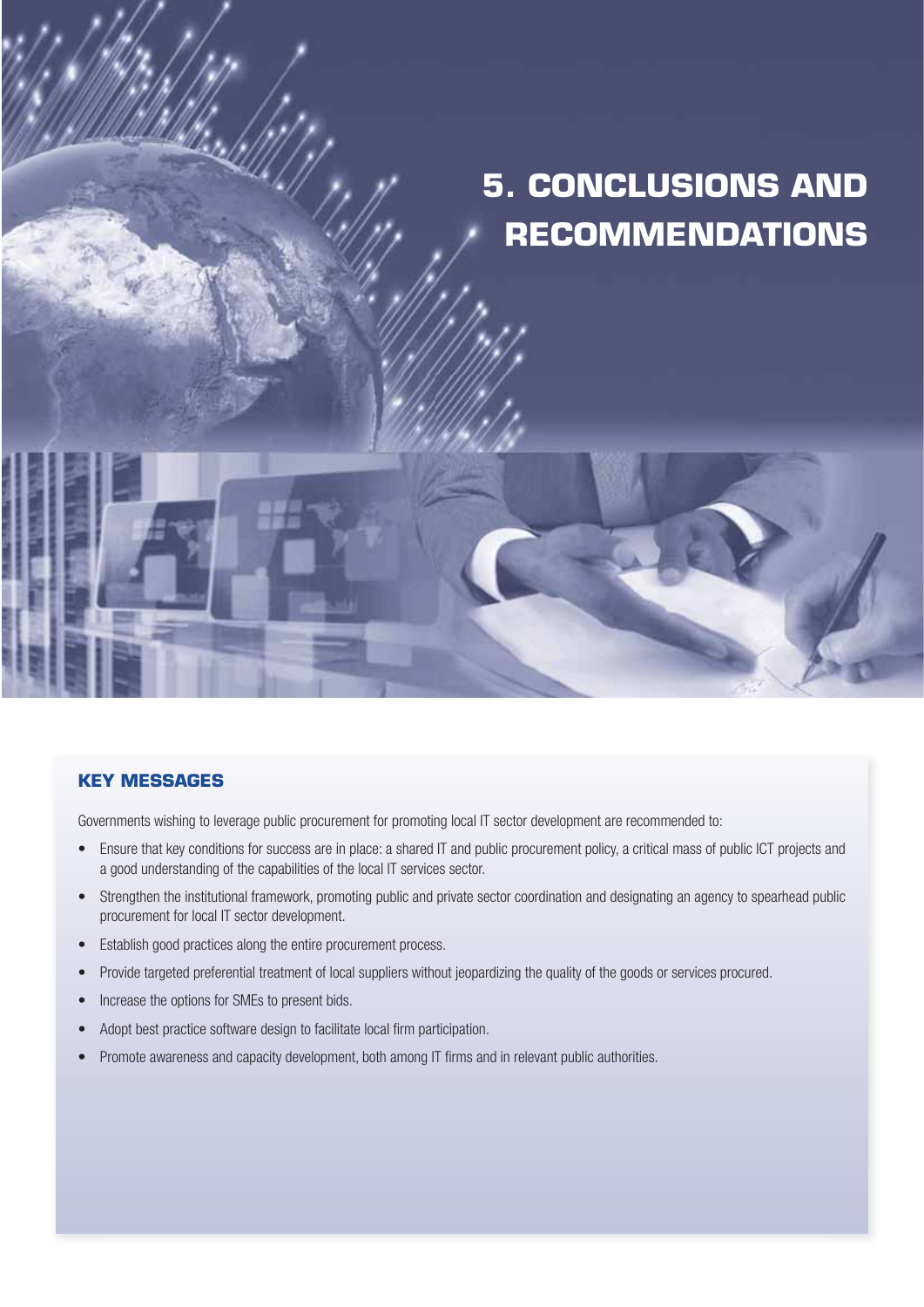# **5. CONCLUSIONS AND RECOMMENDATIONS**

## **KEY MESSAGES**

Governments wishing to leverage public procurement for promoting local IT sector development are recommended to:

- Ensure that key conditions for success are in place: a shared IT and public procurement policy, a critical mass of public ICT projects and a good understanding of the capabilities of the local IT services sector.
- Strengthen the institutional framework, promoting public and private sector coordination and designating an agency to spearhead public procurement for local IT sector development.
- Establish good practices along the entire procurement process.
- Provide targeted preferential treatment of local suppliers without jeopardizing the quality of the goods or services procured.
- Increase the options for SMEs to present bids.
- Adopt best practice software design to facilitate local firm participation.
- Promote awareness and capacity development, both among IT firms and in relevant public authorities.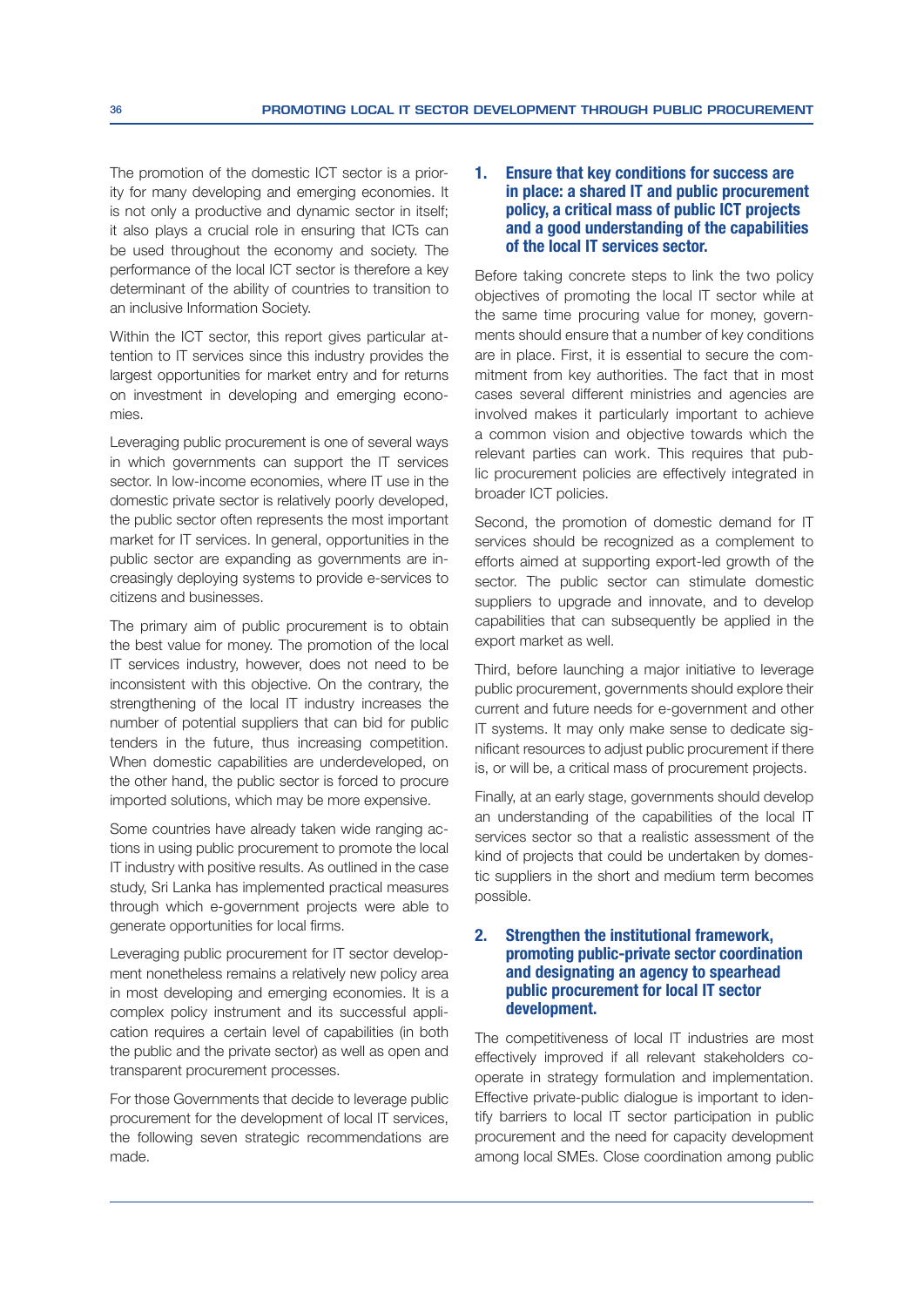The promotion of the domestic ICT sector is a priority for many developing and emerging economies. It is not only a productive and dynamic sector in itself; it also plays a crucial role in ensuring that ICTs can be used throughout the economy and society. The performance of the local ICT sector is therefore a key determinant of the ability of countries to transition to an inclusive Information Society.

Within the ICT sector, this report gives particular attention to IT services since this industry provides the largest opportunities for market entry and for returns on investment in developing and emerging economies.

Leveraging public procurement is one of several ways in which governments can support the IT services sector. In low-income economies, where IT use in the domestic private sector is relatively poorly developed, the public sector often represents the most important market for IT services. In general, opportunities in the public sector are expanding as governments are increasingly deploying systems to provide e-services to citizens and businesses.

The primary aim of public procurement is to obtain the best value for money. The promotion of the local IT services industry, however, does not need to be inconsistent with this objective. On the contrary, the strengthening of the local IT industry increases the number of potential suppliers that can bid for public tenders in the future, thus increasing competition. When domestic capabilities are underdeveloped, on the other hand, the public sector is forced to procure imported solutions, which may be more expensive.

Some countries have already taken wide ranging actions in using public procurement to promote the local IT industry with positive results. As outlined in the case study, Sri Lanka has implemented practical measures through which e-government projects were able to generate opportunities for local firms.

Leveraging public procurement for IT sector development nonetheless remains a relatively new policy area in most developing and emerging economies. It is a complex policy instrument and its successful application requires a certain level of capabilities (in both the public and the private sector) as well as open and transparent procurement processes.

For those Governments that decide to leverage public procurement for the development of local IT services, the following seven strategic recommendations are made.

### 1. Ensure that key conditions for success are in place: a shared IT and public procurement policy, a critical mass of public ICT projects and a good understanding of the capabilities of the local IT services sector.

Before taking concrete steps to link the two policy objectives of promoting the local IT sector while at the same time procuring value for money, governments should ensure that a number of key conditions are in place. First, it is essential to secure the commitment from key authorities. The fact that in most cases several different ministries and agencies are involved makes it particularly important to achieve a common vision and objective towards which the relevant parties can work. This requires that public procurement policies are effectively integrated in broader ICT policies.

Second, the promotion of domestic demand for IT services should be recognized as a complement to efforts aimed at supporting export-led growth of the sector. The public sector can stimulate domestic suppliers to upgrade and innovate, and to develop capabilities that can subsequently be applied in the export market as well.

Third, before launching a major initiative to leverage public procurement, governments should explore their current and future needs for e-government and other IT systems. It may only make sense to dedicate significant resources to adjust public procurement if there is, or will be, a critical mass of procurement projects.

Finally, at an early stage, governments should develop an understanding of the capabilities of the local IT services sector so that a realistic assessment of the kind of projects that could be undertaken by domestic suppliers in the short and medium term becomes possible.

## 2. Strengthen the institutional framework, promoting public-private sector coordination and designating an agency to spearhead public procurement for local IT sector development.

The competitiveness of local IT industries are most effectively improved if all relevant stakeholders cooperate in strategy formulation and implementation. Effective private-public dialogue is important to identify barriers to local IT sector participation in public procurement and the need for capacity development among local SMEs. Close coordination among public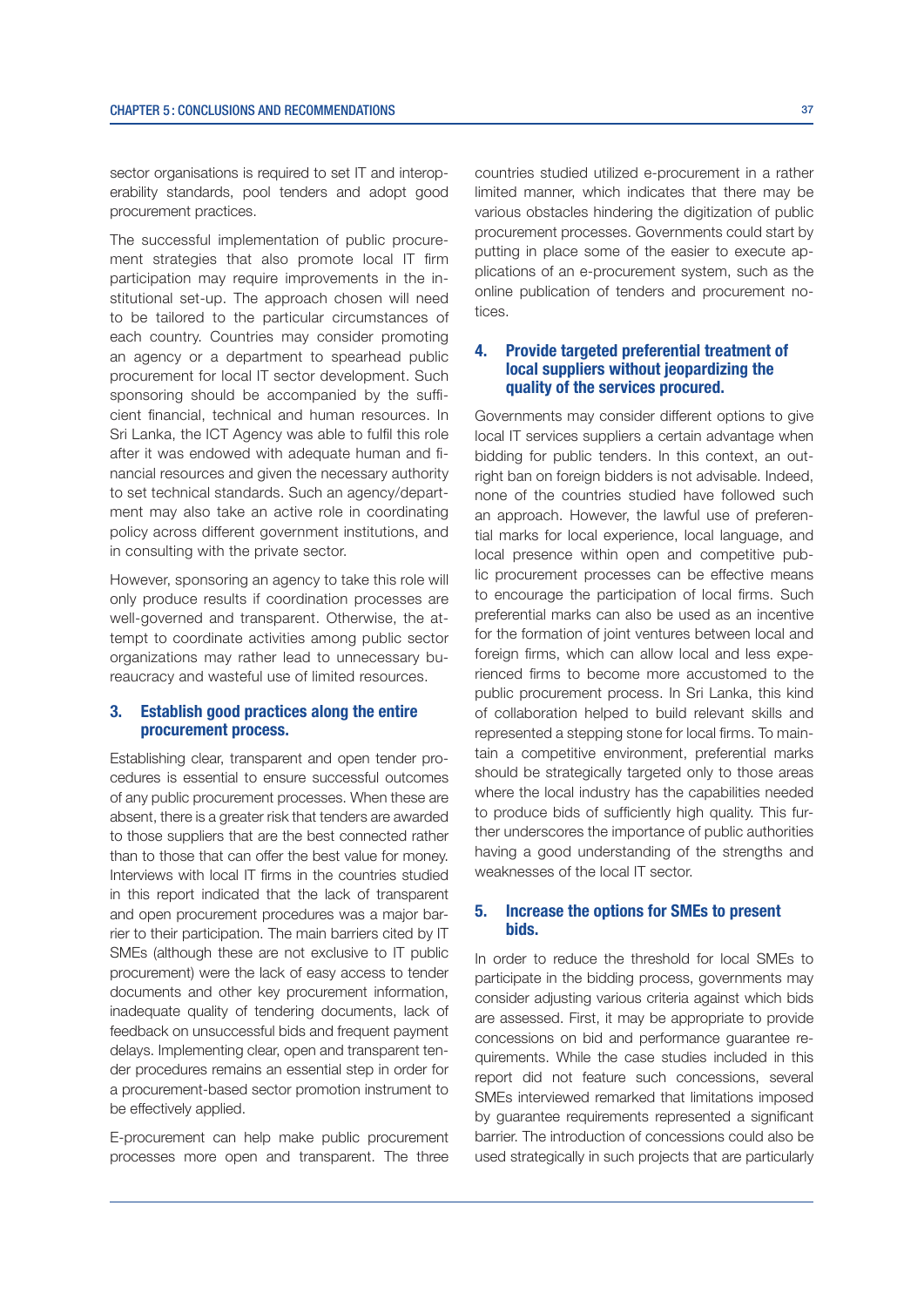sector organisations is required to set IT and interoperability standards, pool tenders and adopt good procurement practices.

The successful implementation of public procurement strategies that also promote local IT firm participation may require improvements in the institutional set-up. The approach chosen will need to be tailored to the particular circumstances of each country. Countries may consider promoting an agency or a department to spearhead public procurement for local IT sector development. Such sponsoring should be accompanied by the sufficient financial, technical and human resources. In Sri Lanka, the ICT Agency was able to fulfil this role after it was endowed with adequate human and financial resources and given the necessary authority to set technical standards. Such an agency/department may also take an active role in coordinating policy across different government institutions, and in consulting with the private sector.

However, sponsoring an agency to take this role will only produce results if coordination processes are well-governed and transparent. Otherwise, the attempt to coordinate activities among public sector organizations may rather lead to unnecessary bureaucracy and wasteful use of limited resources.

#### 3. Establish good practices along the entire procurement process.

Establishing clear, transparent and open tender procedures is essential to ensure successful outcomes of any public procurement processes. When these are absent, there is a greater risk that tenders are awarded to those suppliers that are the best connected rather than to those that can offer the best value for money. Interviews with local IT firms in the countries studied in this report indicated that the lack of transparent and open procurement procedures was a major barrier to their participation. The main barriers cited by IT SMEs (although these are not exclusive to IT public procurement) were the lack of easy access to tender documents and other key procurement information, inadequate quality of tendering documents, lack of feedback on unsuccessful bids and frequent payment delays. Implementing clear, open and transparent tender procedures remains an essential step in order for a procurement-based sector promotion instrument to be effectively applied.

E-procurement can help make public procurement processes more open and transparent. The three

countries studied utilized e-procurement in a rather limited manner, which indicates that there may be various obstacles hindering the digitization of public procurement processes. Governments could start by putting in place some of the easier to execute applications of an e-procurement system, such as the online publication of tenders and procurement notices.

## 4. Provide targeted preferential treatment of local suppliers without jeopardizing the quality of the services procured.

Governments may consider different options to give local IT services suppliers a certain advantage when bidding for public tenders. In this context, an outright ban on foreign bidders is not advisable. Indeed, none of the countries studied have followed such an approach. However, the lawful use of preferential marks for local experience, local language, and local presence within open and competitive public procurement processes can be effective means to encourage the participation of local firms. Such preferential marks can also be used as an incentive for the formation of joint ventures between local and foreign firms, which can allow local and less experienced firms to become more accustomed to the public procurement process. In Sri Lanka, this kind of collaboration helped to build relevant skills and represented a stepping stone for local firms. To maintain a competitive environment, preferential marks should be strategically targeted only to those areas where the local industry has the capabilities needed to produce bids of sufficiently high quality. This further underscores the importance of public authorities having a good understanding of the strengths and weaknesses of the local IT sector.

## 5. Increase the options for SMEs to present bids.

In order to reduce the threshold for local SMEs to participate in the bidding process, governments may consider adjusting various criteria against which bids are assessed. First, it may be appropriate to provide concessions on bid and performance guarantee requirements. While the case studies included in this report did not feature such concessions, several SMEs interviewed remarked that limitations imposed by quarantee requirements represented a significant barrier. The introduction of concessions could also be used strategically in such projects that are particularly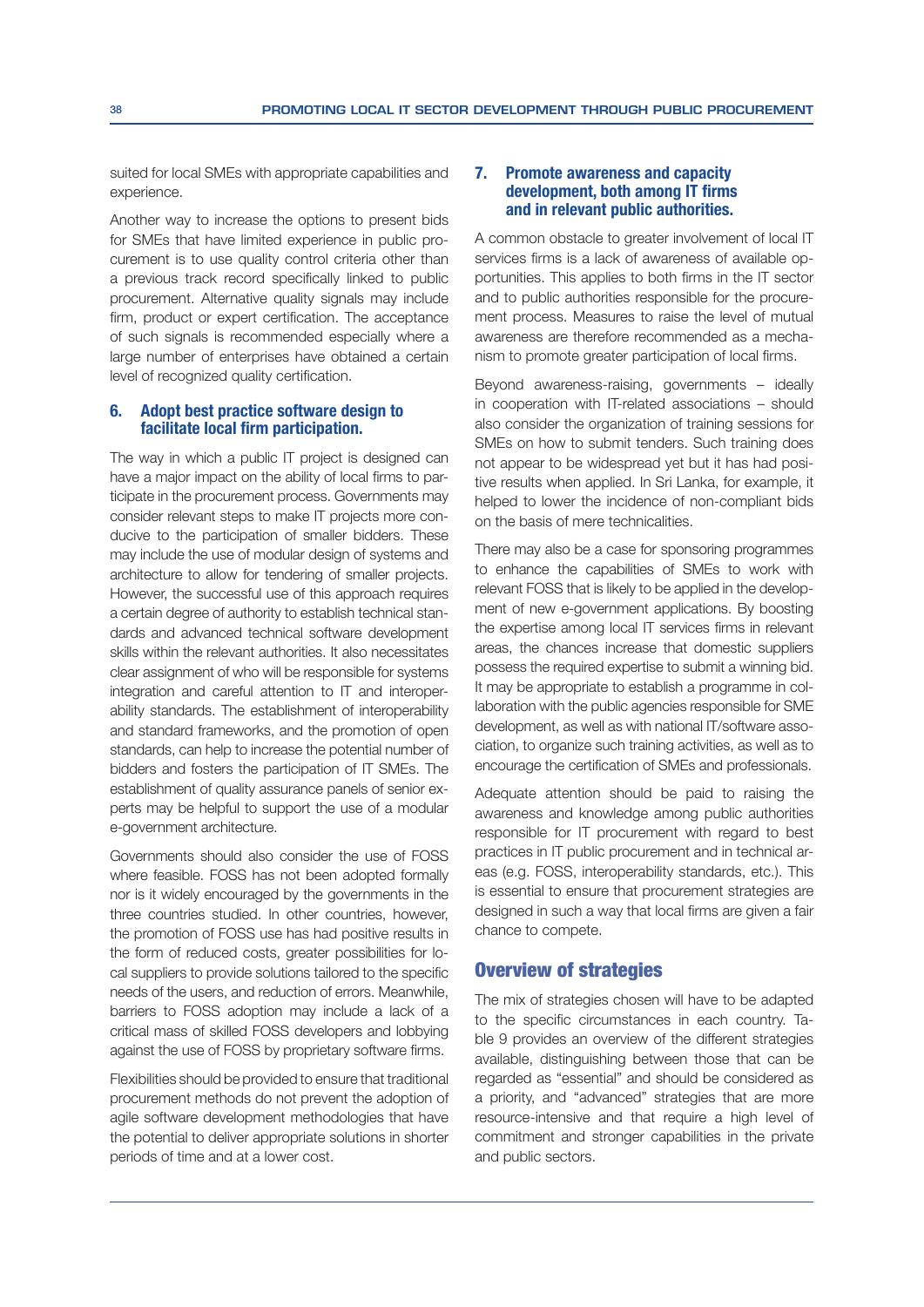suited for local SMEs with appropriate capabilities and experience.

Another way to increase the options to present bids for SMEs that have limited experience in public procurement is to use quality control criteria other than a previous track record specifically linked to public procurement. Alternative quality signals may include firm, product or expert certification. The acceptance of such signals is recommended especially where a large number of enterprises have obtained a certain level of recognized quality certification.

#### 6. Adopt best practice software design to facilitate local firm participation.

The way in which a public IT project is designed can have a major impact on the ability of local firms to participate in the procurement process. Governments may consider relevant steps to make IT projects more conducive to the participation of smaller bidders. These may include the use of modular design of systems and architecture to allow for tendering of smaller projects. However, the successful use of this approach requires a certain degree of authority to establish technical standards and advanced technical software development skills within the relevant authorities. It also necessitates clear assignment of who will be responsible for systems integration and careful attention to IT and interoperability standards. The establishment of interoperability and standard frameworks, and the promotion of open standards, can help to increase the potential number of bidders and fosters the participation of IT SMEs. The establishment of quality assurance panels of senior experts may be helpful to support the use of a modular e-government architecture.

Governments should also consider the use of FOSS where feasible. FOSS has not been adopted formally nor is it widely encouraged by the governments in the three countries studied. In other countries, however, the promotion of FOSS use has had positive results in the form of reduced costs, greater possibilities for local suppliers to provide solutions tailored to the specific needs of the users, and reduction of errors. Meanwhile, barriers to FOSS adoption may include a lack of a critical mass of skilled FOSS developers and lobbying against the use of FOSS by proprietary software firms.

Flexibilities should be provided to ensure that traditional procurement methods do not prevent the adoption of agile software development methodologies that have the potential to deliver appropriate solutions in shorter periods of time and at a lower cost.

#### 7. Promote awareness and capacity development, both among IT firms and in relevant public authorities.

A common obstacle to greater involvement of local IT services firms is a lack of awareness of available opportunities. This applies to both firms in the IT sector and to public authorities responsible for the procurement process. Measures to raise the level of mutual awareness are therefore recommended as a mechanism to promote greater participation of local firms.

Beyond awareness-raising, governments – ideally in cooperation with IT-related associations – should also consider the organization of training sessions for SMEs on how to submit tenders. Such training does not appear to be widespread yet but it has had positive results when applied. In Sri Lanka, for example, it helped to lower the incidence of non-compliant bids on the basis of mere technicalities.

There may also be a case for sponsoring programmes to enhance the capabilities of SMEs to work with relevant FOSS that is likely to be applied in the development of new e-government applications. By boosting the expertise among local IT services firms in relevant areas, the chances increase that domestic suppliers possess the required expertise to submit a winning bid. It may be appropriate to establish a programme in collaboration with the public agencies responsible for SME development, as well as with national IT/software association, to organize such training activities, as well as to encourage the certification of SMEs and professionals.

Adequate attention should be paid to raising the awareness and knowledge among public authorities responsible for IT procurement with regard to best practices in IT public procurement and in technical areas (e.g. FOSS, interoperability standards, etc.). This is essential to ensure that procurement strategies are designed in such a way that local firms are given a fair chance to compete.

# Overview of strategies

The mix of strategies chosen will have to be adapted to the specific circumstances in each country. Table 9 provides an overview of the different strategies available, distinguishing between those that can be regarded as "essential" and should be considered as a priority, and "advanced" strategies that are more resource-intensive and that require a high level of commitment and stronger capabilities in the private and public sectors.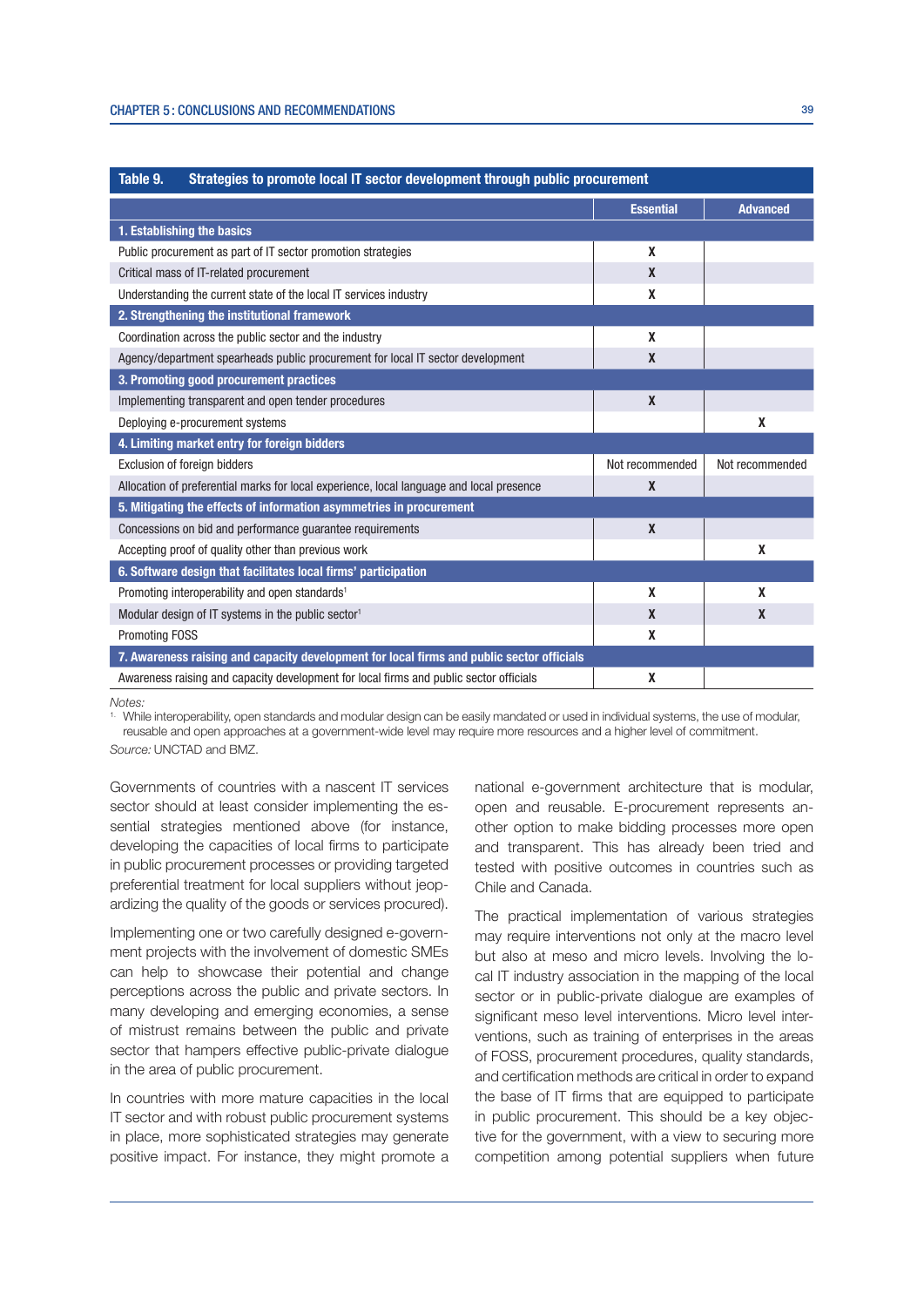| Table 9.<br>Strategies to promote local IT sector development through public procurement  |                  |                  |  |  |
|-------------------------------------------------------------------------------------------|------------------|------------------|--|--|
|                                                                                           | <b>Essential</b> | <b>Advanced</b>  |  |  |
| 1. Establishing the basics                                                                |                  |                  |  |  |
| Public procurement as part of IT sector promotion strategies                              | X                |                  |  |  |
| Critical mass of IT-related procurement                                                   | $\mathbf{x}$     |                  |  |  |
| Understanding the current state of the local IT services industry                         | X                |                  |  |  |
| 2. Strengthening the institutional framework                                              |                  |                  |  |  |
| Coordination across the public sector and the industry                                    | X                |                  |  |  |
| Agency/department spearheads public procurement for local IT sector development           | X                |                  |  |  |
| 3. Promoting good procurement practices                                                   |                  |                  |  |  |
| Implementing transparent and open tender procedures                                       | $\mathbf{x}$     |                  |  |  |
| Deploying e-procurement systems                                                           |                  | X                |  |  |
| 4. Limiting market entry for foreign bidders                                              |                  |                  |  |  |
| Exclusion of foreign bidders                                                              | Not recommended  | Not recommended  |  |  |
| Allocation of preferential marks for local experience, local language and local presence  | $\boldsymbol{x}$ |                  |  |  |
| 5. Mitigating the effects of information asymmetries in procurement                       |                  |                  |  |  |
| Concessions on bid and performance guarantee requirements                                 | $\mathbf{x}$     |                  |  |  |
| Accepting proof of quality other than previous work                                       |                  | X                |  |  |
| 6. Software design that facilitates local firms' participation                            |                  |                  |  |  |
| Promoting interoperability and open standards <sup>1</sup>                                | X                | X                |  |  |
| Modular design of IT systems in the public sector <sup>1</sup>                            | $\mathbf x$      | $\boldsymbol{x}$ |  |  |
| <b>Promoting FOSS</b>                                                                     | X                |                  |  |  |
| 7. Awareness raising and capacity development for local firms and public sector officials |                  |                  |  |  |
| Awareness raising and capacity development for local firms and public sector officials    | X                |                  |  |  |

Notes<sup>.</sup>

While interoperability, open standards and modular design can be easily mandated or used in individual systems, the use of modular, reusable and open approaches at a government-wide level may require more resources and a higher level of commitment. Source: UNCTAD and BMZ.

Governments of countries with a nascent IT services sector should at least consider implementing the essential strategies mentioned above (for instance, developing the capacities of local firms to participate in public procurement processes or providing targeted preferential treatment for local suppliers without jeopardizing the quality of the goods or services procured).

Implementing one or two carefully designed e-government projects with the involvement of domestic SMEs can help to showcase their potential and change perceptions across the public and private sectors. In many developing and emerging economies, a sense of mistrust remains between the public and private sector that hampers effective public-private dialogue in the area of public procurement.

In countries with more mature capacities in the local IT sector and with robust public procurement systems in place, more sophisticated strategies may generate positive impact. For instance, they might promote a national e-government architecture that is modular, open and reusable. E-procurement represents another option to make bidding processes more open and transparent. This has already been tried and tested with positive outcomes in countries such as Chile and Canada.

The practical implementation of various strategies may require interventions not only at the macro level but also at meso and micro levels. Involving the local IT industry association in the mapping of the local sector or in public-private dialogue are examples of significant meso level interventions. Micro level interventions, such as training of enterprises in the areas of FOSS, procurement procedures, quality standards, and certification methods are critical in order to expand the base of IT firms that are equipped to participate in public procurement. This should be a key objective for the government, with a view to securing more competition among potential suppliers when future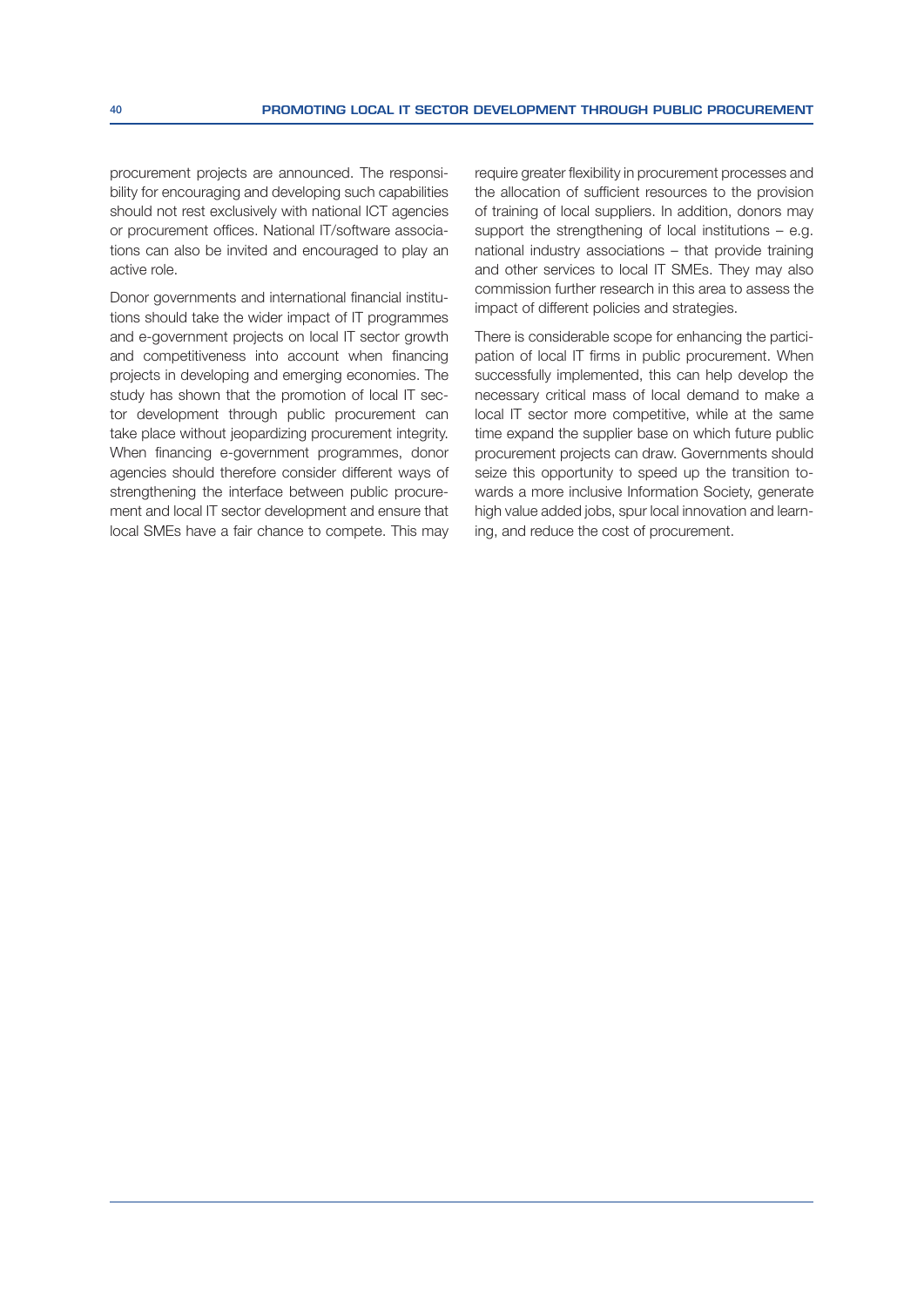procurement projects are announced. The responsibility for encouraging and developing such capabilities should not rest exclusively with national ICT agencies or procurement offices. National IT/software associations can also be invited and encouraged to play an active role.

Donor governments and international financial institutions should take the wider impact of IT programmes and e-government projects on local IT sector growth and competitiveness into account when financing projects in developing and emerging economies. The study has shown that the promotion of local IT sector development through public procurement can take place without jeopardizing procurement integrity. When financing e-government programmes, donor agencies should therefore consider different ways of strengthening the interface between public procurement and local IT sector development and ensure that local SMEs have a fair chance to compete. This may require greater flexibility in procurement processes and the allocation of sufficient resources to the provision of training of local suppliers. In addition, donors may support the strengthening of local institutions – e.g. national industry associations – that provide training and other services to local IT SMEs. They may also commission further research in this area to assess the impact of different policies and strategies.

There is considerable scope for enhancing the participation of local IT firms in public procurement. When successfully implemented, this can help develop the necessary critical mass of local demand to make a local IT sector more competitive, while at the same time expand the supplier base on which future public procurement projects can draw. Governments should seize this opportunity to speed up the transition towards a more inclusive Information Society, generate high value added jobs, spur local innovation and learning, and reduce the cost of procurement.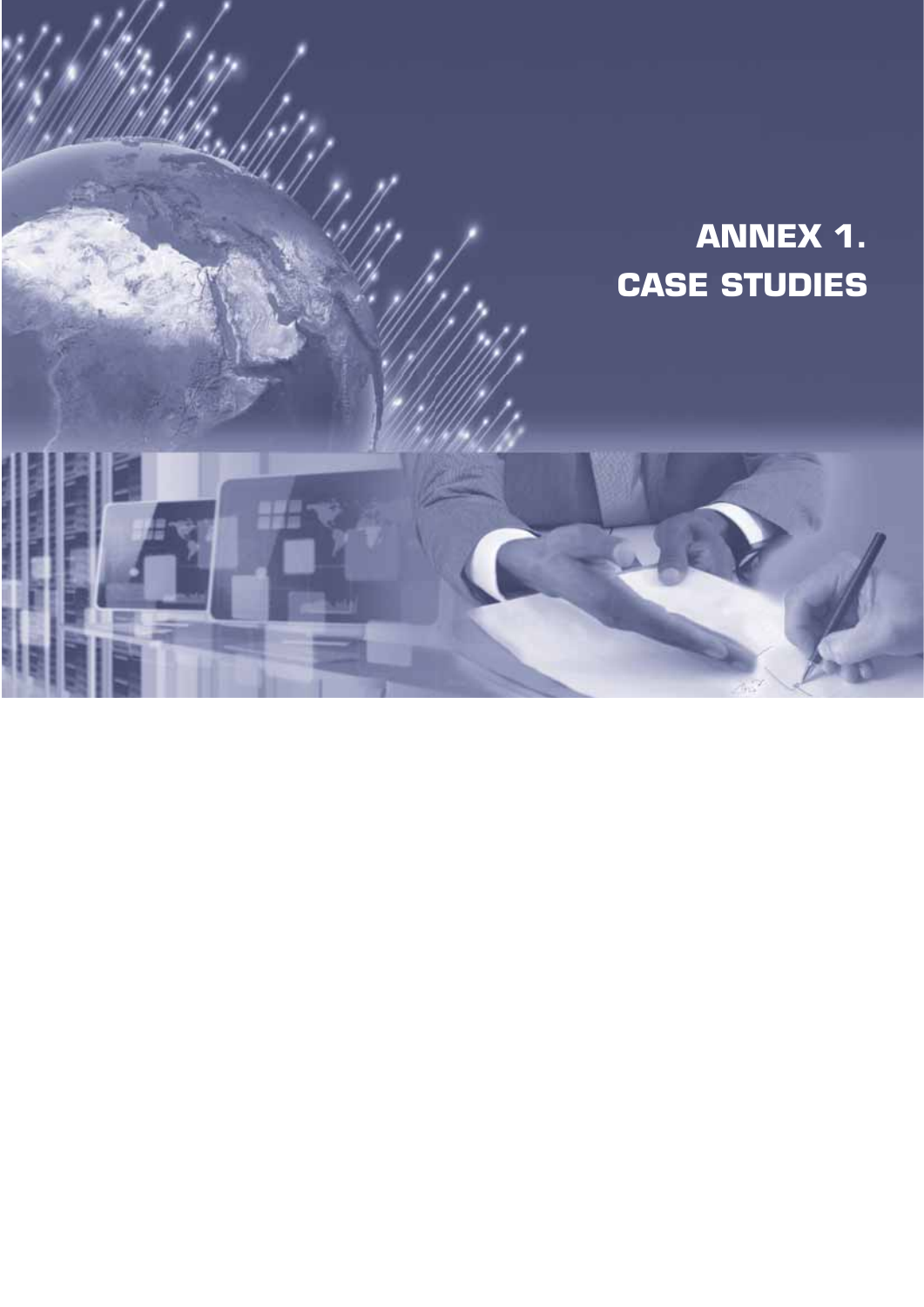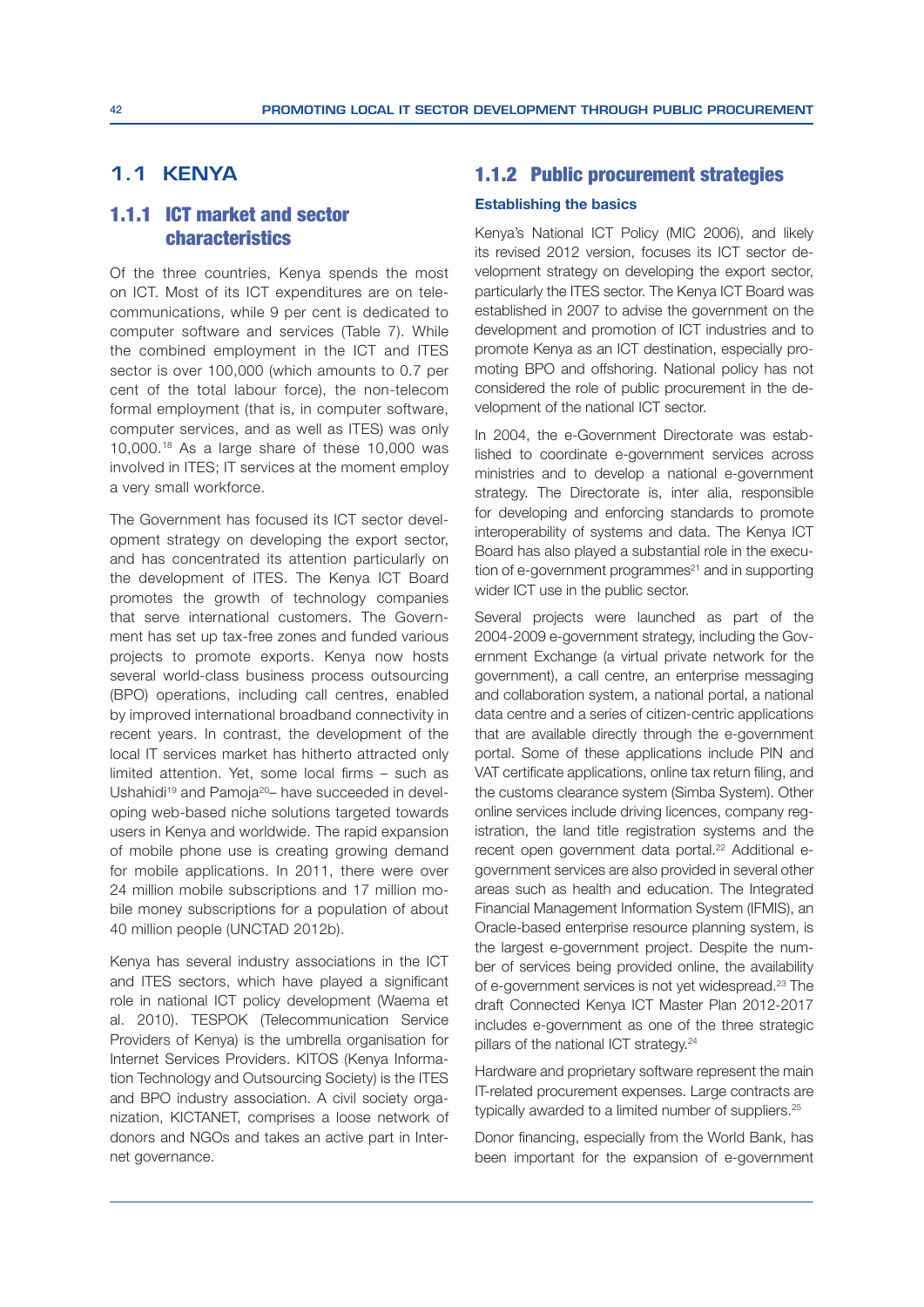# **1.1 KENYA**

# 1.1.1 ICT market and sector characteristics

Of the three countries, Kenya spends the most on ICT. Most of its ICT expenditures are on telecommunications, while 9 per cent is dedicated to computer software and services (Table 7). While the combined employment in the ICT and ITES sector is over 100,000 (which amounts to 0.7 per cent of the total labour force), the non-telecom formal employment (that is, in computer software, computer services, and as well as ITES) was only 10,000.18 As a large share of these 10,000 was involved in ITES; IT services at the moment employ a very small workforce.

The Government has focused its ICT sector development strategy on developing the export sector, and has concentrated its attention particularly on the development of ITES. The Kenya ICT Board promotes the growth of technology companies that serve international customers. The Government has set up tax-free zones and funded various projects to promote exports. Kenya now hosts several world-class business process outsourcing (BPO) operations, including call centres, enabled by improved international broadband connectivity in recent years. In contrast, the development of the local IT services market has hitherto attracted only limited attention. Yet, some local firms  $-$  such as Ushahidi<sup>19</sup> and Pamoja<sup>20</sup>– have succeeded in developing web-based niche solutions targeted towards users in Kenya and worldwide. The rapid expansion of mobile phone use is creating growing demand for mobile applications. In 2011, there were over 24 million mobile subscriptions and 17 million mobile money subscriptions for a population of about 40 million people (UNCTAD 2012b).

Kenya has several industry associations in the ICT and ITES sectors, which have played a significant role in national ICT policy development (Waema et al. 2010). TESPOK (Telecommunication Service Providers of Kenya) is the umbrella organisation for Internet Services Providers. KITOS (Kenya Information Technology and Outsourcing Society) is the ITES and BPO industry association. A civil society organization, KICTANET, comprises a loose network of donors and NGOs and takes an active part in Internet governance.

## 1.1.2 Public procurement strategies

#### **Establishing the basics**

Kenya's National ICT Policy (MIC 2006), and likely its revised 2012 version, focuses its ICT sector development strategy on developing the export sector, particularly the ITES sector. The Kenya ICT Board was established in 2007 to advise the government on the development and promotion of ICT industries and to promote Kenya as an ICT destination, especially promoting BPO and offshoring. National policy has not considered the role of public procurement in the development of the national ICT sector.

In 2004, the e-Government Directorate was established to coordinate e-government services across ministries and to develop a national e-government strategy. The Directorate is, inter alia, responsible for developing and enforcing standards to promote interoperability of systems and data. The Kenya ICT Board has also played a substantial role in the execution of e-government programmes $21$  and in supporting wider ICT use in the public sector.

Several projects were launched as part of the 2004-2009 e-government strategy, including the Government Exchange (a virtual private network for the government), a call centre, an enterprise messaging and collaboration system, a national portal, a national data centre and a series of citizen-centric applications that are available directly through the e-government portal. Some of these applications include PIN and VAT certificate applications, online tax return filing, and the customs clearance system (Simba System). Other online services include driving licences, company registration, the land title registration systems and the recent open government data portal.<sup>22</sup> Additional egovernment services are also provided in several other areas such as health and education. The Integrated Financial Management Information System (IFMIS), an Oracle-based enterprise resource planning system, is the largest e-government project. Despite the number of services being provided online, the availability of e-government services is not yet widespread.23 The draft Connected Kenya ICT Master Plan 2012-2017 includes e-government as one of the three strategic pillars of the national ICT strategy.<sup>24</sup>

Hardware and proprietary software represent the main IT-related procurement expenses. Large contracts are typically awarded to a limited number of suppliers.25

Donor financing, especially from the World Bank, has been important for the expansion of e-government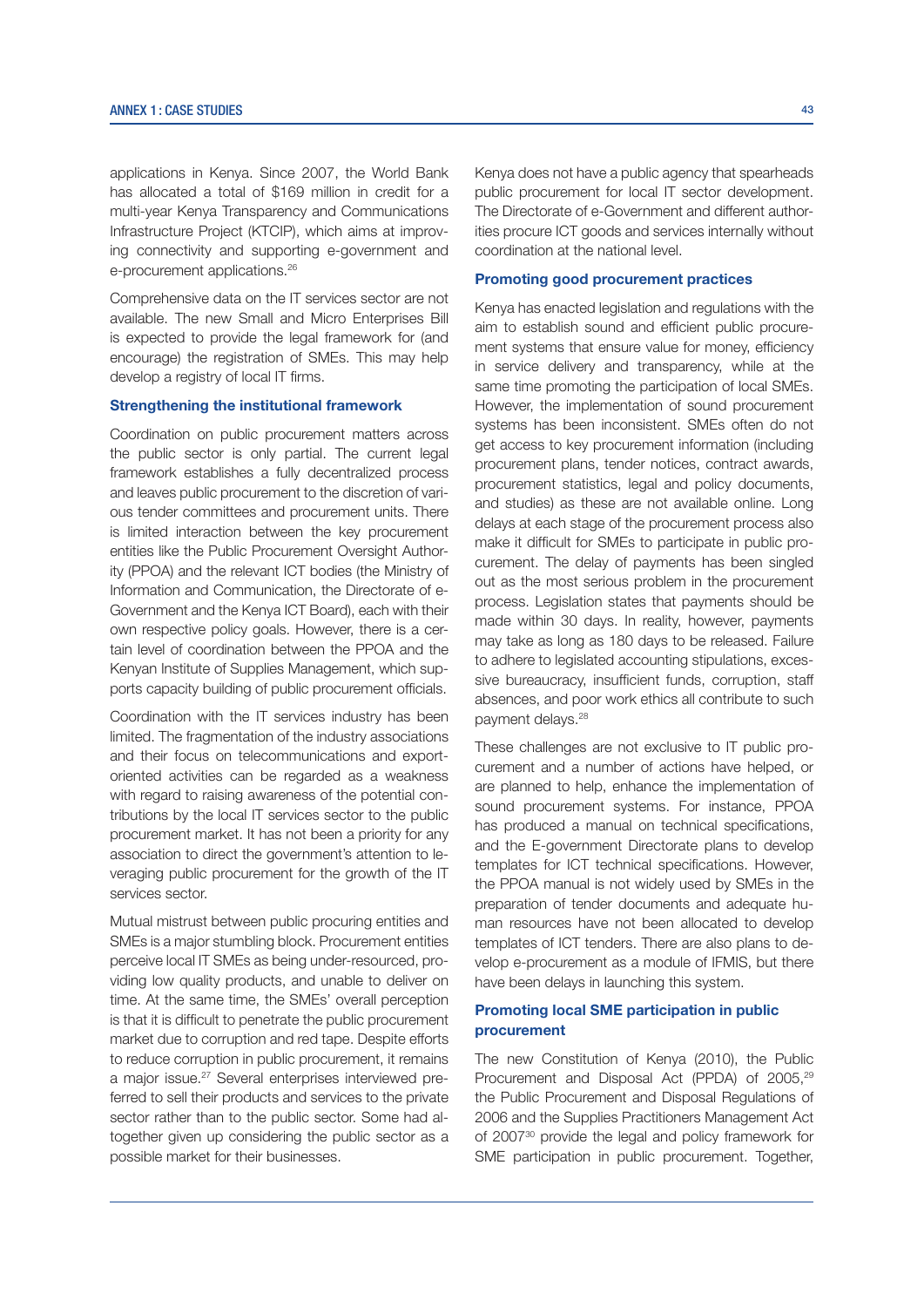applications in Kenya. Since 2007, the World Bank has allocated a total of \$169 million in credit for a multi-year Kenya Transparency and Communications Infrastructure Project (KTCIP), which aims at improving connectivity and supporting e-government and e-procurement applications.<sup>26</sup>

Comprehensive data on the IT services sector are not available. The new Small and Micro Enterprises Bill is expected to provide the legal framework for (and encourage) the registration of SMEs. This may help develop a registry of local IT firms.

#### Strengthening the institutional framework

Coordination on public procurement matters across the public sector is only partial. The current legal framework establishes a fully decentralized process and leaves public procurement to the discretion of various tender committees and procurement units. There is limited interaction between the key procurement entities like the Public Procurement Oversight Authority (PPOA) and the relevant ICT bodies (the Ministry of Information and Communication, the Directorate of e-Government and the Kenya ICT Board), each with their own respective policy goals. However, there is a certain level of coordination between the PPOA and the Kenyan Institute of Supplies Management, which supports capacity building of public procurement officials.

Coordination with the IT services industry has been limited. The fragmentation of the industry associations and their focus on telecommunications and exportoriented activities can be regarded as a weakness with regard to raising awareness of the potential contributions by the local IT services sector to the public procurement market. It has not been a priority for any association to direct the government's attention to leveraging public procurement for the growth of the IT services sector.

Mutual mistrust between public procuring entities and SMEs is a major stumbling block. Procurement entities perceive local IT SMEs as being under-resourced, providing low quality products, and unable to deliver on time. At the same time, the SMEs' overall perception is that it is difficult to penetrate the public procurement market due to corruption and red tape. Despite efforts to reduce corruption in public procurement, it remains a major issue.<sup>27</sup> Several enterprises interviewed preferred to sell their products and services to the private sector rather than to the public sector. Some had altogether given up considering the public sector as a possible market for their businesses.

Kenya does not have a public agency that spearheads public procurement for local IT sector development. The Directorate of e-Government and different authorities procure ICT goods and services internally without coordination at the national level.

## Promoting good procurement practices

Kenya has enacted legislation and regulations with the aim to establish sound and efficient public procurement systems that ensure value for money, efficiency in service delivery and transparency, while at the same time promoting the participation of local SMEs. However, the implementation of sound procurement systems has been inconsistent. SMEs often do not get access to key procurement information (including procurement plans, tender notices, contract awards, procurement statistics, legal and policy documents, and studies) as these are not available online. Long delays at each stage of the procurement process also make it difficult for SMEs to participate in public procurement. The delay of payments has been singled out as the most serious problem in the procurement process. Legislation states that payments should be made within 30 days. In reality, however, payments may take as long as 180 days to be released. Failure to adhere to legislated accounting stipulations, excessive bureaucracy, insufficient funds, corruption, staff absences, and poor work ethics all contribute to such payment delays.28

These challenges are not exclusive to IT public procurement and a number of actions have helped, or are planned to help, enhance the implementation of sound procurement systems. For instance, PPOA has produced a manual on technical specifications, and the E-government Directorate plans to develop templates for ICT technical specifications. However, the PPOA manual is not widely used by SMEs in the preparation of tender documents and adequate human resources have not been allocated to develop templates of ICT tenders. There are also plans to develop e-procurement as a module of IFMIS, but there have been delays in launching this system.

### Promoting local SME participation in public procurement

The new Constitution of Kenya (2010), the Public Procurement and Disposal Act (PPDA) of 2005,<sup>29</sup> the Public Procurement and Disposal Regulations of 2006 and the Supplies Practitioners Management Act of 200730 provide the legal and policy framework for SME participation in public procurement. Together,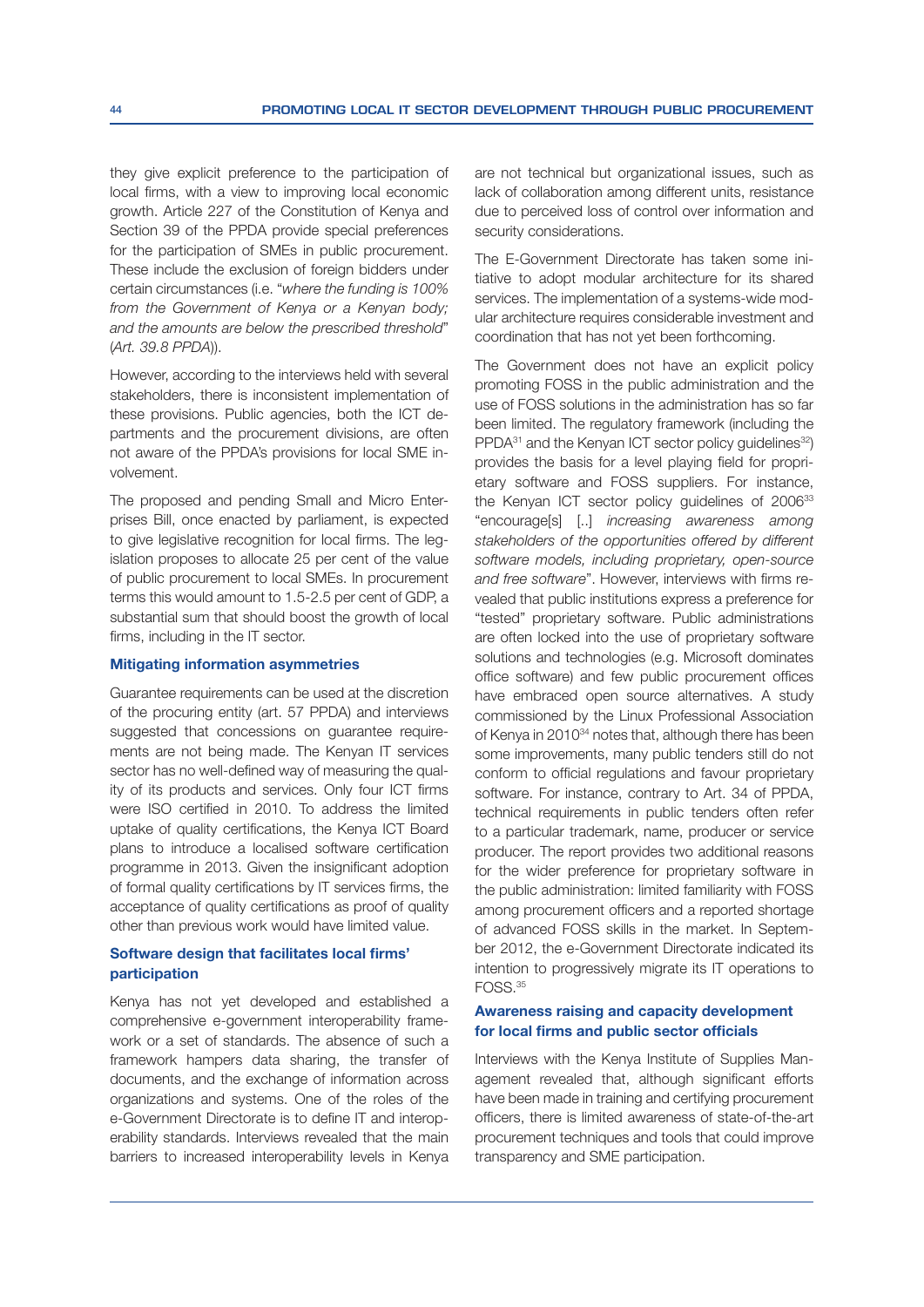they give explicit preference to the participation of local firms, with a view to improving local economic growth. Article 227 of the Constitution of Kenya and Section 39 of the PPDA provide special preferences for the participation of SMEs in public procurement. These include the exclusion of foreign bidders under certain circumstances (i.e. "where the funding is 100% from the Government of Kenya or a Kenyan body; and the amounts are below the prescribed threshold" (Art. 39.8 PPDA)).

However, according to the interviews held with several stakeholders, there is inconsistent implementation of these provisions. Public agencies, both the ICT departments and the procurement divisions, are often not aware of the PPDA's provisions for local SME involvement.

The proposed and pending Small and Micro Enterprises Bill, once enacted by parliament, is expected to give legislative recognition for local firms. The legislation proposes to allocate 25 per cent of the value of public procurement to local SMEs. In procurement terms this would amount to 1.5-2.5 per cent of GDP, a substantial sum that should boost the growth of local firms, including in the IT sector.

#### **Mitigating information asymmetries**

Guarantee requirements can be used at the discretion of the procuring entity (art. 57 PPDA) and interviews suggested that concessions on guarantee requirements are not being made. The Kenyan IT services sector has no well-defined way of measuring the quality of its products and services. Only four ICT firms were ISO certified in 2010. To address the limited uptake of quality certifications, the Kenya ICT Board plans to introduce a localised software certification programme in 2013. Given the insignificant adoption of formal quality certifications by IT services firms, the acceptance of quality certifications as proof of quality other than previous work would have limited value.

#### Software design that facilitates local firms' participation

Kenya has not yet developed and established a comprehensive e-government interoperability framework or a set of standards. The absence of such a framework hampers data sharing, the transfer of documents, and the exchange of information across organizations and systems. One of the roles of the e-Government Directorate is to define IT and interoperability standards. Interviews revealed that the main barriers to increased interoperability levels in Kenya are not technical but organizational issues, such as lack of collaboration among different units, resistance due to perceived loss of control over information and security considerations.

The E-Government Directorate has taken some initiative to adopt modular architecture for its shared services. The implementation of a systems-wide modular architecture requires considerable investment and coordination that has not yet been forthcoming.

The Government does not have an explicit policy promoting FOSS in the public administration and the use of FOSS solutions in the administration has so far been limited. The regulatory framework (including the PPDA<sup>31</sup> and the Kenyan ICT sector policy guidelines<sup>32</sup>) provides the basis for a level playing field for proprietary software and FOSS suppliers. For instance, the Kenyan ICT sector policy guidelines of 2006<sup>33</sup> "encourage[s] [..] *increasing awareness among* stakeholders of the opportunities offered by different software models, including proprietary, open-source and free software". However, interviews with firms revealed that public institutions express a preference for "tested" proprietary software. Public administrations are often locked into the use of proprietary software solutions and technologies (e.g. Microsoft dominates office software) and few public procurement offices have embraced open source alternatives. A study commissioned by the Linux Professional Association of Kenya in 2010<sup>34</sup> notes that, although there has been some improvements, many public tenders still do not conform to official requlations and favour proprietary software. For instance, contrary to Art. 34 of PPDA, technical requirements in public tenders often refer to a particular trademark, name, producer or service producer. The report provides two additional reasons for the wider preference for proprietary software in the public administration: limited familiarity with FOSS among procurement officers and a reported shortage of advanced FOSS skills in the market. In September 2012, the e-Government Directorate indicated its intention to progressively migrate its IT operations to FOSS.<sup>35</sup>

## Awareness raising and capacity development for local firms and public sector officials

Interviews with the Kenya Institute of Supplies Management revealed that, although significant efforts have been made in training and certifying procurement officers, there is limited awareness of state-of-the-art procurement techniques and tools that could improve transparency and SME participation.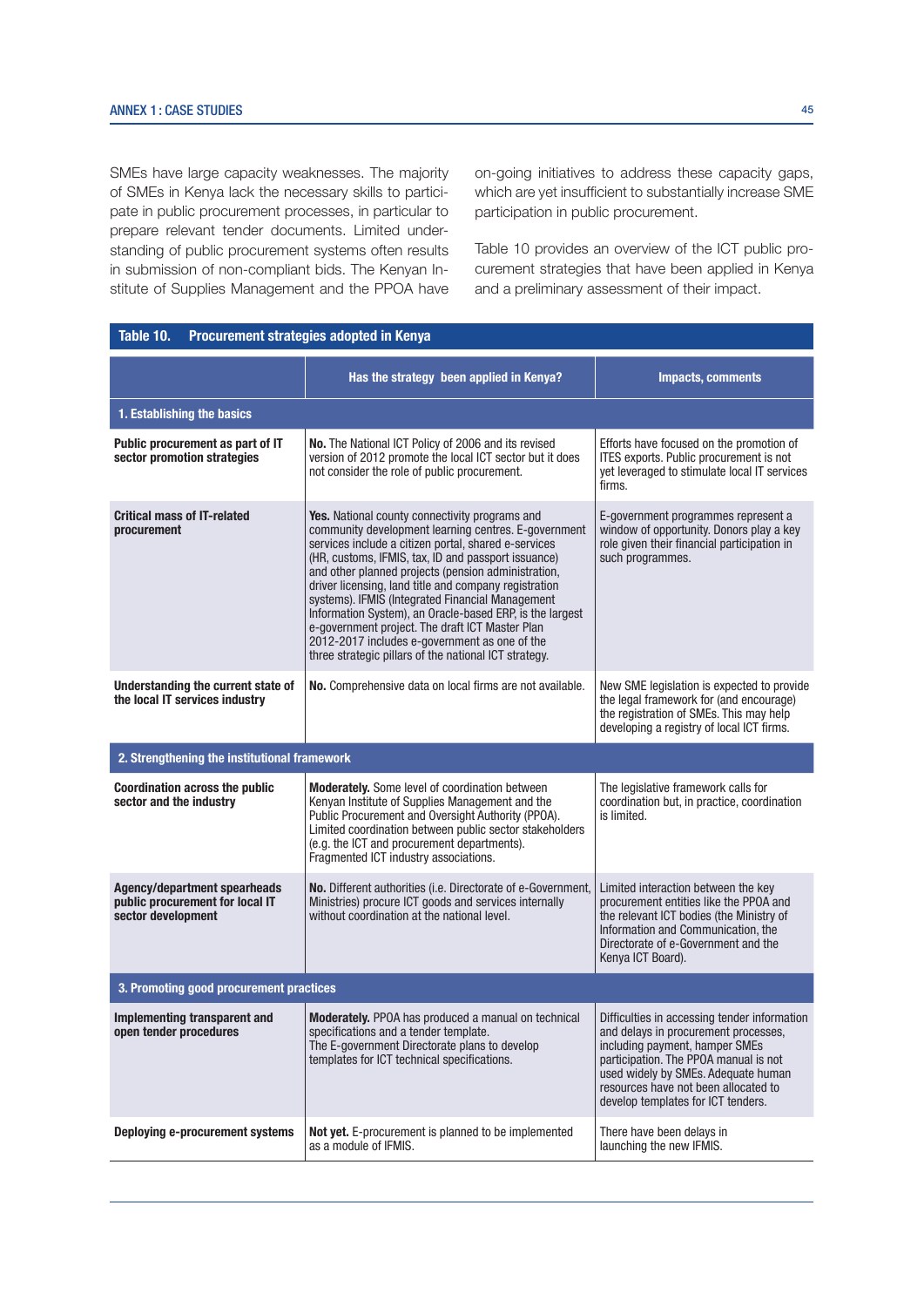SMEs have large capacity weaknesses. The majority of SMEs in Kenya lack the necessary skills to participate in public procurement processes, in particular to prepare relevant tender documents. Limited understanding of public procurement systems often results in submission of non-compliant bids. The Kenyan Institute of Supplies Management and the PPOA have on-going initiatives to address these capacity gaps, which are yet insufficient to substantially increase SME participation in public procurement.

Table 10 provides an overview of the ICT public procurement strategies that have been applied in Kenya and a preliminary assessment of their impact.

| Table 10.<br>Procurement strategies adopted in Kenya                                  |                                                                                                                                                                                                                                                                                                                                                                                                                                                                                                                                                                                                                           |                                                                                                                                                                                                                                                                                      |  |  |  |
|---------------------------------------------------------------------------------------|---------------------------------------------------------------------------------------------------------------------------------------------------------------------------------------------------------------------------------------------------------------------------------------------------------------------------------------------------------------------------------------------------------------------------------------------------------------------------------------------------------------------------------------------------------------------------------------------------------------------------|--------------------------------------------------------------------------------------------------------------------------------------------------------------------------------------------------------------------------------------------------------------------------------------|--|--|--|
|                                                                                       | Has the strategy been applied in Kenya?                                                                                                                                                                                                                                                                                                                                                                                                                                                                                                                                                                                   | <b>Impacts, comments</b>                                                                                                                                                                                                                                                             |  |  |  |
| 1. Establishing the basics                                                            |                                                                                                                                                                                                                                                                                                                                                                                                                                                                                                                                                                                                                           |                                                                                                                                                                                                                                                                                      |  |  |  |
| Public procurement as part of IT<br>sector promotion strategies                       | No. The National ICT Policy of 2006 and its revised<br>version of 2012 promote the local ICT sector but it does<br>not consider the role of public procurement.                                                                                                                                                                                                                                                                                                                                                                                                                                                           | Efforts have focused on the promotion of<br>ITES exports. Public procurement is not<br>yet leveraged to stimulate local IT services<br>firms.                                                                                                                                        |  |  |  |
| <b>Critical mass of IT-related</b><br>procurement                                     | <b>Yes.</b> National county connectivity programs and<br>community development learning centres. E-government<br>services include a citizen portal, shared e-services<br>(HR, customs, IFMIS, tax, ID and passport issuance)<br>and other planned projects (pension administration,<br>driver licensing, land title and company registration<br>systems). IFMIS (Integrated Financial Management<br>Information System), an Oracle-based ERP, is the largest<br>e-government project. The draft ICT Master Plan<br>2012-2017 includes e-government as one of the<br>three strategic pillars of the national ICT strategy. | E-government programmes represent a<br>window of opportunity. Donors play a key<br>role given their financial participation in<br>such programmes.                                                                                                                                   |  |  |  |
| Understanding the current state of<br>the local IT services industry                  | No. Comprehensive data on local firms are not available.                                                                                                                                                                                                                                                                                                                                                                                                                                                                                                                                                                  | New SME legislation is expected to provide<br>the legal framework for (and encourage)<br>the registration of SMEs. This may help<br>developing a registry of local ICT firms.                                                                                                        |  |  |  |
| 2. Strengthening the institutional framework                                          |                                                                                                                                                                                                                                                                                                                                                                                                                                                                                                                                                                                                                           |                                                                                                                                                                                                                                                                                      |  |  |  |
| <b>Coordination across the public</b><br>sector and the industry                      | <b>Moderately.</b> Some level of coordination between<br>Kenyan Institute of Supplies Management and the<br>Public Procurement and Oversight Authority (PPOA).<br>Limited coordination between public sector stakeholders<br>(e.g. the ICT and procurement departments).<br>Fragmented ICT industry associations.                                                                                                                                                                                                                                                                                                         | The legislative framework calls for<br>coordination but, in practice, coordination<br>is limited.                                                                                                                                                                                    |  |  |  |
| Agency/department spearheads<br>public procurement for local IT<br>sector development | No. Different authorities (i.e. Directorate of e-Government,<br>Limited interaction between the key<br>Ministries) procure ICT goods and services internally<br>procurement entities like the PPOA and<br>without coordination at the national level.<br>the relevant ICT bodies (the Ministry of<br>Information and Communication, the<br>Directorate of e-Government and the<br>Kenya ICT Board).                                                                                                                                                                                                                       |                                                                                                                                                                                                                                                                                      |  |  |  |
| 3. Promoting good procurement practices                                               |                                                                                                                                                                                                                                                                                                                                                                                                                                                                                                                                                                                                                           |                                                                                                                                                                                                                                                                                      |  |  |  |
| Implementing transparent and<br>open tender procedures                                | Moderately. PPOA has produced a manual on technical<br>specifications and a tender template.<br>The E-government Directorate plans to develop<br>templates for ICT technical specifications.                                                                                                                                                                                                                                                                                                                                                                                                                              | Difficulties in accessing tender information<br>and delays in procurement processes,<br>including payment, hamper SMEs<br>participation. The PPOA manual is not<br>used widely by SMEs. Adequate human<br>resources have not been allocated to<br>develop templates for ICT tenders. |  |  |  |
| Deploying e-procurement systems                                                       | Not yet. E-procurement is planned to be implemented<br>as a module of IFMIS.                                                                                                                                                                                                                                                                                                                                                                                                                                                                                                                                              | There have been delays in<br>launching the new IFMIS.                                                                                                                                                                                                                                |  |  |  |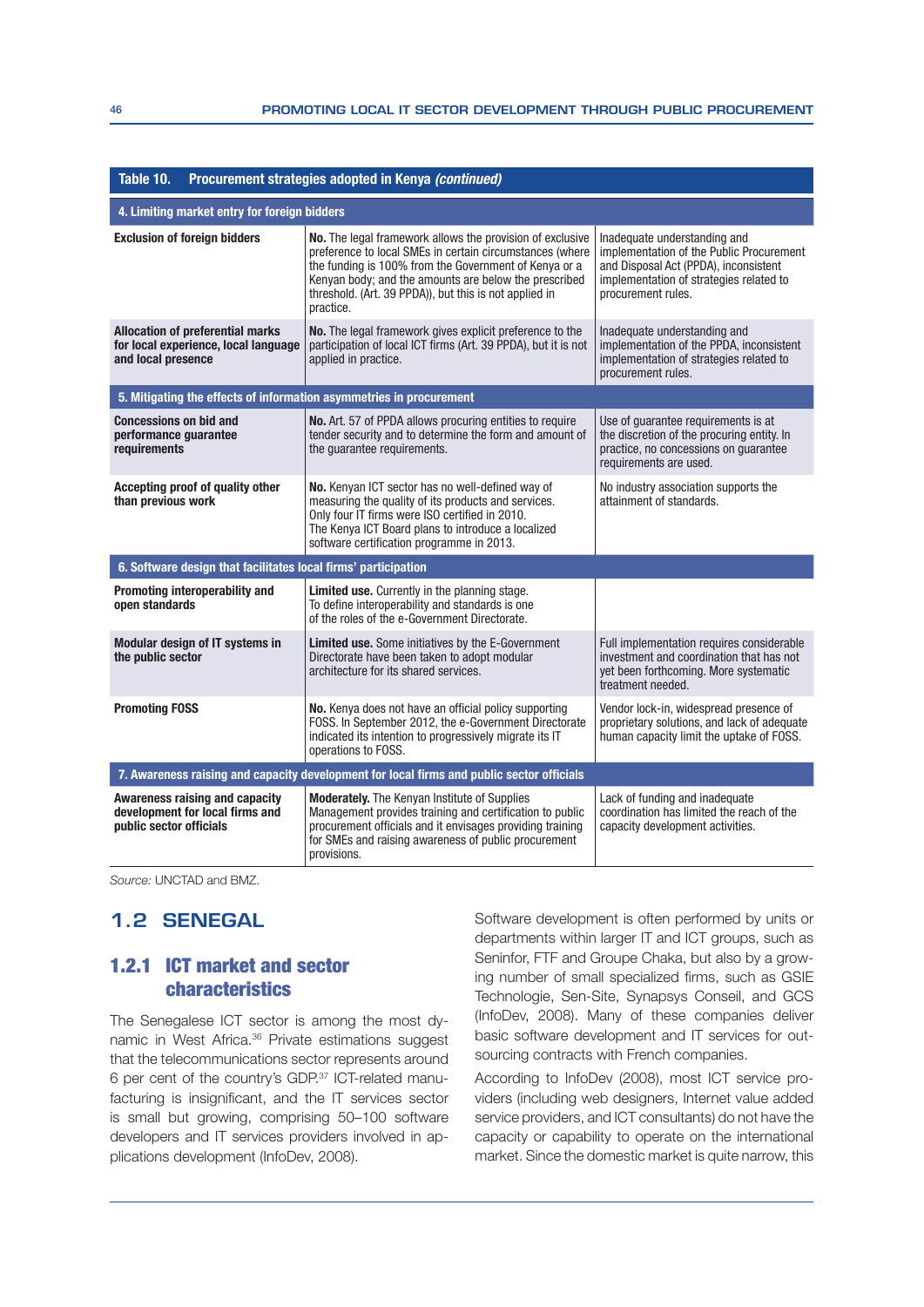| Table 10.                                                                                             | Procurement strategies adopted in Kenya (continued)                                                                                                                                                                                                                                                            |                                                                                                                                                                                    |
|-------------------------------------------------------------------------------------------------------|----------------------------------------------------------------------------------------------------------------------------------------------------------------------------------------------------------------------------------------------------------------------------------------------------------------|------------------------------------------------------------------------------------------------------------------------------------------------------------------------------------|
| 4. Limiting market entry for foreign bidders                                                          |                                                                                                                                                                                                                                                                                                                |                                                                                                                                                                                    |
| <b>Exclusion of foreign bidders</b>                                                                   | No. The legal framework allows the provision of exclusive<br>preference to local SMEs in certain circumstances (where<br>the funding is 100% from the Government of Kenya or a<br>Kenyan body; and the amounts are below the prescribed<br>threshold. (Art. 39 PPDA)), but this is not applied in<br>practice. | Inadequate understanding and<br>implementation of the Public Procurement<br>and Disposal Act (PPDA), inconsistent<br>implementation of strategies related to<br>procurement rules. |
| <b>Allocation of preferential marks</b><br>for local experience, local language<br>and local presence | No. The legal framework gives explicit preference to the<br>participation of local ICT firms (Art. 39 PPDA), but it is not<br>applied in practice.                                                                                                                                                             | Inadequate understanding and<br>implementation of the PPDA, inconsistent<br>implementation of strategies related to<br>procurement rules.                                          |
| 5. Mitigating the effects of information asymmetries in procurement                                   |                                                                                                                                                                                                                                                                                                                |                                                                                                                                                                                    |
| <b>Concessions on bid and</b><br>performance quarantee<br>requirements                                | No. Art. 57 of PPDA allows procuring entities to require<br>tender security and to determine the form and amount of<br>the guarantee requirements.                                                                                                                                                             | Use of quarantee requirements is at<br>the discretion of the procuring entity. In<br>practice, no concessions on guarantee<br>requirements are used.                               |
| Accepting proof of quality other<br>than previous work                                                | No. Kenyan ICT sector has no well-defined way of<br>measuring the quality of its products and services.<br>Only four IT firms were ISO certified in 2010.<br>The Kenya ICT Board plans to introduce a localized<br>software certification programme in 2013.                                                   | No industry association supports the<br>attainment of standards.                                                                                                                   |
| 6. Software design that facilitates local firms' participation                                        |                                                                                                                                                                                                                                                                                                                |                                                                                                                                                                                    |
| Promoting interoperability and<br>open standards                                                      | Limited use. Currently in the planning stage.<br>To define interoperability and standards is one<br>of the roles of the e-Government Directorate.                                                                                                                                                              |                                                                                                                                                                                    |
| Modular design of IT systems in<br>the public sector                                                  | <b>Limited use.</b> Some initiatives by the E-Government<br>Directorate have been taken to adopt modular<br>architecture for its shared services.                                                                                                                                                              | Full implementation requires considerable<br>investment and coordination that has not<br>yet been forthcoming. More systematic<br>treatment needed.                                |
| <b>Promoting FOSS</b>                                                                                 | No. Kenya does not have an official policy supporting<br>FOSS. In September 2012, the e-Government Directorate<br>indicated its intention to progressively migrate its IT<br>operations to FOSS.                                                                                                               | Vendor lock-in, widespread presence of<br>proprietary solutions, and lack of adequate<br>human capacity limit the uptake of FOSS.                                                  |
|                                                                                                       | 7. Awareness raising and capacity development for local firms and public sector officials                                                                                                                                                                                                                      |                                                                                                                                                                                    |
| Awareness raising and capacity<br>development for local firms and<br>public sector officials          | <b>Moderately.</b> The Kenyan Institute of Supplies<br>Management provides training and certification to public<br>procurement officials and it envisages providing training<br>for SMEs and raising awareness of public procurement<br>provisions.                                                            | Lack of funding and inadequate<br>coordination has limited the reach of the<br>capacity development activities.                                                                    |

Source: UNCTAD and BMZ.

# **1.2 SENEGAL**

# 1.2.1 ICT market and sector characteristics

The Senegalese ICT sector is among the most dynamic in West Africa.<sup>36</sup> Private estimations suggest that the telecommunications sector represents around  $6$  per cent of the country's GDP. $37$  ICT-related manufacturing is insignificant, and the IT services sector is small but growing, comprising 50–100 software developers and IT services providers involved in applications development (InfoDev, 2008).

Software development is often performed by units or departments within larger IT and ICT groups, such as Seninfor, FTF and Groupe Chaka, but also by a growing number of small specialized firms, such as GSIE Technologie, Sen-Site, Synapsys Conseil, and GCS (InfoDev, 2008). Many of these companies deliver basic software development and IT services for outsourcing contracts with French companies.

According to InfoDev (2008), most ICT service providers (including web designers, Internet value added service providers, and ICT consultants) do not have the capacity or capability to operate on the international market. Since the domestic market is quite narrow, this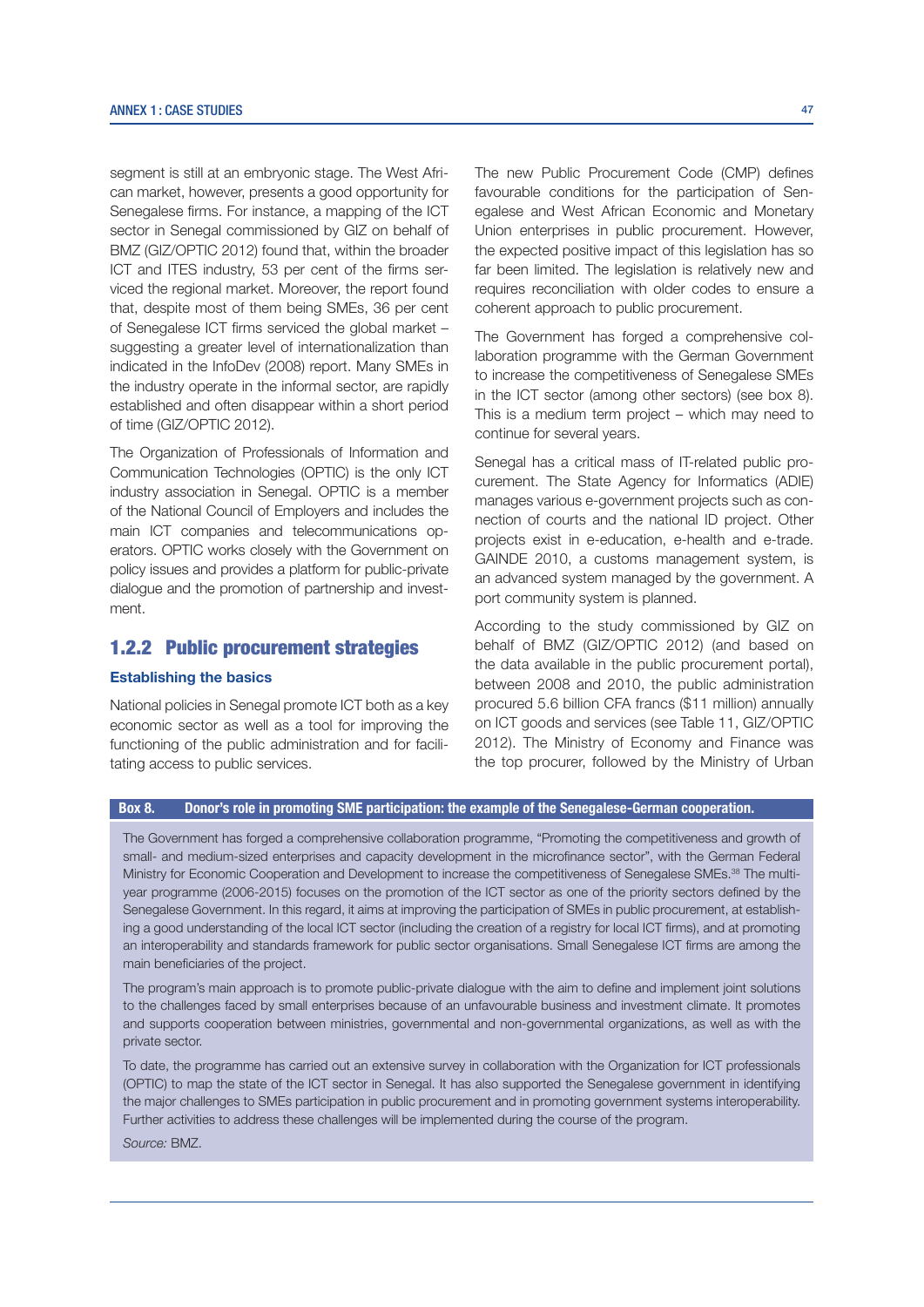segment is still at an embryonic stage. The West African market, however, presents a good opportunity for Senegalese firms. For instance, a mapping of the ICT sector in Senegal commissioned by GIZ on behalf of BMZ (GIZ/OPTIC 2012) found that, within the broader ICT and ITES industry, 53 per cent of the firms serviced the regional market. Moreover, the report found that, despite most of them being SMEs, 36 per cent of Senegalese ICT firms serviced the global market suggesting a greater level of internationalization than indicated in the InfoDev (2008) report. Many SMEs in the industry operate in the informal sector, are rapidly established and often disappear within a short period of time (GIZ/OPTIC 2012).

The Organization of Professionals of Information and Communication Technologies (OPTIC) is the only ICT industry association in Senegal. OPTIC is a member of the National Council of Employers and includes the main ICT companies and telecommunications operators. OPTIC works closely with the Government on policy issues and provides a platform for public-private dialogue and the promotion of partnership and investment.

# 1.2.2 Public procurement strategies

#### Establishing the basics

National policies in Senegal promote ICT both as a key economic sector as well as a tool for improving the functioning of the public administration and for facilitating access to public services.

The new Public Procurement Code (CMP) defines favourable conditions for the participation of Senegalese and West African Economic and Monetary Union enterprises in public procurement. However, the expected positive impact of this legislation has so far been limited. The legislation is relatively new and requires reconciliation with older codes to ensure a coherent approach to public procurement.

The Government has forged a comprehensive collaboration programme with the German Government to increase the competitiveness of Senegalese SMEs in the ICT sector (among other sectors) (see box 8). This is a medium term project – which may need to continue for several years.

Senegal has a critical mass of IT-related public procurement. The State Agency for Informatics (ADIE) manages various e-government projects such as connection of courts and the national ID project. Other projects exist in e-education, e-health and e-trade. GAINDE 2010, a customs management system, is an advanced system managed by the government. A port community system is planned.

According to the study commissioned by GIZ on behalf of BMZ (GIZ/OPTIC 2012) (and based on the data available in the public procurement portal), between 2008 and 2010, the public administration procured 5.6 billion CFA francs (\$11 million) annually on ICT goods and services (see Table 11, GIZ/OPTIC 2012). The Ministry of Economy and Finance was the top procurer, followed by the Ministry of Urban

#### Box 8. Donor's role in promoting SME participation: the example of the Senegalese-German cooperation.

The Government has forged a comprehensive collaboration programme, "Promoting the competitiveness and growth of small- and medium-sized enterprises and capacity development in the microfinance sector", with the German Federal Ministry for Economic Cooperation and Development to increase the competitiveness of Senegalese SMEs.<sup>38</sup> The multiyear programme (2006-2015) focuses on the promotion of the ICT sector as one of the priority sectors defined by the Senegalese Government. In this regard, it aims at improving the participation of SMEs in public procurement, at establishing a good understanding of the local ICT sector (including the creation of a registry for local ICT firms), and at promoting an interoperability and standards framework for public sector organisations. Small Senegalese ICT firms are among the main beneficiaries of the project.

The program's main approach is to promote public-private dialogue with the aim to define and implement joint solutions to the challenges faced by small enterprises because of an unfavourable business and investment climate. It promotes and supports cooperation between ministries, governmental and non-governmental organizations, as well as with the private sector.

To date, the programme has carried out an extensive survey in collaboration with the Organization for ICT professionals (OPTIC) to map the state of the ICT sector in Senegal. It has also supported the Senegalese government in identifying the major challenges to SMEs participation in public procurement and in promoting government systems interoperability. Further activities to address these challenges will be implemented during the course of the program.

Source: BMZ.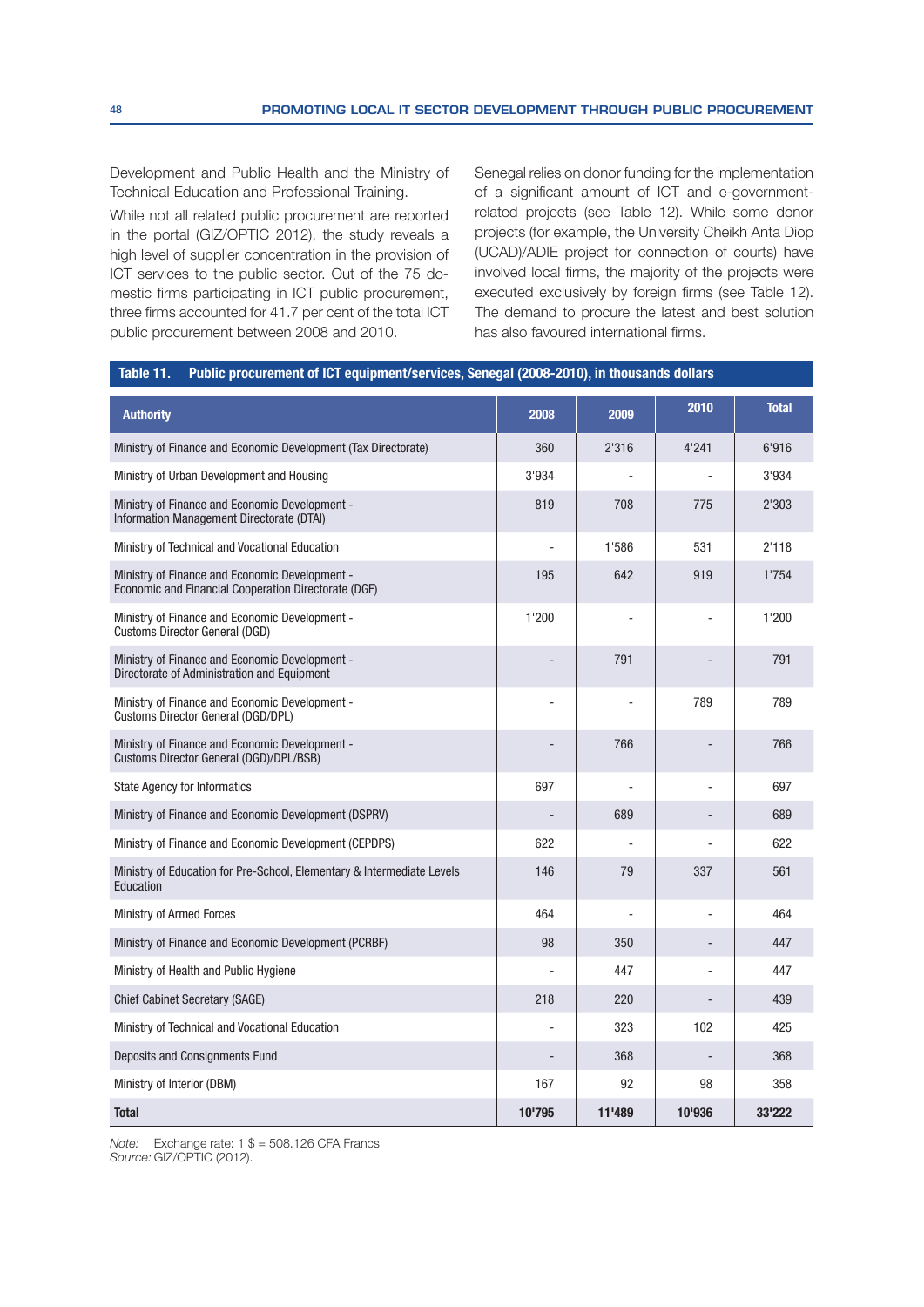Development and Public Health and the Ministry of Technical Education and Professional Training.

While not all related public procurement are reported in the portal (GIZ/OPTIC 2012), the study reveals a high level of supplier concentration in the provision of ICT services to the public sector. Out of the 75 domestic firms participating in ICT public procurement, three firms accounted for 41.7 per cent of the total ICT public procurement between 2008 and 2010.

Senegal relies on donor funding for the implementation of a significant amount of ICT and e-governmentrelated projects (see Table 12). While some donor projects (for example, the University Cheikh Anta Diop (UCAD)/ADIE project for connection of courts) have involved local firms, the majority of the projects were executed exclusively by foreign firms (see Table 12). The demand to procure the latest and best solution has also favoured international firms.

| Public procurement of ICT equipment/services, Senegal (2008-2010), in thousands dollars<br>Table 11.   |        |        |        |              |  |
|--------------------------------------------------------------------------------------------------------|--------|--------|--------|--------------|--|
| <b>Authority</b>                                                                                       | 2008   | 2009   | 2010   | <b>Total</b> |  |
| Ministry of Finance and Economic Development (Tax Directorate)                                         | 360    | 2'316  | 4'241  | 6'916        |  |
| Ministry of Urban Development and Housing                                                              | 3'934  |        |        | 3'934        |  |
| Ministry of Finance and Economic Development -<br>Information Management Directorate (DTAI)            | 819    | 708    | 775    | 2'303        |  |
| Ministry of Technical and Vocational Education                                                         |        | 1'586  | 531    | 2'118        |  |
| Ministry of Finance and Economic Development -<br>Economic and Financial Cooperation Directorate (DGF) | 195    | 642    | 919    | 1'754        |  |
| Ministry of Finance and Economic Development -<br>Customs Director General (DGD)                       | 1'200  |        |        | 1'200        |  |
| Ministry of Finance and Economic Development -<br>Directorate of Administration and Equipment          |        | 791    |        | 791          |  |
| Ministry of Finance and Economic Development -<br>Customs Director General (DGD/DPL)                   |        |        | 789    | 789          |  |
| Ministry of Finance and Economic Development -<br>Customs Director General (DGD)/DPL/BSB)              |        | 766    |        | 766          |  |
| <b>State Agency for Informatics</b>                                                                    | 697    |        |        | 697          |  |
| Ministry of Finance and Economic Development (DSPRV)                                                   |        | 689    |        | 689          |  |
| Ministry of Finance and Economic Development (CEPDPS)                                                  | 622    |        |        | 622          |  |
| Ministry of Education for Pre-School, Elementary & Intermediate Levels<br>Education                    | 146    | 79     | 337    | 561          |  |
| <b>Ministry of Armed Forces</b>                                                                        | 464    |        |        | 464          |  |
| Ministry of Finance and Economic Development (PCRBF)                                                   | 98     | 350    |        | 447          |  |
| Ministry of Health and Public Hygiene                                                                  |        | 447    |        | 447          |  |
| <b>Chief Cabinet Secretary (SAGE)</b>                                                                  | 218    | 220    |        | 439          |  |
| Ministry of Technical and Vocational Education                                                         |        | 323    | 102    | 425          |  |
| Deposits and Consignments Fund                                                                         |        | 368    |        | 368          |  |
| Ministry of Interior (DBM)                                                                             | 167    | 92     | 98     | 358          |  |
| <b>Total</b>                                                                                           | 10'795 | 11'489 | 10'936 | 33'222       |  |

Note: Exchange rate:  $1$   $\$$  = 508.126 CFA Francs Source: GIZ/OPTIC (2012).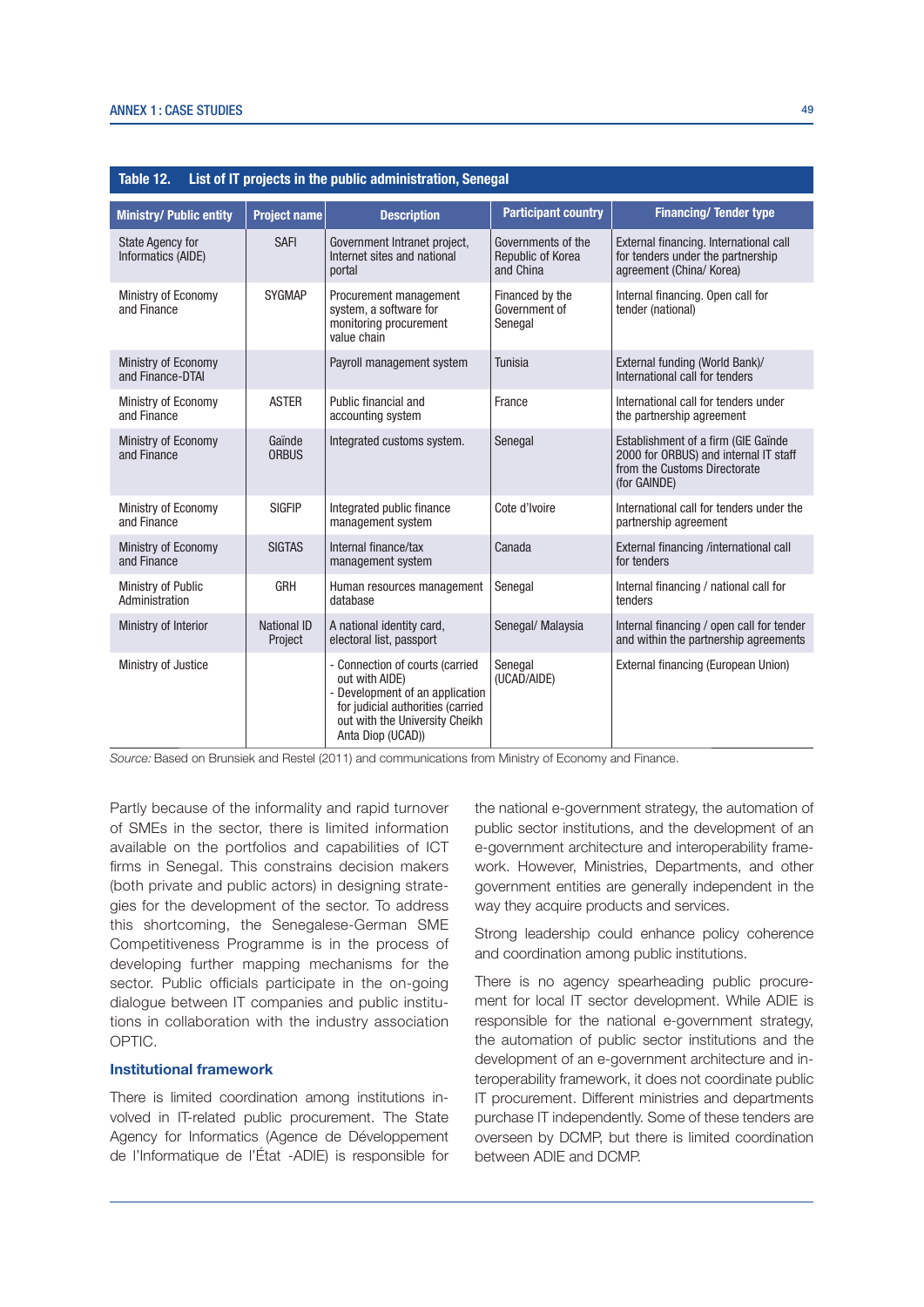| Table 12.<br>List of IT projects in the public administration, Senegal |                               |                                                                                                                                                                                  |                                                      |                                                                                                                              |  |  |
|------------------------------------------------------------------------|-------------------------------|----------------------------------------------------------------------------------------------------------------------------------------------------------------------------------|------------------------------------------------------|------------------------------------------------------------------------------------------------------------------------------|--|--|
| <b>Ministry/ Public entity</b>                                         | <b>Project name</b>           | <b>Description</b>                                                                                                                                                               | <b>Participant country</b>                           | <b>Financing/ Tender type</b>                                                                                                |  |  |
| <b>State Agency for</b><br>Informatics (AIDE)                          | <b>SAFI</b>                   | Government Intranet project,<br>Internet sites and national<br>portal                                                                                                            | Governments of the<br>Republic of Korea<br>and China | External financing. International call<br>for tenders under the partnership<br>agreement (China/ Korea)                      |  |  |
| Ministry of Economy<br>and Finance                                     | <b>SYGMAP</b>                 | Procurement management<br>system, a software for<br>monitoring procurement<br>value chain                                                                                        | Financed by the<br>Government of<br>Senegal          | Internal financing. Open call for<br>tender (national)                                                                       |  |  |
| Ministry of Economy<br>and Finance-DTAI                                |                               | Payroll management system                                                                                                                                                        | Tunisia                                              | External funding (World Bank)/<br>International call for tenders                                                             |  |  |
| Ministry of Economy<br>and Finance                                     | <b>ASTER</b>                  | Public financial and<br>accounting system                                                                                                                                        | France                                               | International call for tenders under<br>the partnership agreement                                                            |  |  |
| Ministry of Economy<br>and Finance                                     | Gaïnde<br><b>ORBUS</b>        | Integrated customs system.                                                                                                                                                       | Senegal                                              | Establishment of a firm (GIE Gaïnde<br>2000 for ORBUS) and internal IT staff<br>from the Customs Directorate<br>(for GAINDE) |  |  |
| Ministry of Economy<br>and Finance                                     | <b>SIGFIP</b>                 | Integrated public finance<br>management system                                                                                                                                   | Cote d'Ivoire                                        | International call for tenders under the<br>partnership agreement                                                            |  |  |
| Ministry of Economy<br>and Finance                                     | <b>SIGTAS</b>                 | Internal finance/tax<br>management system                                                                                                                                        | Canada                                               | External financing /international call<br>for tenders                                                                        |  |  |
| Ministry of Public<br>Administration                                   | GRH                           | Human resources management<br>database                                                                                                                                           | Senegal                                              | Internal financing / national call for<br>tenders                                                                            |  |  |
| Ministry of Interior                                                   | <b>National ID</b><br>Project | A national identity card,<br>electoral list, passport                                                                                                                            | Senegal/ Malaysia                                    | Internal financing / open call for tender<br>and within the partnership agreements                                           |  |  |
| Ministry of Justice                                                    |                               | - Connection of courts (carried<br>out with AIDE)<br>- Development of an application<br>for judicial authorities (carried<br>out with the University Cheikh<br>Anta Diop (UCAD)) | Senegal<br>(UCAD/AIDE)                               | External financing (European Union)                                                                                          |  |  |

Source: Based on Brunsiek and Restel (2011) and communications from Ministry of Economy and Finance.

Partly because of the informality and rapid turnover of SMEs in the sector, there is limited information available on the portfolios and capabilities of ICT firms in Senegal. This constrains decision makers (both private and public actors) in designing strategies for the development of the sector. To address this shortcoming, the Senegalese-German SME Competitiveness Programme is in the process of developing further mapping mechanisms for the sector. Public officials participate in the on-going dialogue between IT companies and public institutions in collaboration with the industry association OPTIC.

#### Institutional framework

There is limited coordination among institutions involved in IT-related public procurement. The State Agency for Informatics (Agence de Développement de l'Informatique de l'État -ADIE) is responsible for the national e-government strategy, the automation of public sector institutions, and the development of an e-government architecture and interoperability framework. However, Ministries, Departments, and other government entities are generally independent in the way they acquire products and services.

Strong leadership could enhance policy coherence and coordination among public institutions.

There is no agency spearheading public procurement for local IT sector development. While ADIE is responsible for the national e-government strategy, the automation of public sector institutions and the development of an e-government architecture and interoperability framework, it does not coordinate public IT procurement. Different ministries and departments purchase IT independently. Some of these tenders are overseen by DCMP, but there is limited coordination between ADIE and DCMP.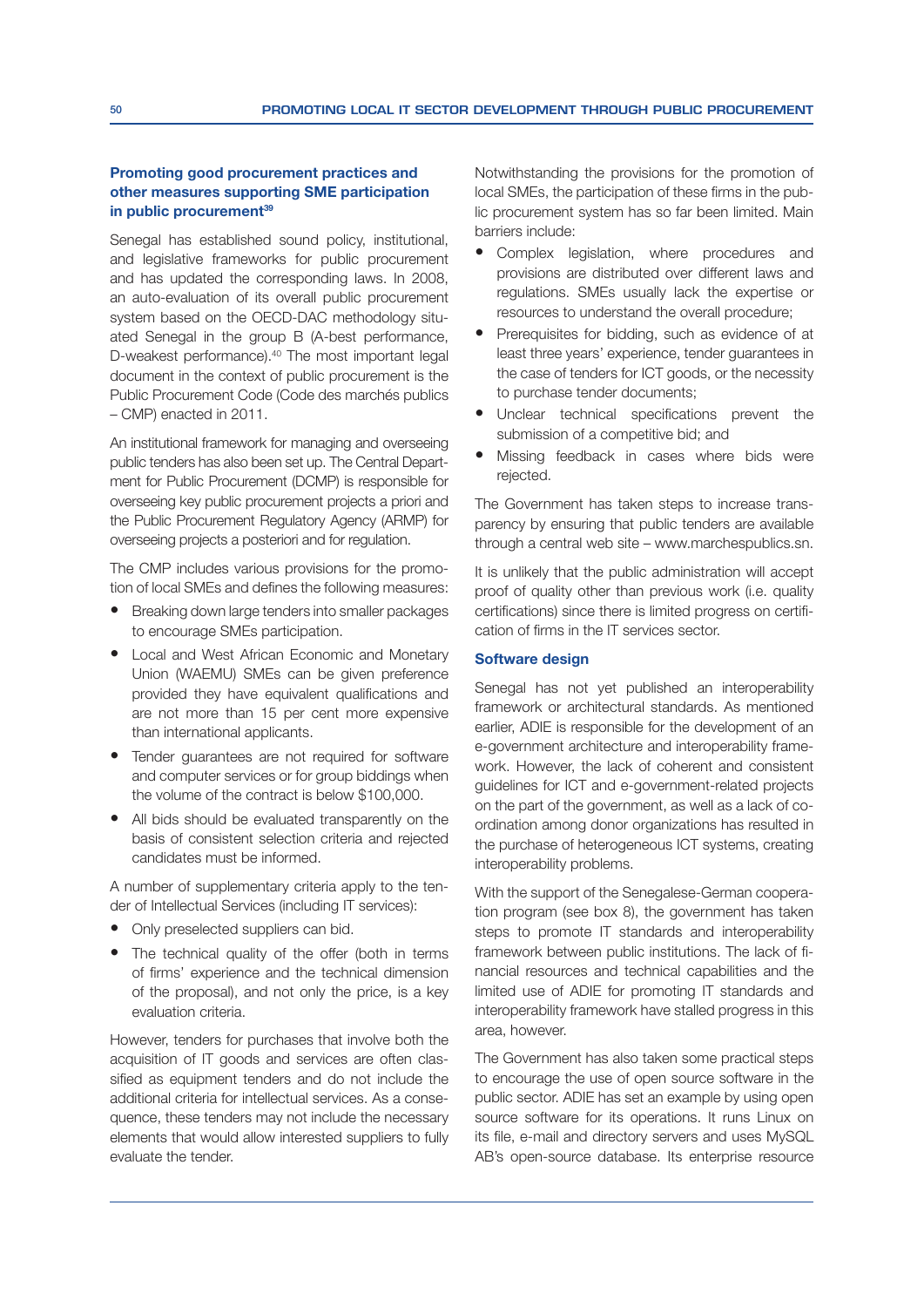#### Promoting good procurement practices and other measures supporting SME participation in public procurement<sup>39</sup>

Senegal has established sound policy, institutional, and legislative frameworks for public procurement and has updated the corresponding laws. In 2008, an auto-evaluation of its overall public procurement system based on the OECD-DAC methodology situated Senegal in the group B (A-best performance, D-weakest performance).40 The most important legal document in the context of public procurement is the Public Procurement Code (Code des marchés publics – CMP) enacted in 2011.

An institutional framework for managing and overseeing public tenders has also been set up. The Central Department for Public Procurement (DCMP) is responsible for overseeing key public procurement projects a priori and the Public Procurement Regulatory Agency (ARMP) for overseeing projects a posteriori and for regulation.

The CMP includes various provisions for the promotion of local SMEs and defines the following measures:

- Breaking down large tenders into smaller packages to encourage SMEs participation.
- Local and West African Economic and Monetary Union (WAEMU) SMEs can be given preference provided they have equivalent qualifications and are not more than 15 per cent more expensive than international applicants.
- Tender guarantees are not required for software and computer services or for group biddings when the volume of the contract is below \$100,000.
- All bids should be evaluated transparently on the basis of consistent selection criteria and rejected candidates must be informed.

A number of supplementary criteria apply to the tender of Intellectual Services (including IT services):

- Only preselected suppliers can bid.
- The technical quality of the offer (both in terms of firms' experience and the technical dimension of the proposal), and not only the price, is a key evaluation criteria.

However, tenders for purchases that involve both the acquisition of IT goods and services are often classified as equipment tenders and do not include the additional criteria for intellectual services. As a consequence, these tenders may not include the necessary elements that would allow interested suppliers to fully evaluate the tender.

Notwithstanding the provisions for the promotion of local SMEs, the participation of these firms in the public procurement system has so far been limited. Main barriers include:

- Complex legislation, where procedures and provisions are distributed over different laws and regulations. SMEs usually lack the expertise or resources to understand the overall procedure;
- Prerequisites for bidding, such as evidence of at least three years' experience, tender guarantees in the case of tenders for ICT goods, or the necessity to purchase tender documents;
- Unclear technical specifications prevent the submission of a competitive bid; and
- Missing feedback in cases where bids were rejected.

The Government has taken steps to increase transparency by ensuring that public tenders are available through a central web site – www.marchespublics.sn.

It is unlikely that the public administration will accept proof of quality other than previous work (i.e. quality certifications) since there is limited progress on certification of firms in the IT services sector.

#### Software design

Senegal has not yet published an interoperability framework or architectural standards. As mentioned earlier, ADIE is responsible for the development of an e-government architecture and interoperability framework. However, the lack of coherent and consistent guidelines for ICT and e-government-related projects on the part of the government, as well as a lack of coordination among donor organizations has resulted in the purchase of heterogeneous ICT systems, creating interoperability problems.

With the support of the Senegalese-German cooperation program (see box 8), the government has taken steps to promote IT standards and interoperability framework between public institutions. The lack of financial resources and technical capabilities and the limited use of ADIE for promoting IT standards and interoperability framework have stalled progress in this area, however.

The Government has also taken some practical steps to encourage the use of open source software in the public sector. ADIE has set an example by using open source software for its operations. It runs Linux on its file, e-mail and directory servers and uses MySQL AB's open-source database. Its enterprise resource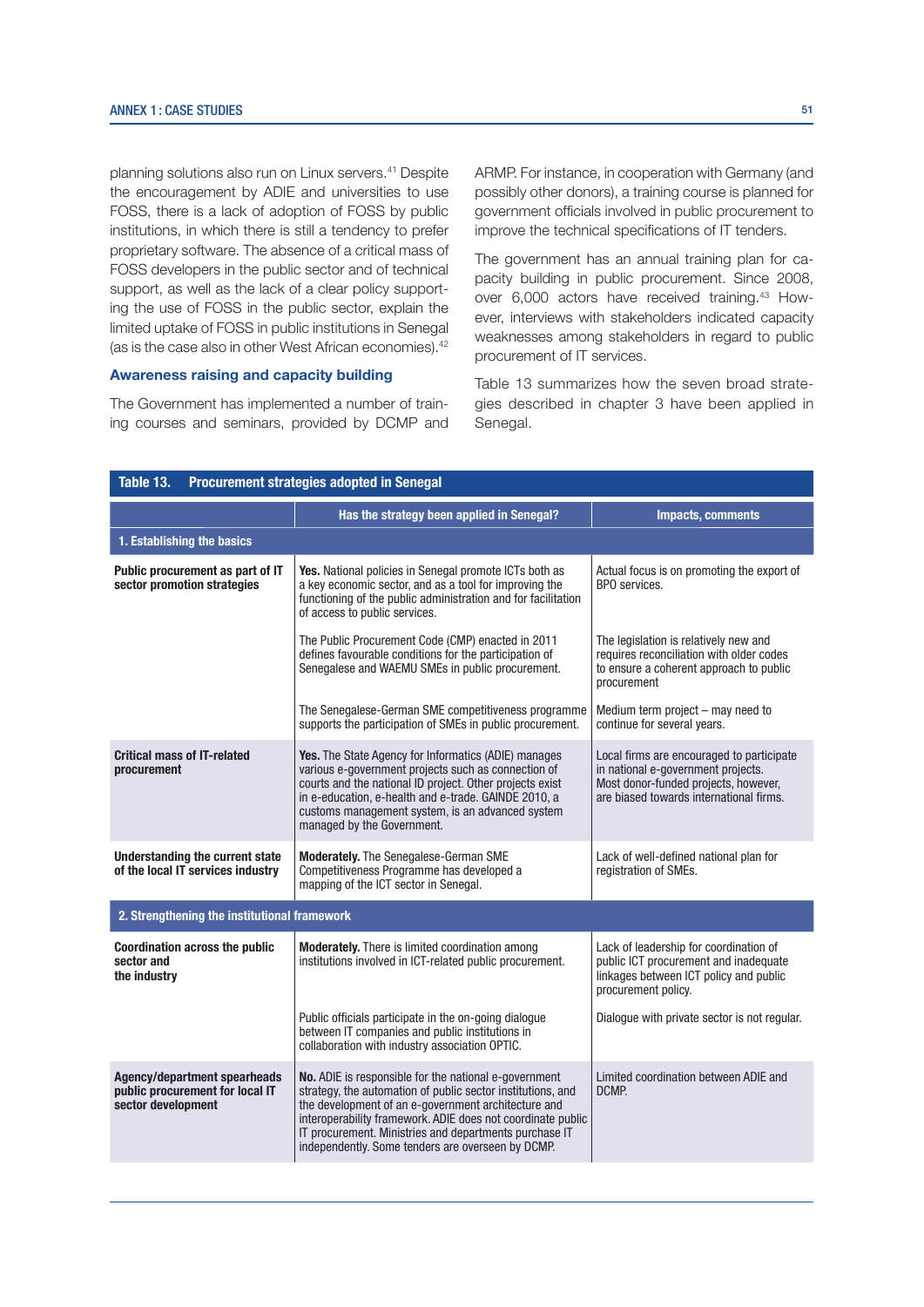planning solutions also run on Linux servers.41 Despite the encouragement by ADIE and universities to use FOSS, there is a lack of adoption of FOSS by public institutions, in which there is still a tendency to prefer proprietary software. The absence of a critical mass of FOSS developers in the public sector and of technical support, as well as the lack of a clear policy supporting the use of FOSS in the public sector, explain the limited uptake of FOSS in public institutions in Senegal (as is the case also in other West African economies).<sup>42</sup>

#### Awareness raising and capacity building

The Government has implemented a number of training courses and seminars, provided by DCMP and ARMP. For instance, in cooperation with Germany (and possibly other donors), a training course is planned for government officials involved in public procurement to improve the technical specifications of IT tenders.

The government has an annual training plan for capacity building in public procurement. Since 2008, over 6,000 actors have received training.43 However, interviews with stakeholders indicated capacity weaknesses among stakeholders in regard to public procurement of IT services.

Table 13 summarizes how the seven broad strategies described in chapter 3 have been applied in Senegal.

| Table 13.<br>Procurement strategies adopted in Senegal                                       |                                                                                                                                                                                                                                                                                                                                                                                                                                                                                         |                                                                                                                                                  |  |  |  |  |  |
|----------------------------------------------------------------------------------------------|-----------------------------------------------------------------------------------------------------------------------------------------------------------------------------------------------------------------------------------------------------------------------------------------------------------------------------------------------------------------------------------------------------------------------------------------------------------------------------------------|--------------------------------------------------------------------------------------------------------------------------------------------------|--|--|--|--|--|
|                                                                                              | Has the strategy been applied in Senegal?                                                                                                                                                                                                                                                                                                                                                                                                                                               | <b>Impacts, comments</b>                                                                                                                         |  |  |  |  |  |
| 1. Establishing the basics                                                                   |                                                                                                                                                                                                                                                                                                                                                                                                                                                                                         |                                                                                                                                                  |  |  |  |  |  |
| Public procurement as part of IT<br>sector promotion strategies                              | Yes. National policies in Senegal promote ICTs both as<br>a key economic sector, and as a tool for improving the<br>functioning of the public administration and for facilitation<br>of access to public services.                                                                                                                                                                                                                                                                      | Actual focus is on promoting the export of<br>BPO services.                                                                                      |  |  |  |  |  |
|                                                                                              | The Public Procurement Code (CMP) enacted in 2011<br>defines favourable conditions for the participation of<br>Senegalese and WAEMU SMEs in public procurement.                                                                                                                                                                                                                                                                                                                         | The legislation is relatively new and<br>requires reconciliation with older codes<br>to ensure a coherent approach to public<br>procurement      |  |  |  |  |  |
|                                                                                              | The Senegalese-German SME competitiveness programme<br>supports the participation of SMEs in public procurement.                                                                                                                                                                                                                                                                                                                                                                        | Medium term project – may need to<br>continue for several years.                                                                                 |  |  |  |  |  |
| <b>Critical mass of IT-related</b><br>procurement                                            | Yes. The State Agency for Informatics (ADIE) manages<br>Local firms are encouraged to participate<br>various e-government projects such as connection of<br>in national e-government projects.<br>courts and the national ID project. Other projects exist<br>Most donor-funded projects, however,<br>are biased towards international firms.<br>in e-education, e-health and e-trade. GAINDE 2010, a<br>customs management system, is an advanced system<br>managed by the Government. |                                                                                                                                                  |  |  |  |  |  |
| <b>Understanding the current state</b><br>of the local IT services industry                  | Moderately. The Senegalese-German SME<br>Competitiveness Programme has developed a<br>mapping of the ICT sector in Senegal.                                                                                                                                                                                                                                                                                                                                                             | Lack of well-defined national plan for<br>registration of SMEs.                                                                                  |  |  |  |  |  |
| 2. Strengthening the institutional framework                                                 |                                                                                                                                                                                                                                                                                                                                                                                                                                                                                         |                                                                                                                                                  |  |  |  |  |  |
| <b>Coordination across the public</b><br>sector and<br>the industry                          | <b>Moderately.</b> There is limited coordination among<br>institutions involved in ICT-related public procurement.                                                                                                                                                                                                                                                                                                                                                                      | Lack of leadership for coordination of<br>public ICT procurement and inadequate<br>linkages between ICT policy and public<br>procurement policy. |  |  |  |  |  |
|                                                                                              | Public officials participate in the on-going dialogue<br>between IT companies and public institutions in<br>collaboration with industry association OPTIC.                                                                                                                                                                                                                                                                                                                              | Dialogue with private sector is not regular.                                                                                                     |  |  |  |  |  |
| <b>Agency/department spearheads</b><br>public procurement for local IT<br>sector development | No. ADIE is responsible for the national e-government<br>strategy, the automation of public sector institutions, and<br>the development of an e-government architecture and<br>interoperability framework. ADIE does not coordinate public<br>IT procurement. Ministries and departments purchase IT<br>independently. Some tenders are overseen by DCMP.                                                                                                                               | Limited coordination between ADIE and<br>DCMP.                                                                                                   |  |  |  |  |  |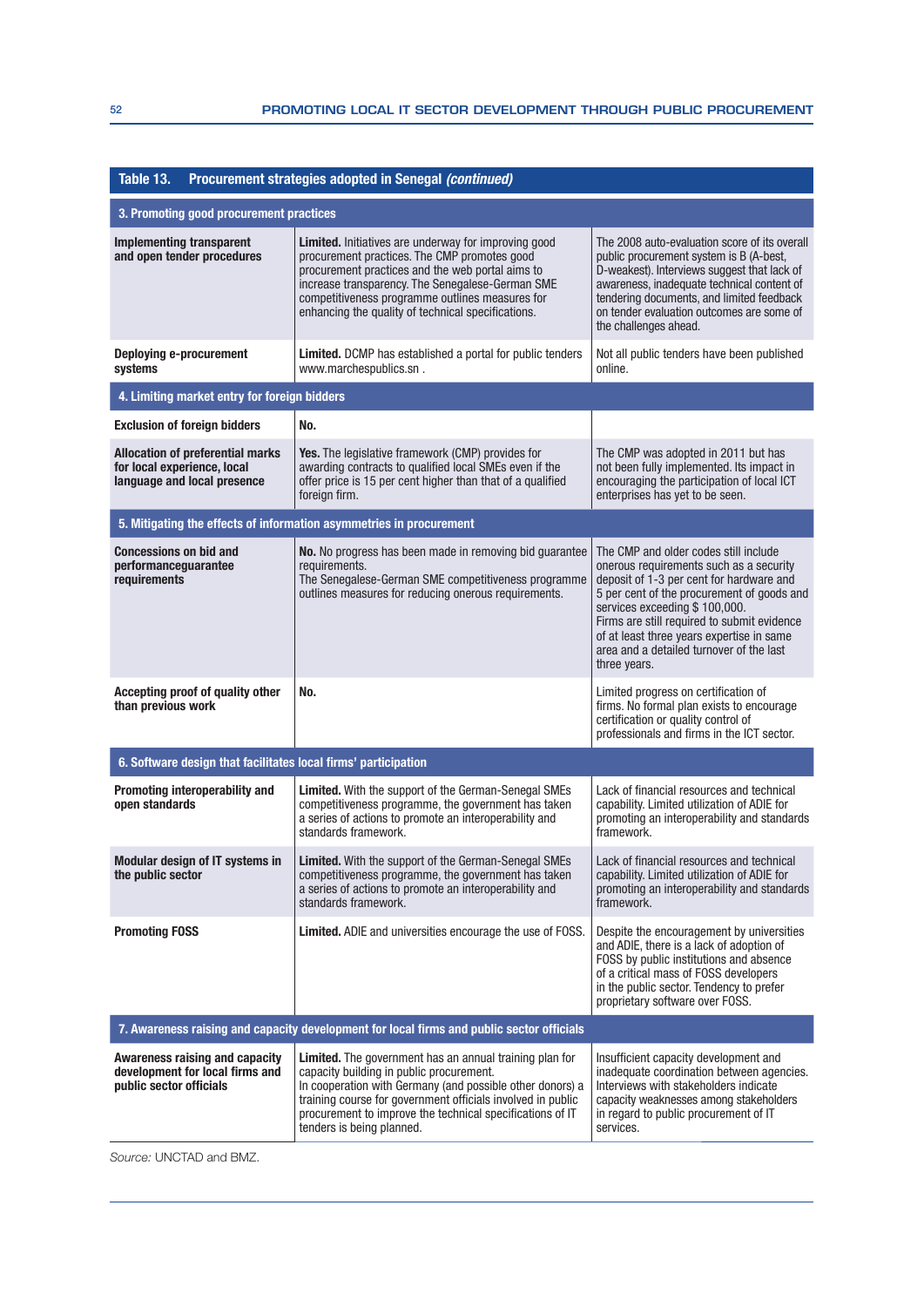| Table 13.<br>Procurement strategies adopted in Senegal (continued)                                    |                                                                                                                                                                                                                                                                                                                                  |                                                                                                                                                                                                                                                                                                                                                                     |  |  |  |
|-------------------------------------------------------------------------------------------------------|----------------------------------------------------------------------------------------------------------------------------------------------------------------------------------------------------------------------------------------------------------------------------------------------------------------------------------|---------------------------------------------------------------------------------------------------------------------------------------------------------------------------------------------------------------------------------------------------------------------------------------------------------------------------------------------------------------------|--|--|--|
| 3. Promoting good procurement practices                                                               |                                                                                                                                                                                                                                                                                                                                  |                                                                                                                                                                                                                                                                                                                                                                     |  |  |  |
| <b>Implementing transparent</b><br>and open tender procedures                                         | <b>Limited.</b> Initiatives are underway for improving good<br>procurement practices. The CMP promotes good<br>procurement practices and the web portal aims to<br>increase transparency. The Senegalese-German SME<br>competitiveness programme outlines measures for<br>enhancing the quality of technical specifications.     | The 2008 auto-evaluation score of its overall<br>public procurement system is B (A-best,<br>D-weakest). Interviews suggest that lack of<br>awareness, inadequate technical content of<br>tendering documents, and limited feedback<br>on tender evaluation outcomes are some of<br>the challenges ahead.                                                            |  |  |  |
| <b>Deploying e-procurement</b><br>systems                                                             | <b>Limited.</b> DCMP has established a portal for public tenders<br>www.marchespublics.sn.                                                                                                                                                                                                                                       | Not all public tenders have been published<br>online.                                                                                                                                                                                                                                                                                                               |  |  |  |
| 4. Limiting market entry for foreign bidders                                                          |                                                                                                                                                                                                                                                                                                                                  |                                                                                                                                                                                                                                                                                                                                                                     |  |  |  |
| <b>Exclusion of foreign bidders</b>                                                                   | No.                                                                                                                                                                                                                                                                                                                              |                                                                                                                                                                                                                                                                                                                                                                     |  |  |  |
| <b>Allocation of preferential marks</b><br>for local experience, local<br>language and local presence | <b>Yes.</b> The legislative framework (CMP) provides for<br>awarding contracts to qualified local SMEs even if the<br>offer price is 15 per cent higher than that of a qualified<br>foreign firm.                                                                                                                                | The CMP was adopted in 2011 but has<br>not been fully implemented. Its impact in<br>encouraging the participation of local ICT<br>enterprises has yet to be seen.                                                                                                                                                                                                   |  |  |  |
|                                                                                                       | 5. Mitigating the effects of information asymmetries in procurement                                                                                                                                                                                                                                                              |                                                                                                                                                                                                                                                                                                                                                                     |  |  |  |
| <b>Concessions on bid and</b><br>performanceguarantee<br>requirements                                 | No. No progress has been made in removing bid guarantee<br>requirements.<br>The Senegalese-German SME competitiveness programme<br>outlines measures for reducing onerous requirements.                                                                                                                                          | The CMP and older codes still include<br>onerous requirements such as a security<br>deposit of 1-3 per cent for hardware and<br>5 per cent of the procurement of goods and<br>services exceeding \$100,000.<br>Firms are still required to submit evidence<br>of at least three years expertise in same<br>area and a detailed turnover of the last<br>three years. |  |  |  |
| Accepting proof of quality other<br>than previous work                                                | No.                                                                                                                                                                                                                                                                                                                              | Limited progress on certification of<br>firms. No formal plan exists to encourage<br>certification or quality control of<br>professionals and firms in the ICT sector.                                                                                                                                                                                              |  |  |  |
| 6. Software design that facilitates local firms' participation                                        |                                                                                                                                                                                                                                                                                                                                  |                                                                                                                                                                                                                                                                                                                                                                     |  |  |  |
| Promoting interoperability and<br>open standards                                                      | Limited. With the support of the German-Senegal SMEs<br>competitiveness programme, the government has taken<br>a series of actions to promote an interoperability and<br>standards framework.                                                                                                                                    | Lack of financial resources and technical<br>capability. Limited utilization of ADIE for<br>promoting an interoperability and standards<br>framework.                                                                                                                                                                                                               |  |  |  |
| Modular design of IT systems in<br>the public sector                                                  | Limited. With the support of the German-Senegal SMEs<br>competitiveness programme, the government has taken<br>a series of actions to promote an interoperability and<br>standards framework.                                                                                                                                    | Lack of financial resources and technical<br>capability. Limited utilization of ADIE for<br>promoting an interoperability and standards<br>framework.                                                                                                                                                                                                               |  |  |  |
| <b>Promoting FOSS</b>                                                                                 | Limited. ADIE and universities encourage the use of FOSS.                                                                                                                                                                                                                                                                        | Despite the encouragement by universities<br>and ADIE, there is a lack of adoption of<br>FOSS by public institutions and absence<br>of a critical mass of FOSS developers<br>in the public sector. Tendency to prefer<br>proprietary software over FOSS.                                                                                                            |  |  |  |
|                                                                                                       | 7. Awareness raising and capacity development for local firms and public sector officials                                                                                                                                                                                                                                        |                                                                                                                                                                                                                                                                                                                                                                     |  |  |  |
| <b>Awareness raising and capacity</b><br>development for local firms and<br>public sector officials   | <b>Limited.</b> The government has an annual training plan for<br>capacity building in public procurement.<br>In cooperation with Germany (and possible other donors) a<br>training course for government officials involved in public<br>procurement to improve the technical specifications of IT<br>tenders is being planned. | Insufficient capacity development and<br>inadequate coordination between agencies.<br>Interviews with stakeholders indicate<br>capacity weaknesses among stakeholders<br>in regard to public procurement of IT<br>services.                                                                                                                                         |  |  |  |

Source: UNCTAD and BMZ.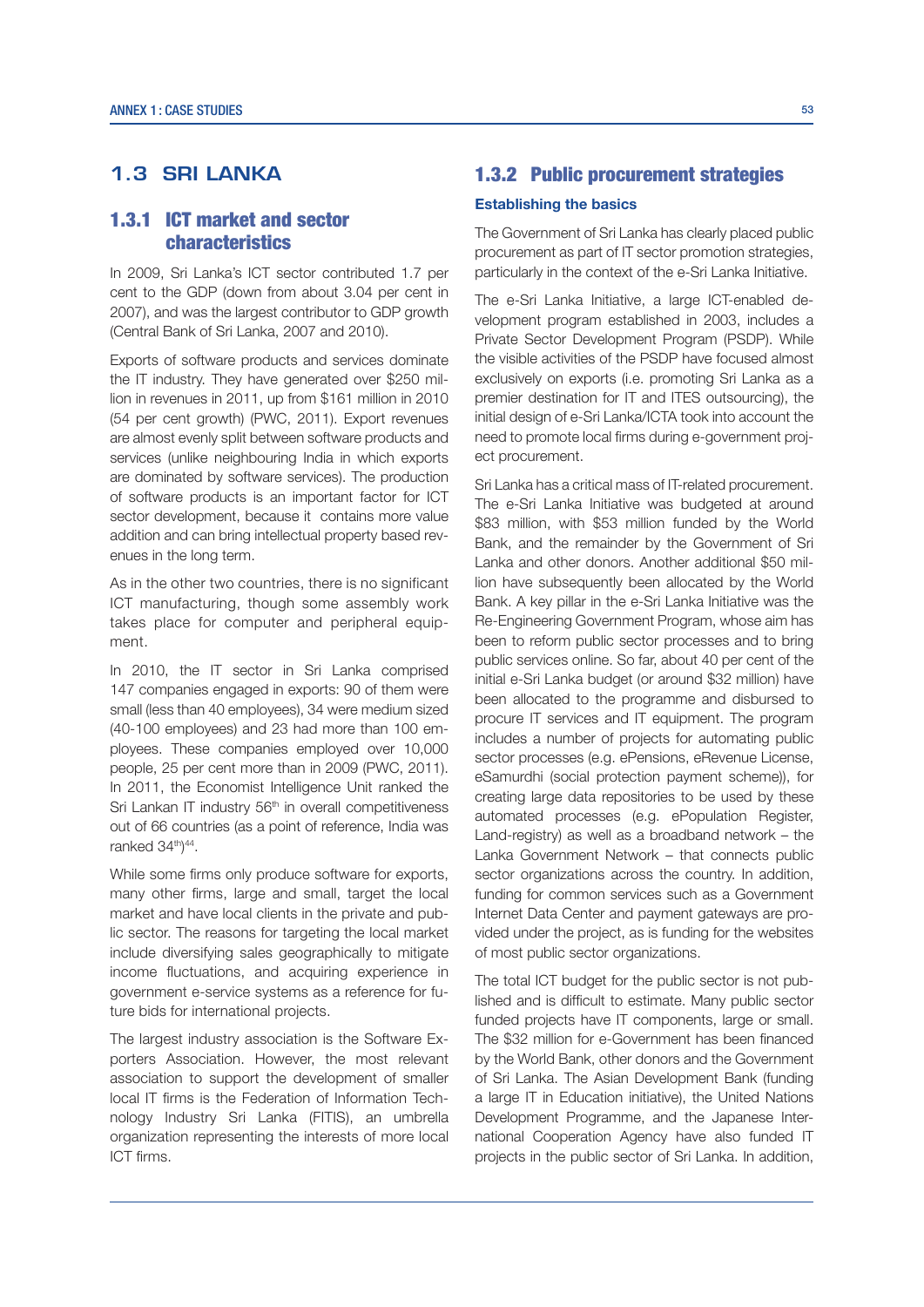# **1.3 SRI LANKA**

# 1.3.1 ICT market and sector characteristics

In 2009, Sri Lanka's ICT sector contributed 1.7 per cent to the GDP (down from about 3.04 per cent in 2007), and was the largest contributor to GDP growth (Central Bank of Sri Lanka, 2007 and 2010).

Exports of software products and services dominate the IT industry. They have generated over \$250 million in revenues in 2011, up from \$161 million in 2010 (54 per cent growth) (PWC, 2011). Export revenues are almost evenly split between software products and services (unlike neighbouring India in which exports are dominated by software services). The production of software products is an important factor for ICT sector development, because it contains more value addition and can bring intellectual property based revenues in the long term.

As in the other two countries, there is no significant ICT manufacturing, though some assembly work takes place for computer and peripheral equipment.

In 2010, the IT sector in Sri Lanka comprised 147 companies engaged in exports: 90 of them were small (less than 40 employees), 34 were medium sized (40-100 employees) and 23 had more than 100 employees. These companies employed over 10,000 people, 25 per cent more than in 2009 (PWC, 2011). In 2011, the Economist Intelligence Unit ranked the Sri Lankan IT industry 56<sup>th</sup> in overall competitiveness out of 66 countries (as a point of reference, India was ranked 34th) 44.

While some firms only produce software for exports, many other firms, large and small, target the local market and have local clients in the private and public sector. The reasons for targeting the local market include diversifying sales geographically to mitigate income fluctuations, and acquiring experience in government e-service systems as a reference for future bids for international projects.

The largest industry association is the Software Exporters Association. However, the most relevant association to support the development of smaller local IT firms is the Federation of Information Technology Industry Sri Lanka (FITIS), an umbrella organization representing the interests of more local ICT firms.

## 1.3.2 Public procurement strategies

#### **Establishing the basics**

The Government of Sri Lanka has clearly placed public procurement as part of IT sector promotion strategies, particularly in the context of the e-Sri Lanka Initiative.

The e-Sri Lanka Initiative, a large ICT-enabled development program established in 2003, includes a Private Sector Development Program (PSDP). While the visible activities of the PSDP have focused almost exclusively on exports (i.e. promoting Sri Lanka as a premier destination for IT and ITES outsourcing), the initial design of e-Sri Lanka/ICTA took into account the need to promote local firms during e-government project procurement.

Sri Lanka has a critical mass of IT-related procurement. The e-Sri Lanka Initiative was budgeted at around \$83 million, with \$53 million funded by the World Bank, and the remainder by the Government of Sri Lanka and other donors. Another additional \$50 million have subsequently been allocated by the World Bank. A key pillar in the e-Sri Lanka Initiative was the Re-Engineering Government Program, whose aim has been to reform public sector processes and to bring public services online. So far, about 40 per cent of the initial e-Sri Lanka budget (or around \$32 million) have been allocated to the programme and disbursed to procure IT services and IT equipment. The program includes a number of projects for automating public sector processes (e.g. ePensions, eRevenue License, eSamurdhi (social protection payment scheme)), for creating large data repositories to be used by these automated processes (e.g. ePopulation Register, Land-registry) as well as a broadband network – the Lanka Government Network – that connects public sector organizations across the country. In addition, funding for common services such as a Government Internet Data Center and payment gateways are provided under the project, as is funding for the websites of most public sector organizations.

The total ICT budget for the public sector is not published and is difficult to estimate. Many public sector funded projects have IT components, large or small. The \$32 million for e-Government has been financed by the World Bank, other donors and the Government of Sri Lanka. The Asian Development Bank (funding a large IT in Education initiative), the United Nations Development Programme, and the Japanese International Cooperation Agency have also funded IT projects in the public sector of Sri Lanka. In addition,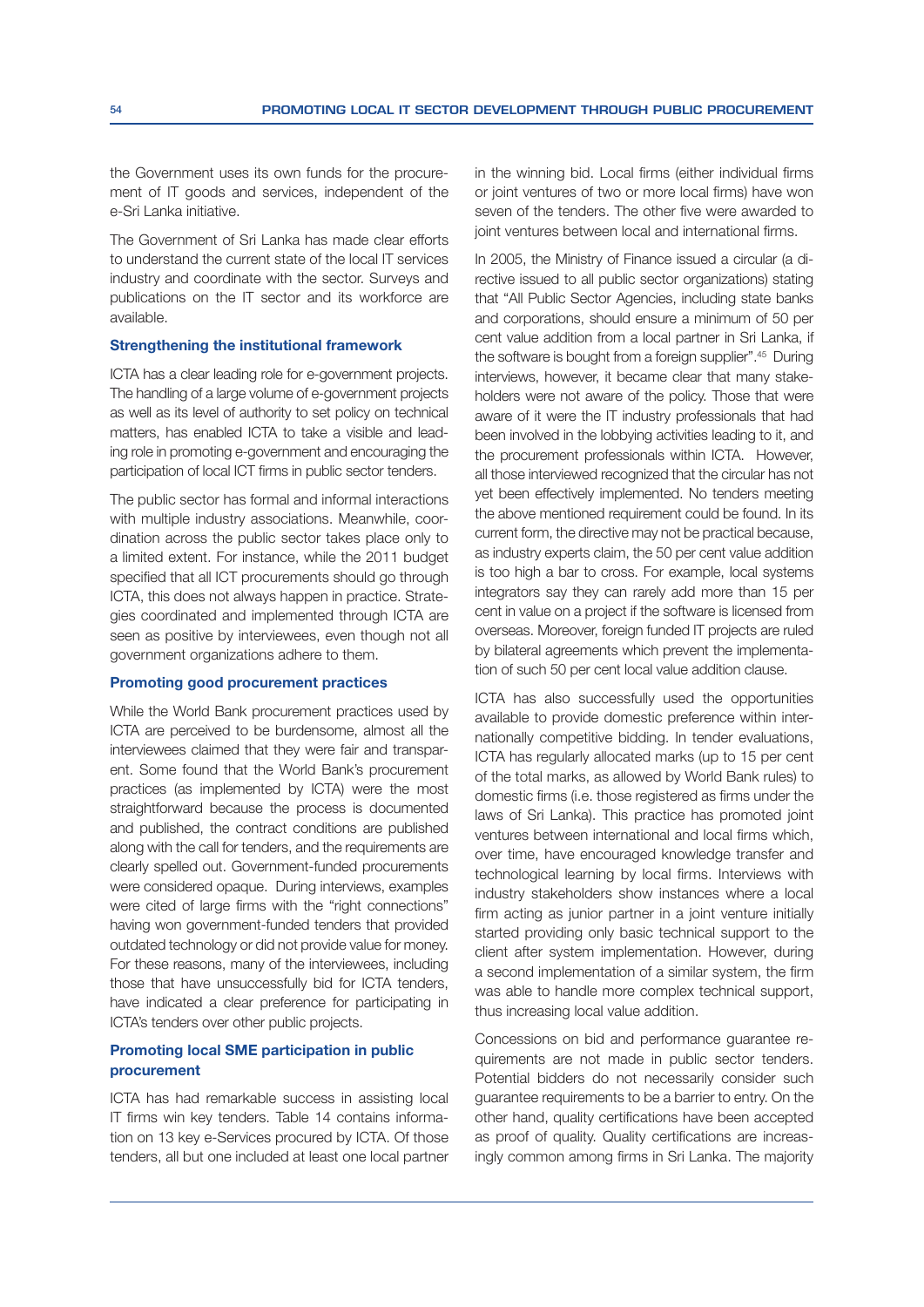the Government uses its own funds for the procurement of IT goods and services, independent of the e-Sri Lanka initiative.

The Government of Sri Lanka has made clear efforts to understand the current state of the local IT services industry and coordinate with the sector. Surveys and publications on the IT sector and its workforce are available.

#### Strengthening the institutional framework

ICTA has a clear leading role for e-government projects. The handling of a large volume of e-government projects as well as its level of authority to set policy on technical matters, has enabled ICTA to take a visible and leading role in promoting e-government and encouraging the participation of local ICT firms in public sector tenders.

The public sector has formal and informal interactions with multiple industry associations. Meanwhile, coordination across the public sector takes place only to a limited extent. For instance, while the 2011 budget specified that all ICT procurements should go through ICTA, this does not always happen in practice. Strategies coordinated and implemented through ICTA are seen as positive by interviewees, even though not all government organizations adhere to them.

#### Promoting good procurement practices

While the World Bank procurement practices used by ICTA are perceived to be burdensome, almost all the interviewees claimed that they were fair and transparent. Some found that the World Bank's procurement practices (as implemented by ICTA) were the most straightforward because the process is documented and published, the contract conditions are published along with the call for tenders, and the requirements are clearly spelled out. Government-funded procurements were considered opaque. During interviews, examples were cited of large firms with the "right connections" having won government-funded tenders that provided outdated technology or did not provide value for money. For these reasons, many of the interviewees, including those that have unsuccessfully bid for ICTA tenders, have indicated a clear preference for participating in ICTA's tenders over other public projects.

## Promoting local SME participation in public procurement

ICTA has had remarkable success in assisting local IT firms win key tenders. Table 14 contains information on 13 key e-Services procured by ICTA. Of those tenders, all but one included at least one local partner in the winning bid. Local firms (either individual firms or joint ventures of two or more local firms) have won seven of the tenders. The other five were awarded to joint ventures between local and international firms.

In 2005, the Ministry of Finance issued a circular (a directive issued to all public sector organizations) stating that "All Public Sector Agencies, including state banks and corporations, should ensure a minimum of 50 per cent value addition from a local partner in Sri Lanka, if the software is bought from a foreign supplier".45 During interviews, however, it became clear that many stakeholders were not aware of the policy. Those that were aware of it were the IT industry professionals that had been involved in the lobbying activities leading to it, and the procurement professionals within ICTA. However, all those interviewed recognized that the circular has not yet been effectively implemented. No tenders meeting the above mentioned requirement could be found. In its current form, the directive may not be practical because, as industry experts claim, the 50 per cent value addition is too high a bar to cross. For example, local systems integrators say they can rarely add more than 15 per cent in value on a project if the software is licensed from overseas. Moreover, foreign funded IT projects are ruled by bilateral agreements which prevent the implementation of such 50 per cent local value addition clause.

ICTA has also successfully used the opportunities available to provide domestic preference within internationally competitive bidding. In tender evaluations, ICTA has regularly allocated marks (up to 15 per cent of the total marks, as allowed by World Bank rules) to domestic firms (i.e. those registered as firms under the laws of Sri Lanka). This practice has promoted joint ventures between international and local firms which, over time, have encouraged knowledge transfer and technological learning by local firms. Interviews with industry stakeholders show instances where a local firm acting as junior partner in a joint venture initially started providing only basic technical support to the client after system implementation. However, during a second implementation of a similar system, the firm was able to handle more complex technical support, thus increasing local value addition.

Concessions on bid and performance guarantee requirements are not made in public sector tenders. Potential bidders do not necessarily consider such guarantee requirements to be a barrier to entry. On the other hand, quality certifications have been accepted as proof of quality. Quality certifications are increasingly common among firms in Sri Lanka. The majority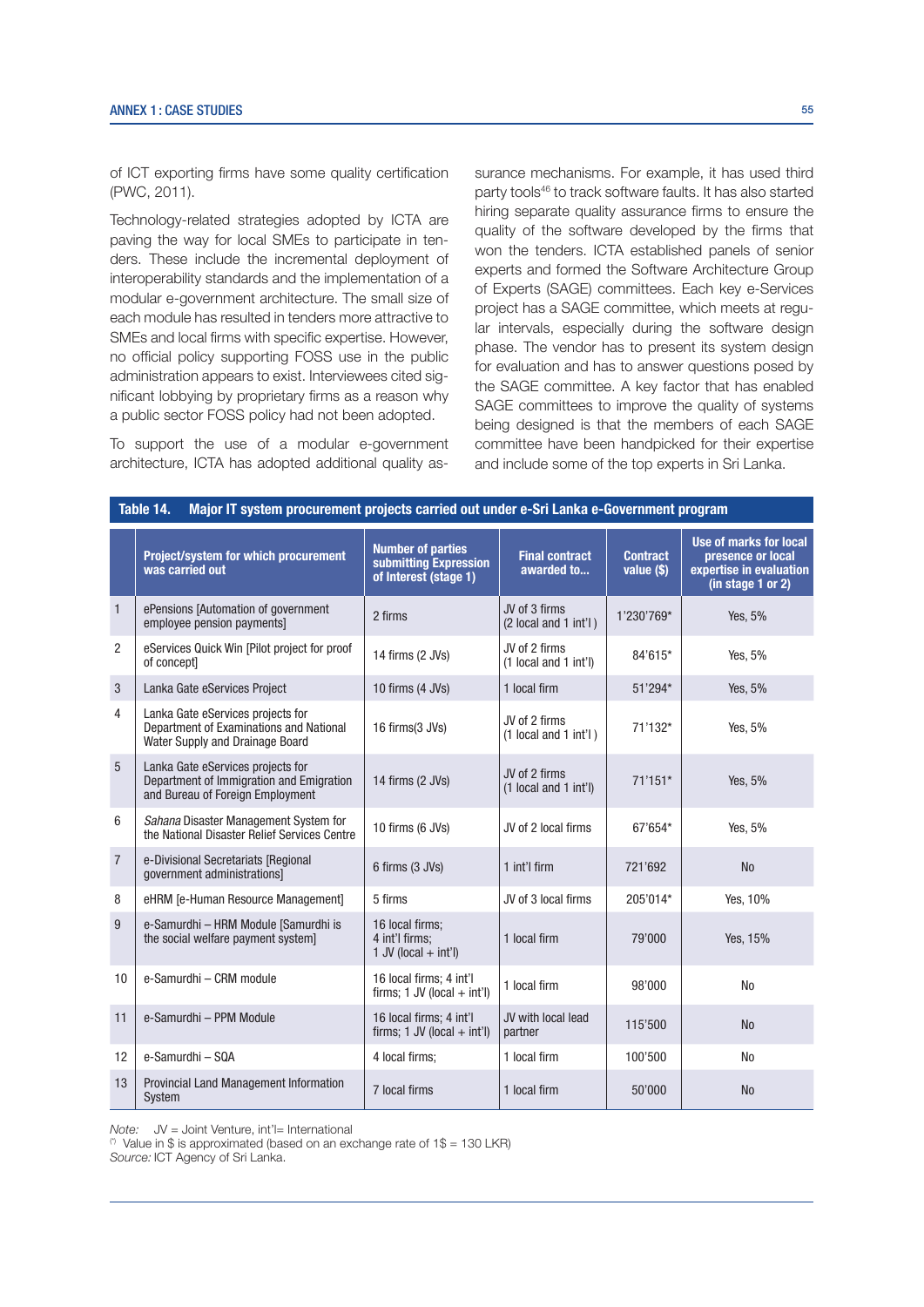of ICT exporting firms have some quality certification (PWC, 2011).

Technology-related strategies adopted by ICTA are paving the way for local SMEs to participate in tenders. These include the incremental deployment of interoperability standards and the implementation of a modular e-government architecture. The small size of each module has resulted in tenders more attractive to SMEs and local firms with specific expertise. However, no official policy supporting FOSS use in the public administration appears to exist. Interviewees cited significant lobbying by proprietary firms as a reason why a public sector FOSS policy had not been adopted.

To support the use of a modular e-government architecture, ICTA has adopted additional quality assurance mechanisms. For example, it has used third party tools46 to track software faults. It has also started hiring separate quality assurance firms to ensure the quality of the software developed by the firms that won the tenders. ICTA established panels of senior experts and formed the Software Architecture Group of Experts (SAGE) committees. Each key e-Services project has a SAGE committee, which meets at regular intervals, especially during the software design phase. The vendor has to present its system design for evaluation and has to answer questions posed by the SAGE committee. A key factor that has enabled SAGE committees to improve the quality of systems being designed is that the members of each SAGE committee have been handpicked for their expertise and include some of the top experts in Sri Lanka.

|                | Table 14.<br>Major IT system procurement projects carried out under e-Sri Lanka e-Government program              |                                                                            |                                            |                               |                                                                                             |  |  |
|----------------|-------------------------------------------------------------------------------------------------------------------|----------------------------------------------------------------------------|--------------------------------------------|-------------------------------|---------------------------------------------------------------------------------------------|--|--|
|                | Project/system for which procurement<br>was carried out                                                           | <b>Number of parties</b><br>submitting Expression<br>of Interest (stage 1) | <b>Final contract</b><br>awarded to        | <b>Contract</b><br>value (\$) | Use of marks for local<br>presence or local<br>expertise in evaluation<br>(in stage 1 or 2) |  |  |
| $\mathbf{1}$   | ePensions [Automation of government<br>employee pension payments]                                                 | 2 firms                                                                    | JV of 3 firms<br>(2 local and 1 int'l)     | 1'230'769*                    | Yes, 5%                                                                                     |  |  |
| 2              | eServices Quick Win [Pilot project for proof<br>of concept]                                                       | 14 firms (2 JVs)                                                           | JV of 2 firms<br>(1 local and 1 int'l)     | 84'615*                       | Yes, 5%                                                                                     |  |  |
| 3              | Lanka Gate eServices Project                                                                                      | 10 firms (4 JVs)                                                           | 1 local firm                               | 51'294*                       | Yes, 5%                                                                                     |  |  |
| 4              | Lanka Gate eServices projects for<br>Department of Examinations and National<br>Water Supply and Drainage Board   | 16 firms(3 JVs)                                                            | JV of 2 firms<br>$(1$ local and $1$ int'l) | 71'132*                       | Yes, 5%                                                                                     |  |  |
| 5              | Lanka Gate eServices projects for<br>Department of Immigration and Emigration<br>and Bureau of Foreign Employment | 14 firms (2 JVs)                                                           | JV of 2 firms<br>(1 local and 1 int'l)     | 71'151*                       | Yes, 5%                                                                                     |  |  |
| 6              | Sahana Disaster Management System for<br>the National Disaster Relief Services Centre                             | 10 firms (6 JVs)                                                           | JV of 2 local firms                        | 67'654*                       | Yes, 5%                                                                                     |  |  |
| $\overline{7}$ | e-Divisional Secretariats [Regional<br>government administrations]                                                | 6 firms (3 JVs)                                                            | 1 int'l firm                               | 721'692                       | <b>No</b>                                                                                   |  |  |
| 8              | eHRM [e-Human Resource Management]                                                                                | 5 firms                                                                    | JV of 3 local firms                        | 205'014*                      | Yes, 10%                                                                                    |  |  |
| 9              | e-Samurdhi - HRM Module [Samurdhi is<br>the social welfare payment system]                                        | 16 local firms:<br>4 int'l firms:<br>$1$ JV (local $+$ int'l)              | 1 local firm                               | 79'000                        | Yes, 15%                                                                                    |  |  |
| 10             | e-Samurdhi - CRM module                                                                                           | 16 local firms; 4 int'l<br>firms; $1$ JV (local $+$ int'l)                 | 1 local firm                               | 98'000                        | <b>No</b>                                                                                   |  |  |
| 11             | e-Samurdhi - PPM Module                                                                                           | 16 local firms; 4 int'l<br>firms; $1$ JV (local $+$ int'l)                 | JV with local lead<br>partner              | 115'500                       | <b>No</b>                                                                                   |  |  |
| 12             | e-Samurdhi - SQA                                                                                                  | 4 local firms:                                                             | 1 local firm                               | 100'500                       | N <sub>0</sub>                                                                              |  |  |
| 13             | Provincial Land Management Information<br>System                                                                  | 7 local firms                                                              | 1 local firm                               | 50'000                        | <b>No</b>                                                                                   |  |  |

 $Note: \quad JV = Joint Venture. \quad int'll = International$ 

(\*) Value in \$ is approximated (based on an exchange rate of  $1\$  = 130 LKR) Source: ICT Agency of Sri Lanka.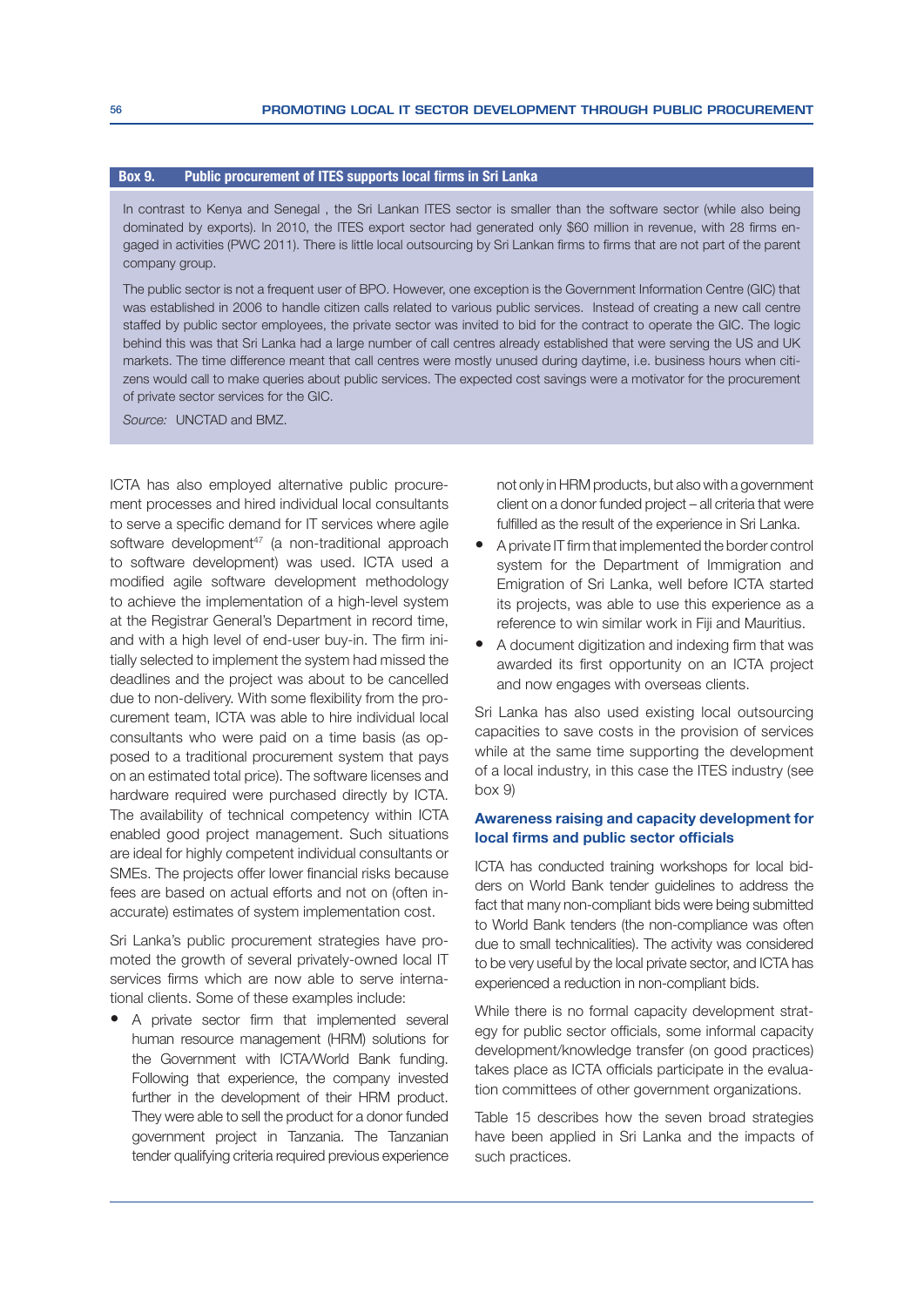#### Box 9. Public procurement of ITES supports local firms in Sri Lanka

In contrast to Kenya and Senegal , the Sri Lankan ITES sector is smaller than the software sector (while also being dominated by exports). In 2010, the ITES export sector had generated only \$60 million in revenue, with 28 firms engaged in activities (PWC 2011). There is little local outsourcing by Sri Lankan firms to firms that are not part of the parent company group.

The public sector is not a frequent user of BPO. However, one exception is the Government Information Centre (GIC) that was established in 2006 to handle citizen calls related to various public services. Instead of creating a new call centre staffed by public sector employees, the private sector was invited to bid for the contract to operate the GIC. The logic behind this was that Sri Lanka had a large number of call centres already established that were serving the US and UK markets. The time difference meant that call centres were mostly unused during daytime, i.e. business hours when citi zens would call to make queries about public services. The expected cost savings were a motivator for the procurement of private sector services for the GIC.

Source: **UNCTAD** and BMZ.

ICTA has also employed alternative public procurement processes and hired individual local consultants to serve a specific demand for IT services where agile software development<sup>47</sup> (a non-traditional approach to software development) was used. ICTA used a modified agile software development methodology to achieve the implementation of a high-level system at the Registrar General's Department in record time, and with a high level of end-user buy-in. The firm initially selected to implement the system had missed the deadlines and the project was about to be cancelled due to non-delivery. With some flexibility from the procurement team, ICTA was able to hire individual local consultants who were paid on a time basis (as opposed to a traditional procurement system that pays on an estimated total price). The software licenses and hardware required were purchased directly by ICTA. The availability of technical competency within ICTA enabled good project management. Such situations are ideal for highly competent individual consultants or SMEs. The projects offer lower financial risks because fees are based on actual efforts and not on (often inaccurate) estimates of system implementation cost.

Sri Lanka's public procurement strategies have promoted the growth of several privately-owned local IT services firms which are now able to serve international clients. Some of these examples include:

• A private sector firm that implemented several human resource management (HRM) solutions for the Government with ICTA/World Bank funding. Following that experience, the company invested further in the development of their HRM product. They were able to sell the product for a donor funded government project in Tanzania. The Tanzanian tender qualifying criteria required previous experience not only in HRM products, but also with a government client on a donor funded project – all criteria that were fulfilled as the result of the experience in Sri Lanka.

- A private IT firm that implemented the border control system for the Department of Immigration and Emigration of Sri Lanka, well before ICTA started its projects, was able to use this experience as a reference to win similar work in Fiji and Mauritius.
- A document digitization and indexing firm that was awarded its first opportunity on an ICTA project and now engages with overseas clients.

Sri Lanka has also used existing local outsourcing capacities to save costs in the provision of services while at the same time supporting the development of a local industry, in this case the ITES industry (see  $box 9$ 

#### Awareness raising and capacity development for local firms and public sector officials

ICTA has conducted training workshops for local bidders on World Bank tender guidelines to address the fact that many non-compliant bids were being submitted to World Bank tenders (the non-compliance was often due to small technicalities). The activity was considered to be very useful by the local private sector, and ICTA has experienced a reduction in non-compliant bids.

While there is no formal capacity development strateqy for public sector officials, some informal capacity development/knowledge transfer (on good practices) takes place as ICTA officials participate in the evaluation committees of other government organizations.

Table 15 describes how the seven broad strategies have been applied in Sri Lanka and the impacts of such practices.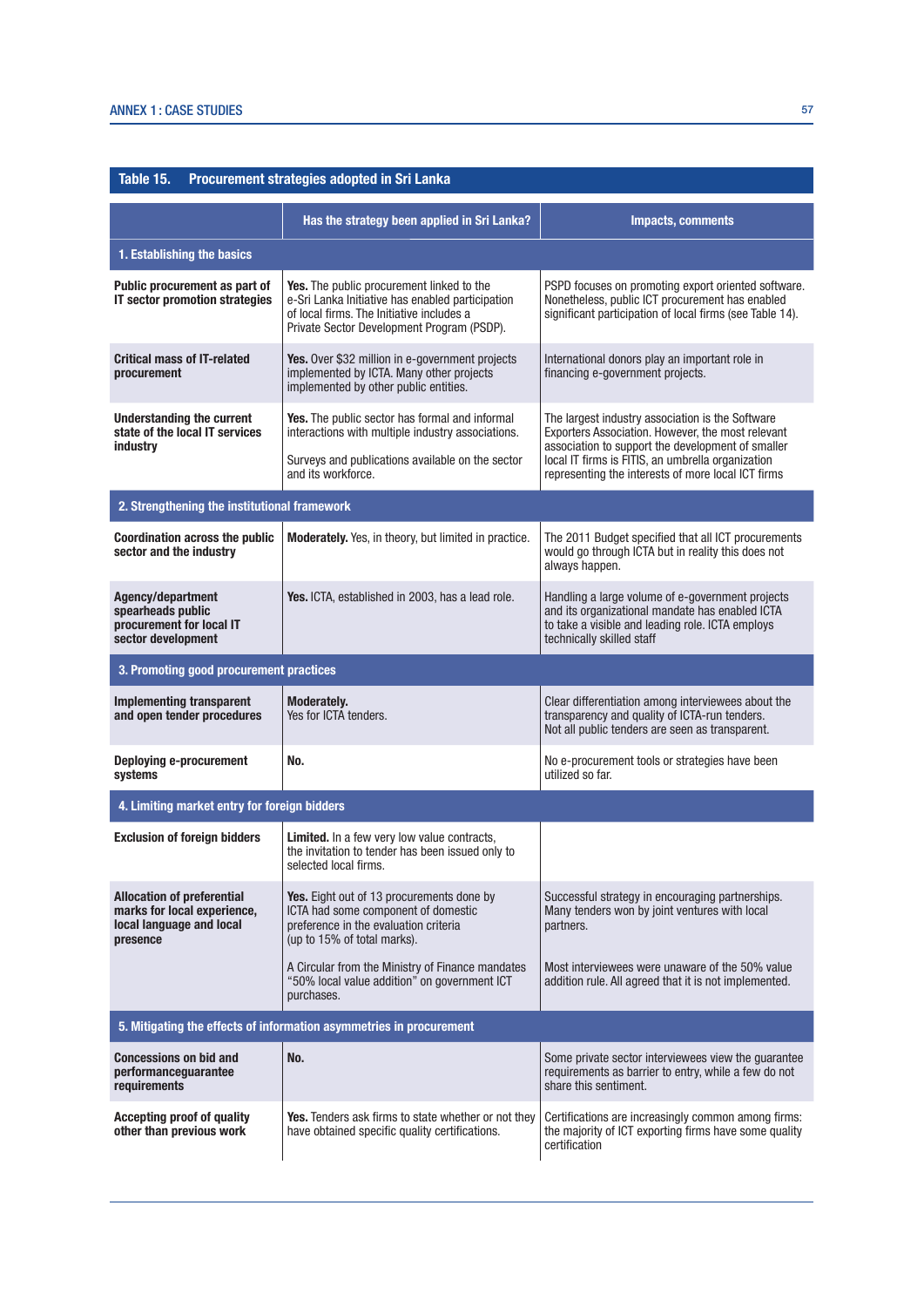| Table 15.<br>Procurement strategies adopted in Sri Lanka                                                 |                                                                                                                                                                                                 |                                                                                                                                                                                      |  |
|----------------------------------------------------------------------------------------------------------|-------------------------------------------------------------------------------------------------------------------------------------------------------------------------------------------------|--------------------------------------------------------------------------------------------------------------------------------------------------------------------------------------|--|
|                                                                                                          | Has the strategy been applied in Sri Lanka?                                                                                                                                                     | <b>Impacts, comments</b>                                                                                                                                                             |  |
| 1. Establishing the basics                                                                               |                                                                                                                                                                                                 |                                                                                                                                                                                      |  |
| Public procurement as part of<br>IT sector promotion strategies                                          | <b>Yes.</b> The public procurement linked to the<br>e-Sri Lanka Initiative has enabled participation<br>of local firms. The Initiative includes a<br>Private Sector Development Program (PSDP). | PSPD focuses on promoting export oriented software.<br>Nonetheless, public ICT procurement has enabled<br>significant participation of local firms (see Table 14).                   |  |
| <b>Critical mass of IT-related</b><br>procurement                                                        | Yes. Over \$32 million in e-government projects<br>implemented by ICTA. Many other projects<br>implemented by other public entities.                                                            | International donors play an important role in<br>financing e-government projects.                                                                                                   |  |
| <b>Understanding the current</b><br>state of the local IT services<br>industry                           | Yes. The public sector has formal and informal<br>interactions with multiple industry associations.                                                                                             | The largest industry association is the Software<br>Exporters Association. However, the most relevant<br>association to support the development of smaller                           |  |
|                                                                                                          | Surveys and publications available on the sector<br>and its workforce.                                                                                                                          | local IT firms is FITIS, an umbrella organization<br>representing the interests of more local ICT firms                                                                              |  |
| 2. Strengthening the institutional framework                                                             |                                                                                                                                                                                                 |                                                                                                                                                                                      |  |
| <b>Coordination across the public</b><br>sector and the industry                                         | <b>Moderately.</b> Yes, in theory, but limited in practice.                                                                                                                                     | The 2011 Budget specified that all ICT procurements<br>would go through ICTA but in reality this does not<br>always happen.                                                          |  |
| Agency/department<br>spearheads public<br>procurement for local IT<br>sector development                 | Yes. ICTA, established in 2003, has a lead role.                                                                                                                                                | Handling a large volume of e-government projects<br>and its organizational mandate has enabled ICTA<br>to take a visible and leading role. ICTA employs<br>technically skilled staff |  |
| 3. Promoting good procurement practices                                                                  |                                                                                                                                                                                                 |                                                                                                                                                                                      |  |
| <b>Implementing transparent</b><br>and open tender procedures                                            | Moderately.<br>Yes for ICTA tenders.                                                                                                                                                            | Clear differentiation among interviewees about the<br>transparency and quality of ICTA-run tenders.<br>Not all public tenders are seen as transparent.                               |  |
| <b>Deploying e-procurement</b><br>systems                                                                | No.                                                                                                                                                                                             | No e-procurement tools or strategies have been<br>utilized so far.                                                                                                                   |  |
| 4. Limiting market entry for foreign bidders                                                             |                                                                                                                                                                                                 |                                                                                                                                                                                      |  |
| <b>Exclusion of foreign bidders</b>                                                                      | <b>Limited.</b> In a few very low value contracts,<br>the invitation to tender has been issued only to<br>selected local firms.                                                                 |                                                                                                                                                                                      |  |
| <b>Allocation of preferential</b><br>marks for local experience,<br>local language and local<br>presence | <b>Yes.</b> Eight out of 13 procurements done by<br>ICTA had some component of domestic<br>preference in the evaluation criteria<br>(up to 15% of total marks).                                 | Successful strategy in encouraging partnerships.<br>Many tenders won by joint ventures with local<br>partners.                                                                       |  |
|                                                                                                          | A Circular from the Ministry of Finance mandates<br>"50% local value addition" on government ICT<br>purchases.                                                                                  | Most interviewees were unaware of the 50% value<br>addition rule. All agreed that it is not implemented.                                                                             |  |
| 5. Mitigating the effects of information asymmetries in procurement                                      |                                                                                                                                                                                                 |                                                                                                                                                                                      |  |
| <b>Concessions on bid and</b><br>performancequarantee<br>requirements                                    | No.                                                                                                                                                                                             | Some private sector interviewees view the guarantee<br>requirements as barrier to entry, while a few do not<br>share this sentiment.                                                 |  |
| <b>Accepting proof of quality</b><br>other than previous work                                            | <b>Yes.</b> Tenders ask firms to state whether or not they<br>have obtained specific quality certifications.                                                                                    | Certifications are increasingly common among firms:<br>the majority of ICT exporting firms have some quality<br>certification                                                        |  |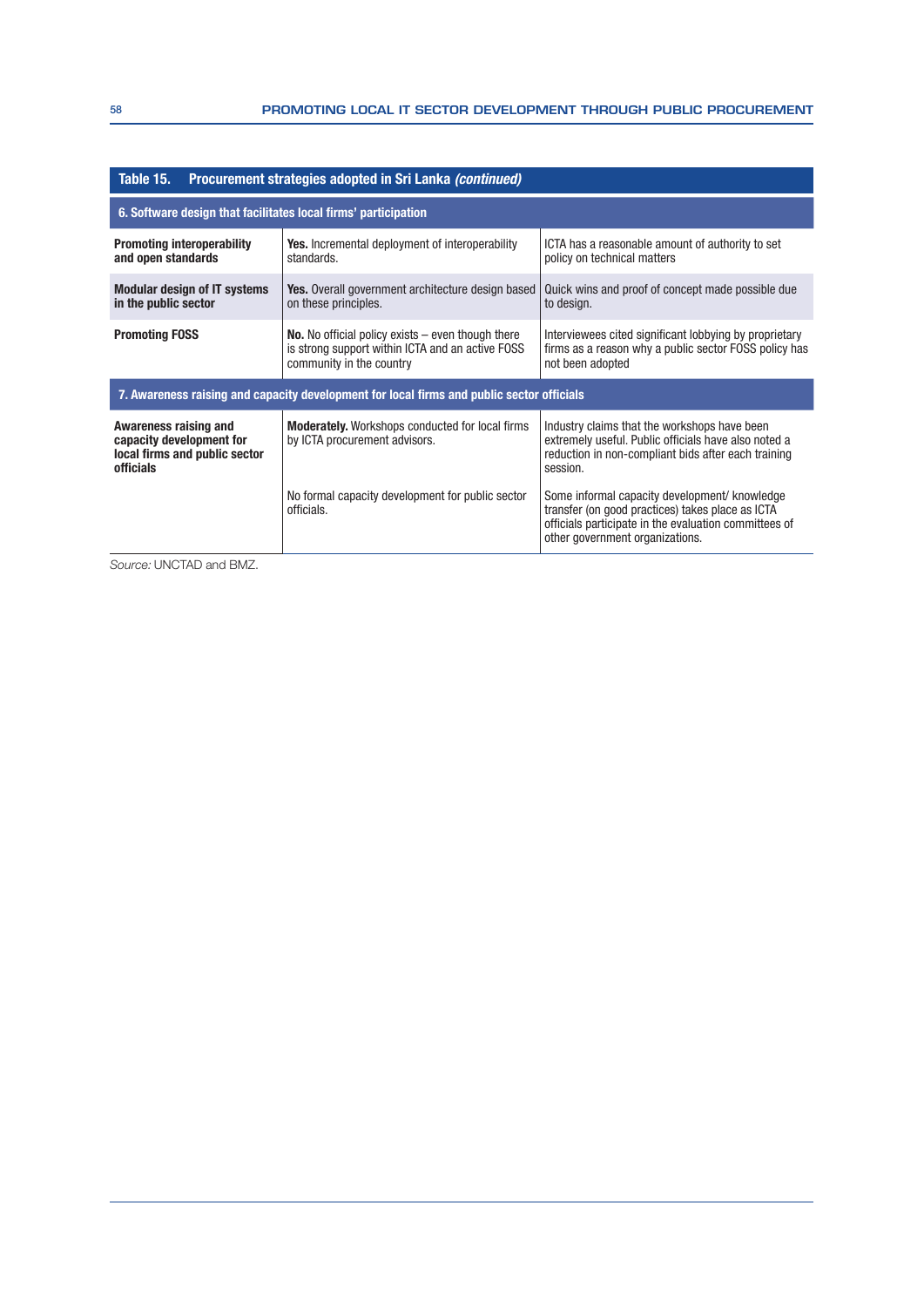| Procurement strategies adopted in Sri Lanka (continued)<br>Table 15.                            |                                                                                                                                            |                                                                                                                                                                                               |  |
|-------------------------------------------------------------------------------------------------|--------------------------------------------------------------------------------------------------------------------------------------------|-----------------------------------------------------------------------------------------------------------------------------------------------------------------------------------------------|--|
| 6. Software design that facilitates local firms' participation                                  |                                                                                                                                            |                                                                                                                                                                                               |  |
| <b>Promoting interoperability</b><br>and open standards                                         | <b>Yes.</b> Incremental deployment of interoperability<br>standards.                                                                       | ICTA has a reasonable amount of authority to set<br>policy on technical matters                                                                                                               |  |
| <b>Modular design of IT systems</b><br>in the public sector                                     | <b>Yes.</b> Overall government architecture design based<br>on these principles.                                                           | Quick wins and proof of concept made possible due<br>to design.                                                                                                                               |  |
| <b>Promoting FOSS</b>                                                                           | <b>No.</b> No official policy exists $-$ even though there<br>is strong support within ICTA and an active FOSS<br>community in the country | Interviewees cited significant lobbying by proprietary<br>firms as a reason why a public sector FOSS policy has<br>not been adopted                                                           |  |
| 7. Awareness raising and capacity development for local firms and public sector officials       |                                                                                                                                            |                                                                                                                                                                                               |  |
| Awareness raising and<br>capacity development for<br>local firms and public sector<br>officials | <b>Moderately.</b> Workshops conducted for local firms<br>by ICTA procurement advisors.                                                    | Industry claims that the workshops have been<br>extremely useful. Public officials have also noted a<br>reduction in non-compliant bids after each training<br>session.                       |  |
|                                                                                                 | No formal capacity development for public sector<br>officials.                                                                             | Some informal capacity development/ knowledge<br>transfer (on good practices) takes place as ICTA<br>officials participate in the evaluation committees of<br>other government organizations. |  |

Source: UNCTAD and BMZ.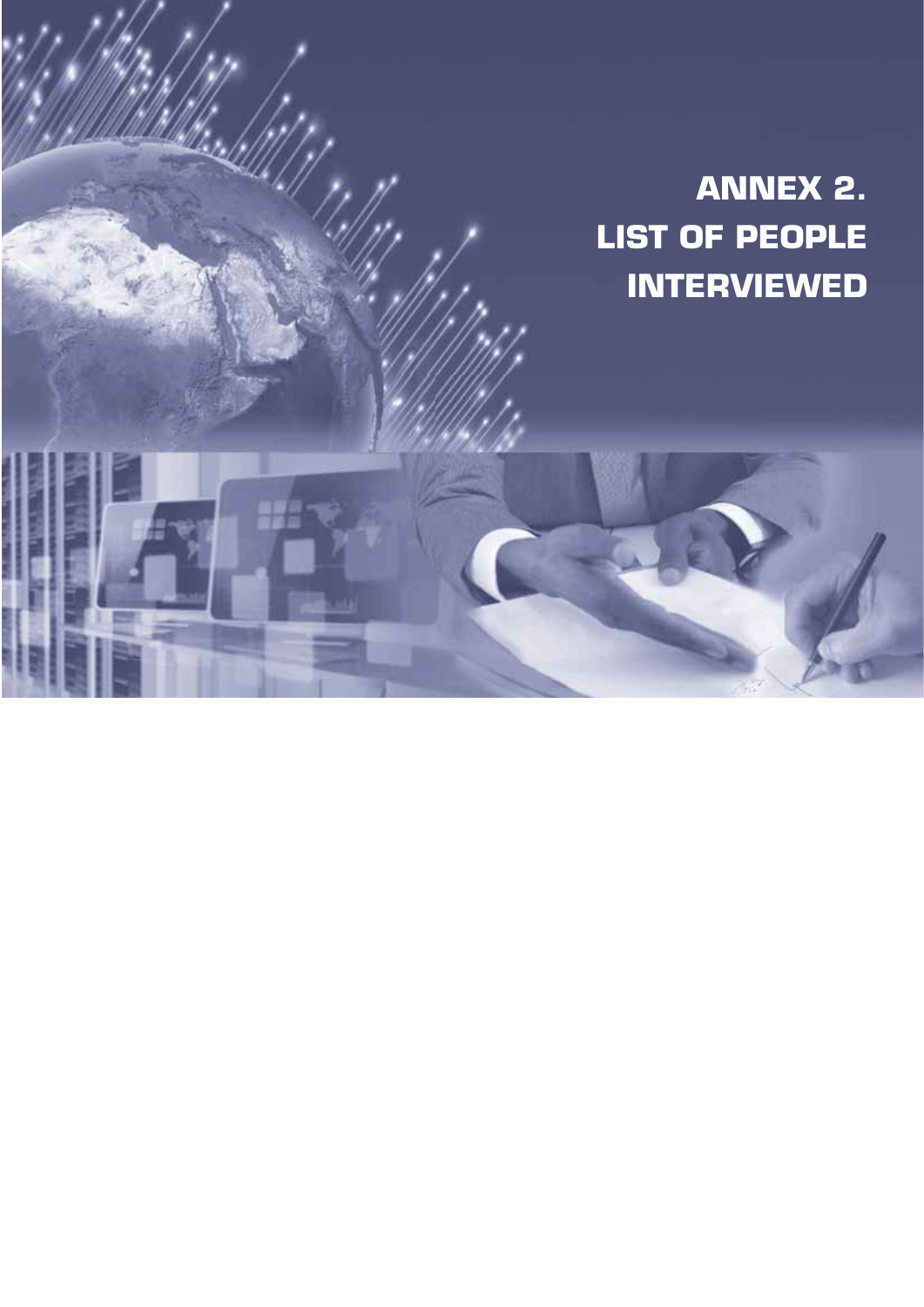# **ANNEX 2. LIST OF PEOPLE INTERVIEWED**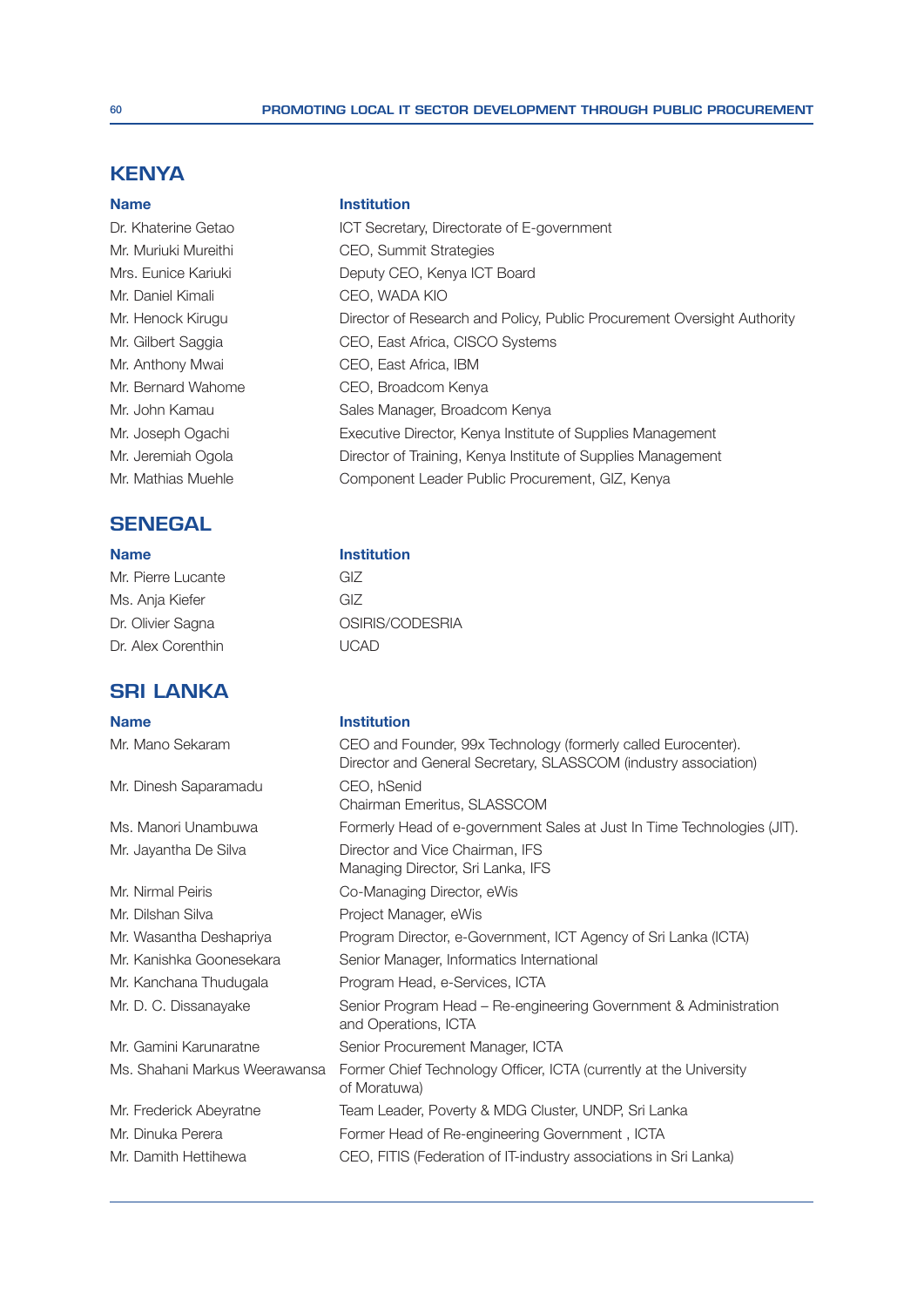## **KENYA**

Mr. Daniel Kimali CEO, WADA KIO

## **SENEGAL**

Mr. Pierre Lucante GIZ Ms. Anja Kiefer GIZ Dr. Alex Corenthin UCAD

# **SRI LANKA**

**1DPH ,QVWLWXWLWXWLRQWXWLRQWXWLWXWLWXWLWXWLRQWXWLWXWLWXWLWXWLRQWXWLWXWLWXWLWXWLWXWLWXWLRQWXWLWXWLWXW** 

Mr. Dinesh Saparamadu CEO, hSenid

Mr. Dilshan Silva 300 and 30 Project Manager, eWis

### **1**Demand Market Market (Market Market Market Market Market Market Market Market Market Market Market Market Market Market Market Market Market (Market Market Market Market Market Market Market Market Market Market Market

Dr. Khaterine Getao **ICT Secretary, Directorate of E-government** Mr. Muriuki Mureithi CEO, Summit Strategies Mrs. Eunice Kariuki Deputy CEO, Kenya ICT Board Mr. Henock Kirugu Director of Research and Policy, Public Procurement Oversight Authority Mr. Gilbert Saggia CEO, East Africa, CISCO Systems Mr. Anthony Mwai CEO, East Africa, IBM Mr. Bernard Wahome **CEO.** Broadcom Kenva Mr. John Kamau Sales Manager, Broadcom Kenya Mr. Joseph Ogachi Executive Director, Kenya Institute of Supplies Management Mr. Jeremiah Ogola Director of Training, Kenya Institute of Supplies Management Mr. Mathias Muehle Component Leader Public Procurement, GIZ, Kenya

## **1** Name **1988 1988 Institution**

Dr. Olivier Sagna **OSIRIS/CODESRIA** 

Mr. Mano Sekaram CEO and Founder, 99x Technology (formerly called Eurocenter). Director and General Secretary, SLASSCOM (industry association) Chairman Emeritus, SLASSCOM Ms. Manori Unambuwa Formerly Head of e-government Sales at Just In Time Technologies (JIT). Mr. Jayantha De Silva Director and Vice Chairman, IFS Managing Director, Sri Lanka, IFS Mr. Nirmal Peiris **Co-Managing Director, eWis** Mr. Wasantha Deshapriya Program Director, e-Government, ICT Agency of Sri Lanka (ICTA) Mr. Kanishka Goonesekara Senior Manager, Informatics International Mr. Kanchana Thudugala Program Head, e-Services, ICTA Mr. D. C. Dissanayake Senior Program Head – Re-engineering Government & Administration and Operations, ICTA Mr. Gamini Karunaratne Senior Procurement Manager, ICTA Ms. Shahani Markus Weerawansa Former Chief Technology Officer, ICTA (currently at the University of Moratuwa) Mr. Frederick Abeyratne Team Leader, Poverty & MDG Cluster, UNDP, Sri Lanka Mr. Dinuka Perera **Former Head of Re-engineering Government**, ICTA Mr. Damith Hettihewa CEO, FITIS (Federation of IT-industry associations in Sri Lanka)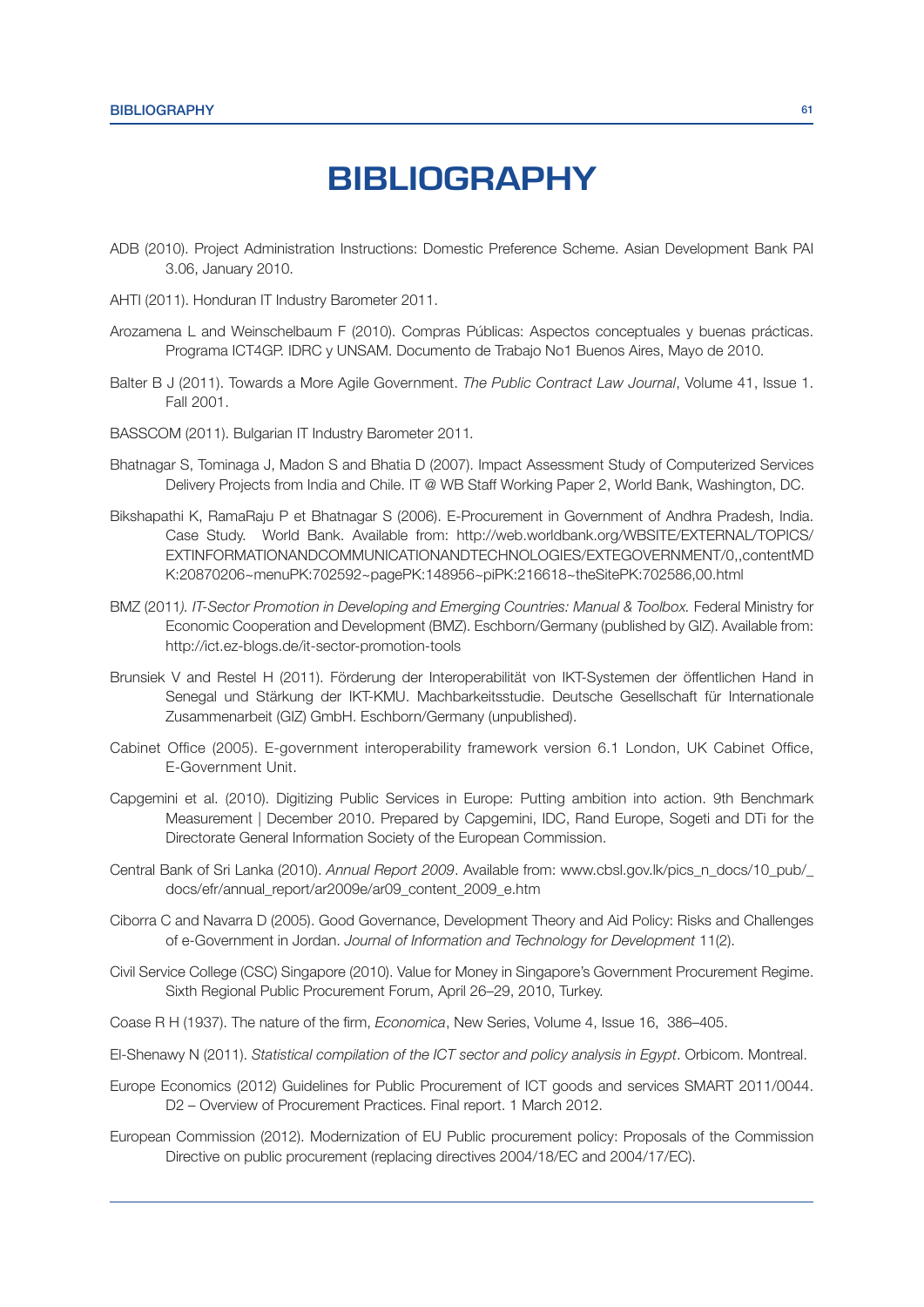# **BIBLIOGRAPHY**

- ADB (2010). Project Administration Instructions: Domestic Preference Scheme. Asian Development Bank PAI 3.06, January 2010.
- AHTI (2011). Honduran IT Industry Barometer 2011.
- Arozamena L and Weinschelbaum F (2010). Compras Públicas: Aspectos conceptuales y buenas prácticas. Programa ICT4GP. IDRC y UNSAM. Documento de Trabajo No1 Buenos Aires, Mayo de 2010.
- Balter B J (2011). Towards a More Agile Government. The Public Contract Law Journal, Volume 41, Issue 1. Fall 2001.
- BASSCOM (2011). Bulgarian IT Industry Barometer 2011
- Bhatnagar S, Tominaga J, Madon S and Bhatia D (2007). Impact Assessment Study of Computerized Services Delivery Projects from India and Chile. IT @ WB Staff Working Paper 2, World Bank, Washington, DC.
- Bikshapathi K, RamaRaju P et Bhatnagar S (2006). E-Procurement in Government of Andhra Pradesh, India. Case Study. World Bank. Available from: http://web.worldbank.org/WBSITE/EXTERNAL/TOPICS/ EXTINFORMATIONANDCOMMUNICATIONANDTECHNOLOGIES/EXTEGOVERNMENT/0,,contentMD K:20870206~menuPK:702592~pagePK:148956~piPK:216618~theSitePK:702586,00.html
- BMZ (2011). IT-Sector Promotion in Developing and Emerging Countries: Manual & Toolbox. Federal Ministry for Economic Cooperation and Development (BMZ). Eschborn/Germany (published by GIZ). Available from: http://ict.ez-blogs.de/it-sector-promotion-tools
- Brunsiek V and Restel H (2011). Förderung der Interoperabilität von IKT-Systemen der öffentlichen Hand in Senegal und Stärkung der IKT-KMU. Machbarkeitsstudie. Deutsche Gesellschaft für Internationale Zusammenarbeit (GIZ) GmbH. Eschborn/Germany (unpublished).
- Cabinet Office (2005). E-government interoperability framework version 6.1 London, UK Cabinet Office, E-Government Unit.
- Capgemini et al. (2010). Digitizing Public Services in Europe: Putting ambition into action. 9th Benchmark Measurement | December 2010. Prepared by Capgemini, IDC, Rand Europe, Sogeti and DTi for the Directorate General Information Society of the European Commission.
- Central Bank of Sri Lanka (2010). Annual Report 2009. Available from: www.cbsl.gov.lk/pics\_n\_docs/10\_pub/\_ docs/efr/annual\_report/ar2009e/ar09\_content\_2009\_e.htm
- Ciborra C and Navarra D (2005). Good Governance, Development Theory and Aid Policy: Risks and Challenges of e-Government in Jordan. Journal of Information and Technology for Development 11(2).
- Civil Service College (CSC) Singapore (2010). Value for Money in Singapore's Government Procurement Regime. Sixth Regional Public Procurement Forum, April 26–29, 2010, Turkey.
- Coase R H (1937). The nature of the firm, *Economica*, New Series, Volume 4, Issue 16, 386–405.
- El-Shenawy N (2011). Statistical compilation of the ICT sector and policy analysis in Eqypt. Orbicom. Montreal.
- Europe Economics (2012) Guidelines for Public Procurement of ICT goods and services SMART 2011/0044. D2 – Overview of Procurement Practices. Final report. 1 March 2012.
- European Commission (2012), Modernization of EU Public procurement policy: Proposals of the Commission Directive on public procurement (replacing directives 2004/18/EC and 2004/17/EC).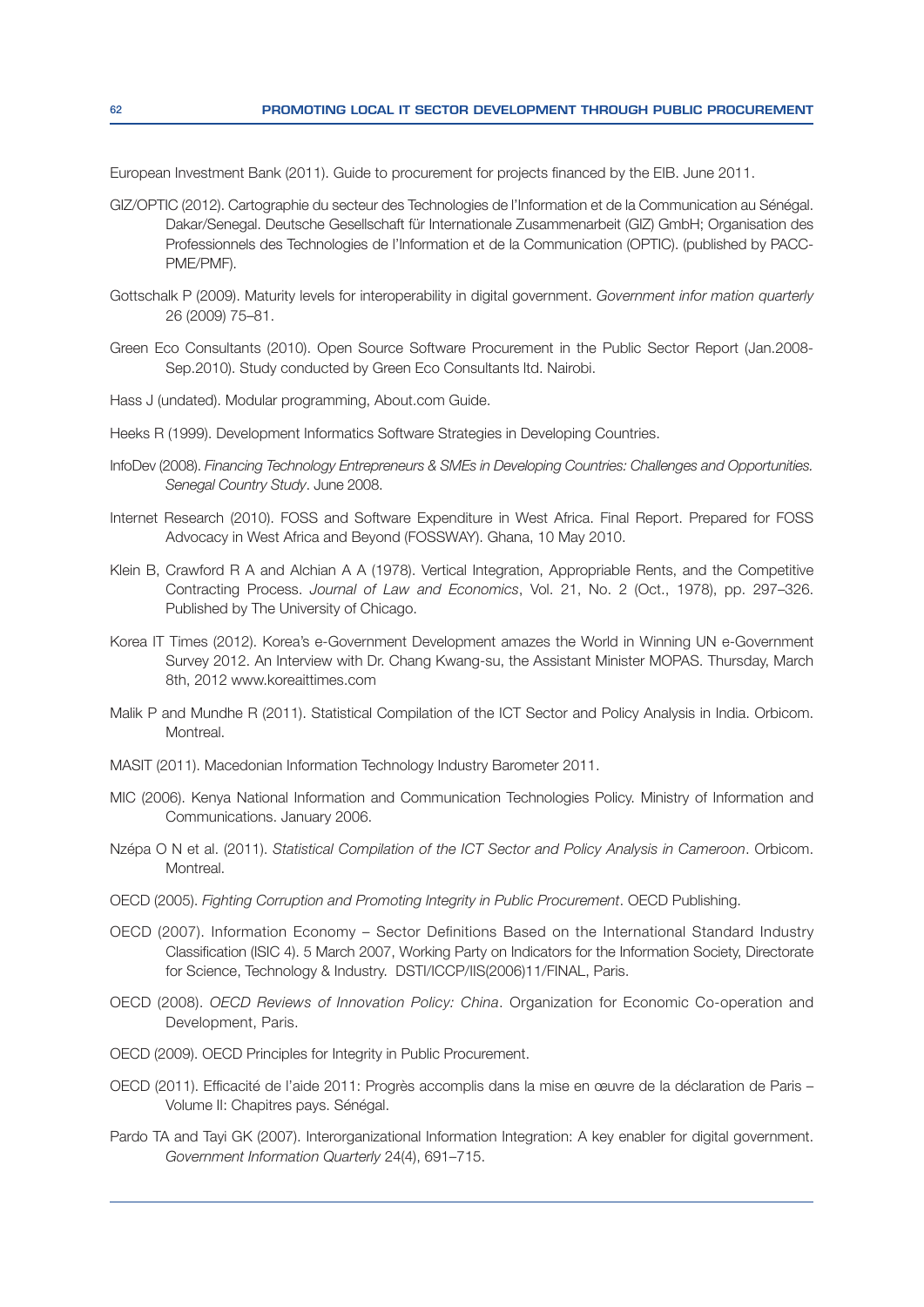European Investment Bank (2011). Guide to procurement for projects financed by the EIB. June 2011.

- GIZ/OPTIC (2012). Cartographie du secteur des Technologies de l'Information et de la Communication au Sénégal. Dakar/Senegal. Deutsche Gesellschaft für Internationale Zusammenarbeit (GIZ) GmbH; Organisation des Professionnels des Technologies de l'Information et de la Communication (OPTIC). (published by PACC-PME/PMF).
- Gottschalk P (2009). Maturity levels for interoperability in digital government. Government infor mation quarterly 26 (2009) 75–81.
- Green Eco Consultants (2010). Open Source Software Procurement in the Public Sector Report (Jan.2008- Sep.2010). Study conducted by Green Eco Consultants ltd. Nairobi.
- Hass J (undated). Modular programming, About.com Guide.
- Heeks R (1999). Development Informatics Software Strategies in Developing Countries.
- InfoDev (2008). Financing Technology Entrepreneurs & SMEs in Developing Countries: Challenges and Opportunities. Senegal Country Study. June 2008.
- Internet Research (2010). FOSS and Software Expenditure in West Africa. Final Report. Prepared for FOSS Advocacy in West Africa and Beyond (FOSSWAY). Ghana, 10 May 2010.
- Klein B, Crawford R A and Alchian A A (1978). Vertical Integration, Appropriable Rents, and the Competitive Contracting Process. Journal of Law and Economics, Vol. 21, No. 2 (Oct., 1978), pp. 297–326. Published by The University of Chicago.
- Korea IT Times (2012). Korea's e-Government Development amazes the World in Winning UN e-Government Survey 2012. An Interview with Dr. Chang Kwang-su, the Assistant Minister MOPAS. Thursday, March 8th, 2012 www.koreaittimes.com
- Malik P and Mundhe R (2011). Statistical Compilation of the ICT Sector and Policy Analysis in India. Orbicom. Montreal.
- MASIT (2011). Macedonian Information Technology Industry Barometer 2011.
- MIC (2006). Kenya National Information and Communication Technologies Policy. Ministry of Information and Communications. January 2006.
- Nzépa O N et al. (2011). Statistical Compilation of the ICT Sector and Policy Analysis in Cameroon. Orbicom. Montreal.
- OECD (2005). Fighting Corruption and Promoting Integrity in Public Procurement. OECD Publishing.
- OECD (2007). Information Economy Sector Definitions Based on the International Standard Industry Classification (ISIC 4). 5 March 2007, Working Party on Indicators for the Information Society, Directorate for Science, Technology & Industry. DSTI/ICCP/IIS(2006)11/FINAL, Paris.
- OECD (2008). OECD Reviews of Innovation Policy: China. Organization for Economic Co-operation and Development, Paris.
- OECD (2009). OECD Principles for Integrity in Public Procurement.
- OECD (2011). Efficacité de l'aide 2011: Progrès accomplis dans la mise en œuvre de la déclaration de Paris Volume II: Chapitres pays. Sénégal.
- Pardo TA and Tayi GK (2007). Interorganizational Information Integration: A key enabler for digital government. Government Information Quarterly 24(4), 691–715.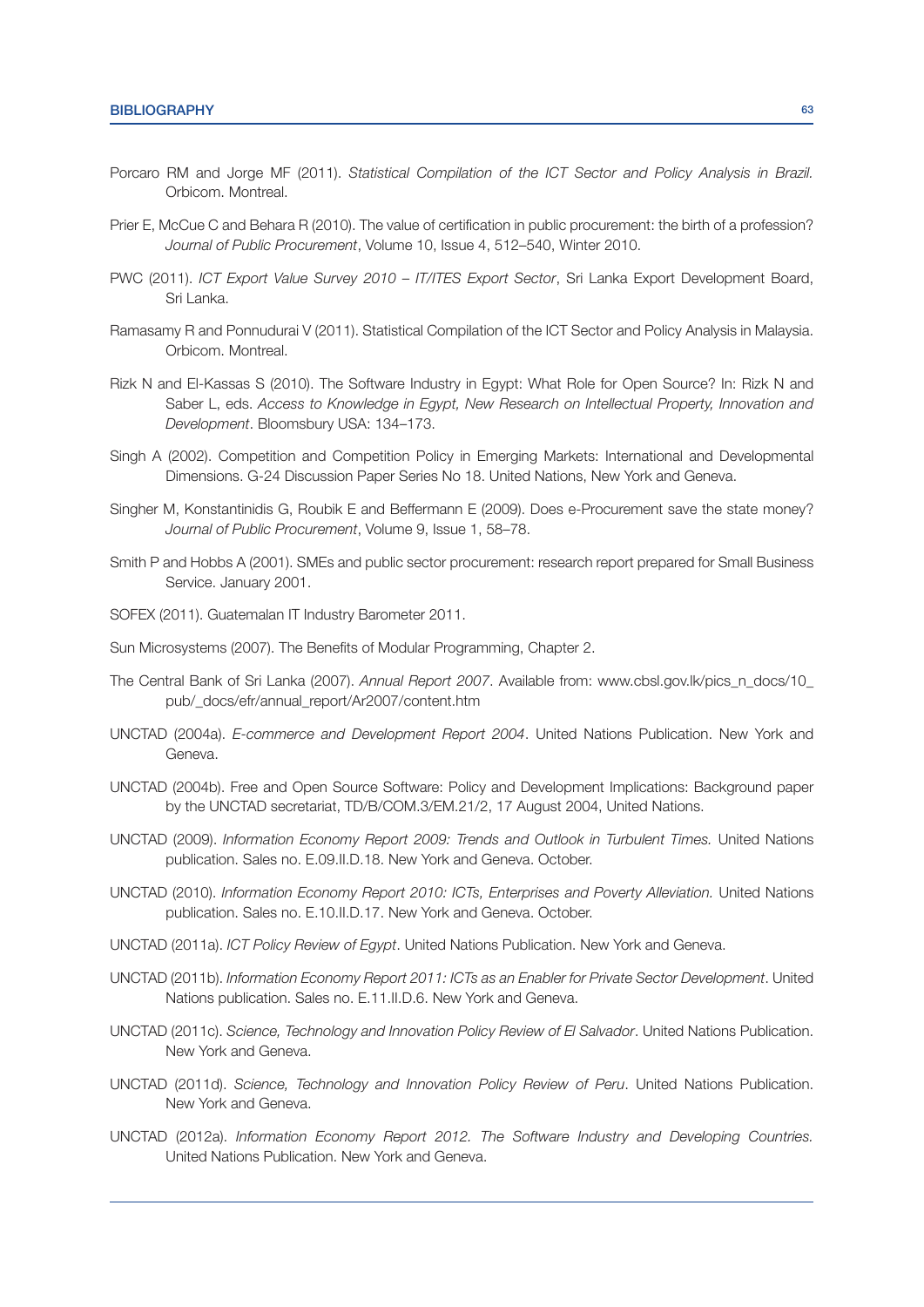- Porcaro RM and Jorge MF (2011). Statistical Compilation of the ICT Sector and Policy Analysis in Brazil. Orbicom. Montreal.
- Prier E, McCue C and Behara R (2010). The value of certification in public procurement: the birth of a profession? Journal of Public Procurement, Volume 10, Issue 4, 512-540, Winter 2010.
- PWC (2011). ICT Export Value Survey 2010 IT/ITES Export Sector, Sri Lanka Export Development Board, Sri Lanka.
- Ramasamy R and Ponnudurai V (2011). Statistical Compilation of the ICT Sector and Policy Analysis in Malaysia. Orbicom. Montreal.
- Rizk N and El-Kassas S (2010). The Software Industry in Egypt: What Role for Open Source? In: Rizk N and Saber L, eds. Access to Knowledge in Egypt, New Research on Intellectual Property, Innovation and Development. Bloomsbury USA: 134-173.
- Singh A (2002). Competition and Competition Policy in Emerging Markets: International and Developmental Dimensions. G-24 Discussion Paper Series No 18. United Nations, New York and Geneva.
- Singher M, Konstantinidis G, Roubik E and Beffermann E (2009). Does e-Procurement save the state money? Journal of Public Procurement, Volume 9, Issue 1, 58–78.
- Smith P and Hobbs A (2001). SMEs and public sector procurement: research report prepared for Small Business Service. January 2001.
- SOFEX (2011). Guatemalan IT Industry Barometer 2011.
- Sun Microsystems (2007). The Benefits of Modular Programming, Chapter 2.
- The Central Bank of Sri Lanka (2007). Annual Report 2007. Available from: www.cbsl.gov.lk/pics\_n\_docs/10\_ pub/\_docs/efr/annual\_report/Ar2007/content.htm
- UNCTAD (2004a). E-commerce and Development Report 2004. United Nations Publication. New York and Geneva.
- UNCTAD (2004b). Free and Open Source Software: Policy and Development Implications: Background paper by the UNCTAD secretariat, TD/B/COM.3/EM.21/2, 17 August 2004, United Nations.
- UNCTAD (2009). Information Economy Report 2009: Trends and Outlook in Turbulent Times. United Nations publication. Sales no. E.09.II.D.18. New York and Geneva. October.
- UNCTAD (2010). Information Economy Report 2010: ICTs, Enterprises and Poverty Alleviation. United Nations publication. Sales no. E.10.II.D.17. New York and Geneva. October.
- UNCTAD (2011a). ICT Policy Review of Eqypt. United Nations Publication. New York and Geneva.
- UNCTAD (2011b). Information Economy Report 2011: ICTs as an Enabler for Private Sector Development. United Nations publication. Sales no. E.11.II.D.6. New York and Geneva.
- UNCTAD (2011c). Science, Technology and Innovation Policy Review of El Salvador. United Nations Publication. New York and Geneva.
- UNCTAD (2011d). Science, Technology and Innovation Policy Review of Peru. United Nations Publication. New York and Geneva.
- UNCTAD (2012a). Information Economy Report 2012. The Software Industry and Developing Countries. United Nations Publication. New York and Geneva.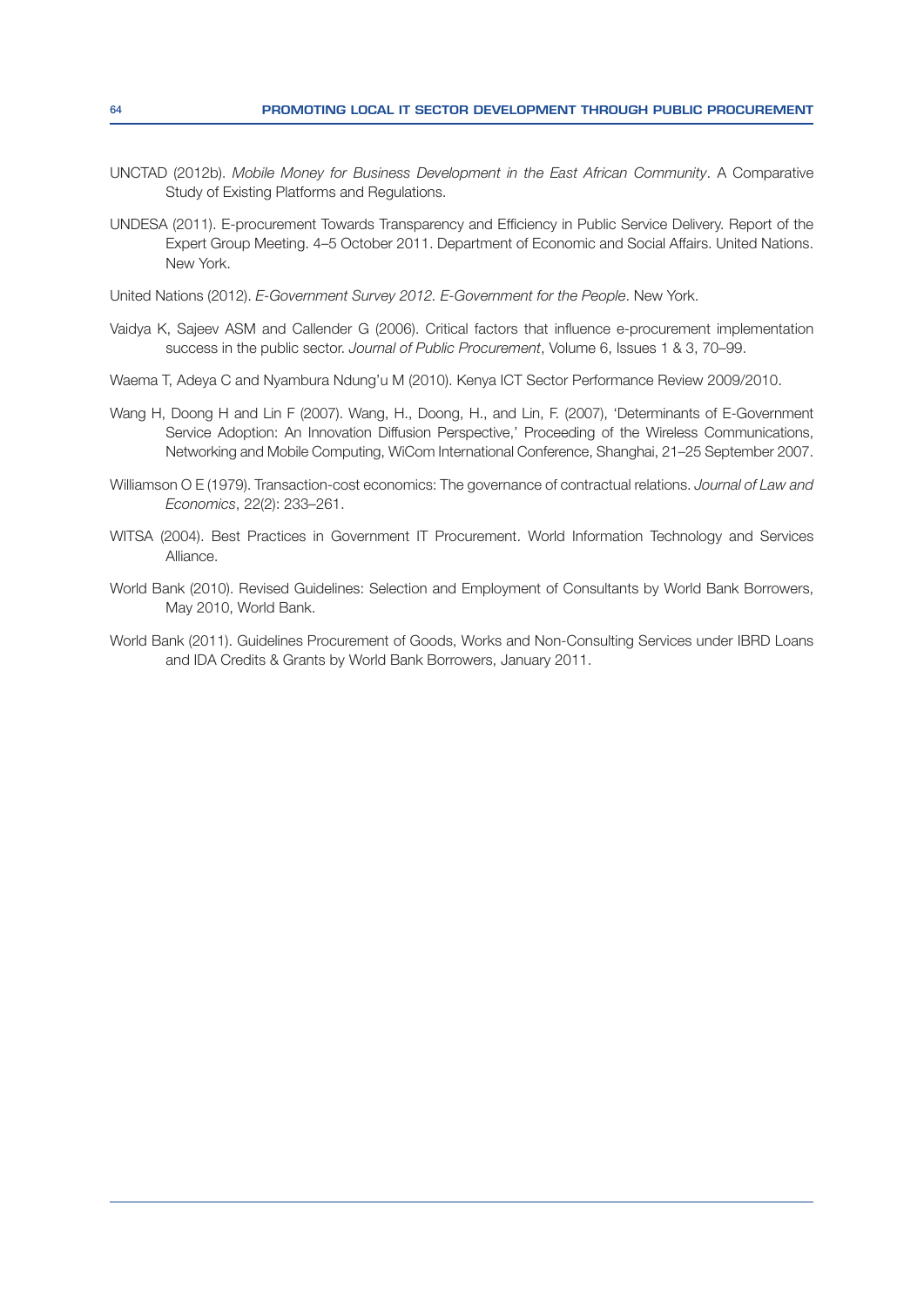- UNCTAD (2012b). Mobile Money for Business Development in the East African Community. A Comparative Study of Existing Platforms and Regulations.
- UNDESA (2011). E-procurement Towards Transparency and Efficiency in Public Service Delivery. Report of the Expert Group Meeting. 4–5 October 2011. Department of Economic and Social Affairs. United Nations. New York.

United Nations (2012). E-Government Survey 2012. E-Government for the People. New York.

- Vaidya K, Sajeev ASM and Callender G (2006). Critical factors that influence e-procurement implementation success in the public sector. Journal of Public Procurement, Volume 6, Issues 1 & 3, 70–99.
- Waema T, Adeya C and Nyambura Ndung'u M (2010). Kenya ICT Sector Performance Review 2009/2010.
- Wang H, Doong H and Lin F (2007). Wang, H., Doong, H., and Lin, F. (2007), 'Determinants of E-Government Service Adoption: An Innovation Diffusion Perspective,' Proceeding of the Wireless Communications, Networking and Mobile Computing, WiCom International Conference, Shanghai, 21-25 September 2007.
- Williamson O E (1979). Transaction-cost economics: The governance of contractual relations. Journal of Law and Economics, 22(2): 233-261.
- WITSA (2004). Best Practices in Government IT Procurement. World Information Technology and Services Alliance.
- World Bank (2010). Revised Guidelines: Selection and Employment of Consultants by World Bank Borrowers, May 2010, World Bank.
- World Bank (2011). Guidelines Procurement of Goods, Works and Non-Consulting Services under IBRD Loans and IDA Credits & Grants by World Bank Borrowers, January 2011.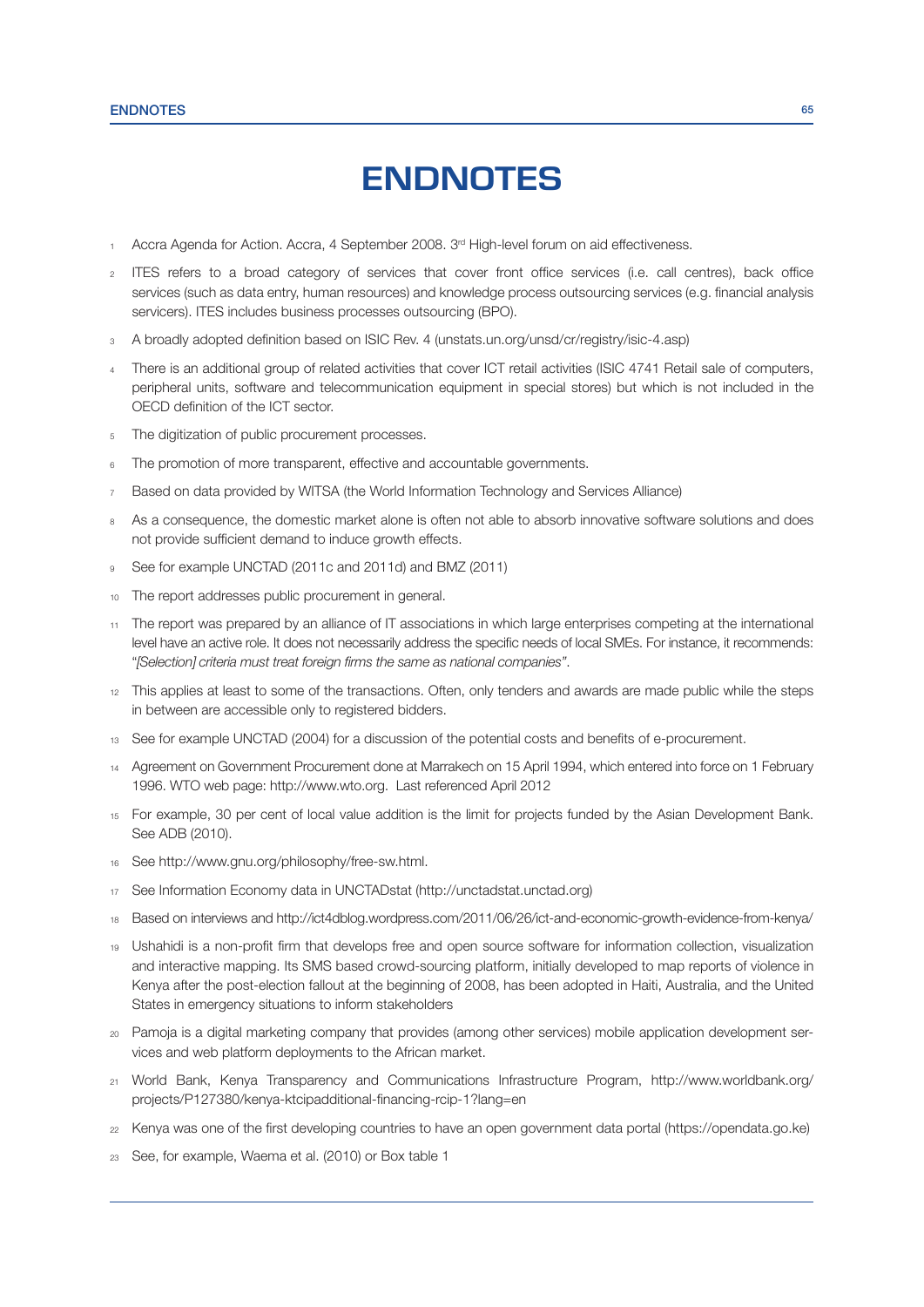# **ENDNOTES**

- Accra Agenda for Action. Accra, 4 September 2008. 3<sup>rd</sup> High-level forum on aid effectiveness.
- ITES refers to a broad category of services that cover front office services (i.e. call centres), back office services (such as data entry, human resources) and knowledge process outsourcing services (e.g. financial analysis servicers). ITES includes business processes outsourcing (BPO).
- 3 A broadly adopted definition based on ISIC Rev. 4 (unstats.un.org/unsd/cr/registry/isic-4.asp)
- 4 There is an additional group of related activities that cover ICT retail activities (ISIC 4741 Retail sale of computers, peripheral units, software and telecommunication equipment in special stores) but which is not included in the OECD definition of the ICT sector.
- 5 The digitization of public procurement processes.
- <sup>6</sup> The promotion of more transparent, effective and accountable governments.
- Based on data provided by WITSA (the World Information Technology and Services Alliance)
- 8 As a consequence, the domestic market alone is often not able to absorb innovative software solutions and does not provide sufficient demand to induce growth effects.
- 9 See for example UNCTAD (2011c and 2011d) and BMZ (2011)
- 10 The report addresses public procurement in general.
- 11 The report was prepared by an alliance of IT associations in which large enterprises competing at the international level have an active role. It does not necessarily address the specific needs of local SMEs. For instance, it recommends: "[Selection] criteria must treat foreign firms the same as national companies".
- 12 This applies at least to some of the transactions. Often, only tenders and awards are made public while the steps in between are accessible only to registered bidders.
- 13 See for example UNCTAD (2004) for a discussion of the potential costs and benefits of e-procurement.
- 14 Agreement on Government Procurement done at Marrakech on 15 April 1994, which entered into force on 1 February 1996. WTO web page: http://www.wto.org. Last referenced April 2012
- 15) For example, 30 per cent of local value addition is the limit for projects funded by the Asian Development Bank. See ADB (2010).
- 16 See http://www.gnu.org/philosophy/free-sw.html.
- 17 See Information Economy data in UNCTADstat (http://unctadstat.unctad.org)
- 18 Based on interviews and http://ict4dblog.wordpress.com/2011/06/26/ict-and-economic-growth-evidence-from-kenya/
- 19 Ushahidi is a non-profit firm that develops free and open source software for information collection, visualization and interactive mapping. Its SMS based crowd-sourcing platform, initially developed to map reports of violence in Kenya after the post-election fallout at the beginning of 2008, has been adopted in Haiti, Australia, and the United States in emergency situations to inform stakeholders
- 20 Pamoja is a digital marketing company that provides (among other services) mobile application development services and web platform deployments to the African market.
- 21 World Bank, Kenya Transparency and Communications Infrastructure Program, http://www.worldbank.org/ projects/P127380/kenya-ktcipadditional-financing-rcip-1?lang=en
- <sup>22</sup> Kenya was one of the first developing countries to have an open government data portal (https://opendata.go.ke)
- 23 See, for example, Waema et al. (2010) or Box table 1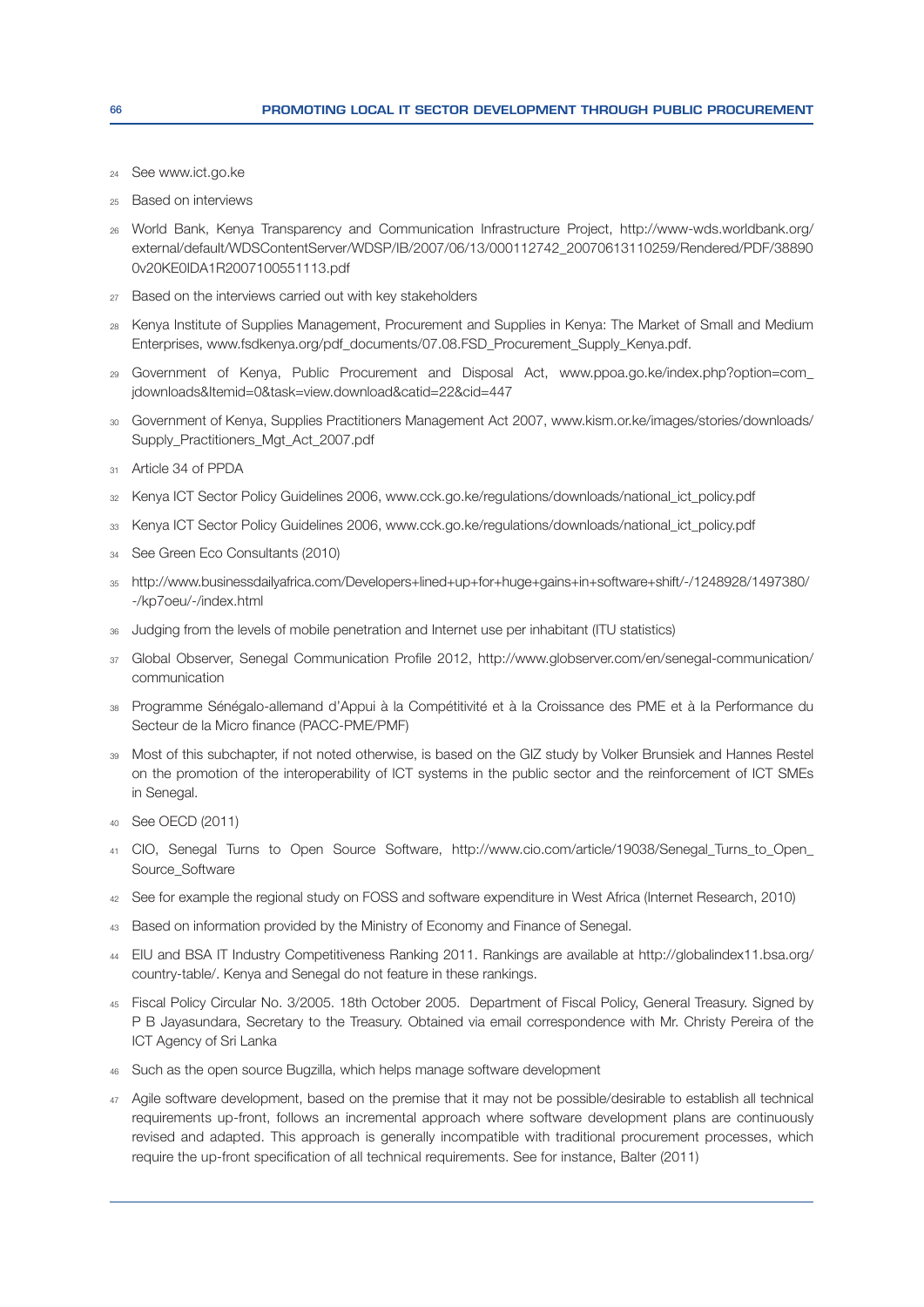- See www.ict.go.ke
- 25 Based on interviews
- World Bank, Kenya Transparency and Communication Infrastructure Project, http://www-wds.worldbank.org/ external/default/WDSContentServer/WDSP/IB/2007/06/13/000112742 20070613110259/Rendered/PDF/38890 0v20KE0IDA1R2007100551113.pdf
- 27 Based on the interviews carried out with key stakeholders
- 28 Kenya Institute of Supplies Management, Procurement and Supplies in Kenya: The Market of Small and Medium Enterprises, www.fsdkenya.org/pdf\_documents/07.08.FSD\_Procurement\_Supply\_Kenya.pdf.
- 29 Government of Kenya, Public Procurement and Disposal Act, www.ppoa.go.ke/index.php?option=com jdownloads&ltemid=0&task=view.download&catid=22&cid=447
- 30 Government of Kenya, Supplies Practitioners Management Act 2007, www.kism.or.ke/images/stories/downloads/ Supply\_Practitioners\_Mgt\_Act\_2007.pdf
- 31 Article 34 of PPDA
- 32 Kenya ICT Sector Policy Guidelines 2006, www.cck.go.ke/regulations/downloads/national\_ict\_policy.pdf
- 33 Kenya ICT Sector Policy Guidelines 2006, www.cck.go.ke/regulations/downloads/national\_ict\_policy.pdf
- 34 See Green Eco Consultants (2010)
- 35 http://www.businessdailyafrica.com/Developers+lined+up+for+huge+gains+in+software+shift/-/1248928/1497380/ -/kp7oeu/-/index.html
- Judging from the levels of mobile penetration and Internet use per inhabitant (ITU statistics)
- 37 Global Observer, Senegal Communication Profile 2012, http://www.globserver.com/en/senegal-communication/ communication
- 38 Programme Sénégalo-allemand d'Appui à la Compétitivité et à la Croissance des PME et à la Performance du Secteur de la Micro finance (PACC-PME/PMF)
- 39 Most of this subchapter, if not noted otherwise, is based on the GIZ study by Volker Brunsiek and Hannes Restel on the promotion of the interoperability of ICT systems in the public sector and the reinforcement of ICT SMEs in Senegal.
- 40 See OECD (2011)
- <sup>41</sup> CIO, Senegal Turns to Open Source Software, http://www.cio.com/article/19038/Senegal Turns to Open Source\_Software
- 42 See for example the regional study on FOSS and software expenditure in West Africa (Internet Research, 2010)
- 43 Based on information provided by the Ministry of Economy and Finance of Senegal.
- 44 EIU and BSA IT Industry Competitiveness Ranking 2011. Rankings are available at http://globalindex11.bsa.org/ country-table/. Kenya and Senegal do not feature in these rankings.
- 45 Fiscal Policy Circular No. 3/2005. 18th October 2005. Department of Fiscal Policy, General Treasury. Signed by P B Jayasundara, Secretary to the Treasury. Obtained via email correspondence with Mr. Christy Pereira of the ICT Agency of Sri Lanka
- 46 Such as the open source Bugzilla, which helps manage software development
- 47 Agile software development, based on the premise that it may not be possible/desirable to establish all technical requirements up-front, follows an incremental approach where software development plans are continuously revised and adapted. This approach is generally incompatible with traditional procurement processes, which require the up-front specification of all technical requirements. See for instance, Balter (2011)